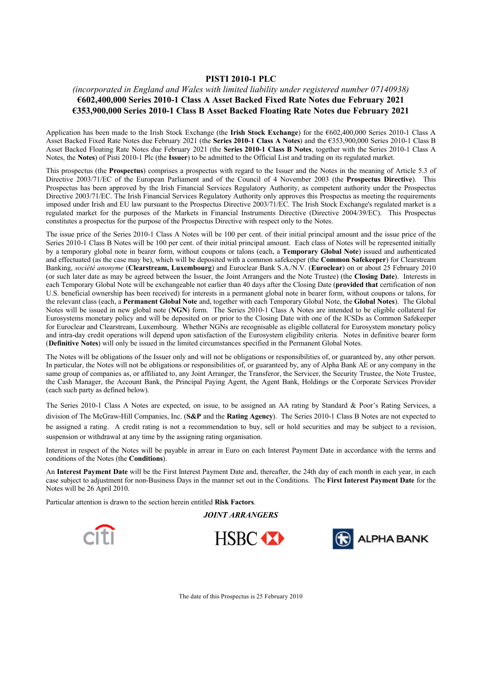#### **PISTI 2010-1 PLC**

## *(incorporated in England and Wales with limited liability under registered number 07140938)* **€602,400,000 Series 2010-1 Class A Asset Backed Fixed Rate Notes due February 2021 €353,900,000 Series 2010-1 Class B Asset Backed Floating Rate Notes due February 2021**

Application has been made to the Irish Stock Exchange (the **Irish Stock Exchange**) for the €602,400,000 Series 2010-1 Class A Asset Backed Fixed Rate Notes due February 2021 (the **Series 2010-1 Class A Notes**) and the €353,900,000 Series 2010-1 Class B Asset Backed Floating Rate Notes due February 2021 (the **Series 2010-1 Class B Notes**, together with the Series 2010-1 Class A Notes, the **Notes**) of Pisti 2010-1 Plc (the **Issuer**) to be admitted to the Official List and trading on its regulated market.

This prospectus (the **Prospectus**) comprises a prospectus with regard to the Issuer and the Notes in the meaning of Article 5.3 of Directive 2003/71/EC of the European Parliament and of the Council of 4 November 2003 (the **Prospectus Directive**). This Prospectus has been approved by the Irish Financial Services Regulatory Authority, as competent authority under the Prospectus Directive 2003/71/EC. The Irish Financial Services Regulatory Authority only approves this Prospectus as meeting the requirements imposed under Irish and EU law pursuant to the Prospectus Directive 2003/71/EC. The Irish Stock Exchange's regulated market is a regulated market for the purposes of the Markets in Financial Instruments Directive (Directive 2004/39/EC). This Prospectus constitutes a prospectus for the purpose of the Prospectus Directive with respect only to the Notes.

The issue price of the Series 2010-1 Class A Notes will be 100 per cent. of their initial principal amount and the issue price of the Series 2010-1 Class B Notes will be 100 per cent. of their initial principal amount. Each class of Notes will be represented initially by a temporary global note in bearer form, without coupons or talons (each, a **Temporary Global Note**) issued and authenticated and effectuated (as the case may be), which will be deposited with a common safekeeper (the **Common Safekeeper**) for Clearstream Banking, *société anonyme* (**Clearstream, Luxembourg**) and Euroclear Bank S.A./N.V. (**Euroclear**) on or about 25 February 2010 (or such later date as may be agreed between the Issuer, the Joint Arrangers and the Note Trustee) (the **Closing Date**). Interests in each Temporary Global Note will be exchangeable not earlier than 40 days after the Closing Date (**provided that** certification of non U.S. beneficial ownership has been received) for interests in a permanent global note in bearer form, without coupons or talons, for the relevant class (each, a **Permanent Global Note** and, together with each Temporary Global Note, the **Global Notes**). The Global Notes will be issued in new global note (**NGN**) form. The Series 2010-1 Class A Notes are intended to be eligible collateral for Eurosystems monetary policy and will be deposited on or prior to the Closing Date with one of the ICSDs as Common Safekeeper for Euroclear and Clearstream, Luxembourg. Whether NGNs are recognisable as eligible collateral for Eurosystem monetary policy and intra-day credit operations will depend upon satisfaction of the Eurosystem eligibility criteria. Notes in definitive bearer form (**Definitive Notes**) will only be issued in the limited circumstances specified in the Permanent Global Notes.

The Notes will be obligations of the Issuer only and will not be obligations or responsibilities of, or guaranteed by, any other person. In particular, the Notes will not be obligations or responsibilities of, or guaranteed by, any of Alpha Bank AE or any company in the same group of companies as, or affiliated to, any Joint Arranger, the Transferor, the Servicer, the Security Trustee, the Note Trustee, the Cash Manager, the Account Bank, the Principal Paying Agent, the Agent Bank, Holdings or the Corporate Services Provider (each such party as defined below).

The Series 2010-1 Class A Notes are expected, on issue, to be assigned an AA rating by Standard & Poor's Rating Services, a division of The McGraw-Hill Companies, Inc. (**S&P** and the **Rating Agency**). The Series 2010-1 Class B Notes are not expected to be assigned a rating. A credit rating is not a recommendation to buy, sell or hold securities and may be subject to a revision, suspension or withdrawal at any time by the assigning rating organisation.

Interest in respect of the Notes will be payable in arrear in Euro on each Interest Payment Date in accordance with the terms and conditions of the Notes (the **Conditions**).

An **Interest Payment Date** will be the First Interest Payment Date and, thereafter, the 24th day of each month in each year, in each case subject to adjustment for non-Business Days in the manner set out in the Conditions. The **First Interest Payment Date** for the Notes will be 26 April 2010.

Particular attention is drawn to the section herein entitled **Risk Factors**.

*JOINT ARRANGERS*







The date of this Prospectus is 25 February 2010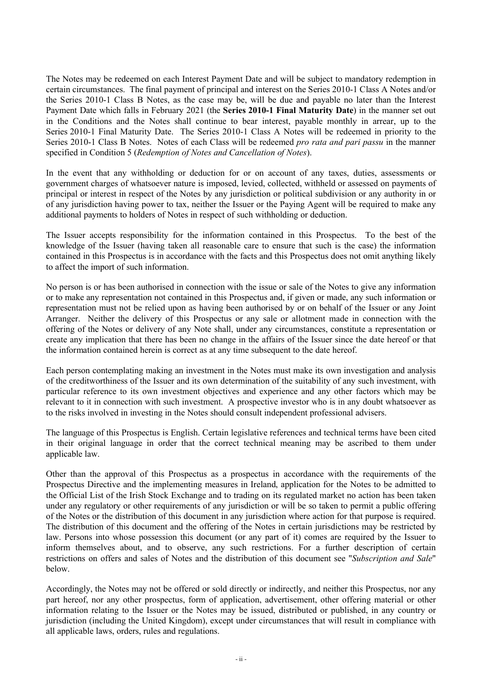The Notes may be redeemed on each Interest Payment Date and will be subject to mandatory redemption in certain circumstances. The final payment of principal and interest on the Series 2010-1 Class A Notes and/or the Series 2010-1 Class B Notes, as the case may be, will be due and payable no later than the Interest Payment Date which falls in February 2021 (the **Series 2010-1 Final Maturity Date**) in the manner set out in the Conditions and the Notes shall continue to bear interest, payable monthly in arrear, up to the Series 2010-1 Final Maturity Date. The Series 2010-1 Class A Notes will be redeemed in priority to the Series 2010-1 Class B Notes. Notes of each Class will be redeemed *pro rata and pari passu* in the manner specified in Condition 5 (*Redemption of Notes and Cancellation of Notes*).

In the event that any withholding or deduction for or on account of any taxes, duties, assessments or government charges of whatsoever nature is imposed, levied, collected, withheld or assessed on payments of principal or interest in respect of the Notes by any jurisdiction or political subdivision or any authority in or of any jurisdiction having power to tax, neither the Issuer or the Paying Agent will be required to make any additional payments to holders of Notes in respect of such withholding or deduction.

The Issuer accepts responsibility for the information contained in this Prospectus. To the best of the knowledge of the Issuer (having taken all reasonable care to ensure that such is the case) the information contained in this Prospectus is in accordance with the facts and this Prospectus does not omit anything likely to affect the import of such information.

No person is or has been authorised in connection with the issue or sale of the Notes to give any information or to make any representation not contained in this Prospectus and, if given or made, any such information or representation must not be relied upon as having been authorised by or on behalf of the Issuer or any Joint Arranger. Neither the delivery of this Prospectus or any sale or allotment made in connection with the offering of the Notes or delivery of any Note shall, under any circumstances, constitute a representation or create any implication that there has been no change in the affairs of the Issuer since the date hereof or that the information contained herein is correct as at any time subsequent to the date hereof.

Each person contemplating making an investment in the Notes must make its own investigation and analysis of the creditworthiness of the Issuer and its own determination of the suitability of any such investment, with particular reference to its own investment objectives and experience and any other factors which may be relevant to it in connection with such investment. A prospective investor who is in any doubt whatsoever as to the risks involved in investing in the Notes should consult independent professional advisers.

The language of this Prospectus is English. Certain legislative references and technical terms have been cited in their original language in order that the correct technical meaning may be ascribed to them under applicable law.

Other than the approval of this Prospectus as a prospectus in accordance with the requirements of the Prospectus Directive and the implementing measures in Ireland, application for the Notes to be admitted to the Official List of the Irish Stock Exchange and to trading on its regulated market no action has been taken under any regulatory or other requirements of any jurisdiction or will be so taken to permit a public offering of the Notes or the distribution of this document in any jurisdiction where action for that purpose is required. The distribution of this document and the offering of the Notes in certain jurisdictions may be restricted by law. Persons into whose possession this document (or any part of it) comes are required by the Issuer to inform themselves about, and to observe, any such restrictions. For a further description of certain restrictions on offers and sales of Notes and the distribution of this document see "*Subscription and Sale*" below.

Accordingly, the Notes may not be offered or sold directly or indirectly, and neither this Prospectus, nor any part hereof, nor any other prospectus, form of application, advertisement, other offering material or other information relating to the Issuer or the Notes may be issued, distributed or published, in any country or jurisdiction (including the United Kingdom), except under circumstances that will result in compliance with all applicable laws, orders, rules and regulations.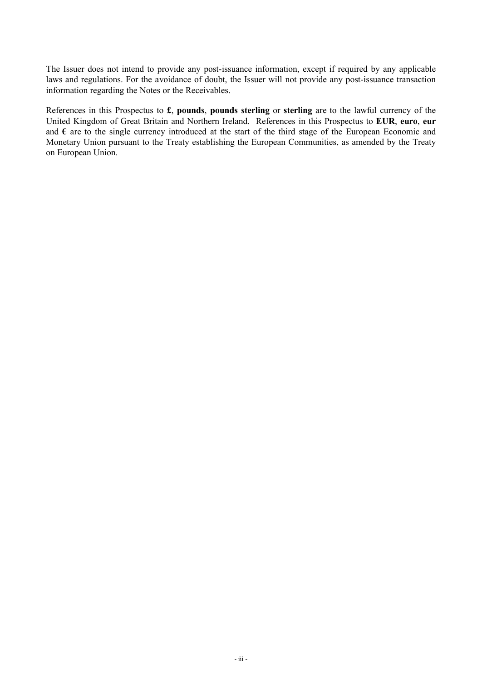The Issuer does not intend to provide any post-issuance information, except if required by any applicable laws and regulations. For the avoidance of doubt, the Issuer will not provide any post-issuance transaction information regarding the Notes or the Receivables.

References in this Prospectus to **£**, **pounds**, **pounds sterling** or **sterling** are to the lawful currency of the United Kingdom of Great Britain and Northern Ireland. References in this Prospectus to **EUR**, **euro**, **eur** and **€** are to the single currency introduced at the start of the third stage of the European Economic and Monetary Union pursuant to the Treaty establishing the European Communities, as amended by the Treaty on European Union.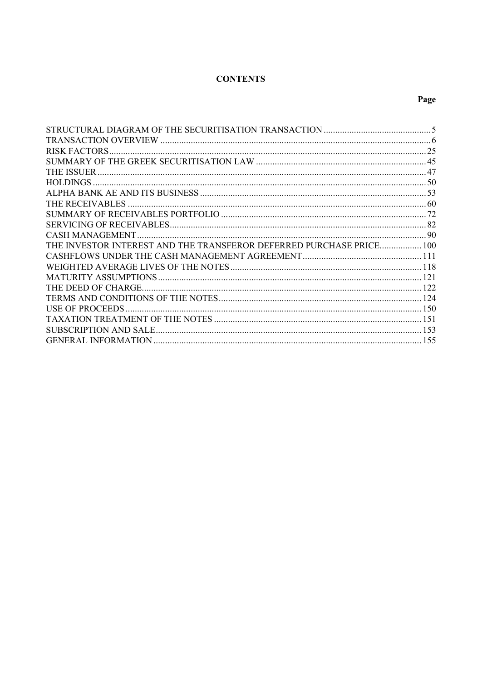## **CONTENTS**

| THE INVESTOR INTEREST AND THE TRANSFEROR DEFERRED PURCHASE PRICE 100 |  |
|----------------------------------------------------------------------|--|
|                                                                      |  |
|                                                                      |  |
|                                                                      |  |
|                                                                      |  |
|                                                                      |  |
|                                                                      |  |
|                                                                      |  |
|                                                                      |  |
|                                                                      |  |
|                                                                      |  |

# Page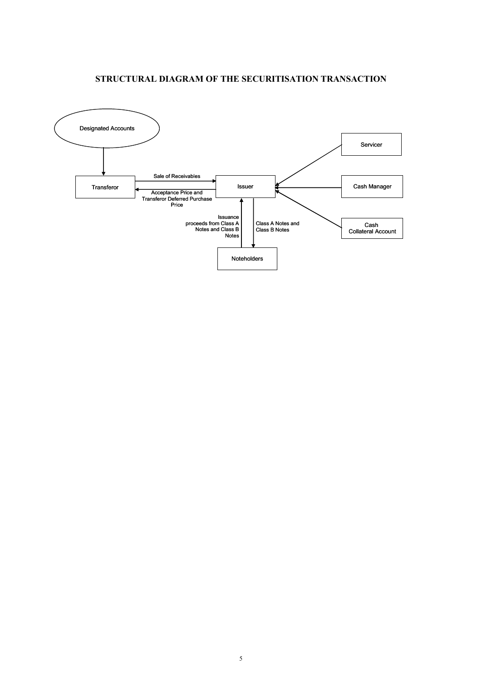## **STRUCTURAL DIAGRAM OF THE SECURITISATION TRANSACTION**

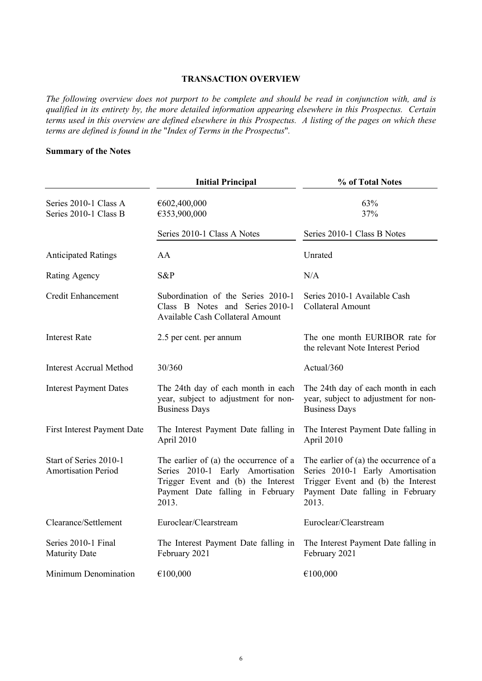### **TRANSACTION OVERVIEW**

*The following overview does not purport to be complete and should be read in conjunction with, and is qualified in its entirety by, the more detailed information appearing elsewhere in this Prospectus. Certain terms used in this overview are defined elsewhere in this Prospectus. A listing of the pages on which these terms are defined is found in the* "*Index of Terms in the Prospectus*"*.*

## **Summary of the Notes**

|                                                      | <b>Initial Principal</b>                                                                                                                                      | % of Total Notes                                                                                                                                                |
|------------------------------------------------------|---------------------------------------------------------------------------------------------------------------------------------------------------------------|-----------------------------------------------------------------------------------------------------------------------------------------------------------------|
| Series 2010-1 Class A<br>Series 2010-1 Class B       | €602,400,000<br>€353,900,000                                                                                                                                  | 63%<br>37%                                                                                                                                                      |
|                                                      | Series 2010-1 Class A Notes                                                                                                                                   | Series 2010-1 Class B Notes                                                                                                                                     |
| <b>Anticipated Ratings</b>                           | AA                                                                                                                                                            | Unrated                                                                                                                                                         |
| Rating Agency                                        | S&P                                                                                                                                                           | N/A                                                                                                                                                             |
| <b>Credit Enhancement</b>                            | Subordination of the Series 2010-1<br>Class B Notes and Series 2010-1<br>Available Cash Collateral Amount                                                     | Series 2010-1 Available Cash<br><b>Collateral Amount</b>                                                                                                        |
| <b>Interest Rate</b>                                 | 2.5 per cent. per annum                                                                                                                                       | The one month EURIBOR rate for<br>the relevant Note Interest Period                                                                                             |
| <b>Interest Accrual Method</b>                       | 30/360                                                                                                                                                        | Actual/360                                                                                                                                                      |
| <b>Interest Payment Dates</b>                        | The 24th day of each month in each<br>year, subject to adjustment for non-<br><b>Business Days</b>                                                            | The 24th day of each month in each<br>year, subject to adjustment for non-<br><b>Business Days</b>                                                              |
| <b>First Interest Payment Date</b>                   | The Interest Payment Date falling in<br>April 2010                                                                                                            | The Interest Payment Date falling in<br>April 2010                                                                                                              |
| Start of Series 2010-1<br><b>Amortisation Period</b> | The earlier of (a) the occurrence of a<br>Series 2010-1 Early Amortisation<br>Trigger Event and (b) the Interest<br>Payment Date falling in February<br>2013. | The earlier of $(a)$ the occurrence of a<br>Series 2010-1 Early Amortisation<br>Trigger Event and (b) the Interest<br>Payment Date falling in February<br>2013. |
| Clearance/Settlement                                 | Euroclear/Clearstream                                                                                                                                         | Euroclear/Clearstream                                                                                                                                           |
| Series 2010-1 Final<br><b>Maturity Date</b>          | The Interest Payment Date falling in<br>February 2021                                                                                                         | The Interest Payment Date falling in<br>February 2021                                                                                                           |
| Minimum Denomination                                 | €100,000                                                                                                                                                      | €100,000                                                                                                                                                        |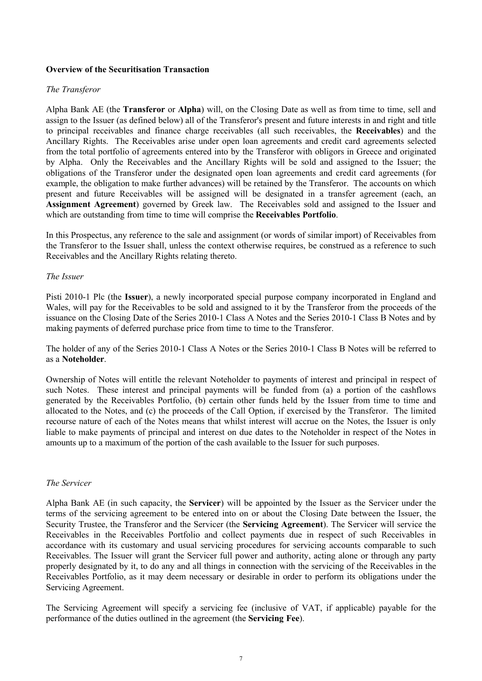### **Overview of the Securitisation Transaction**

#### *The Transferor*

Alpha Bank AE (the **Transferor** or **Alpha**) will, on the Closing Date as well as from time to time, sell and assign to the Issuer (as defined below) all of the Transferor's present and future interests in and right and title to principal receivables and finance charge receivables (all such receivables, the **Receivables**) and the Ancillary Rights. The Receivables arise under open loan agreements and credit card agreements selected from the total portfolio of agreements entered into by the Transferor with obligors in Greece and originated by Alpha. Only the Receivables and the Ancillary Rights will be sold and assigned to the Issuer; the obligations of the Transferor under the designated open loan agreements and credit card agreements (for example, the obligation to make further advances) will be retained by the Transferor. The accounts on which present and future Receivables will be assigned will be designated in a transfer agreement (each, an **Assignment Agreement**) governed by Greek law. The Receivables sold and assigned to the Issuer and which are outstanding from time to time will comprise the **Receivables Portfolio**.

In this Prospectus, any reference to the sale and assignment (or words of similar import) of Receivables from the Transferor to the Issuer shall, unless the context otherwise requires, be construed as a reference to such Receivables and the Ancillary Rights relating thereto.

#### *The Issuer*

Pisti 2010-1 Plc (the **Issuer**), a newly incorporated special purpose company incorporated in England and Wales, will pay for the Receivables to be sold and assigned to it by the Transferor from the proceeds of the issuance on the Closing Date of the Series 2010-1 Class A Notes and the Series 2010-1 Class B Notes and by making payments of deferred purchase price from time to time to the Transferor.

The holder of any of the Series 2010-1 Class A Notes or the Series 2010-1 Class B Notes will be referred to as a **Noteholder**.

Ownership of Notes will entitle the relevant Noteholder to payments of interest and principal in respect of such Notes. These interest and principal payments will be funded from (a) a portion of the cashflows generated by the Receivables Portfolio, (b) certain other funds held by the Issuer from time to time and allocated to the Notes, and (c) the proceeds of the Call Option, if exercised by the Transferor. The limited recourse nature of each of the Notes means that whilst interest will accrue on the Notes, the Issuer is only liable to make payments of principal and interest on due dates to the Noteholder in respect of the Notes in amounts up to a maximum of the portion of the cash available to the Issuer for such purposes.

#### *The Servicer*

Alpha Bank AE (in such capacity, the **Servicer**) will be appointed by the Issuer as the Servicer under the terms of the servicing agreement to be entered into on or about the Closing Date between the Issuer, the Security Trustee, the Transferor and the Servicer (the **Servicing Agreement**). The Servicer will service the Receivables in the Receivables Portfolio and collect payments due in respect of such Receivables in accordance with its customary and usual servicing procedures for servicing accounts comparable to such Receivables. The Issuer will grant the Servicer full power and authority, acting alone or through any party properly designated by it, to do any and all things in connection with the servicing of the Receivables in the Receivables Portfolio, as it may deem necessary or desirable in order to perform its obligations under the Servicing Agreement.

The Servicing Agreement will specify a servicing fee (inclusive of VAT, if applicable) payable for the performance of the duties outlined in the agreement (the **Servicing Fee**).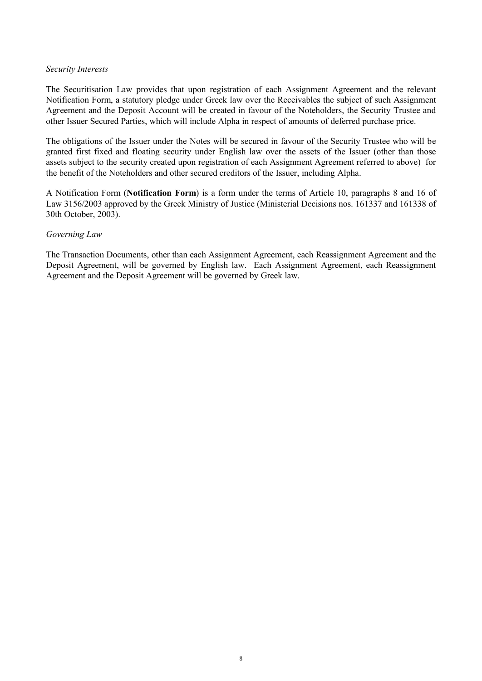#### *Security Interests*

The Securitisation Law provides that upon registration of each Assignment Agreement and the relevant Notification Form, a statutory pledge under Greek law over the Receivables the subject of such Assignment Agreement and the Deposit Account will be created in favour of the Noteholders, the Security Trustee and other Issuer Secured Parties, which will include Alpha in respect of amounts of deferred purchase price.

The obligations of the Issuer under the Notes will be secured in favour of the Security Trustee who will be granted first fixed and floating security under English law over the assets of the Issuer (other than those assets subject to the security created upon registration of each Assignment Agreement referred to above) for the benefit of the Noteholders and other secured creditors of the Issuer, including Alpha.

A Notification Form (**Notification Form**) is a form under the terms of Article 10, paragraphs 8 and 16 of Law 3156/2003 approved by the Greek Ministry of Justice (Ministerial Decisions nos. 161337 and 161338 of 30th October, 2003).

### *Governing Law*

The Transaction Documents, other than each Assignment Agreement, each Reassignment Agreement and the Deposit Agreement, will be governed by English law. Each Assignment Agreement, each Reassignment Agreement and the Deposit Agreement will be governed by Greek law.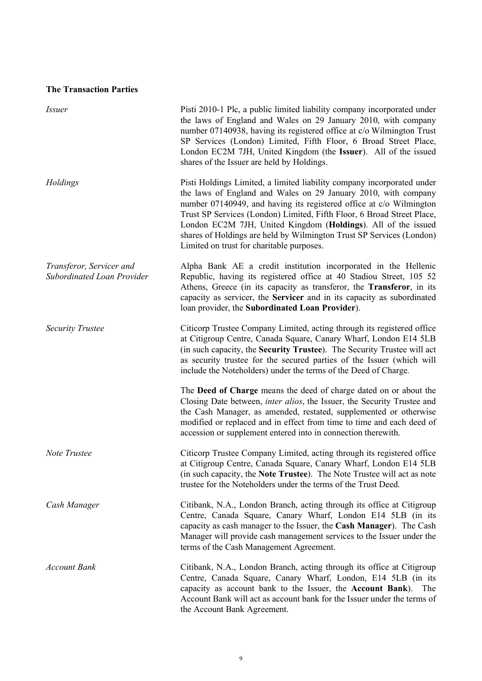## **The Transaction Parties**

| <i>Issuer</i>                                          | Pisti 2010-1 Plc, a public limited liability company incorporated under<br>the laws of England and Wales on 29 January 2010, with company<br>number 07140938, having its registered office at c/o Wilmington Trust<br>SP Services (London) Limited, Fifth Floor, 6 Broad Street Place,<br>London EC2M 7JH, United Kingdom (the Issuer). All of the issued<br>shares of the Issuer are held by Holdings.                                                                         |
|--------------------------------------------------------|---------------------------------------------------------------------------------------------------------------------------------------------------------------------------------------------------------------------------------------------------------------------------------------------------------------------------------------------------------------------------------------------------------------------------------------------------------------------------------|
| Holdings                                               | Pisti Holdings Limited, a limited liability company incorporated under<br>the laws of England and Wales on 29 January 2010, with company<br>number 07140949, and having its registered office at c/o Wilmington<br>Trust SP Services (London) Limited, Fifth Floor, 6 Broad Street Place,<br>London EC2M 7JH, United Kingdom (Holdings). All of the issued<br>shares of Holdings are held by Wilmington Trust SP Services (London)<br>Limited on trust for charitable purposes. |
| Transferor, Servicer and<br>Subordinated Loan Provider | Alpha Bank AE a credit institution incorporated in the Hellenic<br>Republic, having its registered office at 40 Stadiou Street, 105 52<br>Athens, Greece (in its capacity as transferor, the Transferor, in its<br>capacity as servicer, the Servicer and in its capacity as subordinated<br>loan provider, the Subordinated Loan Provider).                                                                                                                                    |
| <b>Security Trustee</b>                                | Citicorp Trustee Company Limited, acting through its registered office<br>at Citigroup Centre, Canada Square, Canary Wharf, London E14 5LB<br>(in such capacity, the Security Trustee). The Security Trustee will act<br>as security trustee for the secured parties of the Issuer (which will<br>include the Noteholders) under the terms of the Deed of Charge.                                                                                                               |
|                                                        | The Deed of Charge means the deed of charge dated on or about the<br>Closing Date between, <i>inter alios</i> , the Issuer, the Security Trustee and<br>the Cash Manager, as amended, restated, supplemented or otherwise<br>modified or replaced and in effect from time to time and each deed of<br>accession or supplement entered into in connection therewith.                                                                                                             |
| Note Trustee                                           | Citicorp Trustee Company Limited, acting through its registered office<br>at Citigroup Centre, Canada Square, Canary Wharf, London E14 5LB<br>(in such capacity, the Note Trustee). The Note Trustee will act as note<br>trustee for the Noteholders under the terms of the Trust Deed.                                                                                                                                                                                         |
| Cash Manager                                           | Citibank, N.A., London Branch, acting through its office at Citigroup<br>Centre, Canada Square, Canary Wharf, London E14 5LB (in its<br>capacity as cash manager to the Issuer, the Cash Manager). The Cash<br>Manager will provide cash management services to the Issuer under the<br>terms of the Cash Management Agreement.                                                                                                                                                 |
| <b>Account Bank</b>                                    | Citibank, N.A., London Branch, acting through its office at Citigroup<br>Centre, Canada Square, Canary Wharf, London, E14 5LB (in its<br>capacity as account bank to the Issuer, the Account Bank).<br>The<br>Account Bank will act as account bank for the Issuer under the terms of<br>the Account Bank Agreement.                                                                                                                                                            |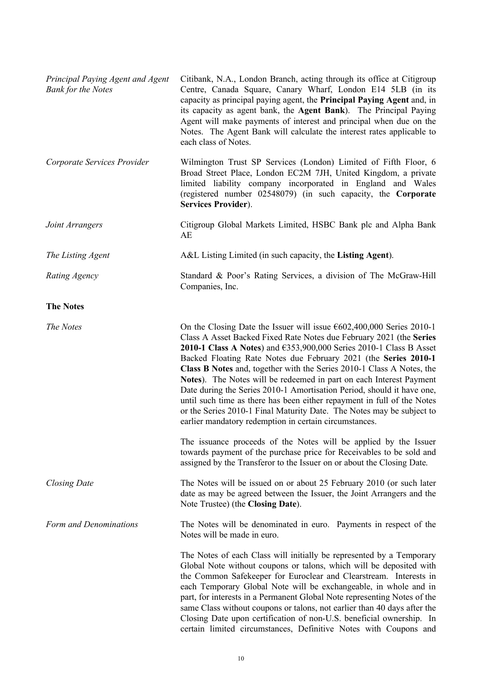| Principal Paying Agent and Agent<br><b>Bank for the Notes</b> | Citibank, N.A., London Branch, acting through its office at Citigroup<br>Centre, Canada Square, Canary Wharf, London E14 5LB (in its<br>capacity as principal paying agent, the Principal Paying Agent and, in<br>its capacity as agent bank, the Agent Bank). The Principal Paying<br>Agent will make payments of interest and principal when due on the<br>Notes. The Agent Bank will calculate the interest rates applicable to<br>each class of Notes.                                                                                                                                                                                                                                                                               |
|---------------------------------------------------------------|------------------------------------------------------------------------------------------------------------------------------------------------------------------------------------------------------------------------------------------------------------------------------------------------------------------------------------------------------------------------------------------------------------------------------------------------------------------------------------------------------------------------------------------------------------------------------------------------------------------------------------------------------------------------------------------------------------------------------------------|
| Corporate Services Provider                                   | Wilmington Trust SP Services (London) Limited of Fifth Floor, 6<br>Broad Street Place, London EC2M 7JH, United Kingdom, a private<br>limited liability company incorporated in England and Wales<br>(registered number 02548079) (in such capacity, the Corporate<br>Services Provider).                                                                                                                                                                                                                                                                                                                                                                                                                                                 |
| Joint Arrangers                                               | Citigroup Global Markets Limited, HSBC Bank plc and Alpha Bank<br>AE                                                                                                                                                                                                                                                                                                                                                                                                                                                                                                                                                                                                                                                                     |
| The Listing Agent                                             | A&L Listing Limited (in such capacity, the Listing Agent).                                                                                                                                                                                                                                                                                                                                                                                                                                                                                                                                                                                                                                                                               |
| Rating Agency                                                 | Standard & Poor's Rating Services, a division of The McGraw-Hill<br>Companies, Inc.                                                                                                                                                                                                                                                                                                                                                                                                                                                                                                                                                                                                                                                      |
| <b>The Notes</b>                                              |                                                                                                                                                                                                                                                                                                                                                                                                                                                                                                                                                                                                                                                                                                                                          |
| The Notes                                                     | On the Closing Date the Issuer will issue $\epsilon$ 602,400,000 Series 2010-1<br>Class A Asset Backed Fixed Rate Notes due February 2021 (the Series<br>2010-1 Class A Notes) and $6353,900,000$ Series 2010-1 Class B Asset<br>Backed Floating Rate Notes due February 2021 (the Series 2010-1<br>Class B Notes and, together with the Series 2010-1 Class A Notes, the<br>Notes). The Notes will be redeemed in part on each Interest Payment<br>Date during the Series 2010-1 Amortisation Period, should it have one,<br>until such time as there has been either repayment in full of the Notes<br>or the Series 2010-1 Final Maturity Date. The Notes may be subject to<br>earlier mandatory redemption in certain circumstances. |
|                                                               | The issuance proceeds of the Notes will be applied by the Issuer<br>towards payment of the purchase price for Receivables to be sold and<br>assigned by the Transferor to the Issuer on or about the Closing Date.                                                                                                                                                                                                                                                                                                                                                                                                                                                                                                                       |
| <b>Closing Date</b>                                           | The Notes will be issued on or about 25 February 2010 (or such later<br>date as may be agreed between the Issuer, the Joint Arrangers and the<br>Note Trustee) (the Closing Date).                                                                                                                                                                                                                                                                                                                                                                                                                                                                                                                                                       |
| Form and Denominations                                        | The Notes will be denominated in euro. Payments in respect of the<br>Notes will be made in euro.                                                                                                                                                                                                                                                                                                                                                                                                                                                                                                                                                                                                                                         |
|                                                               | The Notes of each Class will initially be represented by a Temporary<br>Global Note without coupons or talons, which will be deposited with<br>the Common Safekeeper for Euroclear and Clearstream. Interests in<br>each Temporary Global Note will be exchangeable, in whole and in<br>part, for interests in a Permanent Global Note representing Notes of the<br>same Class without coupons or talons, not earlier than 40 days after the<br>Closing Date upon certification of non-U.S. beneficial ownership. In<br>certain limited circumstances, Definitive Notes with Coupons and                                                                                                                                                 |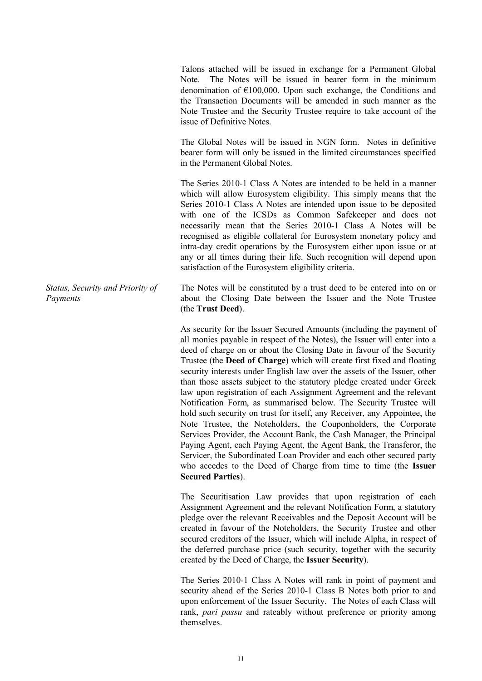Talons attached will be issued in exchange for a Permanent Global Note. The Notes will be issued in bearer form in the minimum denomination of  $E100,000$ . Upon such exchange, the Conditions and the Transaction Documents will be amended in such manner as the Note Trustee and the Security Trustee require to take account of the issue of Definitive Notes.

The Global Notes will be issued in NGN form. Notes in definitive bearer form will only be issued in the limited circumstances specified in the Permanent Global Notes.

The Series 2010-1 Class A Notes are intended to be held in a manner which will allow Eurosystem eligibility. This simply means that the Series 2010-1 Class A Notes are intended upon issue to be deposited with one of the ICSDs as Common Safekeeper and does not necessarily mean that the Series 2010-1 Class A Notes will be recognised as eligible collateral for Eurosystem monetary policy and intra-day credit operations by the Eurosystem either upon issue or at any or all times during their life. Such recognition will depend upon satisfaction of the Eurosystem eligibility criteria.

The Notes will be constituted by a trust deed to be entered into on or about the Closing Date between the Issuer and the Note Trustee (the **Trust Deed**).

> As security for the Issuer Secured Amounts (including the payment of all monies payable in respect of the Notes), the Issuer will enter into a deed of charge on or about the Closing Date in favour of the Security Trustee (the **Deed of Charge**) which will create first fixed and floating security interests under English law over the assets of the Issuer, other than those assets subject to the statutory pledge created under Greek law upon registration of each Assignment Agreement and the relevant Notification Form, as summarised below. The Security Trustee will hold such security on trust for itself, any Receiver, any Appointee, the Note Trustee, the Noteholders, the Couponholders, the Corporate Services Provider, the Account Bank, the Cash Manager, the Principal Paying Agent, each Paying Agent, the Agent Bank, the Transferor, the Servicer, the Subordinated Loan Provider and each other secured party who accedes to the Deed of Charge from time to time (the **Issuer Secured Parties**).

> The Securitisation Law provides that upon registration of each Assignment Agreement and the relevant Notification Form, a statutory pledge over the relevant Receivables and the Deposit Account will be created in favour of the Noteholders, the Security Trustee and other secured creditors of the Issuer, which will include Alpha, in respect of the deferred purchase price (such security, together with the security created by the Deed of Charge, the **Issuer Security**).

> The Series 2010-1 Class A Notes will rank in point of payment and security ahead of the Series 2010-1 Class B Notes both prior to and upon enforcement of the Issuer Security. The Notes of each Class will rank, *pari passu* and rateably without preference or priority among themselves.

*Status, Security and Priority of Payments*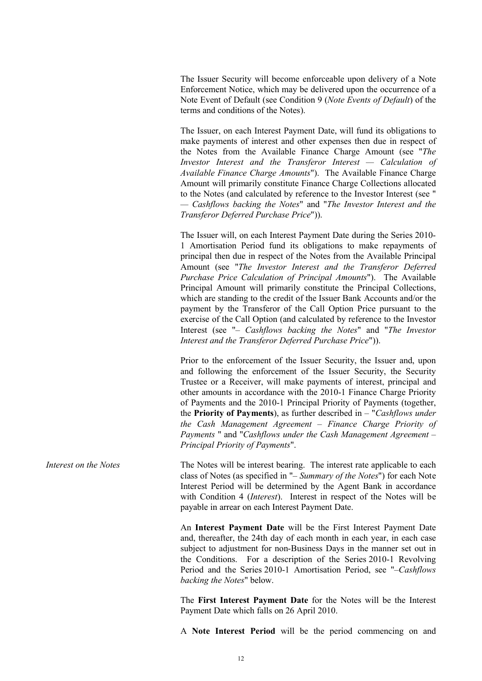The Issuer Security will become enforceable upon delivery of a Note Enforcement Notice, which may be delivered upon the occurrence of a Note Event of Default (see Condition 9 (*Note Events of Default*) of the terms and conditions of the Notes).

The Issuer, on each Interest Payment Date, will fund its obligations to make payments of interest and other expenses then due in respect of the Notes from the Available Finance Charge Amount (see "*The Investor Interest and the Transferor Interest — Calculation of Available Finance Charge Amounts*"). The Available Finance Charge Amount will primarily constitute Finance Charge Collections allocated to the Notes (and calculated by reference to the Investor Interest (see " *— Cashflows backing the Notes*" and "*The Investor Interest and the Transferor Deferred Purchase Price*")).

The Issuer will, on each Interest Payment Date during the Series 2010- 1 Amortisation Period fund its obligations to make repayments of principal then due in respect of the Notes from the Available Principal Amount (see "*The Investor Interest and the Transferor Deferred Purchase Price Calculation of Principal Amounts*"). The Available Principal Amount will primarily constitute the Principal Collections, which are standing to the credit of the Issuer Bank Accounts and/or the payment by the Transferor of the Call Option Price pursuant to the exercise of the Call Option (and calculated by reference to the Investor Interest (see "– *Cashflows backing the Notes*" and "*The Investor Interest and the Transferor Deferred Purchase Price*")).

Prior to the enforcement of the Issuer Security, the Issuer and, upon and following the enforcement of the Issuer Security, the Security Trustee or a Receiver, will make payments of interest, principal and other amounts in accordance with the 2010-1 Finance Charge Priority of Payments and the 2010-1 Principal Priority of Payments (together, the **Priority of Payments**), as further described in – "*Cashflows under the Cash Management Agreement – Finance Charge Priority of Payments* " and "*Cashflows under the Cash Management Agreement – Principal Priority of Payments*".

*Interest on the Notes* The Notes will be interest bearing. The interest rate applicable to each class of Notes (as specified in "– *Summary of the Notes*") for each Note Interest Period will be determined by the Agent Bank in accordance with Condition 4 (*Interest*). Interest in respect of the Notes will be payable in arrear on each Interest Payment Date.

> An **Interest Payment Date** will be the First Interest Payment Date and, thereafter, the 24th day of each month in each year, in each case subject to adjustment for non-Business Days in the manner set out in the Conditions. For a description of the Series 2010-1 Revolving Period and the Series 2010-1 Amortisation Period, see "–*Cashflows backing the Notes*" below.

> The **First Interest Payment Date** for the Notes will be the Interest Payment Date which falls on 26 April 2010.

> A **Note Interest Period** will be the period commencing on and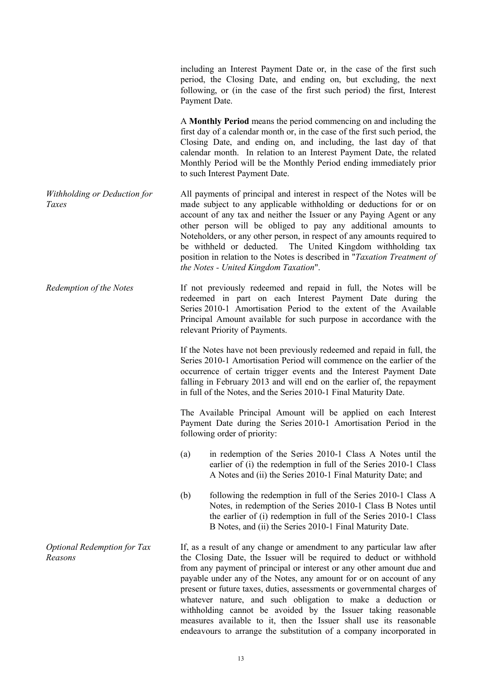including an Interest Payment Date or, in the case of the first such period, the Closing Date, and ending on, but excluding, the next following, or (in the case of the first such period) the first, Interest Payment Date.

A **Monthly Period** means the period commencing on and including the first day of a calendar month or, in the case of the first such period, the Closing Date, and ending on, and including, the last day of that calendar month. In relation to an Interest Payment Date, the related Monthly Period will be the Monthly Period ending immediately prior to such Interest Payment Date.

*Withholding or Deduction for Taxes*  All payments of principal and interest in respect of the Notes will be made subject to any applicable withholding or deductions for or on account of any tax and neither the Issuer or any Paying Agent or any other person will be obliged to pay any additional amounts to Noteholders, or any other person, in respect of any amounts required to be withheld or deducted. The United Kingdom withholding tax position in relation to the Notes is described in "*Taxation Treatment of the Notes - United Kingdom Taxation*".

*Redemption of the Notes* If not previously redeemed and repaid in full, the Notes will be redeemed in part on each Interest Payment Date during the Series 2010-1 Amortisation Period to the extent of the Available Principal Amount available for such purpose in accordance with the relevant Priority of Payments.

> If the Notes have not been previously redeemed and repaid in full, the Series 2010-1 Amortisation Period will commence on the earlier of the occurrence of certain trigger events and the Interest Payment Date falling in February 2013 and will end on the earlier of, the repayment in full of the Notes, and the Series 2010-1 Final Maturity Date.

> The Available Principal Amount will be applied on each Interest Payment Date during the Series 2010-1 Amortisation Period in the following order of priority:

- (a) in redemption of the Series 2010-1 Class A Notes until the earlier of (i) the redemption in full of the Series 2010-1 Class A Notes and (ii) the Series 2010-1 Final Maturity Date; and
- (b) following the redemption in full of the Series 2010-1 Class A Notes, in redemption of the Series 2010-1 Class B Notes until the earlier of (i) redemption in full of the Series 2010-1 Class B Notes, and (ii) the Series 2010-1 Final Maturity Date.

If, as a result of any change or amendment to any particular law after the Closing Date, the Issuer will be required to deduct or withhold from any payment of principal or interest or any other amount due and payable under any of the Notes, any amount for or on account of any present or future taxes, duties, assessments or governmental charges of whatever nature, and such obligation to make a deduction or withholding cannot be avoided by the Issuer taking reasonable measures available to it, then the Issuer shall use its reasonable endeavours to arrange the substitution of a company incorporated in

*Optional Redemption for Tax Reasons*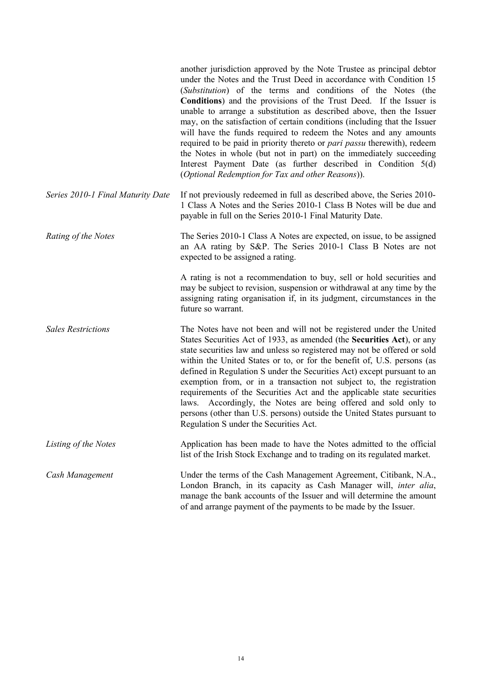|                                   | another jurisdiction approved by the Note Trustee as principal debtor<br>under the Notes and the Trust Deed in accordance with Condition 15<br>(Substitution) of the terms and conditions of the Notes (the<br><b>Conditions</b> ) and the provisions of the Trust Deed. If the Issuer is<br>unable to arrange a substitution as described above, then the Issuer<br>may, on the satisfaction of certain conditions (including that the Issuer<br>will have the funds required to redeem the Notes and any amounts<br>required to be paid in priority thereto or <i>pari passu</i> therewith), redeem<br>the Notes in whole (but not in part) on the immediately succeeding<br>Interest Payment Date (as further described in Condition 5(d)<br>(Optional Redemption for Tax and other Reasons)). |
|-----------------------------------|---------------------------------------------------------------------------------------------------------------------------------------------------------------------------------------------------------------------------------------------------------------------------------------------------------------------------------------------------------------------------------------------------------------------------------------------------------------------------------------------------------------------------------------------------------------------------------------------------------------------------------------------------------------------------------------------------------------------------------------------------------------------------------------------------|
| Series 2010-1 Final Maturity Date | If not previously redeemed in full as described above, the Series 2010-<br>1 Class A Notes and the Series 2010-1 Class B Notes will be due and<br>payable in full on the Series 2010-1 Final Maturity Date.                                                                                                                                                                                                                                                                                                                                                                                                                                                                                                                                                                                       |
| Rating of the Notes               | The Series 2010-1 Class A Notes are expected, on issue, to be assigned<br>an AA rating by S&P. The Series 2010-1 Class B Notes are not<br>expected to be assigned a rating.                                                                                                                                                                                                                                                                                                                                                                                                                                                                                                                                                                                                                       |
|                                   | A rating is not a recommendation to buy, sell or hold securities and<br>may be subject to revision, suspension or withdrawal at any time by the<br>assigning rating organisation if, in its judgment, circumstances in the<br>future so warrant.                                                                                                                                                                                                                                                                                                                                                                                                                                                                                                                                                  |
| <b>Sales Restrictions</b>         | The Notes have not been and will not be registered under the United<br>States Securities Act of 1933, as amended (the Securities Act), or any<br>state securities law and unless so registered may not be offered or sold<br>within the United States or to, or for the benefit of, U.S. persons (as<br>defined in Regulation S under the Securities Act) except pursuant to an<br>exemption from, or in a transaction not subject to, the registration<br>requirements of the Securities Act and the applicable state securities<br>laws. Accordingly, the Notes are being offered and sold only to<br>persons (other than U.S. persons) outside the United States pursuant to<br>Regulation S under the Securities Act.                                                                         |
| Listing of the Notes              | Application has been made to have the Notes admitted to the official<br>list of the Irish Stock Exchange and to trading on its regulated market.                                                                                                                                                                                                                                                                                                                                                                                                                                                                                                                                                                                                                                                  |
| Cash Management                   | Under the terms of the Cash Management Agreement, Citibank, N.A.,<br>London Branch, in its capacity as Cash Manager will, <i>inter alia</i> ,<br>manage the bank accounts of the Issuer and will determine the amount<br>of and arrange payment of the payments to be made by the Issuer.                                                                                                                                                                                                                                                                                                                                                                                                                                                                                                         |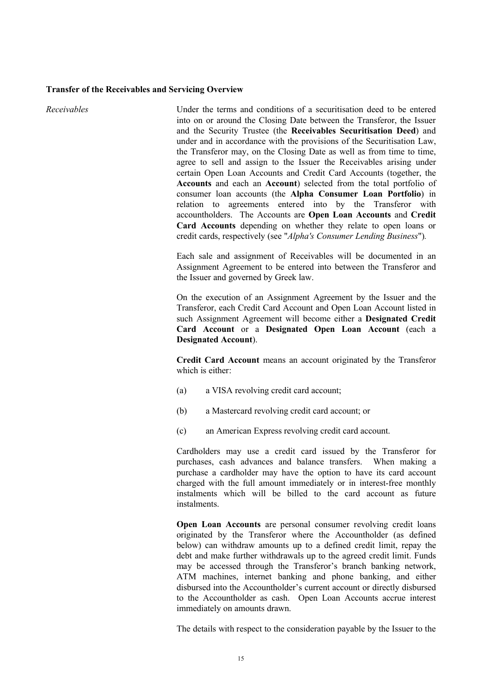#### **Transfer of the Receivables and Servicing Overview**

*Receivables* Under the terms and conditions of a securitisation deed to be entered into on or around the Closing Date between the Transferor, the Issuer and the Security Trustee (the **Receivables Securitisation Deed**) and under and in accordance with the provisions of the Securitisation Law, the Transferor may, on the Closing Date as well as from time to time, agree to sell and assign to the Issuer the Receivables arising under certain Open Loan Accounts and Credit Card Accounts (together, the **Accounts** and each an **Account**) selected from the total portfolio of consumer loan accounts (the **Alpha Consumer Loan Portfolio**) in relation to agreements entered into by the Transferor with accountholders. The Accounts are **Open Loan Accounts** and **Credit Card Accounts** depending on whether they relate to open loans or credit cards, respectively (see "*Alpha's Consumer Lending Business*")*.*

> Each sale and assignment of Receivables will be documented in an Assignment Agreement to be entered into between the Transferor and the Issuer and governed by Greek law.

> On the execution of an Assignment Agreement by the Issuer and the Transferor, each Credit Card Account and Open Loan Account listed in such Assignment Agreement will become either a **Designated Credit Card Account** or a **Designated Open Loan Account** (each a **Designated Account**).

> **Credit Card Account** means an account originated by the Transferor which is either:

- (a) a VISA revolving credit card account;
- (b) a Mastercard revolving credit card account; or
- (c) an American Express revolving credit card account.

Cardholders may use a credit card issued by the Transferor for purchases, cash advances and balance transfers. When making a purchase a cardholder may have the option to have its card account charged with the full amount immediately or in interest-free monthly instalments which will be billed to the card account as future instalments.

**Open Loan Accounts** are personal consumer revolving credit loans originated by the Transferor where the Accountholder (as defined below) can withdraw amounts up to a defined credit limit, repay the debt and make further withdrawals up to the agreed credit limit. Funds may be accessed through the Transferor's branch banking network, ATM machines, internet banking and phone banking, and either disbursed into the Accountholder's current account or directly disbursed to the Accountholder as cash. Open Loan Accounts accrue interest immediately on amounts drawn.

The details with respect to the consideration payable by the Issuer to the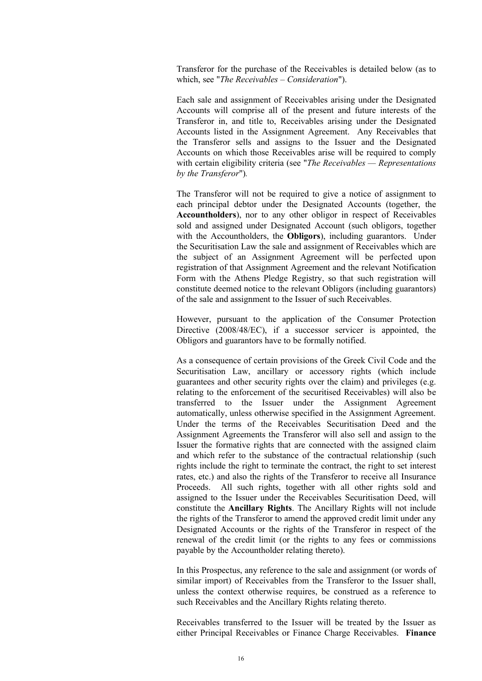Transferor for the purchase of the Receivables is detailed below (as to which, see "*The Receivables – Consideration*").

Each sale and assignment of Receivables arising under the Designated Accounts will comprise all of the present and future interests of the Transferor in, and title to, Receivables arising under the Designated Accounts listed in the Assignment Agreement. Any Receivables that the Transferor sells and assigns to the Issuer and the Designated Accounts on which those Receivables arise will be required to comply with certain eligibility criteria (see "*The Receivables — Representations by the Transferor*")*.*

The Transferor will not be required to give a notice of assignment to each principal debtor under the Designated Accounts (together, the **Accountholders**), nor to any other obligor in respect of Receivables sold and assigned under Designated Account (such obligors, together with the Accountholders, the **Obligors**), including guarantors. Under the Securitisation Law the sale and assignment of Receivables which are the subject of an Assignment Agreement will be perfected upon registration of that Assignment Agreement and the relevant Notification Form with the Athens Pledge Registry, so that such registration will constitute deemed notice to the relevant Obligors (including guarantors) of the sale and assignment to the Issuer of such Receivables.

However, pursuant to the application of the Consumer Protection Directive (2008/48/EC), if a successor servicer is appointed, the Obligors and guarantors have to be formally notified.

As a consequence of certain provisions of the Greek Civil Code and the Securitisation Law, ancillary or accessory rights (which include guarantees and other security rights over the claim) and privileges (e.g. relating to the enforcement of the securitised Receivables) will also be transferred to the Issuer under the Assignment Agreement automatically, unless otherwise specified in the Assignment Agreement. Under the terms of the Receivables Securitisation Deed and the Assignment Agreements the Transferor will also sell and assign to the Issuer the formative rights that are connected with the assigned claim and which refer to the substance of the contractual relationship (such rights include the right to terminate the contract, the right to set interest rates, etc.) and also the rights of the Transferor to receive all Insurance Proceeds. All such rights, together with all other rights sold and assigned to the Issuer under the Receivables Securitisation Deed, will constitute the **Ancillary Rights**. The Ancillary Rights will not include the rights of the Transferor to amend the approved credit limit under any Designated Accounts or the rights of the Transferor in respect of the renewal of the credit limit (or the rights to any fees or commissions payable by the Accountholder relating thereto).

In this Prospectus, any reference to the sale and assignment (or words of similar import) of Receivables from the Transferor to the Issuer shall, unless the context otherwise requires, be construed as a reference to such Receivables and the Ancillary Rights relating thereto.

Receivables transferred to the Issuer will be treated by the Issuer as either Principal Receivables or Finance Charge Receivables. **Finance**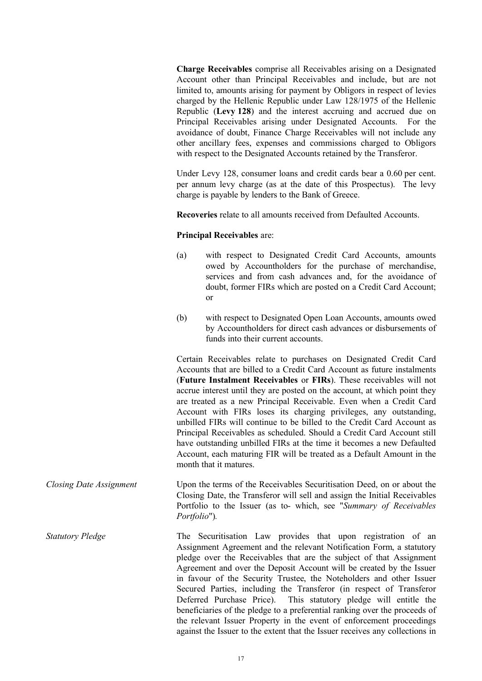**Charge Receivables** comprise all Receivables arising on a Designated Account other than Principal Receivables and include, but are not limited to, amounts arising for payment by Obligors in respect of levies charged by the Hellenic Republic under Law 128/1975 of the Hellenic Republic (**Levy 128**) and the interest accruing and accrued due on Principal Receivables arising under Designated Accounts. For the avoidance of doubt, Finance Charge Receivables will not include any other ancillary fees, expenses and commissions charged to Obligors with respect to the Designated Accounts retained by the Transferor.

Under Levy 128, consumer loans and credit cards bear a 0.60 per cent. per annum levy charge (as at the date of this Prospectus). The levy charge is payable by lenders to the Bank of Greece.

**Recoveries** relate to all amounts received from Defaulted Accounts.

#### **Principal Receivables** are:

- (a) with respect to Designated Credit Card Accounts, amounts owed by Accountholders for the purchase of merchandise, services and from cash advances and, for the avoidance of doubt, former FIRs which are posted on a Credit Card Account; or
- (b) with respect to Designated Open Loan Accounts, amounts owed by Accountholders for direct cash advances or disbursements of funds into their current accounts.

Certain Receivables relate to purchases on Designated Credit Card Accounts that are billed to a Credit Card Account as future instalments (**Future Instalment Receivables** or **FIRs**). These receivables will not accrue interest until they are posted on the account, at which point they are treated as a new Principal Receivable. Even when a Credit Card Account with FIRs loses its charging privileges, any outstanding, unbilled FIRs will continue to be billed to the Credit Card Account as Principal Receivables as scheduled. Should a Credit Card Account still have outstanding unbilled FIRs at the time it becomes a new Defaulted Account, each maturing FIR will be treated as a Default Amount in the month that it matures.

*Closing Date Assignment* Upon the terms of the Receivables Securitisation Deed, on or about the Closing Date, the Transferor will sell and assign the Initial Receivables Portfolio to the Issuer (as to- which, see "*Summary of Receivables Portfolio*")*.*

*Statutory Pledge* The Securitisation Law provides that upon registration of an Assignment Agreement and the relevant Notification Form, a statutory pledge over the Receivables that are the subject of that Assignment Agreement and over the Deposit Account will be created by the Issuer in favour of the Security Trustee, the Noteholders and other Issuer Secured Parties, including the Transferor (in respect of Transferor Deferred Purchase Price). This statutory pledge will entitle the beneficiaries of the pledge to a preferential ranking over the proceeds of the relevant Issuer Property in the event of enforcement proceedings against the Issuer to the extent that the Issuer receives any collections in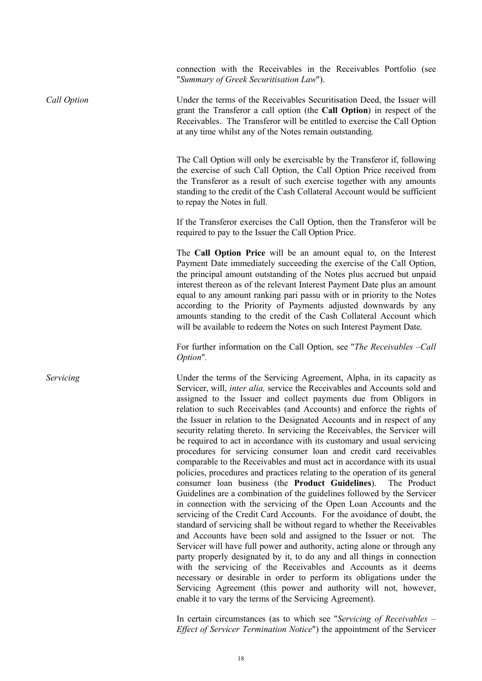connection with the Receivables in the Receivables Portfolio (see "*Summary of Greek Securitisation Law*").

*Call Option* Under the terms of the Receivables Securitisation Deed, the Issuer will grant the Transferor a call option (the **Call Option**) in respect of the Receivables. The Transferor will be entitled to exercise the Call Option at any time whilst any of the Notes remain outstanding.

> The Call Option will only be exercisable by the Transferor if, following the exercise of such Call Option, the Call Option Price received from the Transferor as a result of such exercise together with any amounts standing to the credit of the Cash Collateral Account would be sufficient to repay the Notes in full.

> If the Transferor exercises the Call Option, then the Transferor will be required to pay to the Issuer the Call Option Price.

> The **Call Option Price** will be an amount equal to, on the Interest Payment Date immediately succeeding the exercise of the Call Option, the principal amount outstanding of the Notes plus accrued but unpaid interest thereon as of the relevant Interest Payment Date plus an amount equal to any amount ranking pari passu with or in priority to the Notes according to the Priority of Payments adjusted downwards by any amounts standing to the credit of the Cash Collateral Account which will be available to redeem the Notes on such Interest Payment Date.

> For further information on the Call Option, see "*The Receivables –Call Option*"*.*

*Servicing* Under the terms of the Servicing Agreement, Alpha, in its capacity as Servicer, will, *inter alia,* service the Receivables and Accounts sold and assigned to the Issuer and collect payments due from Obligors in relation to such Receivables (and Accounts) and enforce the rights of the Issuer in relation to the Designated Accounts and in respect of any security relating thereto. In servicing the Receivables, the Servicer will be required to act in accordance with its customary and usual servicing procedures for servicing consumer loan and credit card receivables comparable to the Receivables and must act in accordance with its usual policies, procedures and practices relating to the operation of its general consumer loan business (the **Product Guidelines**). The Product Guidelines are a combination of the guidelines followed by the Servicer in connection with the servicing of the Open Loan Accounts and the servicing of the Credit Card Accounts. For the avoidance of doubt, the standard of servicing shall be without regard to whether the Receivables and Accounts have been sold and assigned to the Issuer or not. The Servicer will have full power and authority, acting alone or through any party properly designated by it, to do any and all things in connection with the servicing of the Receivables and Accounts as it deems necessary or desirable in order to perform its obligations under the Servicing Agreement (this power and authority will not, however, enable it to vary the terms of the Servicing Agreement).

> In certain circumstances (as to which see "*Servicing of Receivables* – *Effect of Servicer Termination Notice*") the appointment of the Servicer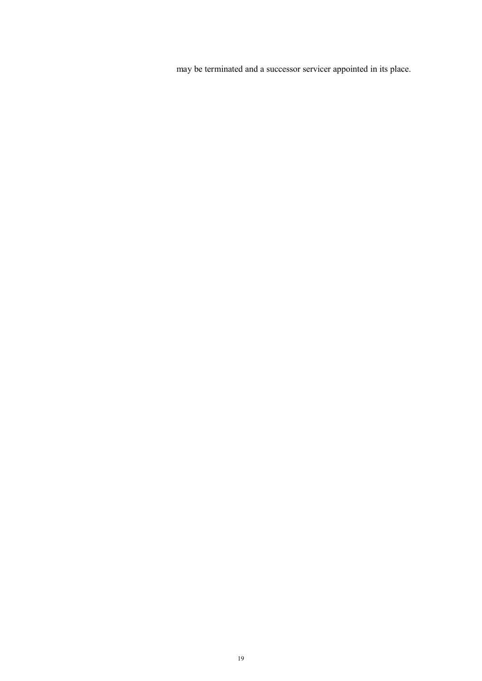may be terminated and a successor servicer appointed in its place.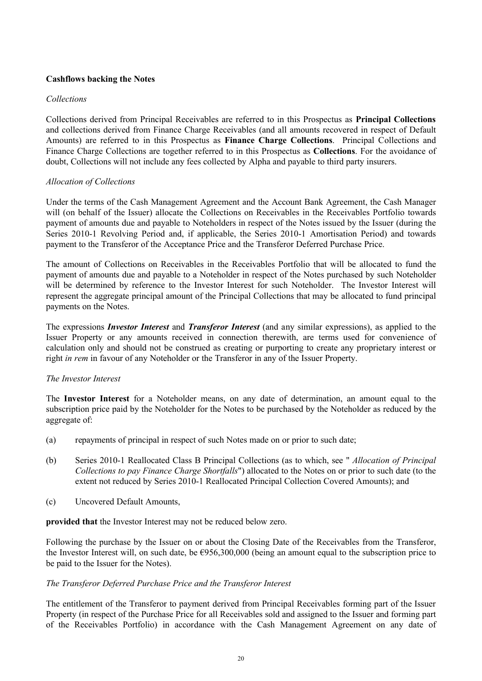## **Cashflows backing the Notes**

## *Collections*

Collections derived from Principal Receivables are referred to in this Prospectus as **Principal Collections** and collections derived from Finance Charge Receivables (and all amounts recovered in respect of Default Amounts) are referred to in this Prospectus as **Finance Charge Collections**. Principal Collections and Finance Charge Collections are together referred to in this Prospectus as **Collections**. For the avoidance of doubt, Collections will not include any fees collected by Alpha and payable to third party insurers.

## *Allocation of Collections*

Under the terms of the Cash Management Agreement and the Account Bank Agreement, the Cash Manager will (on behalf of the Issuer) allocate the Collections on Receivables in the Receivables Portfolio towards payment of amounts due and payable to Noteholders in respect of the Notes issued by the Issuer (during the Series 2010-1 Revolving Period and, if applicable, the Series 2010-1 Amortisation Period) and towards payment to the Transferor of the Acceptance Price and the Transferor Deferred Purchase Price.

The amount of Collections on Receivables in the Receivables Portfolio that will be allocated to fund the payment of amounts due and payable to a Noteholder in respect of the Notes purchased by such Noteholder will be determined by reference to the Investor Interest for such Noteholder. The Investor Interest will represent the aggregate principal amount of the Principal Collections that may be allocated to fund principal payments on the Notes.

The expressions *Investor Interest* and *Transferor Interest* (and any similar expressions), as applied to the Issuer Property or any amounts received in connection therewith, are terms used for convenience of calculation only and should not be construed as creating or purporting to create any proprietary interest or right *in rem* in favour of any Noteholder or the Transferor in any of the Issuer Property.

### *The Investor Interest*

The **Investor Interest** for a Noteholder means, on any date of determination, an amount equal to the subscription price paid by the Noteholder for the Notes to be purchased by the Noteholder as reduced by the aggregate of:

- (a) repayments of principal in respect of such Notes made on or prior to such date;
- (b) Series 2010-1 Reallocated Class B Principal Collections (as to which, see " *Allocation of Principal Collections to pay Finance Charge Shortfalls*") allocated to the Notes on or prior to such date (to the extent not reduced by Series 2010-1 Reallocated Principal Collection Covered Amounts); and
- (c) Uncovered Default Amounts,

**provided that** the Investor Interest may not be reduced below zero.

Following the purchase by the Issuer on or about the Closing Date of the Receivables from the Transferor, the Investor Interest will, on such date, be €956,300,000 (being an amount equal to the subscription price to be paid to the Issuer for the Notes).

### *The Transferor Deferred Purchase Price and the Transferor Interest*

The entitlement of the Transferor to payment derived from Principal Receivables forming part of the Issuer Property (in respect of the Purchase Price for all Receivables sold and assigned to the Issuer and forming part of the Receivables Portfolio) in accordance with the Cash Management Agreement on any date of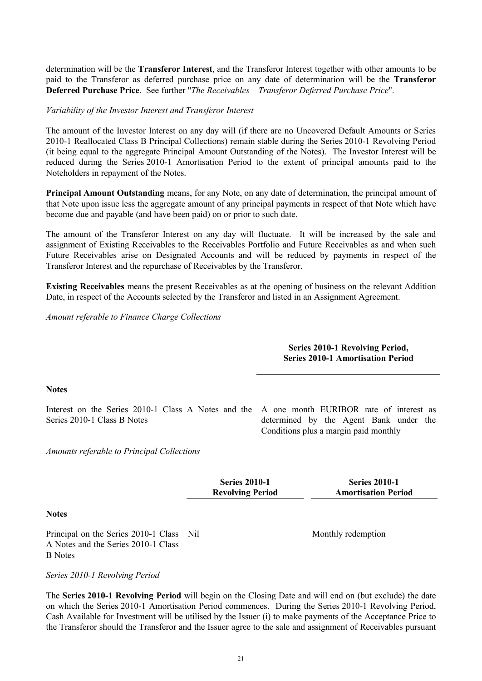determination will be the **Transferor Interest**, and the Transferor Interest together with other amounts to be paid to the Transferor as deferred purchase price on any date of determination will be the **Transferor Deferred Purchase Price**. See further "*The Receivables – Transferor Deferred Purchase Price*".

### *Variability of the Investor Interest and Transferor Interest*

The amount of the Investor Interest on any day will (if there are no Uncovered Default Amounts or Series 2010-1 Reallocated Class B Principal Collections) remain stable during the Series 2010-1 Revolving Period (it being equal to the aggregate Principal Amount Outstanding of the Notes). The Investor Interest will be reduced during the Series 2010-1 Amortisation Period to the extent of principal amounts paid to the Noteholders in repayment of the Notes.

**Principal Amount Outstanding** means, for any Note, on any date of determination, the principal amount of that Note upon issue less the aggregate amount of any principal payments in respect of that Note which have become due and payable (and have been paid) on or prior to such date.

The amount of the Transferor Interest on any day will fluctuate. It will be increased by the sale and assignment of Existing Receivables to the Receivables Portfolio and Future Receivables as and when such Future Receivables arise on Designated Accounts and will be reduced by payments in respect of the Transferor Interest and the repurchase of Receivables by the Transferor.

**Existing Receivables** means the present Receivables as at the opening of business on the relevant Addition Date, in respect of the Accounts selected by the Transferor and listed in an Assignment Agreement.

*Amount referable to Finance Charge Collections*

### **Series 2010-1 Revolving Period, Series 2010-1 Amortisation Period**

### **Notes**

Interest on the Series 2010-1 Class A Notes and the A one month EURIBOR rate of interest as Series 2010-1 Class B Notes

determined by the Agent Bank under the Conditions plus a margin paid monthly

*Amounts referable to Principal Collections*

**Series 2010-1 Revolving Period**

**Series 2010-1 Amortisation Period**

#### **Notes**

Principal on the Series 2010-1 Class Nil A Notes and the Series 2010-1 Class B Notes

*Series 2010-1 Revolving Period*

The **Series 2010-1 Revolving Period** will begin on the Closing Date and will end on (but exclude) the date on which the Series 2010-1 Amortisation Period commences. During the Series 2010-1 Revolving Period, Cash Available for Investment will be utilised by the Issuer (i) to make payments of the Acceptance Price to the Transferor should the Transferor and the Issuer agree to the sale and assignment of Receivables pursuant

Monthly redemption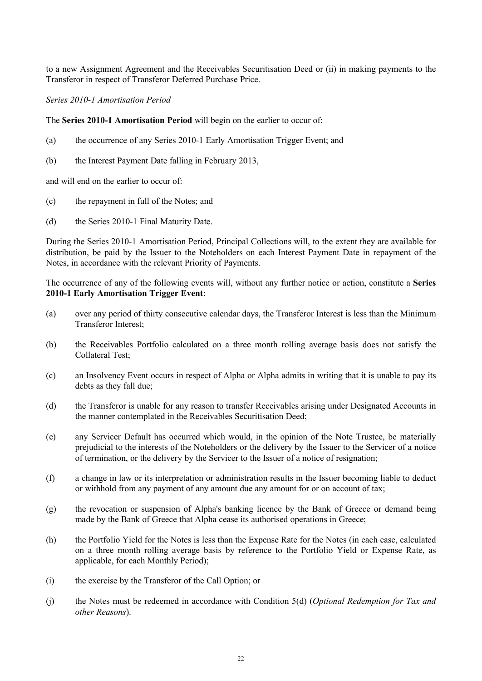to a new Assignment Agreement and the Receivables Securitisation Deed or (ii) in making payments to the Transferor in respect of Transferor Deferred Purchase Price.

*Series 2010-1 Amortisation Period*

The **Series 2010-1 Amortisation Period** will begin on the earlier to occur of:

- (a) the occurrence of any Series 2010-1 Early Amortisation Trigger Event; and
- (b) the Interest Payment Date falling in February 2013,

and will end on the earlier to occur of:

- (c) the repayment in full of the Notes; and
- (d) the Series 2010-1 Final Maturity Date.

During the Series 2010-1 Amortisation Period, Principal Collections will, to the extent they are available for distribution, be paid by the Issuer to the Noteholders on each Interest Payment Date in repayment of the Notes, in accordance with the relevant Priority of Payments.

The occurrence of any of the following events will, without any further notice or action, constitute a **Series 2010-1 Early Amortisation Trigger Event**:

- (a) over any period of thirty consecutive calendar days, the Transferor Interest is less than the Minimum Transferor Interest;
- (b) the Receivables Portfolio calculated on a three month rolling average basis does not satisfy the Collateral Test;
- (c) an Insolvency Event occurs in respect of Alpha or Alpha admits in writing that it is unable to pay its debts as they fall due;
- (d) the Transferor is unable for any reason to transfer Receivables arising under Designated Accounts in the manner contemplated in the Receivables Securitisation Deed;
- (e) any Servicer Default has occurred which would, in the opinion of the Note Trustee, be materially prejudicial to the interests of the Noteholders or the delivery by the Issuer to the Servicer of a notice of termination, or the delivery by the Servicer to the Issuer of a notice of resignation;
- (f) a change in law or its interpretation or administration results in the Issuer becoming liable to deduct or withhold from any payment of any amount due any amount for or on account of tax;
- (g) the revocation or suspension of Alpha's banking licence by the Bank of Greece or demand being made by the Bank of Greece that Alpha cease its authorised operations in Greece;
- (h) the Portfolio Yield for the Notes is less than the Expense Rate for the Notes (in each case, calculated on a three month rolling average basis by reference to the Portfolio Yield or Expense Rate, as applicable, for each Monthly Period);
- (i) the exercise by the Transferor of the Call Option; or
- (j) the Notes must be redeemed in accordance with Condition 5(d) (*Optional Redemption for Tax and other Reasons*).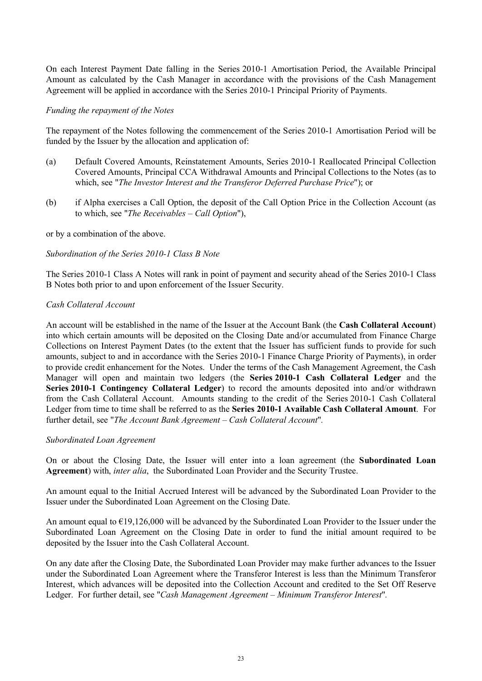On each Interest Payment Date falling in the Series 2010-1 Amortisation Period, the Available Principal Amount as calculated by the Cash Manager in accordance with the provisions of the Cash Management Agreement will be applied in accordance with the Series 2010-1 Principal Priority of Payments.

#### *Funding the repayment of the Notes*

The repayment of the Notes following the commencement of the Series 2010-1 Amortisation Period will be funded by the Issuer by the allocation and application of:

- (a) Default Covered Amounts, Reinstatement Amounts, Series 2010-1 Reallocated Principal Collection Covered Amounts, Principal CCA Withdrawal Amounts and Principal Collections to the Notes (as to which, see "*The Investor Interest and the Transferor Deferred Purchase Price*"); or
- (b) if Alpha exercises a Call Option, the deposit of the Call Option Price in the Collection Account (as to which, see "*The Receivables – Call Option*"),

or by a combination of the above.

#### *Subordination of the Series 2010-1 Class B Note*

The Series 2010-1 Class A Notes will rank in point of payment and security ahead of the Series 2010-1 Class B Notes both prior to and upon enforcement of the Issuer Security.

#### *Cash Collateral Account*

An account will be established in the name of the Issuer at the Account Bank (the **Cash Collateral Account**) into which certain amounts will be deposited on the Closing Date and/or accumulated from Finance Charge Collections on Interest Payment Dates (to the extent that the Issuer has sufficient funds to provide for such amounts, subject to and in accordance with the Series 2010-1 Finance Charge Priority of Payments), in order to provide credit enhancement for the Notes. Under the terms of the Cash Management Agreement, the Cash Manager will open and maintain two ledgers (the **Series 2010-1 Cash Collateral Ledger** and the **Series 2010-1 Contingency Collateral Ledger**) to record the amounts deposited into and/or withdrawn from the Cash Collateral Account. Amounts standing to the credit of the Series 2010-1 Cash Collateral Ledger from time to time shall be referred to as the **Series 2010-1 Available Cash Collateral Amount**. For further detail, see "*The Account Bank Agreement – Cash Collateral Account*"*.*

#### *Subordinated Loan Agreement*

On or about the Closing Date, the Issuer will enter into a loan agreement (the **Subordinated Loan Agreement**) with, *inter alia*, the Subordinated Loan Provider and the Security Trustee.

An amount equal to the Initial Accrued Interest will be advanced by the Subordinated Loan Provider to the Issuer under the Subordinated Loan Agreement on the Closing Date.

An amount equal to €19,126,000 will be advanced by the Subordinated Loan Provider to the Issuer under the Subordinated Loan Agreement on the Closing Date in order to fund the initial amount required to be deposited by the Issuer into the Cash Collateral Account.

On any date after the Closing Date, the Subordinated Loan Provider may make further advances to the Issuer under the Subordinated Loan Agreement where the Transferor Interest is less than the Minimum Transferor Interest, which advances will be deposited into the Collection Account and credited to the Set Off Reserve Ledger. For further detail, see "*Cash Management Agreement – Minimum Transferor Interest*"*.*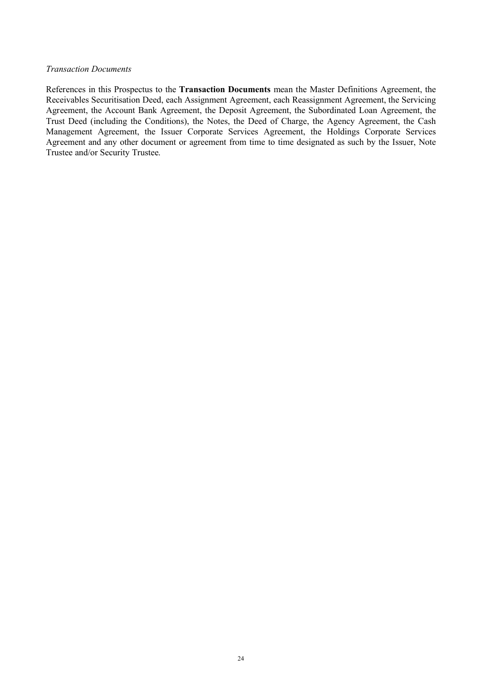#### *Transaction Documents*

References in this Prospectus to the **Transaction Documents** mean the Master Definitions Agreement, the Receivables Securitisation Deed, each Assignment Agreement, each Reassignment Agreement, the Servicing Agreement, the Account Bank Agreement, the Deposit Agreement, the Subordinated Loan Agreement, the Trust Deed (including the Conditions), the Notes, the Deed of Charge, the Agency Agreement, the Cash Management Agreement, the Issuer Corporate Services Agreement, the Holdings Corporate Services Agreement and any other document or agreement from time to time designated as such by the Issuer, Note Trustee and/or Security Trustee.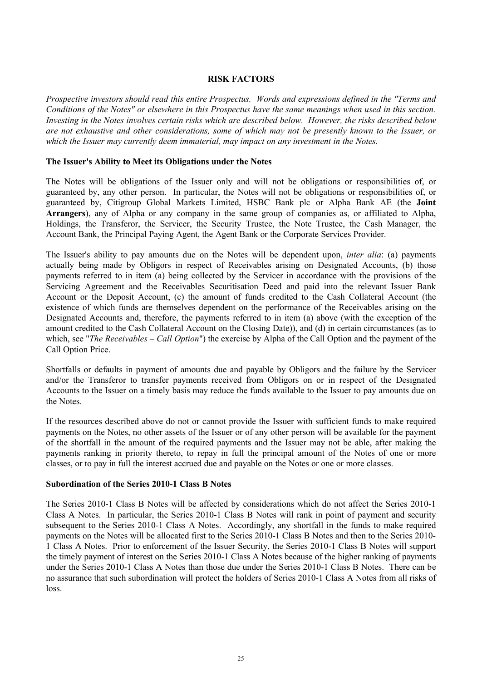### **RISK FACTORS**

*Prospective investors should read this entire Prospectus. Words and expressions defined in the "Terms and Conditions of the Notes" or elsewhere in this Prospectus have the same meanings when used in this section. Investing in the Notes involves certain risks which are described below. However, the risks described below are not exhaustive and other considerations, some of which may not be presently known to the Issuer, or which the Issuer may currently deem immaterial, may impact on any investment in the Notes.*

### **The Issuer's Ability to Meet its Obligations under the Notes**

The Notes will be obligations of the Issuer only and will not be obligations or responsibilities of, or guaranteed by, any other person. In particular, the Notes will not be obligations or responsibilities of, or guaranteed by, Citigroup Global Markets Limited, HSBC Bank plc or Alpha Bank AE (the **Joint Arrangers**), any of Alpha or any company in the same group of companies as, or affiliated to Alpha, Holdings, the Transferor, the Servicer, the Security Trustee, the Note Trustee, the Cash Manager, the Account Bank, the Principal Paying Agent, the Agent Bank or the Corporate Services Provider.

The Issuer's ability to pay amounts due on the Notes will be dependent upon, *inter alia*: (a) payments actually being made by Obligors in respect of Receivables arising on Designated Accounts, (b) those payments referred to in item (a) being collected by the Servicer in accordance with the provisions of the Servicing Agreement and the Receivables Securitisation Deed and paid into the relevant Issuer Bank Account or the Deposit Account, (c) the amount of funds credited to the Cash Collateral Account (the existence of which funds are themselves dependent on the performance of the Receivables arising on the Designated Accounts and, therefore, the payments referred to in item (a) above (with the exception of the amount credited to the Cash Collateral Account on the Closing Date)), and (d) in certain circumstances (as to which, see "*The Receivables – Call Option*") the exercise by Alpha of the Call Option and the payment of the Call Option Price.

Shortfalls or defaults in payment of amounts due and payable by Obligors and the failure by the Servicer and/or the Transferor to transfer payments received from Obligors on or in respect of the Designated Accounts to the Issuer on a timely basis may reduce the funds available to the Issuer to pay amounts due on the Notes.

If the resources described above do not or cannot provide the Issuer with sufficient funds to make required payments on the Notes, no other assets of the Issuer or of any other person will be available for the payment of the shortfall in the amount of the required payments and the Issuer may not be able, after making the payments ranking in priority thereto, to repay in full the principal amount of the Notes of one or more classes, or to pay in full the interest accrued due and payable on the Notes or one or more classes.

### **Subordination of the Series 2010-1 Class B Notes**

The Series 2010-1 Class B Notes will be affected by considerations which do not affect the Series 2010-1 Class A Notes. In particular, the Series 2010-1 Class B Notes will rank in point of payment and security subsequent to the Series 2010-1 Class A Notes. Accordingly, any shortfall in the funds to make required payments on the Notes will be allocated first to the Series 2010-1 Class B Notes and then to the Series 2010- 1 Class A Notes. Prior to enforcement of the Issuer Security, the Series 2010-1 Class B Notes will support the timely payment of interest on the Series 2010-1 Class A Notes because of the higher ranking of payments under the Series 2010-1 Class A Notes than those due under the Series 2010-1 Class B Notes. There can be no assurance that such subordination will protect the holders of Series 2010-1 Class A Notes from all risks of loss.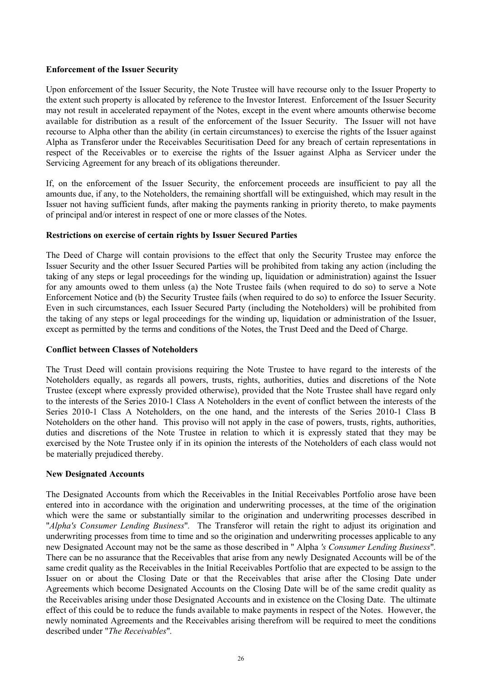### **Enforcement of the Issuer Security**

Upon enforcement of the Issuer Security, the Note Trustee will have recourse only to the Issuer Property to the extent such property is allocated by reference to the Investor Interest. Enforcement of the Issuer Security may not result in accelerated repayment of the Notes, except in the event where amounts otherwise become available for distribution as a result of the enforcement of the Issuer Security. The Issuer will not have recourse to Alpha other than the ability (in certain circumstances) to exercise the rights of the Issuer against Alpha as Transferor under the Receivables Securitisation Deed for any breach of certain representations in respect of the Receivables or to exercise the rights of the Issuer against Alpha as Servicer under the Servicing Agreement for any breach of its obligations thereunder.

If, on the enforcement of the Issuer Security, the enforcement proceeds are insufficient to pay all the amounts due, if any, to the Noteholders, the remaining shortfall will be extinguished, which may result in the Issuer not having sufficient funds, after making the payments ranking in priority thereto, to make payments of principal and/or interest in respect of one or more classes of the Notes.

## **Restrictions on exercise of certain rights by Issuer Secured Parties**

The Deed of Charge will contain provisions to the effect that only the Security Trustee may enforce the Issuer Security and the other Issuer Secured Parties will be prohibited from taking any action (including the taking of any steps or legal proceedings for the winding up, liquidation or administration) against the Issuer for any amounts owed to them unless (a) the Note Trustee fails (when required to do so) to serve a Note Enforcement Notice and (b) the Security Trustee fails (when required to do so) to enforce the Issuer Security. Even in such circumstances, each Issuer Secured Party (including the Noteholders) will be prohibited from the taking of any steps or legal proceedings for the winding up, liquidation or administration of the Issuer, except as permitted by the terms and conditions of the Notes, the Trust Deed and the Deed of Charge.

### **Conflict between Classes of Noteholders**

The Trust Deed will contain provisions requiring the Note Trustee to have regard to the interests of the Noteholders equally, as regards all powers, trusts, rights, authorities, duties and discretions of the Note Trustee (except where expressly provided otherwise), provided that the Note Trustee shall have regard only to the interests of the Series 2010-1 Class A Noteholders in the event of conflict between the interests of the Series 2010-1 Class A Noteholders, on the one hand, and the interests of the Series 2010-1 Class B Noteholders on the other hand. This proviso will not apply in the case of powers, trusts, rights, authorities, duties and discretions of the Note Trustee in relation to which it is expressly stated that they may be exercised by the Note Trustee only if in its opinion the interests of the Noteholders of each class would not be materially prejudiced thereby.

### **New Designated Accounts**

The Designated Accounts from which the Receivables in the Initial Receivables Portfolio arose have been entered into in accordance with the origination and underwriting processes, at the time of the origination which were the same or substantially similar to the origination and underwriting processes described in "*Alpha's Consumer Lending Business*"*.* The Transferor will retain the right to adjust its origination and underwriting processes from time to time and so the origination and underwriting processes applicable to any new Designated Account may not be the same as those described in " Alpha *'s Consumer Lending Business*"*.*  There can be no assurance that the Receivables that arise from any newly Designated Accounts will be of the same credit quality as the Receivables in the Initial Receivables Portfolio that are expected to be assign to the Issuer on or about the Closing Date or that the Receivables that arise after the Closing Date under Agreements which become Designated Accounts on the Closing Date will be of the same credit quality as the Receivables arising under those Designated Accounts and in existence on the Closing Date. The ultimate effect of this could be to reduce the funds available to make payments in respect of the Notes. However, the newly nominated Agreements and the Receivables arising therefrom will be required to meet the conditions described under "*The Receivables*"*.*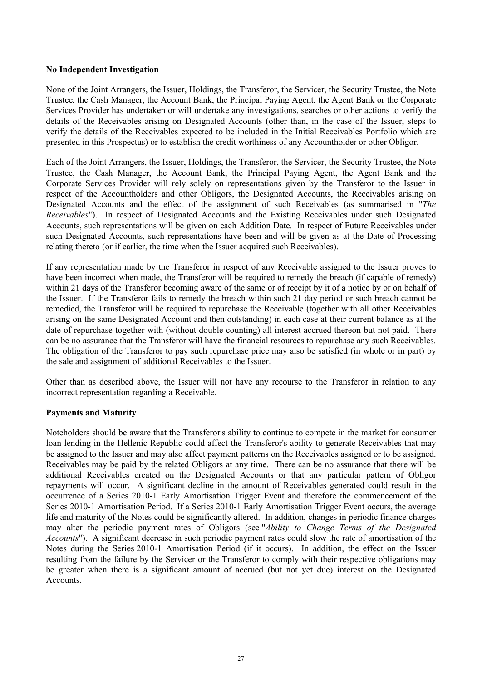#### **No Independent Investigation**

None of the Joint Arrangers, the Issuer, Holdings, the Transferor, the Servicer, the Security Trustee, the Note Trustee, the Cash Manager, the Account Bank, the Principal Paying Agent, the Agent Bank or the Corporate Services Provider has undertaken or will undertake any investigations, searches or other actions to verify the details of the Receivables arising on Designated Accounts (other than, in the case of the Issuer, steps to verify the details of the Receivables expected to be included in the Initial Receivables Portfolio which are presented in this Prospectus) or to establish the credit worthiness of any Accountholder or other Obligor.

Each of the Joint Arrangers, the Issuer, Holdings, the Transferor, the Servicer, the Security Trustee, the Note Trustee, the Cash Manager, the Account Bank, the Principal Paying Agent, the Agent Bank and the Corporate Services Provider will rely solely on representations given by the Transferor to the Issuer in respect of the Accountholders and other Obligors, the Designated Accounts, the Receivables arising on Designated Accounts and the effect of the assignment of such Receivables (as summarised in "*The Receivables*"). In respect of Designated Accounts and the Existing Receivables under such Designated Accounts, such representations will be given on each Addition Date. In respect of Future Receivables under such Designated Accounts, such representations have been and will be given as at the Date of Processing relating thereto (or if earlier, the time when the Issuer acquired such Receivables).

If any representation made by the Transferor in respect of any Receivable assigned to the Issuer proves to have been incorrect when made, the Transferor will be required to remedy the breach (if capable of remedy) within 21 days of the Transferor becoming aware of the same or of receipt by it of a notice by or on behalf of the Issuer. If the Transferor fails to remedy the breach within such 21 day period or such breach cannot be remedied, the Transferor will be required to repurchase the Receivable (together with all other Receivables arising on the same Designated Account and then outstanding) in each case at their current balance as at the date of repurchase together with (without double counting) all interest accrued thereon but not paid. There can be no assurance that the Transferor will have the financial resources to repurchase any such Receivables. The obligation of the Transferor to pay such repurchase price may also be satisfied (in whole or in part) by the sale and assignment of additional Receivables to the Issuer.

Other than as described above, the Issuer will not have any recourse to the Transferor in relation to any incorrect representation regarding a Receivable.

### **Payments and Maturity**

Noteholders should be aware that the Transferor's ability to continue to compete in the market for consumer loan lending in the Hellenic Republic could affect the Transferor's ability to generate Receivables that may be assigned to the Issuer and may also affect payment patterns on the Receivables assigned or to be assigned. Receivables may be paid by the related Obligors at any time. There can be no assurance that there will be additional Receivables created on the Designated Accounts or that any particular pattern of Obligor repayments will occur. A significant decline in the amount of Receivables generated could result in the occurrence of a Series 2010-1 Early Amortisation Trigger Event and therefore the commencement of the Series 2010-1 Amortisation Period. If a Series 2010-1 Early Amortisation Trigger Event occurs, the average life and maturity of the Notes could be significantly altered. In addition, changes in periodic finance charges may alter the periodic payment rates of Obligors (see "*Ability to Change Terms of the Designated Accounts*"). A significant decrease in such periodic payment rates could slow the rate of amortisation of the Notes during the Series 2010-1 Amortisation Period (if it occurs). In addition, the effect on the Issuer resulting from the failure by the Servicer or the Transferor to comply with their respective obligations may be greater when there is a significant amount of accrued (but not yet due) interest on the Designated Accounts.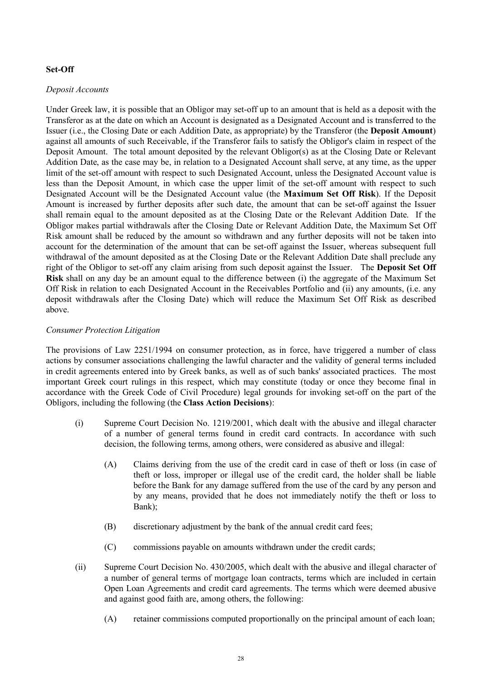## **Set-Off**

#### *Deposit Accounts*

Under Greek law, it is possible that an Obligor may set-off up to an amount that is held as a deposit with the Transferor as at the date on which an Account is designated as a Designated Account and is transferred to the Issuer (i.e., the Closing Date or each Addition Date, as appropriate) by the Transferor (the **Deposit Amount**) against all amounts of such Receivable, if the Transferor fails to satisfy the Obligor's claim in respect of the Deposit Amount. The total amount deposited by the relevant Obligor(s) as at the Closing Date or Relevant Addition Date, as the case may be, in relation to a Designated Account shall serve, at any time, as the upper limit of the set-off amount with respect to such Designated Account, unless the Designated Account value is less than the Deposit Amount, in which case the upper limit of the set-off amount with respect to such Designated Account will be the Designated Account value (the **Maximum Set Off Risk**). If the Deposit Amount is increased by further deposits after such date, the amount that can be set-off against the Issuer shall remain equal to the amount deposited as at the Closing Date or the Relevant Addition Date. If the Obligor makes partial withdrawals after the Closing Date or Relevant Addition Date, the Maximum Set Off Risk amount shall be reduced by the amount so withdrawn and any further deposits will not be taken into account for the determination of the amount that can be set-off against the Issuer, whereas subsequent full withdrawal of the amount deposited as at the Closing Date or the Relevant Addition Date shall preclude any right of the Obligor to set-off any claim arising from such deposit against the Issuer. The **Deposit Set Off Risk** shall on any day be an amount equal to the difference between (i) the aggregate of the Maximum Set Off Risk in relation to each Designated Account in the Receivables Portfolio and (ii) any amounts, (i.e. any deposit withdrawals after the Closing Date) which will reduce the Maximum Set Off Risk as described above.

## *Consumer Protection Litigation*

The provisions of Law 2251/1994 on consumer protection, as in force, have triggered a number of class actions by consumer associations challenging the lawful character and the validity of general terms included in credit agreements entered into by Greek banks, as well as of such banks' associated practices. The most important Greek court rulings in this respect, which may constitute (today or once they become final in accordance with the Greek Code of Civil Procedure) legal grounds for invoking set-off on the part of the Obligors, including the following (the **Class Action Decisions**):

- (i) Supreme Court Decision No. 1219/2001, which dealt with the abusive and illegal character of a number of general terms found in credit card contracts. In accordance with such decision, the following terms, among others, were considered as abusive and illegal:
	- (A) Claims deriving from the use of the credit card in case of theft or loss (in case of theft or loss, improper or illegal use of the credit card, the holder shall be liable before the Bank for any damage suffered from the use of the card by any person and by any means, provided that he does not immediately notify the theft or loss to Bank);
	- (B) discretionary adjustment by the bank of the annual credit card fees;
	- (C) commissions payable on amounts withdrawn under the credit cards;
- (ii) Supreme Court Decision No. 430/2005, which dealt with the abusive and illegal character of a number of general terms of mortgage loan contracts, terms which are included in certain Open Loan Agreements and credit card agreements. The terms which were deemed abusive and against good faith are, among others, the following:
	- (A) retainer commissions computed proportionally on the principal amount of each loan;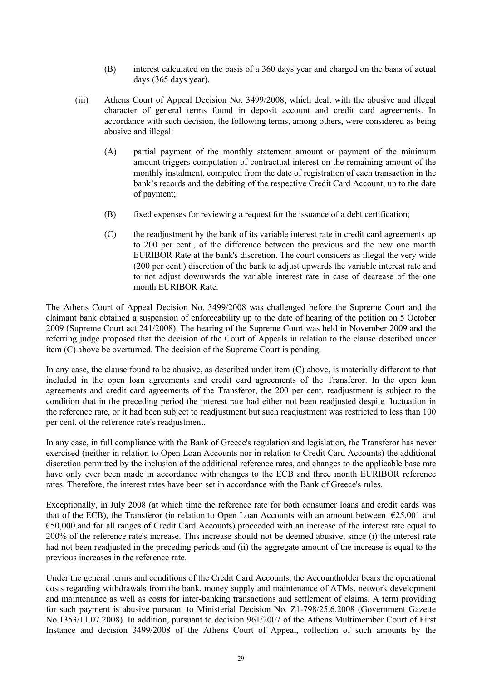- (B) interest calculated on the basis of a 360 days year and charged on the basis of actual days (365 days year).
- (iii) Athens Court of Appeal Decision No. 3499/2008, which dealt with the abusive and illegal character of general terms found in deposit account and credit card agreements. In accordance with such decision, the following terms, among others, were considered as being abusive and illegal:
	- (A) partial payment of the monthly statement amount or payment of the minimum amount triggers computation of contractual interest on the remaining amount of the monthly instalment, computed from the date of registration of each transaction in the bank's records and the debiting of the respective Credit Card Account, up to the date of payment;
	- (B) fixed expenses for reviewing a request for the issuance of a debt certification;
	- (C) the readjustment by the bank of its variable interest rate in credit card agreements up to 200 per cent., of the difference between the previous and the new one month EURIBOR Rate at the bank's discretion. The court considers as illegal the very wide (200 per cent.) discretion of the bank to adjust upwards the variable interest rate and to not adjust downwards the variable interest rate in case of decrease of the one month EURIBOR Rate.

The Athens Court of Appeal Decision No. 3499/2008 was challenged before the Supreme Court and the claimant bank obtained a suspension of enforceability up to the date of hearing of the petition on 5 October 2009 (Supreme Court act 241/2008). The hearing of the Supreme Court was held in November 2009 and the referring judge proposed that the decision of the Court of Appeals in relation to the clause described under item (C) above be overturned. The decision of the Supreme Court is pending.

In any case, the clause found to be abusive, as described under item (C) above, is materially different to that included in the open loan agreements and credit card agreements of the Transferor. In the open loan agreements and credit card agreements of the Transferor, the 200 per cent. readjustment is subject to the condition that in the preceding period the interest rate had either not been readjusted despite fluctuation in the reference rate, or it had been subject to readjustment but such readjustment was restricted to less than 100 per cent. of the reference rate's readjustment.

In any case, in full compliance with the Bank of Greece's regulation and legislation, the Transferor has never exercised (neither in relation to Open Loan Accounts nor in relation to Credit Card Accounts) the additional discretion permitted by the inclusion of the additional reference rates, and changes to the applicable base rate have only ever been made in accordance with changes to the ECB and three month EURIBOR reference rates. Therefore, the interest rates have been set in accordance with the Bank of Greece's rules.

Exceptionally, in July 2008 (at which time the reference rate for both consumer loans and credit cards was that of the ECB), the Transferor (in relation to Open Loan Accounts with an amount between  $\epsilon$ 25,001 and €50,000 and for all ranges of Credit Card Accounts) proceeded with an increase of the interest rate equal to 200% of the reference rate's increase. This increase should not be deemed abusive, since (i) the interest rate had not been readjusted in the preceding periods and (ii) the aggregate amount of the increase is equal to the previous increases in the reference rate.

Under the general terms and conditions of the Credit Card Accounts, the Accountholder bears the operational costs regarding withdrawals from the bank, money supply and maintenance of ATMs, network development and maintenance as well as costs for inter-banking transactions and settlement of claims. A term providing for such payment is abusive pursuant to Ministerial Decision No. Z1-798/25.6.2008 (Government Gazette No.1353/11.07.2008). In addition, pursuant to decision 961/2007 of the Athens Multimember Court of First Instance and decision 3499/2008 of the Athens Court of Appeal, collection of such amounts by the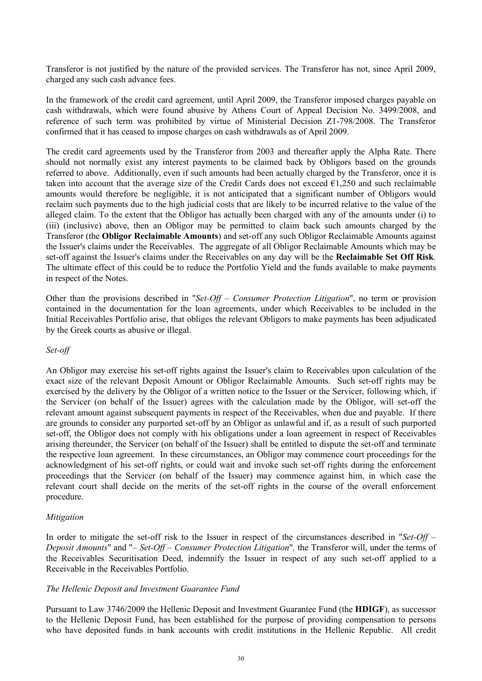Transferor is not justified by the nature of the provided services. The Transferor has not, since April 2009, charged any such cash advance fees.

In the framework of the credit card agreement, until April 2009, the Transferor imposed charges payable on cash withdrawals, which were found abusive by Athens Court of Appeal Decision No. 3499/2008, and reference of such term was prohibited by virtue of Ministerial Decision Z1-798/2008. The Transferor confirmed that it has ceased to impose charges on cash withdrawals as of April 2009.

The credit card agreements used by the Transferor from 2003 and thereafter apply the Alpha Rate. There should not normally exist any interest payments to be claimed back by Obligors based on the grounds referred to above. Additionally, even if such amounts had been actually charged by the Transferor, once it is taken into account that the average size of the Credit Cards does not exceed  $\epsilon$ 1,250 and such reclaimable amounts would therefore be negligible, it is not anticipated that a significant number of Obligors would reclaim such payments due to the high judicial costs that are likely to be incurred relative to the value of the alleged claim. To the extent that the Obligor has actually been charged with any of the amounts under (i) to (iii) (inclusive) above, then an Obligor may be permitted to claim back such amounts charged by the Transferor (the **Obligor Reclaimable Amounts**) and set-off any such Obligor Reclaimable Amounts against the Issuer's claims under the Receivables. The aggregate of all Obligor Reclaimable Amounts which may be set-off against the Issuer's claims under the Receivables on any day will be the **Reclaimable Set Off Risk**. The ultimate effect of this could be to reduce the Portfolio Yield and the funds available to make payments in respect of the Notes.

Other than the provisions described in "*Set-Off – Consumer Protection Litigation*", no term or provision contained in the documentation for the loan agreements, under which Receivables to be included in the Initial Receivables Portfolio arise, that obliges the relevant Obligors to make payments has been adjudicated by the Greek courts as abusive or illegal.

#### *Set-off*

An Obligor may exercise his set-off rights against the Issuer's claim to Receivables upon calculation of the exact size of the relevant Deposit Amount or Obligor Reclaimable Amounts. Such set-off rights may be exercised by the delivery by the Obligor of a written notice to the Issuer or the Servicer, following which, if the Servicer (on behalf of the Issuer) agrees with the calculation made by the Obligor, will set-off the relevant amount against subsequent payments in respect of the Receivables, when due and payable. If there are grounds to consider any purported set-off by an Obligor as unlawful and if, as a result of such purported set-off, the Obligor does not comply with his obligations under a loan agreement in respect of Receivables arising thereunder, the Servicer (on behalf of the Issuer) shall be entitled to dispute the set-off and terminate the respective loan agreement. In these circumstances, an Obligor may commence court proceedings for the acknowledgment of his set-off rights, or could wait and invoke such set-off rights during the enforcement proceedings that the Servicer (on behalf of the Issuer) may commence against him, in which case the relevant court shall decide on the merits of the set-off rights in the course of the overall enforcement procedure.

### *Mitigation*

In order to mitigate the set-off risk to the Issuer in respect of the circumstances described in "*Set-Off – Deposit Amounts*" and "– *Set-Off – Consumer Protection Litigation*"*,* the Transferor will, under the terms of the Receivables Securitisation Deed, indemnify the Issuer in respect of any such set-off applied to a Receivable in the Receivables Portfolio.

#### *The Hellenic Deposit and Investment Guarantee Fund*

Pursuant to Law 3746/2009 the Hellenic Deposit and Investment Guarantee Fund (the **HDIGF**), as successor to the Hellenic Deposit Fund, has been established for the purpose of providing compensation to persons who have deposited funds in bank accounts with credit institutions in the Hellenic Republic. All credit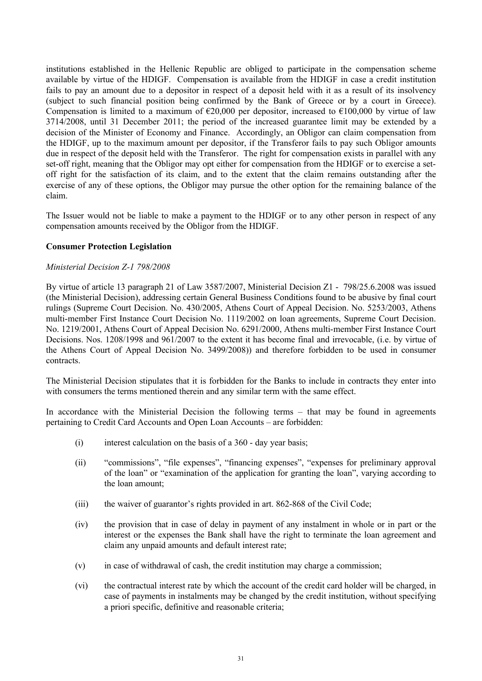institutions established in the Hellenic Republic are obliged to participate in the compensation scheme available by virtue of the HDIGF. Compensation is available from the HDIGF in case a credit institution fails to pay an amount due to a depositor in respect of a deposit held with it as a result of its insolvency (subject to such financial position being confirmed by the Bank of Greece or by a court in Greece). Compensation is limited to a maximum of  $\epsilon$ 20,000 per depositor, increased to  $\epsilon$ 100,000 by virtue of law 3714/2008, until 31 December 2011; the period of the increased guarantee limit may be extended by a decision of the Minister of Economy and Finance. Accordingly, an Obligor can claim compensation from the HDIGF, up to the maximum amount per depositor, if the Transferor fails to pay such Obligor amounts due in respect of the deposit held with the Transferor. The right for compensation exists in parallel with any set-off right, meaning that the Obligor may opt either for compensation from the HDIGF or to exercise a setoff right for the satisfaction of its claim, and to the extent that the claim remains outstanding after the exercise of any of these options, the Obligor may pursue the other option for the remaining balance of the claim.

The Issuer would not be liable to make a payment to the HDIGF or to any other person in respect of any compensation amounts received by the Obligor from the HDIGF.

## **Consumer Protection Legislation**

## *Ministerial Decision Z-1 798/2008*

By virtue of article 13 paragraph 21 of Law 3587/2007, Ministerial Decision Ζ1 - 798/25.6.2008 was issued (the Ministerial Decision), addressing certain General Business Conditions found to be abusive by final court rulings (Supreme Court Decision. No. 430/2005, Athens Court of Appeal Decision. No. 5253/2003, Athens multi-member First Instance Court Decision No. 1119/2002 on loan agreements, Supreme Court Decision. No. 1219/2001, Athens Court of Appeal Decision No. 6291/2000, Athens multi-member First Instance Court Decisions. Nos. 1208/1998 and 961/2007 to the extent it has become final and irrevocable, (i.e. by virtue of the Athens Court of Appeal Decision No. 3499/2008)) and therefore forbidden to be used in consumer contracts.

The Ministerial Decision stipulates that it is forbidden for the Banks to include in contracts they enter into with consumers the terms mentioned therein and any similar term with the same effect.

In accordance with the Ministerial Decision the following terms – that may be found in agreements pertaining to Credit Card Accounts and Open Loan Accounts – are forbidden:

- (i) interest calculation on the basis of a 360 day year basis;
- (ii) "commissions", "file expenses", "financing expenses", "expenses for preliminary approval of the loan" or "examination of the application for granting the loan", varying according to the loan amount;
- (iii) the waiver of guarantor's rights provided in art. 862-868 of the Civil Code;
- (iv) the provision that in case of delay in payment of any instalment in whole or in part or the interest or the expenses the Bank shall have the right to terminate the loan agreement and claim any unpaid amounts and default interest rate;
- (v) in case of withdrawal of cash, the credit institution may charge a commission;
- (vi) the contractual interest rate by which the account of the credit card holder will be charged, in case of payments in instalments may be changed by the credit institution, without specifying a priori specific, definitive and reasonable criteria;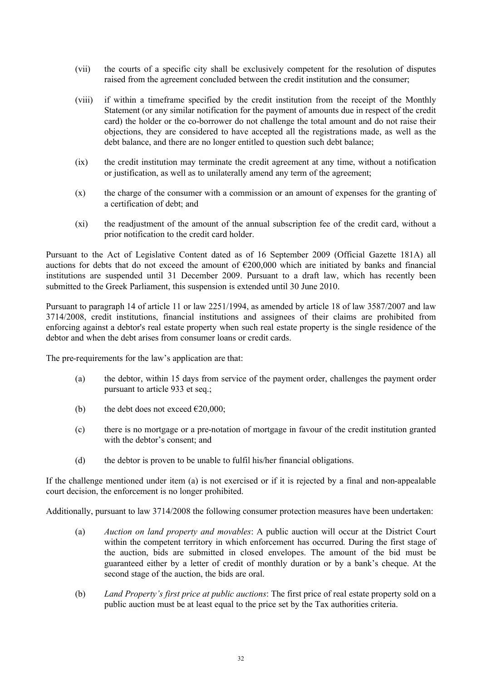- (vii) the courts of a specific city shall be exclusively competent for the resolution of disputes raised from the agreement concluded between the credit institution and the consumer;
- (viii) if within a timeframe specified by the credit institution from the receipt of the Monthly Statement (or any similar notification for the payment of amounts due in respect of the credit card) the holder or the co-borrower do not challenge the total amount and do not raise their objections, they are considered to have accepted all the registrations made, as well as the debt balance, and there are no longer entitled to question such debt balance;
- (ix) the credit institution may terminate the credit agreement at any time, without a notification or justification, as well as to unilaterally amend any term of the agreement;
- (x) the charge of the consumer with a commission or an amount of expenses for the granting of a certification of debt; and
- (xi) the readjustment of the amount of the annual subscription fee of the credit card, without a prior notification to the credit card holder.

Pursuant to the Act of Legislative Content dated as of 16 September 2009 (Official Gazette 181A) all auctions for debts that do not exceed the amount of  $\epsilon$ 200,000 which are initiated by banks and financial institutions are suspended until 31 December 2009. Pursuant to a draft law, which has recently been submitted to the Greek Parliament, this suspension is extended until 30 June 2010.

Pursuant to paragraph 14 of article 11 or law 2251/1994, as amended by article 18 of law 3587/2007 and law 3714/2008, credit institutions, financial institutions and assignees of their claims are prohibited from enforcing against a debtor's real estate property when such real estate property is the single residence of the debtor and when the debt arises from consumer loans or credit cards.

The pre-requirements for the law's application are that:

- (a) the debtor, within 15 days from service of the payment order, challenges the payment order pursuant to article 933 et seq.;
- (b) the debt does not exceed  $\epsilon$ 20,000;
- (c) there is no mortgage or a pre-notation of mortgage in favour of the credit institution granted with the debtor's consent; and
- (d) the debtor is proven to be unable to fulfil his/her financial obligations.

If the challenge mentioned under item (a) is not exercised or if it is rejected by a final and non-appealable court decision, the enforcement is no longer prohibited.

Additionally, pursuant to law 3714/2008 the following consumer protection measures have been undertaken:

- (a) *Auction on land property and movables*: A public auction will occur at the District Court within the competent territory in which enforcement has occurred. During the first stage of the auction, bids are submitted in closed envelopes. The amount of the bid must be guaranteed either by a letter of credit of monthly duration or by a bank's cheque. At the second stage of the auction, the bids are oral.
- (b) *Land Property's first price at public auctions*: The first price of real estate property sold on a public auction must be at least equal to the price set by the Tax authorities criteria.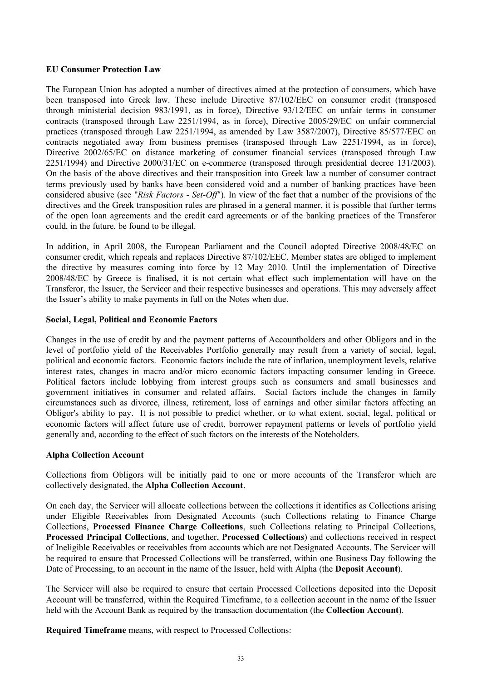### **EU Consumer Protection Law**

The European Union has adopted a number of directives aimed at the protection of consumers, which have been transposed into Greek law. These include Directive 87/102/EEC on consumer credit (transposed through ministerial decision 983/1991, as in force), Directive 93/12/EEC on unfair terms in consumer contracts (transposed through Law 2251/1994, as in force), Directive 2005/29/EC on unfair commercial practices (transposed through Law 2251/1994, as amended by Law 3587/2007), Directive 85/577/EEC on contracts negotiated away from business premises (transposed through Law 2251/1994, as in force), Directive 2002/65/EC on distance marketing of consumer financial services (transposed through Law 2251/1994) and Directive 2000/31/EC on e-commerce (transposed through presidential decree 131/2003). On the basis of the above directives and their transposition into Greek law a number of consumer contract terms previously used by banks have been considered void and a number of banking practices have been considered abusive (see "*Risk Factors - Set-Off*"). In view of the fact that a number of the provisions of the directives and the Greek transposition rules are phrased in a general manner, it is possible that further terms of the open loan agreements and the credit card agreements or of the banking practices of the Transferor could, in the future, be found to be illegal.

In addition, in April 2008, the European Parliament and the Council adopted Directive 2008/48/EC on consumer credit, which repeals and replaces Directive 87/102/EEC. Member states are obliged to implement the directive by measures coming into force by 12 May 2010. Until the implementation of Directive 2008/48/EC by Greece is finalised, it is not certain what effect such implementation will have on the Transferor, the Issuer, the Servicer and their respective businesses and operations. This may adversely affect the Issuer's ability to make payments in full on the Notes when due.

#### **Social, Legal, Political and Economic Factors**

Changes in the use of credit by and the payment patterns of Accountholders and other Obligors and in the level of portfolio yield of the Receivables Portfolio generally may result from a variety of social, legal, political and economic factors. Economic factors include the rate of inflation, unemployment levels, relative interest rates, changes in macro and/or micro economic factors impacting consumer lending in Greece. Political factors include lobbying from interest groups such as consumers and small businesses and government initiatives in consumer and related affairs. Social factors include the changes in family circumstances such as divorce, illness, retirement, loss of earnings and other similar factors affecting an Obligor's ability to pay. It is not possible to predict whether, or to what extent, social, legal, political or economic factors will affect future use of credit, borrower repayment patterns or levels of portfolio yield generally and, according to the effect of such factors on the interests of the Noteholders.

### **Alpha Collection Account**

Collections from Obligors will be initially paid to one or more accounts of the Transferor which are collectively designated, the **Alpha Collection Account**.

On each day, the Servicer will allocate collections between the collections it identifies as Collections arising under Eligible Receivables from Designated Accounts (such Collections relating to Finance Charge Collections, **Processed Finance Charge Collections**, such Collections relating to Principal Collections, **Processed Principal Collections**, and together, **Processed Collections**) and collections received in respect of Ineligible Receivables or receivables from accounts which are not Designated Accounts. The Servicer will be required to ensure that Processed Collections will be transferred, within one Business Day following the Date of Processing, to an account in the name of the Issuer, held with Alpha (the **Deposit Account**).

The Servicer will also be required to ensure that certain Processed Collections deposited into the Deposit Account will be transferred, within the Required Timeframe, to a collection account in the name of the Issuer held with the Account Bank as required by the transaction documentation (the **Collection Account**).

**Required Timeframe** means, with respect to Processed Collections: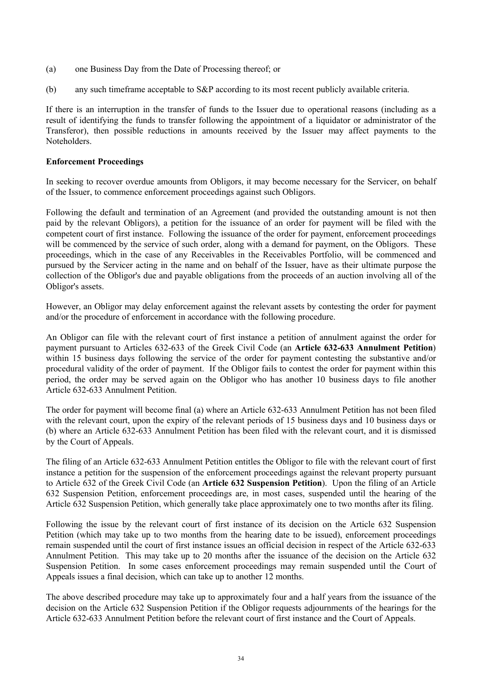- (a) one Business Day from the Date of Processing thereof; or
- (b) any such timeframe acceptable to S&P according to its most recent publicly available criteria.

If there is an interruption in the transfer of funds to the Issuer due to operational reasons (including as a result of identifying the funds to transfer following the appointment of a liquidator or administrator of the Transferor), then possible reductions in amounts received by the Issuer may affect payments to the Noteholders.

### **Enforcement Proceedings**

In seeking to recover overdue amounts from Obligors, it may become necessary for the Servicer, on behalf of the Issuer, to commence enforcement proceedings against such Obligors.

Following the default and termination of an Agreement (and provided the outstanding amount is not then paid by the relevant Obligors), a petition for the issuance of an order for payment will be filed with the competent court of first instance. Following the issuance of the order for payment, enforcement proceedings will be commenced by the service of such order, along with a demand for payment, on the Obligors. These proceedings, which in the case of any Receivables in the Receivables Portfolio, will be commenced and pursued by the Servicer acting in the name and on behalf of the Issuer, have as their ultimate purpose the collection of the Obligor's due and payable obligations from the proceeds of an auction involving all of the Obligor's assets.

However, an Obligor may delay enforcement against the relevant assets by contesting the order for payment and/or the procedure of enforcement in accordance with the following procedure.

An Obligor can file with the relevant court of first instance a petition of annulment against the order for payment pursuant to Articles 632-633 of the Greek Civil Code (an **Article 632-633 Annulment Petition**) within 15 business days following the service of the order for payment contesting the substantive and/or procedural validity of the order of payment. If the Obligor fails to contest the order for payment within this period, the order may be served again on the Obligor who has another 10 business days to file another Article 632-633 Annulment Petition.

The order for payment will become final (a) where an Article 632-633 Annulment Petition has not been filed with the relevant court, upon the expiry of the relevant periods of 15 business days and 10 business days or (b) where an Article 632-633 Annulment Petition has been filed with the relevant court, and it is dismissed by the Court of Appeals.

The filing of an Article 632-633 Annulment Petition entitles the Obligor to file with the relevant court of first instance a petition for the suspension of the enforcement proceedings against the relevant property pursuant to Article 632 of the Greek Civil Code (an **Article 632 Suspension Petition**). Upon the filing of an Article 632 Suspension Petition, enforcement proceedings are, in most cases, suspended until the hearing of the Article 632 Suspension Petition, which generally take place approximately one to two months after its filing.

Following the issue by the relevant court of first instance of its decision on the Article 632 Suspension Petition (which may take up to two months from the hearing date to be issued), enforcement proceedings remain suspended until the court of first instance issues an official decision in respect of the Article 632-633 Annulment Petition. This may take up to 20 months after the issuance of the decision on the Article 632 Suspension Petition. In some cases enforcement proceedings may remain suspended until the Court of Appeals issues a final decision, which can take up to another 12 months.

The above described procedure may take up to approximately four and a half years from the issuance of the decision on the Article 632 Suspension Petition if the Obligor requests adjournments of the hearings for the Article 632-633 Annulment Petition before the relevant court of first instance and the Court of Appeals.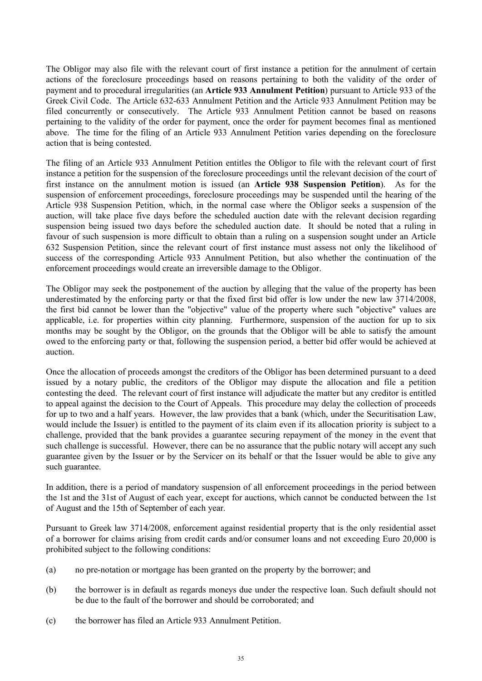The Obligor may also file with the relevant court of first instance a petition for the annulment of certain actions of the foreclosure proceedings based on reasons pertaining to both the validity of the order of payment and to procedural irregularities (an **Article 933 Annulment Petition**) pursuant to Article 933 of the Greek Civil Code. The Article 632-633 Annulment Petition and the Article 933 Annulment Petition may be filed concurrently or consecutively. The Article 933 Annulment Petition cannot be based on reasons pertaining to the validity of the order for payment, once the order for payment becomes final as mentioned above. The time for the filing of an Article 933 Annulment Petition varies depending on the foreclosure action that is being contested.

The filing of an Article 933 Annulment Petition entitles the Obligor to file with the relevant court of first instance a petition for the suspension of the foreclosure proceedings until the relevant decision of the court of first instance on the annulment motion is issued (an **Article 938 Suspension Petition**). As for the suspension of enforcement proceedings, foreclosure proceedings may be suspended until the hearing of the Article 938 Suspension Petition, which, in the normal case where the Obligor seeks a suspension of the auction, will take place five days before the scheduled auction date with the relevant decision regarding suspension being issued two days before the scheduled auction date. It should be noted that a ruling in favour of such suspension is more difficult to obtain than a ruling on a suspension sought under an Article 632 Suspension Petition, since the relevant court of first instance must assess not only the likelihood of success of the corresponding Article 933 Annulment Petition, but also whether the continuation of the enforcement proceedings would create an irreversible damage to the Obligor.

The Obligor may seek the postponement of the auction by alleging that the value of the property has been underestimated by the enforcing party or that the fixed first bid offer is low under the new law 3714/2008, the first bid cannot be lower than the "objective" value of the property where such "objective" values are applicable, i.e. for properties within city planning. Furthermore, suspension of the auction for up to six months may be sought by the Obligor, on the grounds that the Obligor will be able to satisfy the amount owed to the enforcing party or that, following the suspension period, a better bid offer would be achieved at auction.

Once the allocation of proceeds amongst the creditors of the Obligor has been determined pursuant to a deed issued by a notary public, the creditors of the Obligor may dispute the allocation and file a petition contesting the deed. The relevant court of first instance will adjudicate the matter but any creditor is entitled to appeal against the decision to the Court of Appeals. This procedure may delay the collection of proceeds for up to two and a half years. However, the law provides that a bank (which, under the Securitisation Law, would include the Issuer) is entitled to the payment of its claim even if its allocation priority is subject to a challenge, provided that the bank provides a guarantee securing repayment of the money in the event that such challenge is successful. However, there can be no assurance that the public notary will accept any such guarantee given by the Issuer or by the Servicer on its behalf or that the Issuer would be able to give any such guarantee.

In addition, there is a period of mandatory suspension of all enforcement proceedings in the period between the 1st and the 31st of August of each year, except for auctions, which cannot be conducted between the 1st of August and the 15th of September of each year.

Pursuant to Greek law 3714/2008, enforcement against residential property that is the only residential asset of a borrower for claims arising from credit cards and/or consumer loans and not exceeding Euro 20,000 is prohibited subject to the following conditions:

- (a) no pre-notation or mortgage has been granted on the property by the borrower; and
- (b) the borrower is in default as regards moneys due under the respective loan. Such default should not be due to the fault of the borrower and should be corroborated; and
- (c) the borrower has filed an Article 933 Annulment Petition.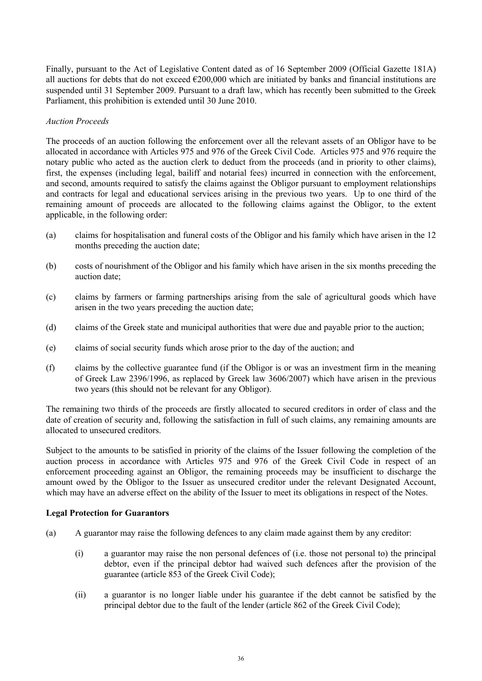Finally, pursuant to the Act of Legislative Content dated as of 16 September 2009 (Official Gazette 181A) all auctions for debts that do not exceed  $\epsilon$ 200,000 which are initiated by banks and financial institutions are suspended until 31 September 2009. Pursuant to a draft law, which has recently been submitted to the Greek Parliament, this prohibition is extended until 30 June 2010.

### *Auction Proceeds*

The proceeds of an auction following the enforcement over all the relevant assets of an Obligor have to be allocated in accordance with Articles 975 and 976 of the Greek Civil Code. Articles 975 and 976 require the notary public who acted as the auction clerk to deduct from the proceeds (and in priority to other claims), first, the expenses (including legal, bailiff and notarial fees) incurred in connection with the enforcement, and second, amounts required to satisfy the claims against the Obligor pursuant to employment relationships and contracts for legal and educational services arising in the previous two years. Up to one third of the remaining amount of proceeds are allocated to the following claims against the Obligor, to the extent applicable, in the following order:

- (a) claims for hospitalisation and funeral costs of the Obligor and his family which have arisen in the 12 months preceding the auction date;
- (b) costs of nourishment of the Obligor and his family which have arisen in the six months preceding the auction date;
- (c) claims by farmers or farming partnerships arising from the sale of agricultural goods which have arisen in the two years preceding the auction date;
- (d) claims of the Greek state and municipal authorities that were due and payable prior to the auction;
- (e) claims of social security funds which arose prior to the day of the auction; and
- (f) claims by the collective guarantee fund (if the Obligor is or was an investment firm in the meaning of Greek Law 2396/1996, as replaced by Greek law 3606/2007) which have arisen in the previous two years (this should not be relevant for any Obligor).

The remaining two thirds of the proceeds are firstly allocated to secured creditors in order of class and the date of creation of security and, following the satisfaction in full of such claims, any remaining amounts are allocated to unsecured creditors.

Subject to the amounts to be satisfied in priority of the claims of the Issuer following the completion of the auction process in accordance with Articles 975 and 976 of the Greek Civil Code in respect of an enforcement proceeding against an Obligor, the remaining proceeds may be insufficient to discharge the amount owed by the Obligor to the Issuer as unsecured creditor under the relevant Designated Account, which may have an adverse effect on the ability of the Issuer to meet its obligations in respect of the Notes.

### **Legal Protection for Guarantors**

- (a) A guarantor may raise the following defences to any claim made against them by any creditor:
	- (i) a guarantor may raise the non personal defences of (i.e. those not personal to) the principal debtor, even if the principal debtor had waived such defences after the provision of the guarantee (article 853 of the Greek Civil Code);
	- (ii) a guarantor is no longer liable under his guarantee if the debt cannot be satisfied by the principal debtor due to the fault of the lender (article 862 of the Greek Civil Code);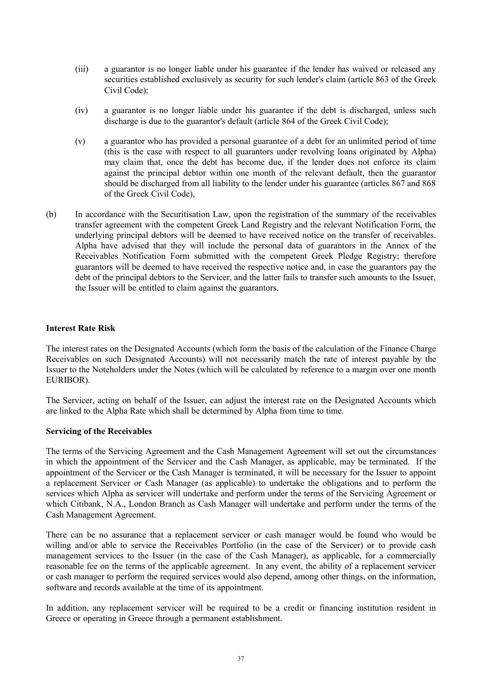- (iii) a guarantor is no longer liable under his guarantee if the lender has waived or released any securities established exclusively as security for such lender's claim (article 863 of the Greek Civil Code);
- (iv) a guarantor is no longer liable under his guarantee if the debt is discharged, unless such discharge is due to the guarantor's default (article 864 of the Greek Civil Code);
- (v) a guarantor who has provided a personal guarantee of a debt for an unlimited period of time (this is the case with respect to all guarantors under revolving loans originated by Alpha) may claim that, once the debt has become due, if the lender does not enforce its claim against the principal debtor within one month of the relevant default, then the guarantor should be discharged from all liability to the lender under his guarantee (articles 867 and 868 of the Greek Civil Code),
- (b) In accordance with the Securitisation Law, upon the registration of the summary of the receivables transfer agreement with the competent Greek Land Registry and the relevant Notification Form, the underlying principal debtors will be deemed to have received notice on the transfer of receivables. Alpha have advised that they will include the personal data of guarantors in the Annex of the Receivables Notification Form submitted with the competent Greek Pledge Registry; therefore guarantors will be deemed to have received the respective notice and, in case the guarantors pay the debt of the principal debtors to the Servicer, and the latter fails to transfer such amounts to the Issuer, the Issuer will be entitled to claim against the guarantors.

## **Interest Rate Risk**

The interest rates on the Designated Accounts (which form the basis of the calculation of the Finance Charge Receivables on such Designated Accounts) will not necessarily match the rate of interest payable by the Issuer to the Noteholders under the Notes (which will be calculated by reference to a margin over one month EURIBOR).

The Servicer, acting on behalf of the Issuer, can adjust the interest rate on the Designated Accounts which are linked to the Alpha Rate which shall be determined by Alpha from time to time.

## **Servicing of the Receivables**

The terms of the Servicing Agreement and the Cash Management Agreement will set out the circumstances in which the appointment of the Servicer and the Cash Manager, as applicable, may be terminated. If the appointment of the Servicer or the Cash Manager is terminated, it will be necessary for the Issuer to appoint a replacement Servicer or Cash Manager (as applicable) to undertake the obligations and to perform the services which Alpha as servicer will undertake and perform under the terms of the Servicing Agreement or which Citibank, N.A., London Branch as Cash Manager will undertake and perform under the terms of the Cash Management Agreement.

There can be no assurance that a replacement servicer or cash manager would be found who would be willing and/or able to service the Receivables Portfolio (in the case of the Servicer) or to provide cash management services to the Issuer (in the case of the Cash Manager), as applicable, for a commercially reasonable fee on the terms of the applicable agreement. In any event, the ability of a replacement servicer or cash manager to perform the required services would also depend, among other things, on the information, software and records available at the time of its appointment.

In addition, any replacement servicer will be required to be a credit or financing institution resident in Greece or operating in Greece through a permanent establishment.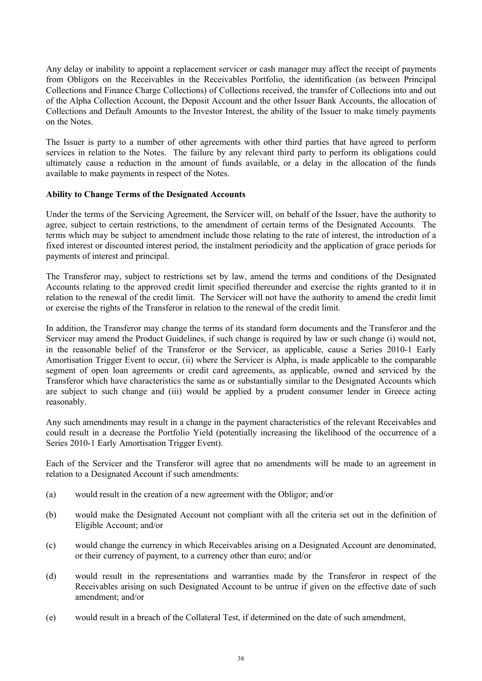Any delay or inability to appoint a replacement servicer or cash manager may affect the receipt of payments from Obligors on the Receivables in the Receivables Portfolio, the identification (as between Principal Collections and Finance Charge Collections) of Collections received, the transfer of Collections into and out of the Alpha Collection Account, the Deposit Account and the other Issuer Bank Accounts, the allocation of Collections and Default Amounts to the Investor Interest, the ability of the Issuer to make timely payments on the Notes.

The Issuer is party to a number of other agreements with other third parties that have agreed to perform services in relation to the Notes. The failure by any relevant third party to perform its obligations could ultimately cause a reduction in the amount of funds available, or a delay in the allocation of the funds available to make payments in respect of the Notes.

## **Ability to Change Terms of the Designated Accounts**

Under the terms of the Servicing Agreement, the Servicer will, on behalf of the Issuer, have the authority to agree, subject to certain restrictions, to the amendment of certain terms of the Designated Accounts. The terms which may be subject to amendment include those relating to the rate of interest, the introduction of a fixed interest or discounted interest period, the instalment periodicity and the application of grace periods for payments of interest and principal.

The Transferor may, subject to restrictions set by law, amend the terms and conditions of the Designated Accounts relating to the approved credit limit specified thereunder and exercise the rights granted to it in relation to the renewal of the credit limit. The Servicer will not have the authority to amend the credit limit or exercise the rights of the Transferor in relation to the renewal of the credit limit.

In addition, the Transferor may change the terms of its standard form documents and the Transferor and the Servicer may amend the Product Guidelines, if such change is required by law or such change (i) would not, in the reasonable belief of the Transferor or the Servicer, as applicable, cause a Series 2010-1 Early Amortisation Trigger Event to occur, (ii) where the Servicer is Alpha, is made applicable to the comparable segment of open loan agreements or credit card agreements, as applicable, owned and serviced by the Transferor which have characteristics the same as or substantially similar to the Designated Accounts which are subject to such change and (iii) would be applied by a prudent consumer lender in Greece acting reasonably.

Any such amendments may result in a change in the payment characteristics of the relevant Receivables and could result in a decrease the Portfolio Yield (potentially increasing the likelihood of the occurrence of a Series 2010-1 Early Amortisation Trigger Event).

Each of the Servicer and the Transferor will agree that no amendments will be made to an agreement in relation to a Designated Account if such amendments:

- (a) would result in the creation of a new agreement with the Obligor; and/or
- (b) would make the Designated Account not compliant with all the criteria set out in the definition of Eligible Account; and/or
- (c) would change the currency in which Receivables arising on a Designated Account are denominated, or their currency of payment, to a currency other than euro; and/or
- (d) would result in the representations and warranties made by the Transferor in respect of the Receivables arising on such Designated Account to be untrue if given on the effective date of such amendment; and/or
- (e) would result in a breach of the Collateral Test, if determined on the date of such amendment,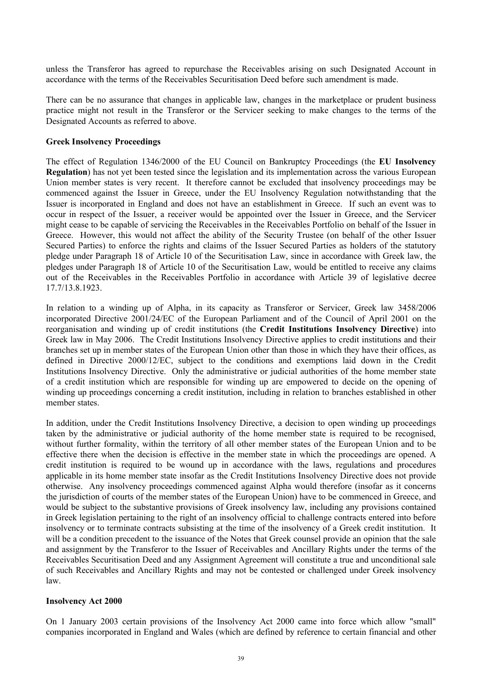unless the Transferor has agreed to repurchase the Receivables arising on such Designated Account in accordance with the terms of the Receivables Securitisation Deed before such amendment is made.

There can be no assurance that changes in applicable law, changes in the marketplace or prudent business practice might not result in the Transferor or the Servicer seeking to make changes to the terms of the Designated Accounts as referred to above.

#### **Greek Insolvency Proceedings**

The effect of Regulation 1346/2000 of the EU Council on Bankruptcy Proceedings (the **EU Insolvency Regulation**) has not yet been tested since the legislation and its implementation across the various European Union member states is very recent. It therefore cannot be excluded that insolvency proceedings may be commenced against the Issuer in Greece, under the EU Insolvency Regulation notwithstanding that the Issuer is incorporated in England and does not have an establishment in Greece. If such an event was to occur in respect of the Issuer, a receiver would be appointed over the Issuer in Greece, and the Servicer might cease to be capable of servicing the Receivables in the Receivables Portfolio on behalf of the Issuer in Greece. However, this would not affect the ability of the Security Trustee (on behalf of the other Issuer Secured Parties) to enforce the rights and claims of the Issuer Secured Parties as holders of the statutory pledge under Paragraph 18 of Article 10 of the Securitisation Law, since in accordance with Greek law, the pledges under Paragraph 18 of Article 10 of the Securitisation Law, would be entitled to receive any claims out of the Receivables in the Receivables Portfolio in accordance with Article 39 of legislative decree 17.7/13.8.1923.

In relation to a winding up of Alpha, in its capacity as Transferor or Servicer, Greek law 3458/2006 incorporated Directive 2001/24/EC of the European Parliament and of the Council of April 2001 on the reorganisation and winding up of credit institutions (the **Credit Institutions Insolvency Directive**) into Greek law in May 2006. The Credit Institutions Insolvency Directive applies to credit institutions and their branches set up in member states of the European Union other than those in which they have their offices, as defined in Directive 2000/12/EC, subject to the conditions and exemptions laid down in the Credit Institutions Insolvency Directive. Only the administrative or judicial authorities of the home member state of a credit institution which are responsible for winding up are empowered to decide on the opening of winding up proceedings concerning a credit institution, including in relation to branches established in other member states.

In addition, under the Credit Institutions Insolvency Directive, a decision to open winding up proceedings taken by the administrative or judicial authority of the home member state is required to be recognised, without further formality, within the territory of all other member states of the European Union and to be effective there when the decision is effective in the member state in which the proceedings are opened. A credit institution is required to be wound up in accordance with the laws, regulations and procedures applicable in its home member state insofar as the Credit Institutions Insolvency Directive does not provide otherwise. Any insolvency proceedings commenced against Alpha would therefore (insofar as it concerns the jurisdiction of courts of the member states of the European Union) have to be commenced in Greece, and would be subject to the substantive provisions of Greek insolvency law, including any provisions contained in Greek legislation pertaining to the right of an insolvency official to challenge contracts entered into before insolvency or to terminate contracts subsisting at the time of the insolvency of a Greek credit institution. It will be a condition precedent to the issuance of the Notes that Greek counsel provide an opinion that the sale and assignment by the Transferor to the Issuer of Receivables and Ancillary Rights under the terms of the Receivables Securitisation Deed and any Assignment Agreement will constitute a true and unconditional sale of such Receivables and Ancillary Rights and may not be contested or challenged under Greek insolvency law.

#### **Insolvency Act 2000**

On 1 January 2003 certain provisions of the Insolvency Act 2000 came into force which allow "small" companies incorporated in England and Wales (which are defined by reference to certain financial and other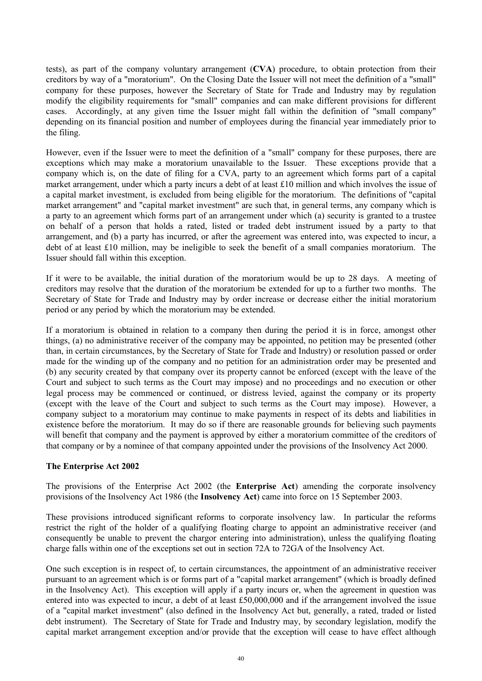tests), as part of the company voluntary arrangement (**CVA**) procedure, to obtain protection from their creditors by way of a "moratorium". On the Closing Date the Issuer will not meet the definition of a "small" company for these purposes, however the Secretary of State for Trade and Industry may by regulation modify the eligibility requirements for "small" companies and can make different provisions for different cases. Accordingly, at any given time the Issuer might fall within the definition of "small company" depending on its financial position and number of employees during the financial year immediately prior to the filing.

However, even if the Issuer were to meet the definition of a "small" company for these purposes, there are exceptions which may make a moratorium unavailable to the Issuer. These exceptions provide that a company which is, on the date of filing for a CVA, party to an agreement which forms part of a capital market arrangement, under which a party incurs a debt of at least £10 million and which involves the issue of a capital market investment, is excluded from being eligible for the moratorium. The definitions of "capital market arrangement" and "capital market investment" are such that, in general terms, any company which is a party to an agreement which forms part of an arrangement under which (a) security is granted to a trustee on behalf of a person that holds a rated, listed or traded debt instrument issued by a party to that arrangement, and (b) a party has incurred, or after the agreement was entered into, was expected to incur, a debt of at least £10 million, may be ineligible to seek the benefit of a small companies moratorium. The Issuer should fall within this exception.

If it were to be available, the initial duration of the moratorium would be up to 28 days. A meeting of creditors may resolve that the duration of the moratorium be extended for up to a further two months. The Secretary of State for Trade and Industry may by order increase or decrease either the initial moratorium period or any period by which the moratorium may be extended.

If a moratorium is obtained in relation to a company then during the period it is in force, amongst other things, (a) no administrative receiver of the company may be appointed, no petition may be presented (other than, in certain circumstances, by the Secretary of State for Trade and Industry) or resolution passed or order made for the winding up of the company and no petition for an administration order may be presented and (b) any security created by that company over its property cannot be enforced (except with the leave of the Court and subject to such terms as the Court may impose) and no proceedings and no execution or other legal process may be commenced or continued, or distress levied, against the company or its property (except with the leave of the Court and subject to such terms as the Court may impose). However, a company subject to a moratorium may continue to make payments in respect of its debts and liabilities in existence before the moratorium. It may do so if there are reasonable grounds for believing such payments will benefit that company and the payment is approved by either a moratorium committee of the creditors of that company or by a nominee of that company appointed under the provisions of the Insolvency Act 2000.

## **The Enterprise Act 2002**

The provisions of the Enterprise Act 2002 (the **Enterprise Act**) amending the corporate insolvency provisions of the Insolvency Act 1986 (the **Insolvency Act**) came into force on 15 September 2003.

These provisions introduced significant reforms to corporate insolvency law. In particular the reforms restrict the right of the holder of a qualifying floating charge to appoint an administrative receiver (and consequently be unable to prevent the chargor entering into administration), unless the qualifying floating charge falls within one of the exceptions set out in section 72A to 72GA of the Insolvency Act.

One such exception is in respect of, to certain circumstances, the appointment of an administrative receiver pursuant to an agreement which is or forms part of a "capital market arrangement" (which is broadly defined in the Insolvency Act). This exception will apply if a party incurs or, when the agreement in question was entered into was expected to incur, a debt of at least £50,000,000 and if the arrangement involved the issue of a "capital market investment" (also defined in the Insolvency Act but, generally, a rated, traded or listed debt instrument). The Secretary of State for Trade and Industry may, by secondary legislation, modify the capital market arrangement exception and/or provide that the exception will cease to have effect although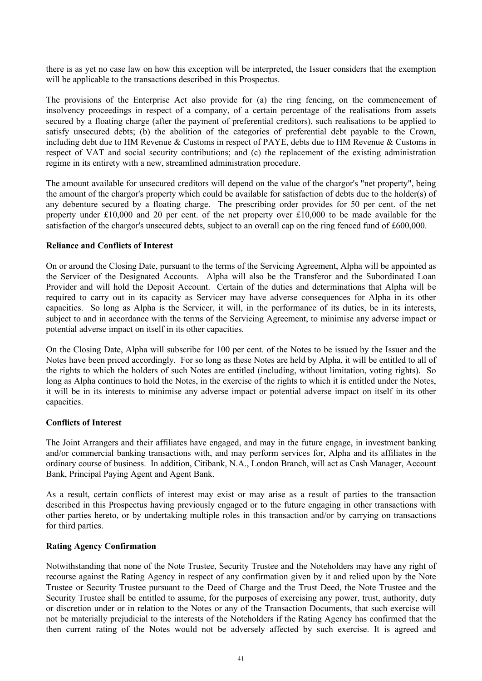there is as yet no case law on how this exception will be interpreted, the Issuer considers that the exemption will be applicable to the transactions described in this Prospectus.

The provisions of the Enterprise Act also provide for (a) the ring fencing, on the commencement of insolvency proceedings in respect of a company, of a certain percentage of the realisations from assets secured by a floating charge (after the payment of preferential creditors), such realisations to be applied to satisfy unsecured debts; (b) the abolition of the categories of preferential debt payable to the Crown, including debt due to HM Revenue & Customs in respect of PAYE, debts due to HM Revenue & Customs in respect of VAT and social security contributions; and (c) the replacement of the existing administration regime in its entirety with a new, streamlined administration procedure.

The amount available for unsecured creditors will depend on the value of the chargor's "net property", being the amount of the chargor's property which could be available for satisfaction of debts due to the holder(s) of any debenture secured by a floating charge. The prescribing order provides for 50 per cent. of the net property under £10,000 and 20 per cent. of the net property over £10,000 to be made available for the satisfaction of the chargor's unsecured debts, subject to an overall cap on the ring fenced fund of £600,000.

#### **Reliance and Conflicts of Interest**

On or around the Closing Date, pursuant to the terms of the Servicing Agreement, Alpha will be appointed as the Servicer of the Designated Accounts. Alpha will also be the Transferor and the Subordinated Loan Provider and will hold the Deposit Account. Certain of the duties and determinations that Alpha will be required to carry out in its capacity as Servicer may have adverse consequences for Alpha in its other capacities. So long as Alpha is the Servicer, it will, in the performance of its duties, be in its interests, subject to and in accordance with the terms of the Servicing Agreement, to minimise any adverse impact or potential adverse impact on itself in its other capacities.

On the Closing Date, Alpha will subscribe for 100 per cent. of the Notes to be issued by the Issuer and the Notes have been priced accordingly. For so long as these Notes are held by Alpha, it will be entitled to all of the rights to which the holders of such Notes are entitled (including, without limitation, voting rights). So long as Alpha continues to hold the Notes, in the exercise of the rights to which it is entitled under the Notes, it will be in its interests to minimise any adverse impact or potential adverse impact on itself in its other capacities.

## **Conflicts of Interest**

The Joint Arrangers and their affiliates have engaged, and may in the future engage, in investment banking and/or commercial banking transactions with, and may perform services for, Alpha and its affiliates in the ordinary course of business. In addition, Citibank, N.A., London Branch, will act as Cash Manager, Account Bank, Principal Paying Agent and Agent Bank.

As a result, certain conflicts of interest may exist or may arise as a result of parties to the transaction described in this Prospectus having previously engaged or to the future engaging in other transactions with other parties hereto, or by undertaking multiple roles in this transaction and/or by carrying on transactions for third parties.

#### **Rating Agency Confirmation**

Notwithstanding that none of the Note Trustee, Security Trustee and the Noteholders may have any right of recourse against the Rating Agency in respect of any confirmation given by it and relied upon by the Note Trustee or Security Trustee pursuant to the Deed of Charge and the Trust Deed, the Note Trustee and the Security Trustee shall be entitled to assume, for the purposes of exercising any power, trust, authority, duty or discretion under or in relation to the Notes or any of the Transaction Documents, that such exercise will not be materially prejudicial to the interests of the Noteholders if the Rating Agency has confirmed that the then current rating of the Notes would not be adversely affected by such exercise. It is agreed and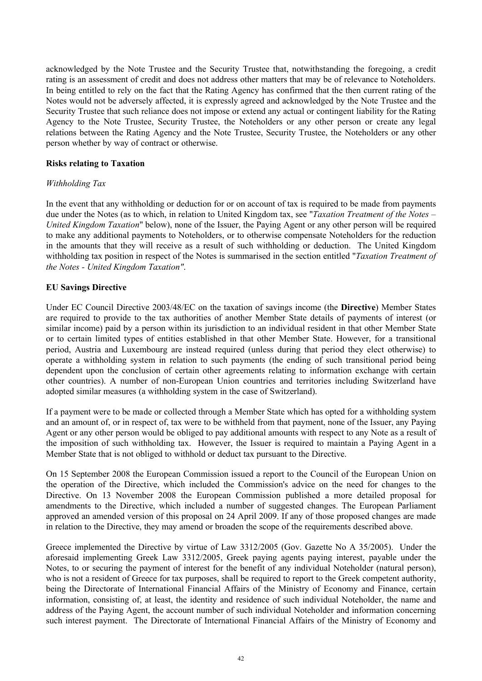acknowledged by the Note Trustee and the Security Trustee that, notwithstanding the foregoing, a credit rating is an assessment of credit and does not address other matters that may be of relevance to Noteholders. In being entitled to rely on the fact that the Rating Agency has confirmed that the then current rating of the Notes would not be adversely affected, it is expressly agreed and acknowledged by the Note Trustee and the Security Trustee that such reliance does not impose or extend any actual or contingent liability for the Rating Agency to the Note Trustee, Security Trustee, the Noteholders or any other person or create any legal relations between the Rating Agency and the Note Trustee, Security Trustee, the Noteholders or any other person whether by way of contract or otherwise.

# **Risks relating to Taxation**

# *Withholding Tax*

In the event that any withholding or deduction for or on account of tax is required to be made from payments due under the Notes (as to which, in relation to United Kingdom tax, see "*Taxation Treatment of the Notes* – *United Kingdom Taxation*" below), none of the Issuer, the Paying Agent or any other person will be required to make any additional payments to Noteholders, or to otherwise compensate Noteholders for the reduction in the amounts that they will receive as a result of such withholding or deduction. The United Kingdom withholding tax position in respect of the Notes is summarised in the section entitled "*Taxation Treatment of the Notes - United Kingdom Taxation"*.

# **EU Savings Directive**

Under EC Council Directive 2003/48/EC on the taxation of savings income (the **Directive**) Member States are required to provide to the tax authorities of another Member State details of payments of interest (or similar income) paid by a person within its jurisdiction to an individual resident in that other Member State or to certain limited types of entities established in that other Member State. However, for a transitional period, Austria and Luxembourg are instead required (unless during that period they elect otherwise) to operate a withholding system in relation to such payments (the ending of such transitional period being dependent upon the conclusion of certain other agreements relating to information exchange with certain other countries). A number of non-European Union countries and territories including Switzerland have adopted similar measures (a withholding system in the case of Switzerland).

If a payment were to be made or collected through a Member State which has opted for a withholding system and an amount of, or in respect of, tax were to be withheld from that payment, none of the Issuer, any Paying Agent or any other person would be obliged to pay additional amounts with respect to any Note as a result of the imposition of such withholding tax. However, the Issuer is required to maintain a Paying Agent in a Member State that is not obliged to withhold or deduct tax pursuant to the Directive.

On 15 September 2008 the European Commission issued a report to the Council of the European Union on the operation of the Directive, which included the Commission's advice on the need for changes to the Directive. On 13 November 2008 the European Commission published a more detailed proposal for amendments to the Directive, which included a number of suggested changes. The European Parliament approved an amended version of this proposal on 24 April 2009. If any of those proposed changes are made in relation to the Directive, they may amend or broaden the scope of the requirements described above.

Greece implemented the Directive by virtue of Law 3312/2005 (Gov. Gazette No A 35/2005). Under the aforesaid implementing Greek Law 3312/2005, Greek paying agents paying interest, payable under the Notes, to or securing the payment of interest for the benefit of any individual Noteholder (natural person), who is not a resident of Greece for tax purposes, shall be required to report to the Greek competent authority, being the Directorate of International Financial Affairs of the Ministry of Economy and Finance, certain information, consisting of, at least, the identity and residence of such individual Noteholder, the name and address of the Paying Agent, the account number of such individual Noteholder and information concerning such interest payment. The Directorate of International Financial Affairs of the Ministry of Economy and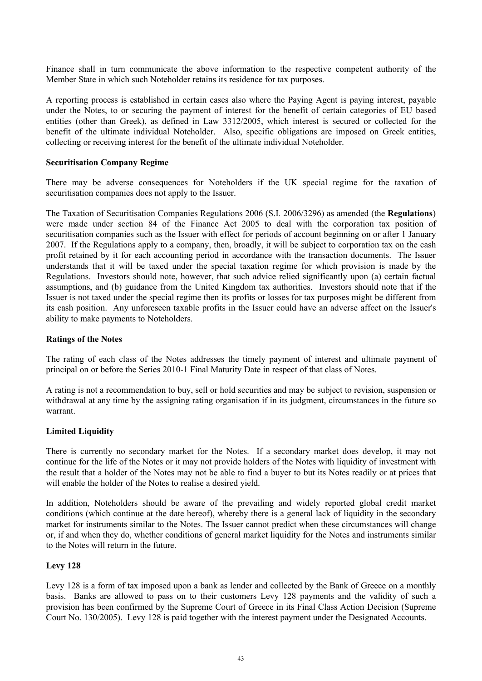Finance shall in turn communicate the above information to the respective competent authority of the Member State in which such Noteholder retains its residence for tax purposes.

A reporting process is established in certain cases also where the Paying Agent is paying interest, payable under the Notes, to or securing the payment of interest for the benefit of certain categories of EU based entities (other than Greek), as defined in Law 3312/2005, which interest is secured or collected for the benefit of the ultimate individual Noteholder. Also, specific obligations are imposed on Greek entities, collecting or receiving interest for the benefit of the ultimate individual Noteholder.

#### **Securitisation Company Regime**

There may be adverse consequences for Noteholders if the UK special regime for the taxation of securitisation companies does not apply to the Issuer.

The Taxation of Securitisation Companies Regulations 2006 (S.I. 2006/3296) as amended (the **Regulations**) were made under section 84 of the Finance Act 2005 to deal with the corporation tax position of securitisation companies such as the Issuer with effect for periods of account beginning on or after 1 January 2007. If the Regulations apply to a company, then, broadly, it will be subject to corporation tax on the cash profit retained by it for each accounting period in accordance with the transaction documents. The Issuer understands that it will be taxed under the special taxation regime for which provision is made by the Regulations. Investors should note, however, that such advice relied significantly upon (a) certain factual assumptions, and (b) guidance from the United Kingdom tax authorities. Investors should note that if the Issuer is not taxed under the special regime then its profits or losses for tax purposes might be different from its cash position. Any unforeseen taxable profits in the Issuer could have an adverse affect on the Issuer's ability to make payments to Noteholders.

#### **Ratings of the Notes**

The rating of each class of the Notes addresses the timely payment of interest and ultimate payment of principal on or before the Series 2010-1 Final Maturity Date in respect of that class of Notes.

A rating is not a recommendation to buy, sell or hold securities and may be subject to revision, suspension or withdrawal at any time by the assigning rating organisation if in its judgment, circumstances in the future so warrant.

## **Limited Liquidity**

There is currently no secondary market for the Notes. If a secondary market does develop, it may not continue for the life of the Notes or it may not provide holders of the Notes with liquidity of investment with the result that a holder of the Notes may not be able to find a buyer to but its Notes readily or at prices that will enable the holder of the Notes to realise a desired yield.

In addition, Noteholders should be aware of the prevailing and widely reported global credit market conditions (which continue at the date hereof), whereby there is a general lack of liquidity in the secondary market for instruments similar to the Notes. The Issuer cannot predict when these circumstances will change or, if and when they do, whether conditions of general market liquidity for the Notes and instruments similar to the Notes will return in the future.

## **Levy 128**

Levy 128 is a form of tax imposed upon a bank as lender and collected by the Bank of Greece on a monthly basis. Banks are allowed to pass on to their customers Levy 128 payments and the validity of such a provision has been confirmed by the Supreme Court of Greece in its Final Class Action Decision (Supreme Court No. 130/2005). Levy 128 is paid together with the interest payment under the Designated Accounts.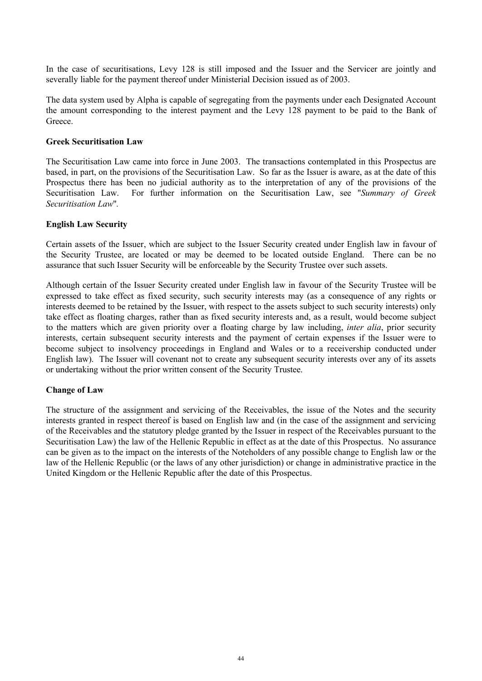In the case of securitisations, Levy 128 is still imposed and the Issuer and the Servicer are jointly and severally liable for the payment thereof under Ministerial Decision issued as of 2003.

The data system used by Alpha is capable of segregating from the payments under each Designated Account the amount corresponding to the interest payment and the Levy 128 payment to be paid to the Bank of Greece.

#### **Greek Securitisation Law**

The Securitisation Law came into force in June 2003. The transactions contemplated in this Prospectus are based, in part, on the provisions of the Securitisation Law. So far as the Issuer is aware, as at the date of this Prospectus there has been no judicial authority as to the interpretation of any of the provisions of the Securitisation Law. For further information on the Securitisation Law, see "*Summary of Greek Securitisation Law*"*.*

#### **English Law Security**

Certain assets of the Issuer, which are subject to the Issuer Security created under English law in favour of the Security Trustee, are located or may be deemed to be located outside England. There can be no assurance that such Issuer Security will be enforceable by the Security Trustee over such assets.

Although certain of the Issuer Security created under English law in favour of the Security Trustee will be expressed to take effect as fixed security, such security interests may (as a consequence of any rights or interests deemed to be retained by the Issuer, with respect to the assets subject to such security interests) only take effect as floating charges, rather than as fixed security interests and, as a result, would become subject to the matters which are given priority over a floating charge by law including, *inter alia*, prior security interests, certain subsequent security interests and the payment of certain expenses if the Issuer were to become subject to insolvency proceedings in England and Wales or to a receivership conducted under English law). The Issuer will covenant not to create any subsequent security interests over any of its assets or undertaking without the prior written consent of the Security Trustee.

#### **Change of Law**

The structure of the assignment and servicing of the Receivables, the issue of the Notes and the security interests granted in respect thereof is based on English law and (in the case of the assignment and servicing of the Receivables and the statutory pledge granted by the Issuer in respect of the Receivables pursuant to the Securitisation Law) the law of the Hellenic Republic in effect as at the date of this Prospectus. No assurance can be given as to the impact on the interests of the Noteholders of any possible change to English law or the law of the Hellenic Republic (or the laws of any other jurisdiction) or change in administrative practice in the United Kingdom or the Hellenic Republic after the date of this Prospectus.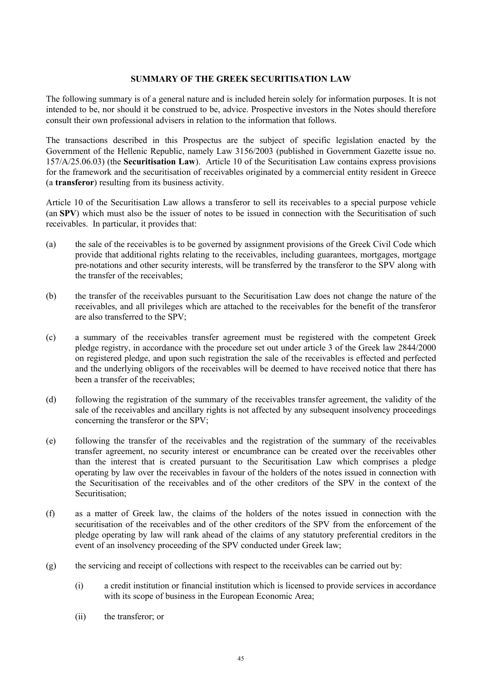# **SUMMARY OF THE GREEK SECURITISATION LAW**

The following summary is of a general nature and is included herein solely for information purposes. It is not intended to be, nor should it be construed to be, advice. Prospective investors in the Notes should therefore consult their own professional advisers in relation to the information that follows.

The transactions described in this Prospectus are the subject of specific legislation enacted by the Government of the Hellenic Republic, namely Law 3156/2003 (published in Government Gazette issue no. 157/A/25.06.03) (the **Securitisation Law**). Article 10 of the Securitisation Law contains express provisions for the framework and the securitisation of receivables originated by a commercial entity resident in Greece (a **transferor**) resulting from its business activity.

Article 10 of the Securitisation Law allows a transferor to sell its receivables to a special purpose vehicle (an **SPV**) which must also be the issuer of notes to be issued in connection with the Securitisation of such receivables. In particular, it provides that:

- (a) the sale of the receivables is to be governed by assignment provisions of the Greek Civil Code which provide that additional rights relating to the receivables, including guarantees, mortgages, mortgage pre-notations and other security interests, will be transferred by the transferor to the SPV along with the transfer of the receivables;
- (b) the transfer of the receivables pursuant to the Securitisation Law does not change the nature of the receivables, and all privileges which are attached to the receivables for the benefit of the transferor are also transferred to the SPV;
- (c) a summary of the receivables transfer agreement must be registered with the competent Greek pledge registry, in accordance with the procedure set out under article 3 of the Greek law 2844/2000 on registered pledge, and upon such registration the sale of the receivables is effected and perfected and the underlying obligors of the receivables will be deemed to have received notice that there has been a transfer of the receivables;
- (d) following the registration of the summary of the receivables transfer agreement, the validity of the sale of the receivables and ancillary rights is not affected by any subsequent insolvency proceedings concerning the transferor or the SPV;
- (e) following the transfer of the receivables and the registration of the summary of the receivables transfer agreement, no security interest or encumbrance can be created over the receivables other than the interest that is created pursuant to the Securitisation Law which comprises a pledge operating by law over the receivables in favour of the holders of the notes issued in connection with the Securitisation of the receivables and of the other creditors of the SPV in the context of the Securitisation;
- (f) as a matter of Greek law, the claims of the holders of the notes issued in connection with the securitisation of the receivables and of the other creditors of the SPV from the enforcement of the pledge operating by law will rank ahead of the claims of any statutory preferential creditors in the event of an insolvency proceeding of the SPV conducted under Greek law;
- (g) the servicing and receipt of collections with respect to the receivables can be carried out by:
	- (i) a credit institution or financial institution which is licensed to provide services in accordance with its scope of business in the European Economic Area;
	- (ii) the transferor; or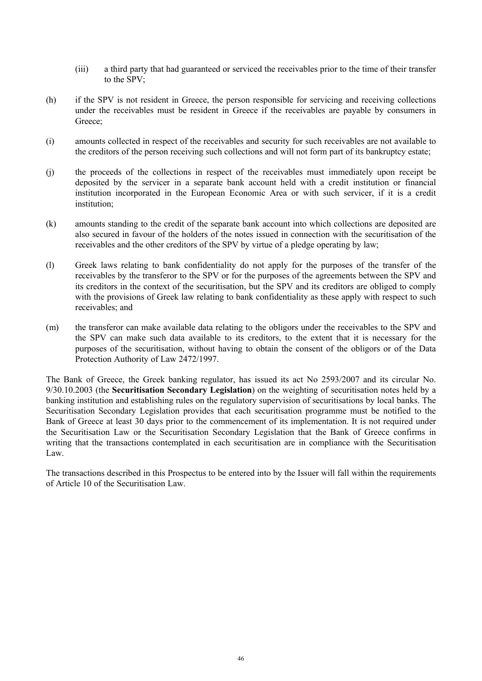- (iii) a third party that had guaranteed or serviced the receivables prior to the time of their transfer to the SPV;
- (h) if the SPV is not resident in Greece, the person responsible for servicing and receiving collections under the receivables must be resident in Greece if the receivables are payable by consumers in Greece:
- (i) amounts collected in respect of the receivables and security for such receivables are not available to the creditors of the person receiving such collections and will not form part of its bankruptcy estate;
- (j) the proceeds of the collections in respect of the receivables must immediately upon receipt be deposited by the servicer in a separate bank account held with a credit institution or financial institution incorporated in the European Economic Area or with such servicer, if it is a credit institution;
- (k) amounts standing to the credit of the separate bank account into which collections are deposited are also secured in favour of the holders of the notes issued in connection with the securitisation of the receivables and the other creditors of the SPV by virtue of a pledge operating by law;
- (l) Greek laws relating to bank confidentiality do not apply for the purposes of the transfer of the receivables by the transferor to the SPV or for the purposes of the agreements between the SPV and its creditors in the context of the securitisation, but the SPV and its creditors are obliged to comply with the provisions of Greek law relating to bank confidentiality as these apply with respect to such receivables; and
- (m) the transferor can make available data relating to the obligors under the receivables to the SPV and the SPV can make such data available to its creditors, to the extent that it is necessary for the purposes of the securitisation, without having to obtain the consent of the obligors or of the Data Protection Authority of Law 2472/1997.

The Bank of Greece, the Greek banking regulator, has issued its act No 2593/2007 and its circular No. 9/30.10.2003 (the **Securitisation Secondary Legislation**) on the weighting of securitisation notes held by a banking institution and establishing rules on the regulatory supervision of securitisations by local banks. The Securitisation Secondary Legislation provides that each securitisation programme must be notified to the Bank of Greece at least 30 days prior to the commencement of its implementation. It is not required under the Securitisation Law or the Securitisation Secondary Legislation that the Bank of Greece confirms in writing that the transactions contemplated in each securitisation are in compliance with the Securitisation Law.

The transactions described in this Prospectus to be entered into by the Issuer will fall within the requirements of Article 10 of the Securitisation Law.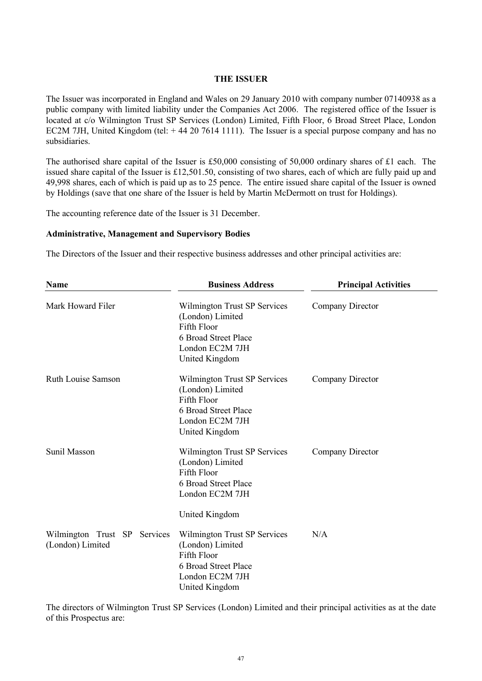#### **THE ISSUER**

The Issuer was incorporated in England and Wales on 29 January 2010 with company number 07140938 as a public company with limited liability under the Companies Act 2006. The registered office of the Issuer is located at c/o Wilmington Trust SP Services (London) Limited, Fifth Floor, 6 Broad Street Place, London EC2M 7JH, United Kingdom (tel: +44 20 7614 1111). The Issuer is a special purpose company and has no subsidiaries.

The authorised share capital of the Issuer is £50,000 consisting of 50,000 ordinary shares of £1 each. The issued share capital of the Issuer is £12,501.50, consisting of two shares, each of which are fully paid up and 49,998 shares, each of which is paid up as to 25 pence. The entire issued share capital of the Issuer is owned by Holdings (save that one share of the Issuer is held by Martin McDermott on trust for Holdings).

The accounting reference date of the Issuer is 31 December.

#### **Administrative, Management and Supervisory Bodies**

The Directors of the Issuer and their respective business addresses and other principal activities are:

| <b>Name</b>                                      | <b>Business Address</b>                                                                                                      | <b>Principal Activities</b> |
|--------------------------------------------------|------------------------------------------------------------------------------------------------------------------------------|-----------------------------|
| Mark Howard Filer                                | Wilmington Trust SP Services<br>(London) Limited<br>Fifth Floor<br>6 Broad Street Place<br>London EC2M 7JH<br>United Kingdom | Company Director            |
| <b>Ruth Louise Samson</b>                        | Wilmington Trust SP Services<br>(London) Limited<br>Fifth Floor<br>6 Broad Street Place<br>London EC2M 7JH<br>United Kingdom | Company Director            |
| Sunil Masson                                     | Wilmington Trust SP Services<br>(London) Limited<br>Fifth Floor<br>6 Broad Street Place<br>London EC2M 7JH<br>United Kingdom | Company Director            |
| Wilmington Trust SP Services<br>(London) Limited | Wilmington Trust SP Services<br>(London) Limited<br>Fifth Floor<br>6 Broad Street Place<br>London EC2M 7JH<br>United Kingdom | N/A                         |

The directors of Wilmington Trust SP Services (London) Limited and their principal activities as at the date of this Prospectus are: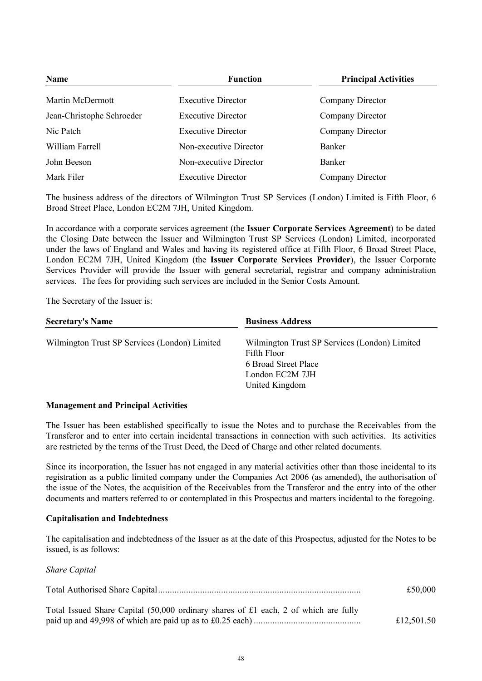| <b>Name</b>               | <b>Function</b>           | <b>Principal Activities</b> |  |
|---------------------------|---------------------------|-----------------------------|--|
| Martin McDermott          | <b>Executive Director</b> | Company Director            |  |
| Jean-Christophe Schroeder | <b>Executive Director</b> | Company Director            |  |
| Nic Patch                 | <b>Executive Director</b> | Company Director            |  |
| William Farrell           | Non-executive Director    | <b>Banker</b>               |  |
| John Beeson               | Non-executive Director    | <b>Banker</b>               |  |
| Mark Filer                | <b>Executive Director</b> | Company Director            |  |

The business address of the directors of Wilmington Trust SP Services (London) Limited is Fifth Floor, 6 Broad Street Place, London EC2M 7JH, United Kingdom.

In accordance with a corporate services agreement (the **Issuer Corporate Services Agreement**) to be dated the Closing Date between the Issuer and Wilmington Trust SP Services (London) Limited, incorporated under the laws of England and Wales and having its registered office at Fifth Floor, 6 Broad Street Place, London EC2M 7JH, United Kingdom (the **Issuer Corporate Services Provider**), the Issuer Corporate Services Provider will provide the Issuer with general secretarial, registrar and company administration services. The fees for providing such services are included in the Senior Costs Amount.

The Secretary of the Issuer is:

| <b>Secretary's Name</b><br><b>Business Address</b> |                                                                                                                           |
|----------------------------------------------------|---------------------------------------------------------------------------------------------------------------------------|
| Wilmington Trust SP Services (London) Limited      | Wilmington Trust SP Services (London) Limited<br>Fifth Floor<br>6 Broad Street Place<br>London EC2M 7JH<br>United Kingdom |
|                                                    |                                                                                                                           |

## **Management and Principal Activities**

The Issuer has been established specifically to issue the Notes and to purchase the Receivables from the Transferor and to enter into certain incidental transactions in connection with such activities. Its activities are restricted by the terms of the Trust Deed, the Deed of Charge and other related documents.

Since its incorporation, the Issuer has not engaged in any material activities other than those incidental to its registration as a public limited company under the Companies Act 2006 (as amended), the authorisation of the issue of the Notes, the acquisition of the Receivables from the Transferor and the entry into of the other documents and matters referred to or contemplated in this Prospectus and matters incidental to the foregoing.

## **Capitalisation and Indebtedness**

The capitalisation and indebtedness of the Issuer as at the date of this Prospectus, adjusted for the Notes to be issued, is as follows:

*Share Capital*

|                                                                                     | £50,000    |
|-------------------------------------------------------------------------------------|------------|
| Total Issued Share Capital (50,000 ordinary shares of £1 each, 2 of which are fully | £12,501.50 |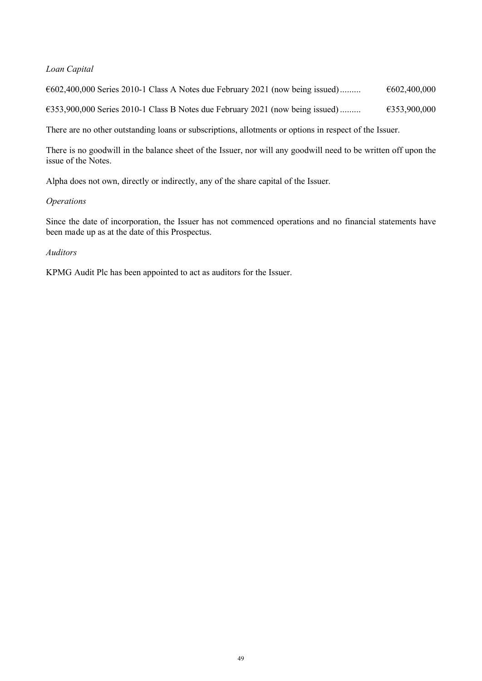# *Loan Capital*

 $€602,400,000$  Series 2010-1 Class A Notes due February 2021 (now being issued).........  $€602,400,000$ 

 $€353,900,000$  Series 2010-1 Class B Notes due February 2021 (now being issued).........  $€353,900,000$ 

There are no other outstanding loans or subscriptions, allotments or options in respect of the Issuer.

There is no goodwill in the balance sheet of the Issuer, nor will any goodwill need to be written off upon the issue of the Notes.

Alpha does not own, directly or indirectly, any of the share capital of the Issuer.

# *Operations*

Since the date of incorporation, the Issuer has not commenced operations and no financial statements have been made up as at the date of this Prospectus.

# *Auditors*

KPMG Audit Plc has been appointed to act as auditors for the Issuer.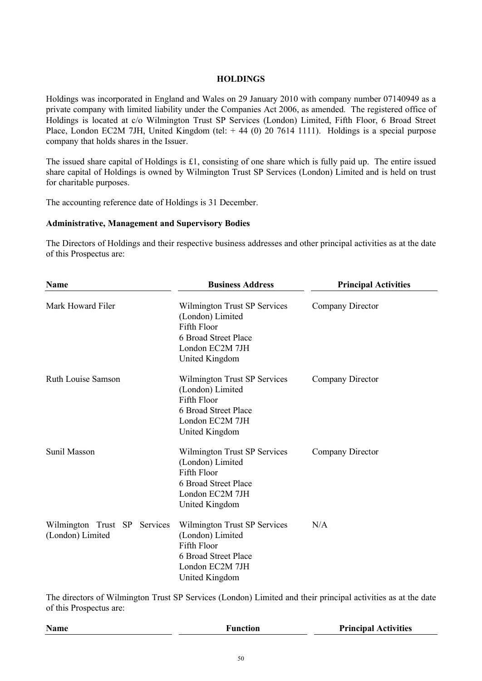# **HOLDINGS**

Holdings was incorporated in England and Wales on 29 January 2010 with company number 07140949 as a private company with limited liability under the Companies Act 2006, as amended. The registered office of Holdings is located at c/o Wilmington Trust SP Services (London) Limited, Fifth Floor, 6 Broad Street Place, London EC2M 7JH, United Kingdom (tel:  $+ 44$  (0) 20 7614 1111). Holdings is a special purpose company that holds shares in the Issuer.

The issued share capital of Holdings is £1, consisting of one share which is fully paid up. The entire issued share capital of Holdings is owned by Wilmington Trust SP Services (London) Limited and is held on trust for charitable purposes.

The accounting reference date of Holdings is 31 December.

# **Administrative, Management and Supervisory Bodies**

The Directors of Holdings and their respective business addresses and other principal activities as at the date of this Prospectus are:

| Name                                             | <b>Business Address</b>                                                                                                      | <b>Principal Activities</b> |
|--------------------------------------------------|------------------------------------------------------------------------------------------------------------------------------|-----------------------------|
| Mark Howard Filer                                | Wilmington Trust SP Services<br>(London) Limited<br>Fifth Floor<br>6 Broad Street Place<br>London EC2M 7JH<br>United Kingdom | Company Director            |
| <b>Ruth Louise Samson</b>                        | Wilmington Trust SP Services<br>(London) Limited<br>Fifth Floor<br>6 Broad Street Place<br>London EC2M 7JH<br>United Kingdom | Company Director            |
| <b>Sunil Masson</b>                              | Wilmington Trust SP Services<br>(London) Limited<br>Fifth Floor<br>6 Broad Street Place<br>London EC2M 7JH<br>United Kingdom | Company Director            |
| Wilmington Trust SP Services<br>(London) Limited | Wilmington Trust SP Services<br>(London) Limited<br>Fifth Floor<br>6 Broad Street Place<br>London EC2M 7JH<br>United Kingdom | N/A                         |

The directors of Wilmington Trust SP Services (London) Limited and their principal activities as at the date of this Prospectus are:

| Name | Function | <b>Principal Activities</b> |
|------|----------|-----------------------------|
|      |          |                             |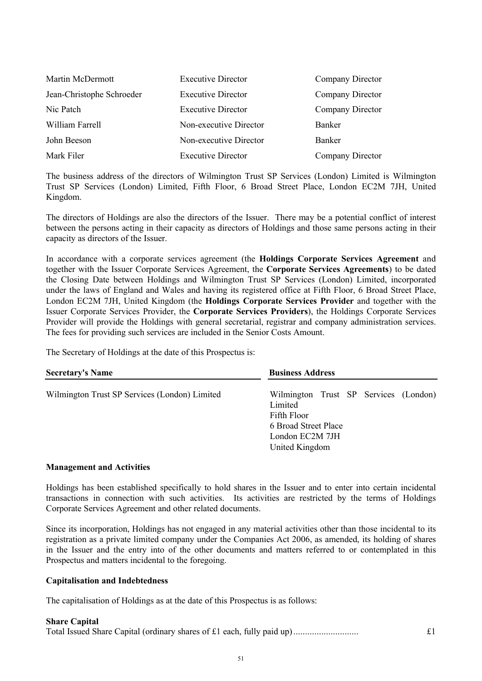| Martin McDermott          | <b>Executive Director</b> | Company Director |
|---------------------------|---------------------------|------------------|
| Jean-Christophe Schroeder | <b>Executive Director</b> | Company Director |
| Nic Patch                 | <b>Executive Director</b> | Company Director |
| William Farrell           | Non-executive Director    | <b>Banker</b>    |
| John Beeson               | Non-executive Director    | <b>Banker</b>    |
| Mark Filer                | <b>Executive Director</b> | Company Director |

The business address of the directors of Wilmington Trust SP Services (London) Limited is Wilmington Trust SP Services (London) Limited, Fifth Floor, 6 Broad Street Place, London EC2M 7JH, United Kingdom.

The directors of Holdings are also the directors of the Issuer. There may be a potential conflict of interest between the persons acting in their capacity as directors of Holdings and those same persons acting in their capacity as directors of the Issuer.

In accordance with a corporate services agreement (the **Holdings Corporate Services Agreement** and together with the Issuer Corporate Services Agreement, the **Corporate Services Agreements**) to be dated the Closing Date between Holdings and Wilmington Trust SP Services (London) Limited, incorporated under the laws of England and Wales and having its registered office at Fifth Floor, 6 Broad Street Place, London EC2M 7JH, United Kingdom (the **Holdings Corporate Services Provider** and together with the Issuer Corporate Services Provider, the **Corporate Services Providers**), the Holdings Corporate Services Provider will provide the Holdings with general secretarial, registrar and company administration services. The fees for providing such services are included in the Senior Costs Amount.

The Secretary of Holdings at the date of this Prospectus is:

| <b>Secretary's Name</b>                       | <b>Business Address</b>                                                                                                      |
|-----------------------------------------------|------------------------------------------------------------------------------------------------------------------------------|
| Wilmington Trust SP Services (London) Limited | Wilmington Trust SP Services (London)<br>Limited<br>Fifth Floor<br>6 Broad Street Place<br>London EC2M 7JH<br>United Kingdom |

## **Management and Activities**

Holdings has been established specifically to hold shares in the Issuer and to enter into certain incidental transactions in connection with such activities. Its activities are restricted by the terms of Holdings Corporate Services Agreement and other related documents.

Since its incorporation, Holdings has not engaged in any material activities other than those incidental to its registration as a private limited company under the Companies Act 2006, as amended, its holding of shares in the Issuer and the entry into of the other documents and matters referred to or contemplated in this Prospectus and matters incidental to the foregoing.

## **Capitalisation and Indebtedness**

The capitalisation of Holdings as at the date of this Prospectus is as follows:

#### **Share Capital**

| Total Issued Share Capital (ordinary shares of £1 each, fully paid up) |  |
|------------------------------------------------------------------------|--|
|------------------------------------------------------------------------|--|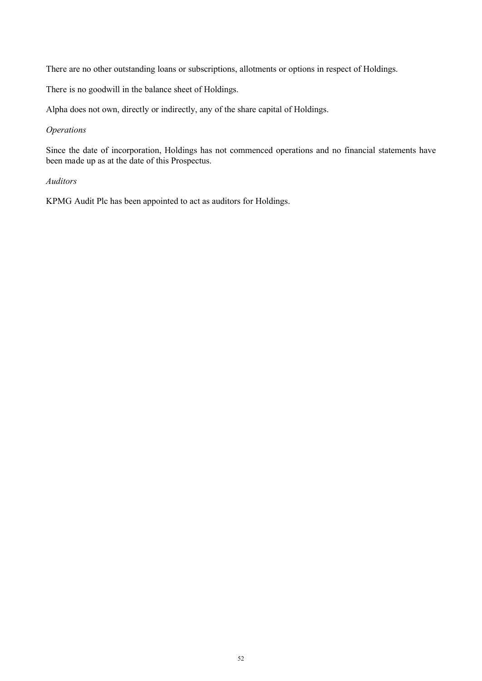There are no other outstanding loans or subscriptions, allotments or options in respect of Holdings.

There is no goodwill in the balance sheet of Holdings.

Alpha does not own, directly or indirectly, any of the share capital of Holdings.

# *Operations*

Since the date of incorporation, Holdings has not commenced operations and no financial statements have been made up as at the date of this Prospectus.

# *Auditors*

KPMG Audit Plc has been appointed to act as auditors for Holdings.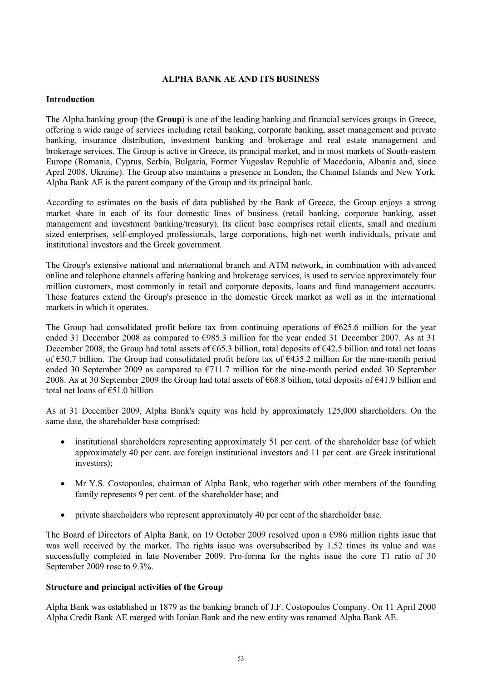# **ALPHA BANK AE AND ITS BUSINESS**

# **Introduction**

The Alpha banking group (the **Group**) is one of the leading banking and financial services groups in Greece, offering a wide range of services including retail banking, corporate banking, asset management and private banking, insurance distribution, investment banking and brokerage and real estate management and brokerage services. The Group is active in Greece, its principal market, and in most markets of South-eastern Europe (Romania, Cyprus, Serbia, Bulgaria, Former Yugoslav Republic of Macedonia, Albania and, since April 2008, Ukraine). The Group also maintains a presence in London, the Channel Islands and New York. Alpha Bank AE is the parent company of the Group and its principal bank.

According to estimates on the basis of data published by the Bank of Greece, the Group enjoys a strong market share in each of its four domestic lines of business (retail banking, corporate banking, asset management and investment banking/treasury). Its client base comprises retail clients, small and medium sized enterprises, self-employed professionals, large corporations, high-net worth individuals, private and institutional investors and the Greek government.

The Group's extensive national and international branch and ATM network, in combination with advanced online and telephone channels offering banking and brokerage services, is used to service approximately four million customers, most commonly in retail and corporate deposits, loans and fund management accounts. These features extend the Group's presence in the domestic Greek market as well as in the international markets in which it operates.

The Group had consolidated profit before tax from continuing operations of  $6625.6$  million for the year ended 31 December 2008 as compared to  $\epsilon$ 985.3 million for the year ended 31 December 2007. As at 31 December 2008, the Group had total assets of €65.3 billion, total deposits of €42.5 billion and total net loans of €50.7 billion. The Group had consolidated profit before tax of €435.2 million for the nine-month period ended 30 September 2009 as compared to  $E$ 711.7 million for the nine-month period ended 30 September 2008. As at 30 September 2009 the Group had total assets of €68.8 billion, total deposits of €41.9 billion and total net loans of €51.0 billion

As at 31 December 2009, Alpha Bank's equity was held by approximately 125,000 shareholders. On the same date, the shareholder base comprised:

- institutional shareholders representing approximately 51 per cent. of the shareholder base (of which approximately 40 per cent. are foreign institutional investors and 11 per cent. are Greek institutional investors);
- Mr Y.S. Costopoulos, chairman of Alpha Bank, who together with other members of the founding family represents 9 per cent. of the shareholder base; and
- private shareholders who represent approximately 40 per cent of the shareholder base.

The Board of Directors of Alpha Bank, on 19 October 2009 resolved upon a €986 million rights issue that was well received by the market. The rights issue was oversubscribed by 1.52 times its value and was successfully completed in late November 2009. Pro-forma for the rights issue the core T1 ratio of 30 September 2009 rose to 9.3%.

# **Structure and principal activities of the Group**

Alpha Bank was established in 1879 as the banking branch of J.F. Costopoulos Company. On 11 April 2000 Alpha Credit Bank AE merged with Ionian Bank and the new entity was renamed Alpha Bank AE.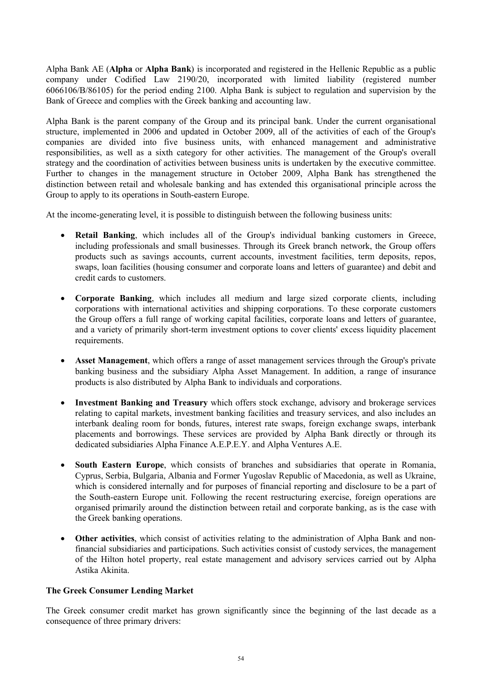Alpha Bank AE (**Alpha** or **Alpha Bank**) is incorporated and registered in the Hellenic Republic as a public company under Codified Law 2190/20, incorporated with limited liability (registered number 6066106/B/86105) for the period ending 2100. Alpha Bank is subject to regulation and supervision by the Bank of Greece and complies with the Greek banking and accounting law.

Alpha Bank is the parent company of the Group and its principal bank. Under the current organisational structure, implemented in 2006 and updated in October 2009, all of the activities of each of the Group's companies are divided into five business units, with enhanced management and administrative responsibilities, as well as a sixth category for other activities. The management of the Group's overall strategy and the coordination of activities between business units is undertaken by the executive committee. Further to changes in the management structure in October 2009, Alpha Bank has strengthened the distinction between retail and wholesale banking and has extended this organisational principle across the Group to apply to its operations in South-eastern Europe.

At the income-generating level, it is possible to distinguish between the following business units:

- **Retail Banking**, which includes all of the Group's individual banking customers in Greece, including professionals and small businesses. Through its Greek branch network, the Group offers products such as savings accounts, current accounts, investment facilities, term deposits, repos, swaps, loan facilities (housing consumer and corporate loans and letters of guarantee) and debit and credit cards to customers.
- · **Corporate Banking**, which includes all medium and large sized corporate clients, including corporations with international activities and shipping corporations. To these corporate customers the Group offers a full range of working capital facilities, corporate loans and letters of guarantee, and a variety of primarily short-term investment options to cover clients' excess liquidity placement requirements.
- · **Asset Management**, which offers a range of asset management services through the Group's private banking business and the subsidiary Alpha Asset Management. In addition, a range of insurance products is also distributed by Alpha Bank to individuals and corporations.
- · **Investment Banking and Treasury** which offers stock exchange, advisory and brokerage services relating to capital markets, investment banking facilities and treasury services, and also includes an interbank dealing room for bonds, futures, interest rate swaps, foreign exchange swaps, interbank placements and borrowings. These services are provided by Alpha Bank directly or through its dedicated subsidiaries Alpha Finance A.E.P.E.Y. and Alpha Ventures A.E.
- · **South Eastern Europe**, which consists of branches and subsidiaries that operate in Romania, Cyprus, Serbia, Bulgaria, Albania and Former Yugoslav Republic of Macedonia, as well as Ukraine, which is considered internally and for purposes of financial reporting and disclosure to be a part of the South-eastern Europe unit. Following the recent restructuring exercise, foreign operations are organised primarily around the distinction between retail and corporate banking, as is the case with the Greek banking operations.
- · **Other activities**, which consist of activities relating to the administration of Alpha Bank and nonfinancial subsidiaries and participations. Such activities consist of custody services, the management of the Hilton hotel property, real estate management and advisory services carried out by Alpha Astika Akinita.

## **The Greek Consumer Lending Market**

The Greek consumer credit market has grown significantly since the beginning of the last decade as a consequence of three primary drivers: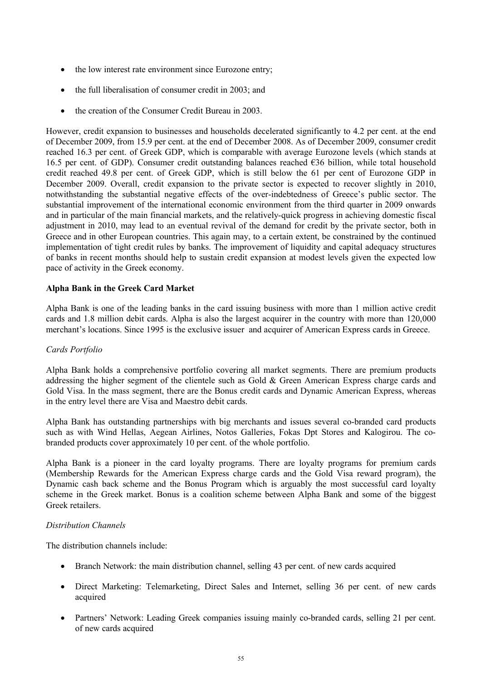- the low interest rate environment since Eurozone entry;
- the full liberalisation of consumer credit in 2003; and
- the creation of the Consumer Credit Bureau in 2003.

However, credit expansion to businesses and households decelerated significantly to 4.2 per cent. at the end of December 2009, from 15.9 per cent. at the end of December 2008. As of December 2009, consumer credit reached 16.3 per cent. of Greek GDP, which is comparable with average Eurozone levels (which stands at 16.5 per cent. of GDP). Consumer credit outstanding balances reached €36 billion, while total household credit reached 49.8 per cent. of Greek GDP, which is still below the 61 per cent of Eurozone GDP in December 2009. Overall, credit expansion to the private sector is expected to recover slightly in 2010, notwithstanding the substantial negative effects of the over-indebtedness of Greece's public sector. The substantial improvement of the international economic environment from the third quarter in 2009 onwards and in particular of the main financial markets, and the relatively-quick progress in achieving domestic fiscal adjustment in 2010, may lead to an eventual revival of the demand for credit by the private sector, both in Greece and in other European countries. This again may, to a certain extent, be constrained by the continued implementation of tight credit rules by banks. The improvement of liquidity and capital adequacy structures of banks in recent months should help to sustain credit expansion at modest levels given the expected low pace of activity in the Greek economy.

## **Alpha Bank in the Greek Card Market**

Alpha Bank is one of the leading banks in the card issuing business with more than 1 million active credit cards and 1.8 million debit cards. Alpha is also the largest acquirer in the country with more than 120,000 merchant's locations. Since 1995 is the exclusive issuer and acquirer of American Express cards in Greece.

## *Cards Portfolio*

Alpha Bank holds a comprehensive portfolio covering all market segments. There are premium products addressing the higher segment of the clientele such as Gold & Green American Express charge cards and Gold Visa. In the mass segment, there are the Bonus credit cards and Dynamic American Express, whereas in the entry level there are Visa and Maestro debit cards.

Alpha Bank has outstanding partnerships with big merchants and issues several co-branded card products such as with Wind Hellas, Aegean Airlines, Notos Galleries, Fokas Dpt Stores and Kalogirou. The cobranded products cover approximately 10 per cent. of the whole portfolio.

Alpha Bank is a pioneer in the card loyalty programs. There are loyalty programs for premium cards (Membership Rewards for the American Express charge cards and the Gold Visa reward program), the Dynamic cash back scheme and the Bonus Program which is arguably the most successful card loyalty scheme in the Greek market. Bonus is a coalition scheme between Alpha Bank and some of the biggest Greek retailers.

## *Distribution Channels*

The distribution channels include:

- · Branch Network: the main distribution channel, selling 43 per cent. of new cards acquired
- · Direct Marketing: Telemarketing, Direct Sales and Internet, selling 36 per cent. of new cards acquired
- Partners' Network: Leading Greek companies issuing mainly co-branded cards, selling 21 per cent. of new cards acquired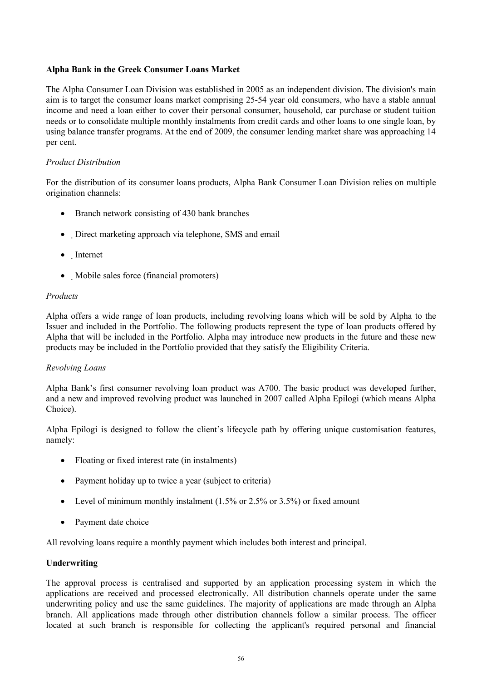# **Alpha Bank in the Greek Consumer Loans Market**

The Alpha Consumer Loan Division was established in 2005 as an independent division. The division's main aim is to target the consumer loans market comprising 25-54 year old consumers, who have a stable annual income and need a loan either to cover their personal consumer, household, car purchase or student tuition needs or to consolidate multiple monthly instalments from credit cards and other loans to one single loan, by using balance transfer programs. At the end of 2009, the consumer lending market share was approaching 14 per cent.

## *Product Distribution*

For the distribution of its consumer loans products, Alpha Bank Consumer Loan Division relies on multiple origination channels:

- Branch network consisting of 430 bank branches
- Direct marketing approach via telephone, SMS and email
- · Internet
- · Mobile sales force (financial promoters)

# *Products*

Alpha offers a wide range of loan products, including revolving loans which will be sold by Alpha to the Issuer and included in the Portfolio. The following products represent the type of loan products offered by Alpha that will be included in the Portfolio. Alpha may introduce new products in the future and these new products may be included in the Portfolio provided that they satisfy the Eligibility Criteria.

## *Revolving Loans*

Alpha Bank's first consumer revolving loan product was A700. The basic product was developed further, and a new and improved revolving product was launched in 2007 called Alpha Epilogi (which means Alpha Choice).

Alpha Epilogi is designed to follow the client's lifecycle path by offering unique customisation features, namely:

- Floating or fixed interest rate (in instalments)
- Payment holiday up to twice a year (subject to criteria)
- Level of minimum monthly instalment  $(1.5\% \text{ or } 2.5\% \text{ or } 3.5\%)$  or fixed amount
- Payment date choice

All revolving loans require a monthly payment which includes both interest and principal.

## **Underwriting**

The approval process is centralised and supported by an application processing system in which the applications are received and processed electronically. All distribution channels operate under the same underwriting policy and use the same guidelines. The majority of applications are made through an Alpha branch. All applications made through other distribution channels follow a similar process. The officer located at such branch is responsible for collecting the applicant's required personal and financial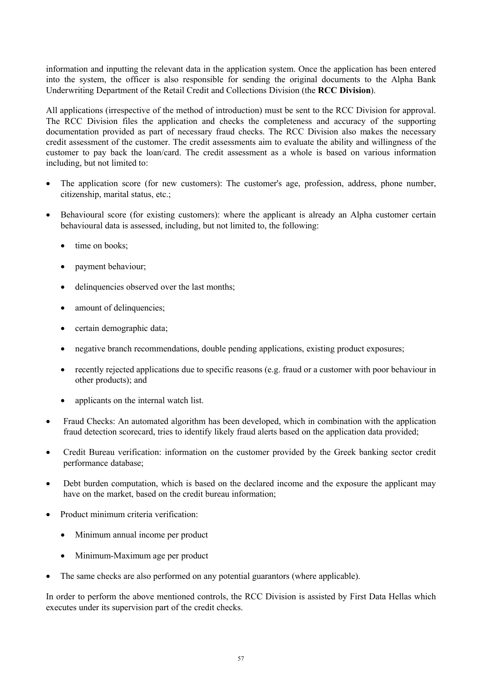information and inputting the relevant data in the application system. Once the application has been entered into the system, the officer is also responsible for sending the original documents to the Alpha Bank Underwriting Department of the Retail Credit and Collections Division (the **RCC Division**).

All applications (irrespective of the method of introduction) must be sent to the RCC Division for approval. The RCC Division files the application and checks the completeness and accuracy of the supporting documentation provided as part of necessary fraud checks. The RCC Division also makes the necessary credit assessment of the customer. The credit assessments aim to evaluate the ability and willingness of the customer to pay back the loan/card. The credit assessment as a whole is based on various information including, but not limited to:

- The application score (for new customers): The customer's age, profession, address, phone number, citizenship, marital status, etc.;
- Behavioural score (for existing customers): where the applicant is already an Alpha customer certain behavioural data is assessed, including, but not limited to, the following:
	- time on books:
	- payment behaviour;
	- delinquencies observed over the last months;
	- amount of delinquencies;
	- certain demographic data;
	- negative branch recommendations, double pending applications, existing product exposures;
	- recently rejected applications due to specific reasons (e.g. fraud or a customer with poor behaviour in other products); and
	- applicants on the internal watch list.
- Fraud Checks: An automated algorithm has been developed, which in combination with the application fraud detection scorecard, tries to identify likely fraud alerts based on the application data provided;
- · Credit Bureau verification: information on the customer provided by the Greek banking sector credit performance database;
- Debt burden computation, which is based on the declared income and the exposure the applicant may have on the market, based on the credit bureau information;
- · Product minimum criteria verification:
	- Minimum annual income per product
	- Minimum-Maximum age per product
- The same checks are also performed on any potential guarantors (where applicable).

In order to perform the above mentioned controls, the RCC Division is assisted by First Data Hellas which executes under its supervision part of the credit checks.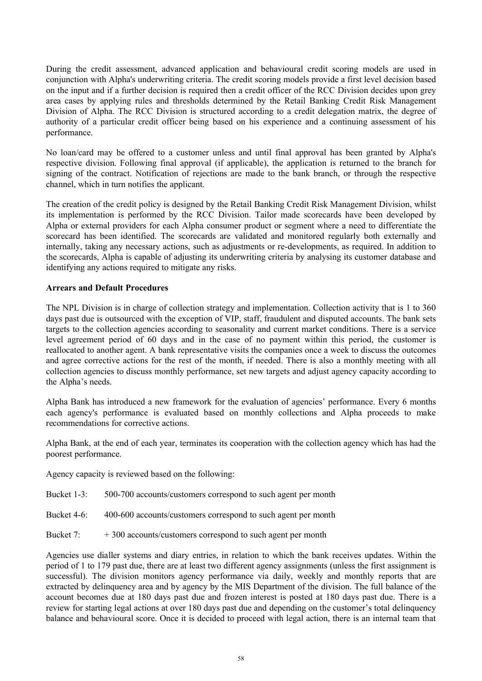During the credit assessment, advanced application and behavioural credit scoring models are used in conjunction with Alpha's underwriting criteria. The credit scoring models provide a first level decision based on the input and if a further decision is required then a credit officer of the RCC Division decides upon grey area cases by applying rules and thresholds determined by the Retail Banking Credit Risk Management Division of Alpha. The RCC Division is structured according to a credit delegation matrix, the degree of authority of a particular credit officer being based on his experience and a continuing assessment of his performance.

No loan/card may be offered to a customer unless and until final approval has been granted by Alpha's respective division. Following final approval (if applicable), the application is returned to the branch for signing of the contract. Notification of rejections are made to the bank branch, or through the respective channel, which in turn notifies the applicant.

The creation of the credit policy is designed by the Retail Banking Credit Risk Management Division, whilst its implementation is performed by the RCC Division. Tailor made scorecards have been developed by Alpha or external providers for each Alpha consumer product or segment where a need to differentiate the scorecard has been identified. The scorecards are validated and monitored regularly both externally and internally, taking any necessary actions, such as adjustments or re-developments, as required. In addition to the scorecards, Alpha is capable of adjusting its underwriting criteria by analysing its customer database and identifying any actions required to mitigate any risks.

# **Arrears and Default Procedures**

The NPL Division is in charge of collection strategy and implementation. Collection activity that is 1 to 360 days past due is outsourced with the exception of VIP, staff, fraudulent and disputed accounts. The bank sets targets to the collection agencies according to seasonality and current market conditions. There is a service level agreement period of 60 days and in the case of no payment within this period, the customer is reallocated to another agent. A bank representative visits the companies once a week to discuss the outcomes and agree corrective actions for the rest of the month, if needed. There is also a monthly meeting with all collection agencies to discuss monthly performance, set new targets and adjust agency capacity according to the Alpha's needs.

Alpha Bank has introduced a new framework for the evaluation of agencies' performance. Every 6 months each agency's performance is evaluated based on monthly collections and Alpha proceeds to make recommendations for corrective actions.

Alpha Bank, at the end of each year, terminates its cooperation with the collection agency which has had the poorest performance.

Agency capacity is reviewed based on the following:

- Bucket 1-3: 500-700 accounts/customers correspond to such agent per month
- Bucket 4-6: 400-600 accounts/customers correspond to such agent per month
- Bucket 7: + 300 accounts/customers correspond to such agent per month

Agencies use dialler systems and diary entries, in relation to which the bank receives updates. Within the period of 1 to 179 past due, there are at least two different agency assignments (unless the first assignment is successful). The division monitors agency performance via daily, weekly and monthly reports that are extracted by delinquency area and by agency by the MIS Department of the division. The full balance of the account becomes due at 180 days past due and frozen interest is posted at 180 days past due. There is a review for starting legal actions at over 180 days past due and depending on the customer's total delinquency balance and behavioural score. Once it is decided to proceed with legal action, there is an internal team that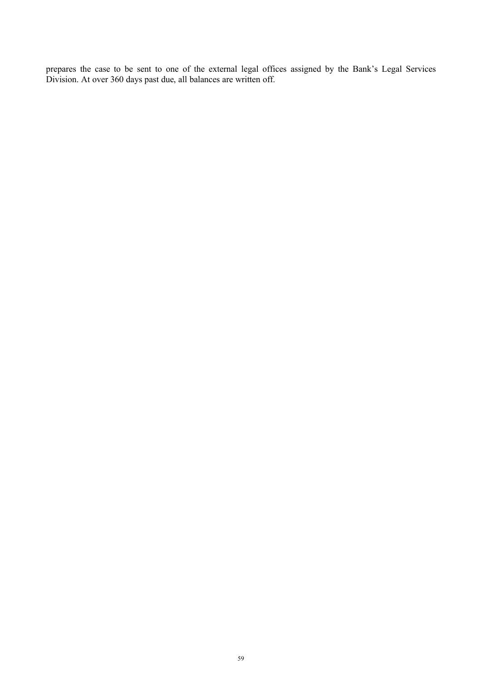prepares the case to be sent to one of the external legal offices assigned by the Bank's Legal Services Division. At over 360 days past due, all balances are written off.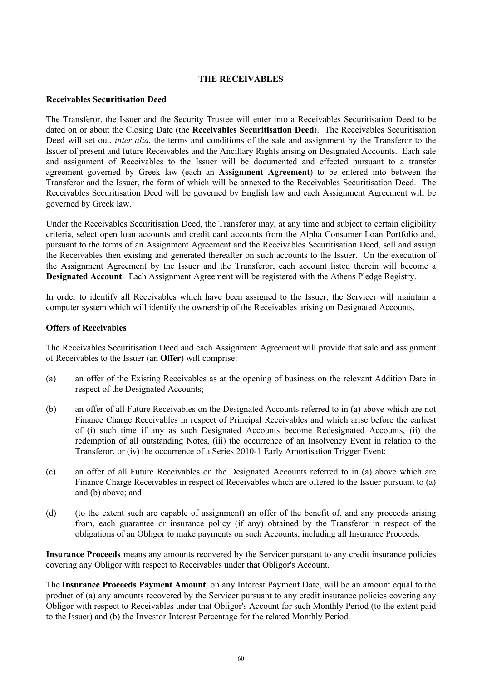## **THE RECEIVABLES**

#### **Receivables Securitisation Deed**

The Transferor, the Issuer and the Security Trustee will enter into a Receivables Securitisation Deed to be dated on or about the Closing Date (the **Receivables Securitisation Deed**). The Receivables Securitisation Deed will set out, *inter alia*, the terms and conditions of the sale and assignment by the Transferor to the Issuer of present and future Receivables and the Ancillary Rights arising on Designated Accounts. Each sale and assignment of Receivables to the Issuer will be documented and effected pursuant to a transfer agreement governed by Greek law (each an **Assignment Agreement**) to be entered into between the Transferor and the Issuer, the form of which will be annexed to the Receivables Securitisation Deed. The Receivables Securitisation Deed will be governed by English law and each Assignment Agreement will be governed by Greek law.

Under the Receivables Securitisation Deed, the Transferor may, at any time and subject to certain eligibility criteria, select open loan accounts and credit card accounts from the Alpha Consumer Loan Portfolio and, pursuant to the terms of an Assignment Agreement and the Receivables Securitisation Deed, sell and assign the Receivables then existing and generated thereafter on such accounts to the Issuer. On the execution of the Assignment Agreement by the Issuer and the Transferor, each account listed therein will become a **Designated Account**. Each Assignment Agreement will be registered with the Athens Pledge Registry.

In order to identify all Receivables which have been assigned to the Issuer, the Servicer will maintain a computer system which will identify the ownership of the Receivables arising on Designated Accounts.

## **Offers of Receivables**

The Receivables Securitisation Deed and each Assignment Agreement will provide that sale and assignment of Receivables to the Issuer (an **Offer**) will comprise:

- (a) an offer of the Existing Receivables as at the opening of business on the relevant Addition Date in respect of the Designated Accounts;
- (b) an offer of all Future Receivables on the Designated Accounts referred to in (a) above which are not Finance Charge Receivables in respect of Principal Receivables and which arise before the earliest of (i) such time if any as such Designated Accounts become Redesignated Accounts, (ii) the redemption of all outstanding Notes, (iii) the occurrence of an Insolvency Event in relation to the Transferor, or (iv) the occurrence of a Series 2010-1 Early Amortisation Trigger Event;
- (c) an offer of all Future Receivables on the Designated Accounts referred to in (a) above which are Finance Charge Receivables in respect of Receivables which are offered to the Issuer pursuant to (a) and (b) above; and
- (d) (to the extent such are capable of assignment) an offer of the benefit of, and any proceeds arising from, each guarantee or insurance policy (if any) obtained by the Transferor in respect of the obligations of an Obligor to make payments on such Accounts, including all Insurance Proceeds.

**Insurance Proceeds** means any amounts recovered by the Servicer pursuant to any credit insurance policies covering any Obligor with respect to Receivables under that Obligor's Account.

The **Insurance Proceeds Payment Amount**, on any Interest Payment Date, will be an amount equal to the product of (a) any amounts recovered by the Servicer pursuant to any credit insurance policies covering any Obligor with respect to Receivables under that Obligor's Account for such Monthly Period (to the extent paid to the Issuer) and (b) the Investor Interest Percentage for the related Monthly Period.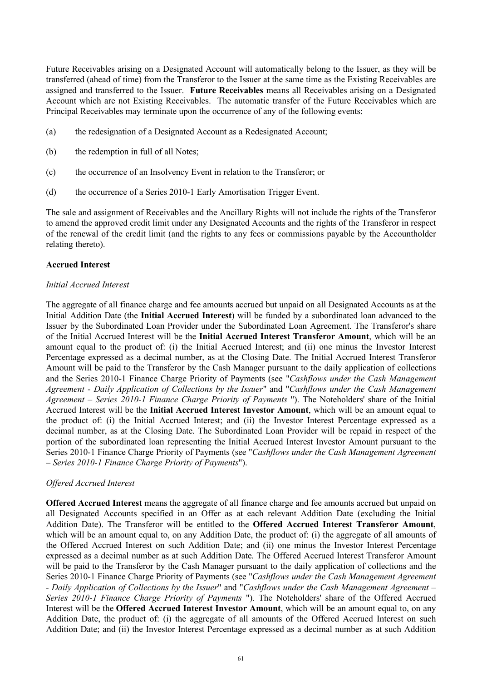Future Receivables arising on a Designated Account will automatically belong to the Issuer, as they will be transferred (ahead of time) from the Transferor to the Issuer at the same time as the Existing Receivables are assigned and transferred to the Issuer. **Future Receivables** means all Receivables arising on a Designated Account which are not Existing Receivables. The automatic transfer of the Future Receivables which are Principal Receivables may terminate upon the occurrence of any of the following events:

- (a) the redesignation of a Designated Account as a Redesignated Account;
- (b) the redemption in full of all Notes;
- (c) the occurrence of an Insolvency Event in relation to the Transferor; or
- (d) the occurrence of a Series 2010-1 Early Amortisation Trigger Event.

The sale and assignment of Receivables and the Ancillary Rights will not include the rights of the Transferor to amend the approved credit limit under any Designated Accounts and the rights of the Transferor in respect of the renewal of the credit limit (and the rights to any fees or commissions payable by the Accountholder relating thereto).

# **Accrued Interest**

## *Initial Accrued Interest*

The aggregate of all finance charge and fee amounts accrued but unpaid on all Designated Accounts as at the Initial Addition Date (the **Initial Accrued Interest**) will be funded by a subordinated loan advanced to the Issuer by the Subordinated Loan Provider under the Subordinated Loan Agreement. The Transferor's share of the Initial Accrued Interest will be the **Initial Accrued Interest Transferor Amount**, which will be an amount equal to the product of: (i) the Initial Accrued Interest; and (ii) one minus the Investor Interest Percentage expressed as a decimal number, as at the Closing Date. The Initial Accrued Interest Transferor Amount will be paid to the Transferor by the Cash Manager pursuant to the daily application of collections and the Series 2010-1 Finance Charge Priority of Payments (see "*Cashflows under the Cash Management Agreement - Daily Application of Collections by the Issuer*" and "*Cashflows under the Cash Management Agreement – Series 2010-1 Finance Charge Priority of Payments* "). The Noteholders' share of the Initial Accrued Interest will be the **Initial Accrued Interest Investor Amount**, which will be an amount equal to the product of: (i) the Initial Accrued Interest; and (ii) the Investor Interest Percentage expressed as a decimal number, as at the Closing Date. The Subordinated Loan Provider will be repaid in respect of the portion of the subordinated loan representing the Initial Accrued Interest Investor Amount pursuant to the Series 2010-1 Finance Charge Priority of Payments (see "*Cashflows under the Cash Management Agreement – Series 2010-1 Finance Charge Priority of Payments*").

## *Offered Accrued Interest*

**Offered Accrued Interest** means the aggregate of all finance charge and fee amounts accrued but unpaid on all Designated Accounts specified in an Offer as at each relevant Addition Date (excluding the Initial Addition Date). The Transferor will be entitled to the **Offered Accrued Interest Transferor Amount**, which will be an amount equal to, on any Addition Date, the product of: (i) the aggregate of all amounts of the Offered Accrued Interest on such Addition Date; and (ii) one minus the Investor Interest Percentage expressed as a decimal number as at such Addition Date. The Offered Accrued Interest Transferor Amount will be paid to the Transferor by the Cash Manager pursuant to the daily application of collections and the Series 2010-1 Finance Charge Priority of Payments (see "*Cashflows under the Cash Management Agreement - Daily Application of Collections by the Issuer*" and "*Cashflows under the Cash Management Agreement – Series 2010-1 Finance Charge Priority of Payments* "). The Noteholders' share of the Offered Accrued Interest will be the **Offered Accrued Interest Investor Amount**, which will be an amount equal to, on any Addition Date, the product of: (i) the aggregate of all amounts of the Offered Accrued Interest on such Addition Date; and (ii) the Investor Interest Percentage expressed as a decimal number as at such Addition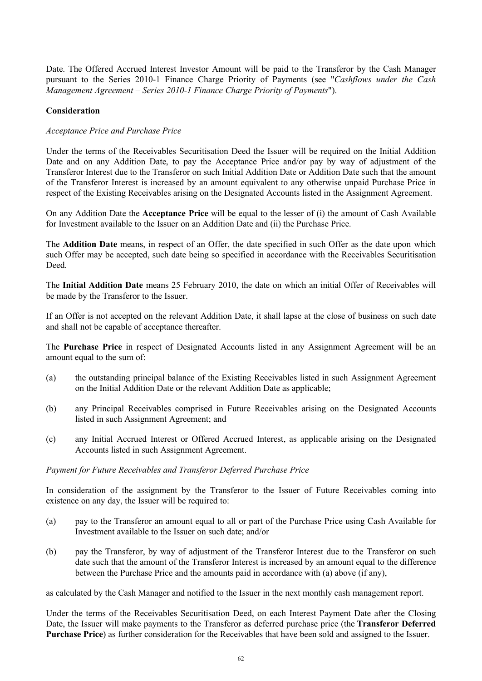Date. The Offered Accrued Interest Investor Amount will be paid to the Transferor by the Cash Manager pursuant to the Series 2010-1 Finance Charge Priority of Payments (see "*Cashflows under the Cash Management Agreement – Series 2010-1 Finance Charge Priority of Payments*").

# **Consideration**

# *Acceptance Price and Purchase Price*

Under the terms of the Receivables Securitisation Deed the Issuer will be required on the Initial Addition Date and on any Addition Date, to pay the Acceptance Price and/or pay by way of adjustment of the Transferor Interest due to the Transferor on such Initial Addition Date or Addition Date such that the amount of the Transferor Interest is increased by an amount equivalent to any otherwise unpaid Purchase Price in respect of the Existing Receivables arising on the Designated Accounts listed in the Assignment Agreement.

On any Addition Date the **Acceptance Price** will be equal to the lesser of (i) the amount of Cash Available for Investment available to the Issuer on an Addition Date and (ii) the Purchase Price.

The **Addition Date** means, in respect of an Offer, the date specified in such Offer as the date upon which such Offer may be accepted, such date being so specified in accordance with the Receivables Securitisation Deed.

The **Initial Addition Date** means 25 February 2010, the date on which an initial Offer of Receivables will be made by the Transferor to the Issuer.

If an Offer is not accepted on the relevant Addition Date, it shall lapse at the close of business on such date and shall not be capable of acceptance thereafter.

The **Purchase Price** in respect of Designated Accounts listed in any Assignment Agreement will be an amount equal to the sum of:

- (a) the outstanding principal balance of the Existing Receivables listed in such Assignment Agreement on the Initial Addition Date or the relevant Addition Date as applicable;
- (b) any Principal Receivables comprised in Future Receivables arising on the Designated Accounts listed in such Assignment Agreement; and
- (c) any Initial Accrued Interest or Offered Accrued Interest, as applicable arising on the Designated Accounts listed in such Assignment Agreement.

## *Payment for Future Receivables and Transferor Deferred Purchase Price*

In consideration of the assignment by the Transferor to the Issuer of Future Receivables coming into existence on any day, the Issuer will be required to:

- (a) pay to the Transferor an amount equal to all or part of the Purchase Price using Cash Available for Investment available to the Issuer on such date; and/or
- (b) pay the Transferor, by way of adjustment of the Transferor Interest due to the Transferor on such date such that the amount of the Transferor Interest is increased by an amount equal to the difference between the Purchase Price and the amounts paid in accordance with (a) above (if any),

as calculated by the Cash Manager and notified to the Issuer in the next monthly cash management report.

Under the terms of the Receivables Securitisation Deed, on each Interest Payment Date after the Closing Date, the Issuer will make payments to the Transferor as deferred purchase price (the **Transferor Deferred Purchase Price**) as further consideration for the Receivables that have been sold and assigned to the Issuer.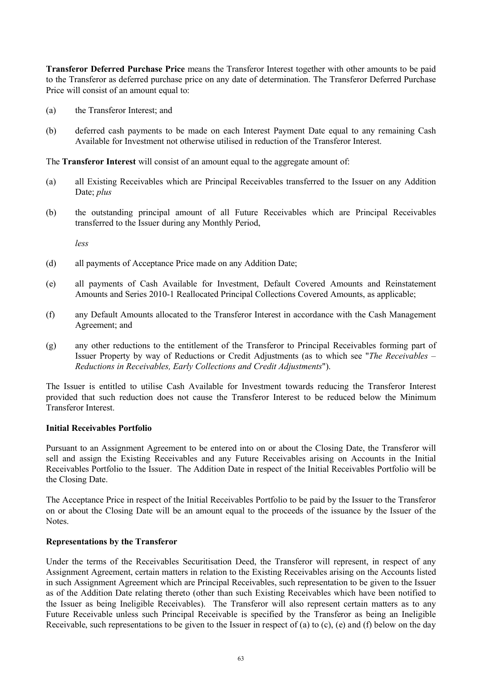**Transferor Deferred Purchase Price** means the Transferor Interest together with other amounts to be paid to the Transferor as deferred purchase price on any date of determination. The Transferor Deferred Purchase Price will consist of an amount equal to:

- (a) the Transferor Interest; and
- (b) deferred cash payments to be made on each Interest Payment Date equal to any remaining Cash Available for Investment not otherwise utilised in reduction of the Transferor Interest.

The **Transferor Interest** will consist of an amount equal to the aggregate amount of:

- (a) all Existing Receivables which are Principal Receivables transferred to the Issuer on any Addition Date; *plus*
- (b) the outstanding principal amount of all Future Receivables which are Principal Receivables transferred to the Issuer during any Monthly Period,

*less*

- (d) all payments of Acceptance Price made on any Addition Date;
- (e) all payments of Cash Available for Investment, Default Covered Amounts and Reinstatement Amounts and Series 2010-1 Reallocated Principal Collections Covered Amounts, as applicable;
- (f) any Default Amounts allocated to the Transferor Interest in accordance with the Cash Management Agreement; and
- (g) any other reductions to the entitlement of the Transferor to Principal Receivables forming part of Issuer Property by way of Reductions or Credit Adjustments (as to which see "*The Receivables – Reductions in Receivables, Early Collections and Credit Adjustments*").

The Issuer is entitled to utilise Cash Available for Investment towards reducing the Transferor Interest provided that such reduction does not cause the Transferor Interest to be reduced below the Minimum Transferor Interest.

#### **Initial Receivables Portfolio**

Pursuant to an Assignment Agreement to be entered into on or about the Closing Date, the Transferor will sell and assign the Existing Receivables and any Future Receivables arising on Accounts in the Initial Receivables Portfolio to the Issuer. The Addition Date in respect of the Initial Receivables Portfolio will be the Closing Date.

The Acceptance Price in respect of the Initial Receivables Portfolio to be paid by the Issuer to the Transferor on or about the Closing Date will be an amount equal to the proceeds of the issuance by the Issuer of the Notes.

#### **Representations by the Transferor**

Under the terms of the Receivables Securitisation Deed, the Transferor will represent, in respect of any Assignment Agreement, certain matters in relation to the Existing Receivables arising on the Accounts listed in such Assignment Agreement which are Principal Receivables, such representation to be given to the Issuer as of the Addition Date relating thereto (other than such Existing Receivables which have been notified to the Issuer as being Ineligible Receivables). The Transferor will also represent certain matters as to any Future Receivable unless such Principal Receivable is specified by the Transferor as being an Ineligible Receivable, such representations to be given to the Issuer in respect of (a) to (c), (e) and (f) below on the day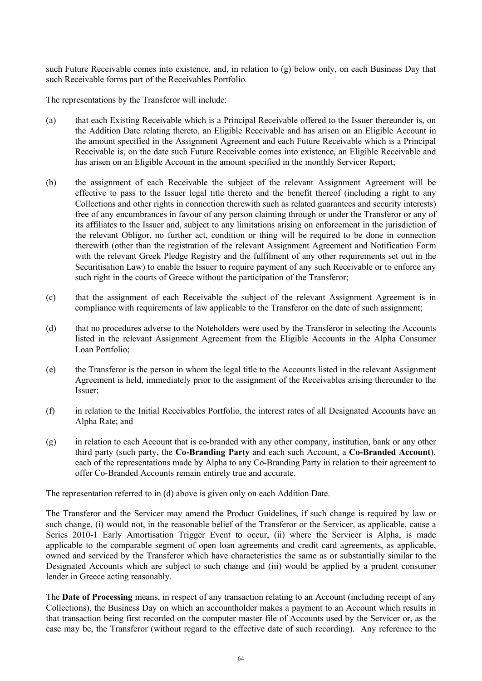such Future Receivable comes into existence, and, in relation to (g) below only, on each Business Day that such Receivable forms part of the Receivables Portfolio.

The representations by the Transferor will include:

- (a) that each Existing Receivable which is a Principal Receivable offered to the Issuer thereunder is, on the Addition Date relating thereto, an Eligible Receivable and has arisen on an Eligible Account in the amount specified in the Assignment Agreement and each Future Receivable which is a Principal Receivable is, on the date such Future Receivable comes into existence, an Eligible Receivable and has arisen on an Eligible Account in the amount specified in the monthly Servicer Report;
- (b) the assignment of each Receivable the subject of the relevant Assignment Agreement will be effective to pass to the Issuer legal title thereto and the benefit thereof (including a right to any Collections and other rights in connection therewith such as related guarantees and security interests) free of any encumbrances in favour of any person claiming through or under the Transferor or any of its affiliates to the Issuer and, subject to any limitations arising on enforcement in the jurisdiction of the relevant Obligor, no further act, condition or thing will be required to be done in connection therewith (other than the registration of the relevant Assignment Agreement and Notification Form with the relevant Greek Pledge Registry and the fulfilment of any other requirements set out in the Securitisation Law) to enable the Issuer to require payment of any such Receivable or to enforce any such right in the courts of Greece without the participation of the Transferor;
- (c) that the assignment of each Receivable the subject of the relevant Assignment Agreement is in compliance with requirements of law applicable to the Transferor on the date of such assignment;
- (d) that no procedures adverse to the Noteholders were used by the Transferor in selecting the Accounts listed in the relevant Assignment Agreement from the Eligible Accounts in the Alpha Consumer Loan Portfolio;
- (e) the Transferor is the person in whom the legal title to the Accounts listed in the relevant Assignment Agreement is held, immediately prior to the assignment of the Receivables arising thereunder to the Issuer;
- (f) in relation to the Initial Receivables Portfolio, the interest rates of all Designated Accounts have an Alpha Rate; and
- (g) in relation to each Account that is co-branded with any other company, institution, bank or any other third party (such party, the **Co-Branding Party** and each such Account, a **Co-Branded Account**), each of the representations made by Alpha to any Co-Branding Party in relation to their agreement to offer Co-Branded Accounts remain entirely true and accurate.

The representation referred to in (d) above is given only on each Addition Date.

The Transferor and the Servicer may amend the Product Guidelines, if such change is required by law or such change, (i) would not, in the reasonable belief of the Transferor or the Servicer, as applicable, cause a Series 2010-1 Early Amortisation Trigger Event to occur, (ii) where the Servicer is Alpha, is made applicable to the comparable segment of open loan agreements and credit card agreements, as applicable, owned and serviced by the Transferor which have characteristics the same as or substantially similar to the Designated Accounts which are subject to such change and (iii) would be applied by a prudent consumer lender in Greece acting reasonably.

The **Date of Processing** means, in respect of any transaction relating to an Account (including receipt of any Collections), the Business Day on which an accountholder makes a payment to an Account which results in that transaction being first recorded on the computer master file of Accounts used by the Servicer or, as the case may be, the Transferor (without regard to the effective date of such recording). Any reference to the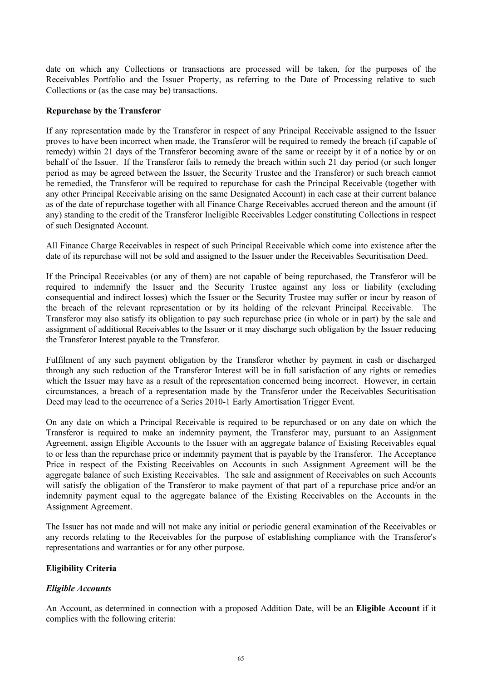date on which any Collections or transactions are processed will be taken, for the purposes of the Receivables Portfolio and the Issuer Property, as referring to the Date of Processing relative to such Collections or (as the case may be) transactions.

## **Repurchase by the Transferor**

If any representation made by the Transferor in respect of any Principal Receivable assigned to the Issuer proves to have been incorrect when made, the Transferor will be required to remedy the breach (if capable of remedy) within 21 days of the Transferor becoming aware of the same or receipt by it of a notice by or on behalf of the Issuer. If the Transferor fails to remedy the breach within such 21 day period (or such longer period as may be agreed between the Issuer, the Security Trustee and the Transferor) or such breach cannot be remedied, the Transferor will be required to repurchase for cash the Principal Receivable (together with any other Principal Receivable arising on the same Designated Account) in each case at their current balance as of the date of repurchase together with all Finance Charge Receivables accrued thereon and the amount (if any) standing to the credit of the Transferor Ineligible Receivables Ledger constituting Collections in respect of such Designated Account.

All Finance Charge Receivables in respect of such Principal Receivable which come into existence after the date of its repurchase will not be sold and assigned to the Issuer under the Receivables Securitisation Deed.

If the Principal Receivables (or any of them) are not capable of being repurchased, the Transferor will be required to indemnify the Issuer and the Security Trustee against any loss or liability (excluding consequential and indirect losses) which the Issuer or the Security Trustee may suffer or incur by reason of the breach of the relevant representation or by its holding of the relevant Principal Receivable. The Transferor may also satisfy its obligation to pay such repurchase price (in whole or in part) by the sale and assignment of additional Receivables to the Issuer or it may discharge such obligation by the Issuer reducing the Transferor Interest payable to the Transferor.

Fulfilment of any such payment obligation by the Transferor whether by payment in cash or discharged through any such reduction of the Transferor Interest will be in full satisfaction of any rights or remedies which the Issuer may have as a result of the representation concerned being incorrect. However, in certain circumstances, a breach of a representation made by the Transferor under the Receivables Securitisation Deed may lead to the occurrence of a Series 2010-1 Early Amortisation Trigger Event.

On any date on which a Principal Receivable is required to be repurchased or on any date on which the Transferor is required to make an indemnity payment, the Transferor may, pursuant to an Assignment Agreement, assign Eligible Accounts to the Issuer with an aggregate balance of Existing Receivables equal to or less than the repurchase price or indemnity payment that is payable by the Transferor. The Acceptance Price in respect of the Existing Receivables on Accounts in such Assignment Agreement will be the aggregate balance of such Existing Receivables. The sale and assignment of Receivables on such Accounts will satisfy the obligation of the Transferor to make payment of that part of a repurchase price and/or an indemnity payment equal to the aggregate balance of the Existing Receivables on the Accounts in the Assignment Agreement.

The Issuer has not made and will not make any initial or periodic general examination of the Receivables or any records relating to the Receivables for the purpose of establishing compliance with the Transferor's representations and warranties or for any other purpose.

# **Eligibility Criteria**

## *Eligible Accounts*

An Account, as determined in connection with a proposed Addition Date, will be an **Eligible Account** if it complies with the following criteria: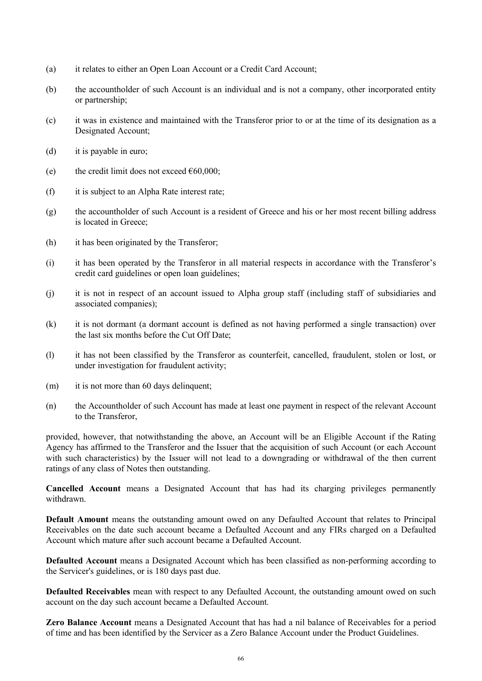- (a) it relates to either an Open Loan Account or a Credit Card Account;
- (b) the accountholder of such Account is an individual and is not a company, other incorporated entity or partnership;
- (c) it was in existence and maintained with the Transferor prior to or at the time of its designation as a Designated Account;
- (d) it is payable in euro;
- (e) the credit limit does not exceed  $\epsilon$ 60,000;
- (f) it is subject to an Alpha Rate interest rate;
- (g) the accountholder of such Account is a resident of Greece and his or her most recent billing address is located in Greece;
- (h) it has been originated by the Transferor;
- (i) it has been operated by the Transferor in all material respects in accordance with the Transferor's credit card guidelines or open loan guidelines;
- (j) it is not in respect of an account issued to Alpha group staff (including staff of subsidiaries and associated companies);
- (k) it is not dormant (a dormant account is defined as not having performed a single transaction) over the last six months before the Cut Off Date;
- (l) it has not been classified by the Transferor as counterfeit, cancelled, fraudulent, stolen or lost, or under investigation for fraudulent activity;
- (m) it is not more than 60 days delinquent;
- (n) the Accountholder of such Account has made at least one payment in respect of the relevant Account to the Transferor,

provided, however, that notwithstanding the above, an Account will be an Eligible Account if the Rating Agency has affirmed to the Transferor and the Issuer that the acquisition of such Account (or each Account with such characteristics) by the Issuer will not lead to a downgrading or withdrawal of the then current ratings of any class of Notes then outstanding.

**Cancelled Account** means a Designated Account that has had its charging privileges permanently withdrawn.

**Default Amount** means the outstanding amount owed on any Defaulted Account that relates to Principal Receivables on the date such account became a Defaulted Account and any FIRs charged on a Defaulted Account which mature after such account became a Defaulted Account.

**Defaulted Account** means a Designated Account which has been classified as non-performing according to the Servicer's guidelines, or is 180 days past due.

**Defaulted Receivables** mean with respect to any Defaulted Account, the outstanding amount owed on such account on the day such account became a Defaulted Account.

**Zero Balance Account** means a Designated Account that has had a nil balance of Receivables for a period of time and has been identified by the Servicer as a Zero Balance Account under the Product Guidelines.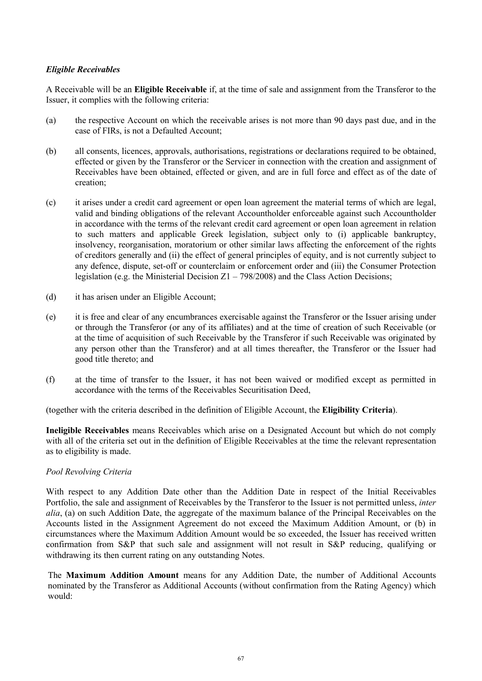# *Eligible Receivables*

A Receivable will be an **Eligible Receivable** if, at the time of sale and assignment from the Transferor to the Issuer, it complies with the following criteria:

- (a) the respective Account on which the receivable arises is not more than 90 days past due, and in the case of FIRs, is not a Defaulted Account;
- (b) all consents, licences, approvals, authorisations, registrations or declarations required to be obtained, effected or given by the Transferor or the Servicer in connection with the creation and assignment of Receivables have been obtained, effected or given, and are in full force and effect as of the date of creation;
- (c) it arises under a credit card agreement or open loan agreement the material terms of which are legal, valid and binding obligations of the relevant Accountholder enforceable against such Accountholder in accordance with the terms of the relevant credit card agreement or open loan agreement in relation to such matters and applicable Greek legislation, subject only to (i) applicable bankruptcy, insolvency, reorganisation, moratorium or other similar laws affecting the enforcement of the rights of creditors generally and (ii) the effect of general principles of equity, and is not currently subject to any defence, dispute, set-off or counterclaim or enforcement order and (iii) the Consumer Protection legislation (e.g. the Ministerial Decision  $Z_1 - 798/2008$ ) and the Class Action Decisions;
- (d) it has arisen under an Eligible Account;
- (e) it is free and clear of any encumbrances exercisable against the Transferor or the Issuer arising under or through the Transferor (or any of its affiliates) and at the time of creation of such Receivable (or at the time of acquisition of such Receivable by the Transferor if such Receivable was originated by any person other than the Transferor) and at all times thereafter, the Transferor or the Issuer had good title thereto; and
- (f) at the time of transfer to the Issuer, it has not been waived or modified except as permitted in accordance with the terms of the Receivables Securitisation Deed,

(together with the criteria described in the definition of Eligible Account, the **Eligibility Criteria**).

**Ineligible Receivables** means Receivables which arise on a Designated Account but which do not comply with all of the criteria set out in the definition of Eligible Receivables at the time the relevant representation as to eligibility is made.

## *Pool Revolving Criteria*

With respect to any Addition Date other than the Addition Date in respect of the Initial Receivables Portfolio, the sale and assignment of Receivables by the Transferor to the Issuer is not permitted unless, *inter alia*, (a) on such Addition Date, the aggregate of the maximum balance of the Principal Receivables on the Accounts listed in the Assignment Agreement do not exceed the Maximum Addition Amount, or (b) in circumstances where the Maximum Addition Amount would be so exceeded, the Issuer has received written confirmation from S&P that such sale and assignment will not result in S&P reducing, qualifying or withdrawing its then current rating on any outstanding Notes.

The **Maximum Addition Amount** means for any Addition Date, the number of Additional Accounts nominated by the Transferor as Additional Accounts (without confirmation from the Rating Agency) which would: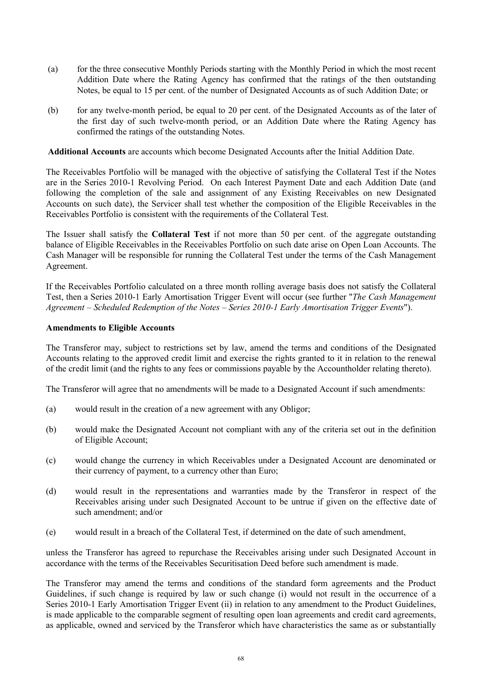- (a) for the three consecutive Monthly Periods starting with the Monthly Period in which the most recent Addition Date where the Rating Agency has confirmed that the ratings of the then outstanding Notes, be equal to 15 per cent. of the number of Designated Accounts as of such Addition Date; or
- (b) for any twelve-month period, be equal to 20 per cent. of the Designated Accounts as of the later of the first day of such twelve-month period, or an Addition Date where the Rating Agency has confirmed the ratings of the outstanding Notes.

**Additional Accounts** are accounts which become Designated Accounts after the Initial Addition Date.

The Receivables Portfolio will be managed with the objective of satisfying the Collateral Test if the Notes are in the Series 2010-1 Revolving Period. On each Interest Payment Date and each Addition Date (and following the completion of the sale and assignment of any Existing Receivables on new Designated Accounts on such date), the Servicer shall test whether the composition of the Eligible Receivables in the Receivables Portfolio is consistent with the requirements of the Collateral Test.

The Issuer shall satisfy the **Collateral Test** if not more than 50 per cent. of the aggregate outstanding balance of Eligible Receivables in the Receivables Portfolio on such date arise on Open Loan Accounts. The Cash Manager will be responsible for running the Collateral Test under the terms of the Cash Management Agreement.

If the Receivables Portfolio calculated on a three month rolling average basis does not satisfy the Collateral Test, then a Series 2010-1 Early Amortisation Trigger Event will occur (see further "*The Cash Management Agreement* – *Scheduled Redemption of the Notes* – *Series 2010-1 Early Amortisation Trigger Events*").

# **Amendments to Eligible Accounts**

The Transferor may, subject to restrictions set by law, amend the terms and conditions of the Designated Accounts relating to the approved credit limit and exercise the rights granted to it in relation to the renewal of the credit limit (and the rights to any fees or commissions payable by the Accountholder relating thereto).

The Transferor will agree that no amendments will be made to a Designated Account if such amendments:

- (a) would result in the creation of a new agreement with any Obligor;
- (b) would make the Designated Account not compliant with any of the criteria set out in the definition of Eligible Account;
- (c) would change the currency in which Receivables under a Designated Account are denominated or their currency of payment, to a currency other than Euro;
- (d) would result in the representations and warranties made by the Transferor in respect of the Receivables arising under such Designated Account to be untrue if given on the effective date of such amendment; and/or
- (e) would result in a breach of the Collateral Test, if determined on the date of such amendment,

unless the Transferor has agreed to repurchase the Receivables arising under such Designated Account in accordance with the terms of the Receivables Securitisation Deed before such amendment is made.

The Transferor may amend the terms and conditions of the standard form agreements and the Product Guidelines, if such change is required by law or such change (i) would not result in the occurrence of a Series 2010-1 Early Amortisation Trigger Event (ii) in relation to any amendment to the Product Guidelines, is made applicable to the comparable segment of resulting open loan agreements and credit card agreements, as applicable, owned and serviced by the Transferor which have characteristics the same as or substantially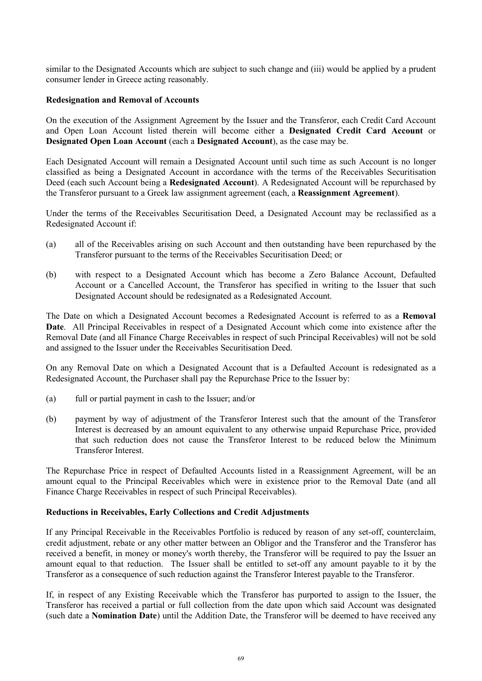similar to the Designated Accounts which are subject to such change and (iii) would be applied by a prudent consumer lender in Greece acting reasonably.

#### **Redesignation and Removal of Accounts**

On the execution of the Assignment Agreement by the Issuer and the Transferor, each Credit Card Account and Open Loan Account listed therein will become either a **Designated Credit Card Account** or **Designated Open Loan Account** (each a **Designated Account**), as the case may be.

Each Designated Account will remain a Designated Account until such time as such Account is no longer classified as being a Designated Account in accordance with the terms of the Receivables Securitisation Deed (each such Account being a **Redesignated Account**). A Redesignated Account will be repurchased by the Transferor pursuant to a Greek law assignment agreement (each, a **Reassignment Agreement**).

Under the terms of the Receivables Securitisation Deed, a Designated Account may be reclassified as a Redesignated Account if:

- (a) all of the Receivables arising on such Account and then outstanding have been repurchased by the Transferor pursuant to the terms of the Receivables Securitisation Deed; or
- (b) with respect to a Designated Account which has become a Zero Balance Account, Defaulted Account or a Cancelled Account, the Transferor has specified in writing to the Issuer that such Designated Account should be redesignated as a Redesignated Account.

The Date on which a Designated Account becomes a Redesignated Account is referred to as a **Removal Date**. All Principal Receivables in respect of a Designated Account which come into existence after the Removal Date (and all Finance Charge Receivables in respect of such Principal Receivables) will not be sold and assigned to the Issuer under the Receivables Securitisation Deed.

On any Removal Date on which a Designated Account that is a Defaulted Account is redesignated as a Redesignated Account, the Purchaser shall pay the Repurchase Price to the Issuer by:

- (a) full or partial payment in cash to the Issuer; and/or
- (b) payment by way of adjustment of the Transferor Interest such that the amount of the Transferor Interest is decreased by an amount equivalent to any otherwise unpaid Repurchase Price, provided that such reduction does not cause the Transferor Interest to be reduced below the Minimum Transferor Interest.

The Repurchase Price in respect of Defaulted Accounts listed in a Reassignment Agreement, will be an amount equal to the Principal Receivables which were in existence prior to the Removal Date (and all Finance Charge Receivables in respect of such Principal Receivables).

## **Reductions in Receivables, Early Collections and Credit Adjustments**

If any Principal Receivable in the Receivables Portfolio is reduced by reason of any set-off, counterclaim, credit adjustment, rebate or any other matter between an Obligor and the Transferor and the Transferor has received a benefit, in money or money's worth thereby, the Transferor will be required to pay the Issuer an amount equal to that reduction. The Issuer shall be entitled to set-off any amount payable to it by the Transferor as a consequence of such reduction against the Transferor Interest payable to the Transferor.

If, in respect of any Existing Receivable which the Transferor has purported to assign to the Issuer, the Transferor has received a partial or full collection from the date upon which said Account was designated (such date a **Nomination Date**) until the Addition Date, the Transferor will be deemed to have received any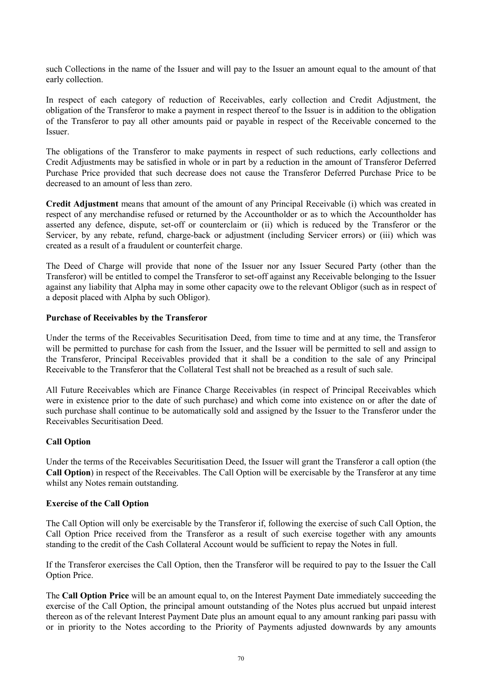such Collections in the name of the Issuer and will pay to the Issuer an amount equal to the amount of that early collection.

In respect of each category of reduction of Receivables, early collection and Credit Adjustment, the obligation of the Transferor to make a payment in respect thereof to the Issuer is in addition to the obligation of the Transferor to pay all other amounts paid or payable in respect of the Receivable concerned to the Issuer.

The obligations of the Transferor to make payments in respect of such reductions, early collections and Credit Adjustments may be satisfied in whole or in part by a reduction in the amount of Transferor Deferred Purchase Price provided that such decrease does not cause the Transferor Deferred Purchase Price to be decreased to an amount of less than zero.

**Credit Adjustment** means that amount of the amount of any Principal Receivable (i) which was created in respect of any merchandise refused or returned by the Accountholder or as to which the Accountholder has asserted any defence, dispute, set-off or counterclaim or (ii) which is reduced by the Transferor or the Servicer, by any rebate, refund, charge-back or adjustment (including Servicer errors) or (iii) which was created as a result of a fraudulent or counterfeit charge.

The Deed of Charge will provide that none of the Issuer nor any Issuer Secured Party (other than the Transferor) will be entitled to compel the Transferor to set-off against any Receivable belonging to the Issuer against any liability that Alpha may in some other capacity owe to the relevant Obligor (such as in respect of a deposit placed with Alpha by such Obligor).

#### **Purchase of Receivables by the Transferor**

Under the terms of the Receivables Securitisation Deed, from time to time and at any time, the Transferor will be permitted to purchase for cash from the Issuer, and the Issuer will be permitted to sell and assign to the Transferor, Principal Receivables provided that it shall be a condition to the sale of any Principal Receivable to the Transferor that the Collateral Test shall not be breached as a result of such sale.

All Future Receivables which are Finance Charge Receivables (in respect of Principal Receivables which were in existence prior to the date of such purchase) and which come into existence on or after the date of such purchase shall continue to be automatically sold and assigned by the Issuer to the Transferor under the Receivables Securitisation Deed.

## **Call Option**

Under the terms of the Receivables Securitisation Deed, the Issuer will grant the Transferor a call option (the **Call Option**) in respect of the Receivables. The Call Option will be exercisable by the Transferor at any time whilst any Notes remain outstanding.

#### **Exercise of the Call Option**

The Call Option will only be exercisable by the Transferor if, following the exercise of such Call Option, the Call Option Price received from the Transferor as a result of such exercise together with any amounts standing to the credit of the Cash Collateral Account would be sufficient to repay the Notes in full.

If the Transferor exercises the Call Option, then the Transferor will be required to pay to the Issuer the Call Option Price.

The **Call Option Price** will be an amount equal to, on the Interest Payment Date immediately succeeding the exercise of the Call Option, the principal amount outstanding of the Notes plus accrued but unpaid interest thereon as of the relevant Interest Payment Date plus an amount equal to any amount ranking pari passu with or in priority to the Notes according to the Priority of Payments adjusted downwards by any amounts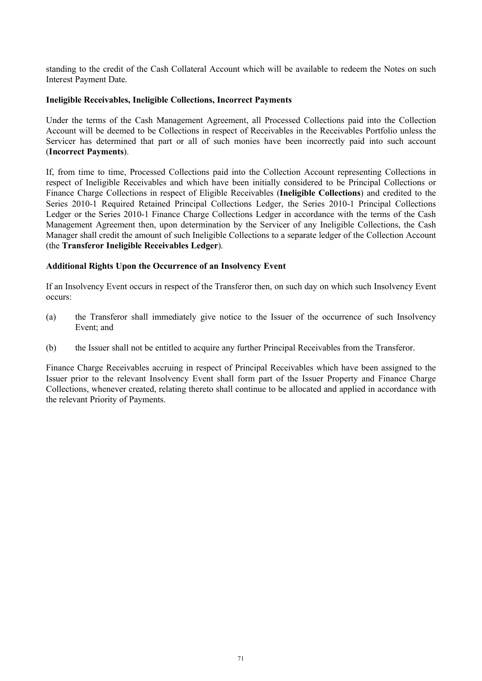standing to the credit of the Cash Collateral Account which will be available to redeem the Notes on such Interest Payment Date.

#### **Ineligible Receivables, Ineligible Collections, Incorrect Payments**

Under the terms of the Cash Management Agreement, all Processed Collections paid into the Collection Account will be deemed to be Collections in respect of Receivables in the Receivables Portfolio unless the Servicer has determined that part or all of such monies have been incorrectly paid into such account (**Incorrect Payments**).

If, from time to time, Processed Collections paid into the Collection Account representing Collections in respect of Ineligible Receivables and which have been initially considered to be Principal Collections or Finance Charge Collections in respect of Eligible Receivables (**Ineligible Collections**) and credited to the Series 2010-1 Required Retained Principal Collections Ledger, the Series 2010-1 Principal Collections Ledger or the Series 2010-1 Finance Charge Collections Ledger in accordance with the terms of the Cash Management Agreement then, upon determination by the Servicer of any Ineligible Collections, the Cash Manager shall credit the amount of such Ineligible Collections to a separate ledger of the Collection Account (the **Transferor Ineligible Receivables Ledger**).

#### **Additional Rights Upon the Occurrence of an Insolvency Event**

If an Insolvency Event occurs in respect of the Transferor then, on such day on which such Insolvency Event occurs:

- (a) the Transferor shall immediately give notice to the Issuer of the occurrence of such Insolvency Event; and
- (b) the Issuer shall not be entitled to acquire any further Principal Receivables from the Transferor.

Finance Charge Receivables accruing in respect of Principal Receivables which have been assigned to the Issuer prior to the relevant Insolvency Event shall form part of the Issuer Property and Finance Charge Collections, whenever created, relating thereto shall continue to be allocated and applied in accordance with the relevant Priority of Payments.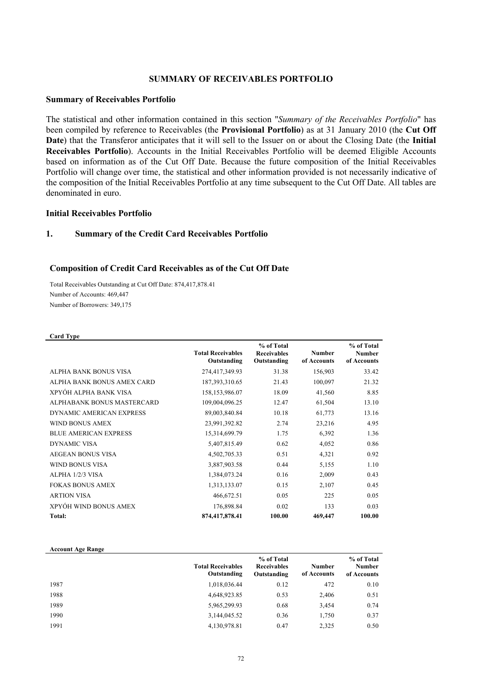#### **SUMMARY OF RECEIVABLES PORTFOLIO**

#### **Summary of Receivables Portfolio**

The statistical and other information contained in this section "*Summary of the Receivables Portfolio*" has been compiled by reference to Receivables (the **Provisional Portfolio**) as at 31 January 2010 (the **Cut Off Date**) that the Transferor anticipates that it will sell to the Issuer on or about the Closing Date (the **Initial Receivables Portfolio**). Accounts in the Initial Receivables Portfolio will be deemed Eligible Accounts based on information as of the Cut Off Date. Because the future composition of the Initial Receivables Portfolio will change over time, the statistical and other information provided is not necessarily indicative of the composition of the Initial Receivables Portfolio at any time subsequent to the Cut Off Date. All tables are denominated in euro.

#### **Initial Receivables Portfolio**

#### **1. Summary of the Credit Card Receivables Portfolio**

#### **Composition of Credit Card Receivables as of the Cut Off Date**

Total Receivables Outstanding at Cut Off Date: 874,417,878.41 Number of Accounts: 469,447 Number of Borrowers: 349,175

| <b>Card Type</b>             |                                         |                                                 |                              |                                            |
|------------------------------|-----------------------------------------|-------------------------------------------------|------------------------------|--------------------------------------------|
|                              | <b>Total Receivables</b><br>Outstanding | % of Total<br><b>Receivables</b><br>Outstanding | <b>Number</b><br>of Accounts | % of Total<br><b>Number</b><br>of Accounts |
| ALPHA BANK BONUS VISA        | 274,417,349.93                          | 31.38                                           | 156,903                      | 33.42                                      |
| ALPHA BANK BONUS AMEX CARD   | 187, 393, 310.65                        | 21.43                                           | 100,097                      | 21.32                                      |
| XPYÓH ALPHA BANK VISA        | 158, 153, 986.07                        | 18.09                                           | 41,560                       | 8.85                                       |
| ALPHABANK BONUS MASTERCARD   | 109,004,096.25                          | 12.47                                           | 61,504                       | 13.10                                      |
| DYNAMIC AMERICAN EXPRESS     | 89,003,840.84                           | 10.18                                           | 61,773                       | 13.16                                      |
| <b>WIND BONUS AMEX</b>       | 23,991,392.82                           | 2.74                                            | 23,216                       | 4.95                                       |
| <b>BLUE AMERICAN EXPRESS</b> | 15,314,699.79                           | 1.75                                            | 6,392                        | 1.36                                       |
| <b>DYNAMIC VISA</b>          | 5,407,815.49                            | 0.62                                            | 4,052                        | 0.86                                       |
| <b>AEGEAN BONUS VISA</b>     | 4,502,705.33                            | 0.51                                            | 4,321                        | 0.92                                       |
| <b>WIND BONUS VISA</b>       | 3,887,903.58                            | 0.44                                            | 5,155                        | 1.10                                       |
| ALPHA 1/2/3 VISA             | 1,384,073.24                            | 0.16                                            | 2,009                        | 0.43                                       |
| <b>FOKAS BONUS AMEX</b>      | 1,313,133.07                            | 0.15                                            | 2,107                        | 0.45                                       |
| <b>ARTION VISA</b>           | 466,672.51                              | 0.05                                            | 225                          | 0.05                                       |
| XPYÓH WIND BONUS AMEX        | 176,898.84                              | 0.02                                            | 133                          | 0.03                                       |
| Total:                       | 874,417,878.41                          | 100.00                                          | 469,447                      | 100.00                                     |

#### **Account Age Range**

|      | <b>Total Receivables</b><br>Outstanding | % of Total<br><b>Receivables</b><br>Outstanding | <b>Number</b><br>of Accounts | % of Total<br><b>Number</b><br>of Accounts |
|------|-----------------------------------------|-------------------------------------------------|------------------------------|--------------------------------------------|
| 1987 | 1,018,036.44                            | 0.12                                            | 472                          | 0.10                                       |
| 1988 | 4,648,923.85                            | 0.53                                            | 2.406                        | 0.51                                       |
| 1989 | 5,965,299.93                            | 0.68                                            | 3,454                        | 0.74                                       |
| 1990 | 3,144,045.52                            | 0.36                                            | 1,750                        | 0.37                                       |
| 1991 | 4,130,978.81                            | 0.47                                            | 2,325                        | 0.50                                       |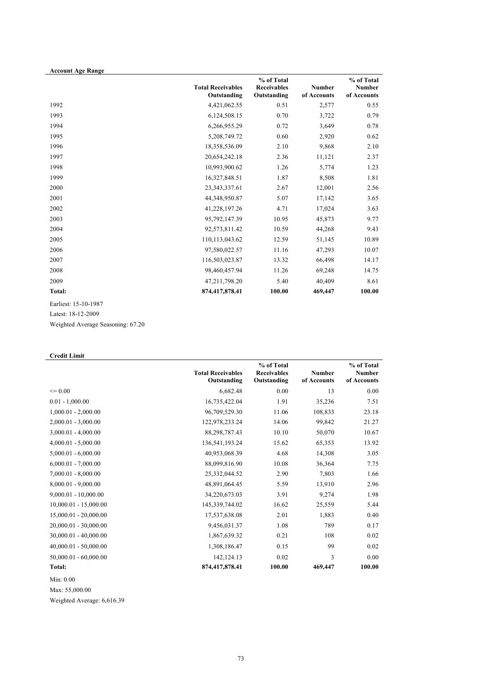| <b>Account Age Range</b> |                                         |                                                 |                              |                                            |
|--------------------------|-----------------------------------------|-------------------------------------------------|------------------------------|--------------------------------------------|
|                          | <b>Total Receivables</b><br>Outstanding | % of Total<br><b>Receivables</b><br>Outstanding | <b>Number</b><br>of Accounts | % of Total<br><b>Number</b><br>of Accounts |
| 1992                     | 4,421,062.55                            | 0.51                                            | 2,577                        | 0.55                                       |
| 1993                     | 6,124,508.15                            | 0.70                                            | 3,722                        | 0.79                                       |
| 1994                     | 6,266,955.29                            | 0.72                                            | 3,649                        | 0.78                                       |
| 1995                     | 5,208,749.72                            | 0.60                                            | 2,920                        | 0.62                                       |
| 1996                     | 18,358,536.09                           | 2.10                                            | 9,868                        | 2.10                                       |
| 1997                     | 20,654,242.18                           | 2.36                                            | 11,121                       | 2.37                                       |
| 1998                     | 10,993,900.62                           | 1.26                                            | 5,774                        | 1.23                                       |
| 1999                     | 16,327,848.51                           | 1.87                                            | 8,508                        | 1.81                                       |
| 2000                     | 23, 343, 337. 61                        | 2.67                                            | 12,001                       | 2.56                                       |
| 2001                     | 44,348,950.87                           | 5.07                                            | 17,142                       | 3.65                                       |
| 2002                     | 41,228,197.26                           | 4.71                                            | 17,024                       | 3.63                                       |
| 2003                     | 95,792,147.39                           | 10.95                                           | 45,873                       | 9.77                                       |
| 2004                     | 92,573,811.42                           | 10.59                                           | 44,268                       | 9.43                                       |
| 2005                     | 110,113,043.62                          | 12.59                                           | 51,145                       | 10.89                                      |
| 2006                     | 97,580,022.57                           | 11.16                                           | 47,293                       | 10.07                                      |
| 2007                     | 116,503,023.87                          | 13.32                                           | 66,498                       | 14.17                                      |
| 2008                     | 98,460,457.94                           | 11.26                                           | 69,248                       | 14.75                                      |
| 2009                     | 47,211,798.20                           | 5.40                                            | 40,409                       | 8.61                                       |
| Total:                   | 874,417,878.41                          | 100.00                                          | 469,447                      | 100.00                                     |

Earliest: 15-10-1987

Latest: 18-12-2009

Weighted Average Seasoning: 67.20

# **Credit Limit**

|                            | <b>Total Receivables</b><br>Outstanding | % of Total<br><b>Receivables</b><br>Outstanding | <b>Number</b><br>of Accounts | % of Total<br><b>Number</b><br>of Accounts |
|----------------------------|-----------------------------------------|-------------------------------------------------|------------------------------|--------------------------------------------|
| $\leq 0.00$                | 6,682.48                                | 0.00                                            | 13                           | 0.00                                       |
| $0.01 - 1,000.00$          | 16,735,422.04                           | 1.91                                            | 35,236                       | 7.51                                       |
| $1,000.01 - 2,000.00$      | 96,709,529.30                           | 11.06                                           | 108,833                      | 23.18                                      |
| $2,000.01 - 3,000.00$      | 122,978,233.24                          | 14.06                                           | 99,842                       | 21.27                                      |
| $3,000.01 - 4,000.00$      | 88,298,787.43                           | 10.10                                           | 50,070                       | 10.67                                      |
| $4,000.01 - 5,000.00$      | 136,541,193.24                          | 15.62                                           | 65,353                       | 13.92                                      |
| $5,000.01 - 6,000.00$      | 40,953,068.39                           | 4.68                                            | 14,308                       | 3.05                                       |
| $6,000.01 - 7,000.00$      | 88,099,816.90                           | 10.08                                           | 36,364                       | 7.75                                       |
| $7,000.01 - 8,000.00$      | 25,332,044.52                           | 2.90                                            | 7,803                        | 1.66                                       |
| $8,000.01 - 9,000.00$      | 48,891,064.45                           | 5.59                                            | 13,910                       | 2.96                                       |
| $9,000.01 - 10,000.00$     | 34,220,673.03                           | 3.91                                            | 9,274                        | 1.98                                       |
| $10,000.01 - 15,000.00$    | 145,339,744.02                          | 16.62                                           | 25,559                       | 5.44                                       |
| $15,000.01 - 20,000.00$    | 17,537,638.08                           | 2.01                                            | 1,883                        | 0.40                                       |
| 20,000.01 - 30,000.00      | 9,456,031.37                            | 1.08                                            | 789                          | 0.17                                       |
| $30,000.01 - 40,000.00$    | 1,867,639.32                            | 0.21                                            | 108                          | 0.02                                       |
| $40,000.01 - 50,000.00$    | 1,308,186.47                            | 0.15                                            | 99                           | 0.02                                       |
| $50,000.01 - 60,000.00$    | 142, 124. 13                            | 0.02                                            | 3                            | 0.00                                       |
| <b>Total:</b><br>Min: 0.00 | 874,417,878.41                          | 100.00                                          | 469,447                      | 100.00                                     |

Max: 55,000.00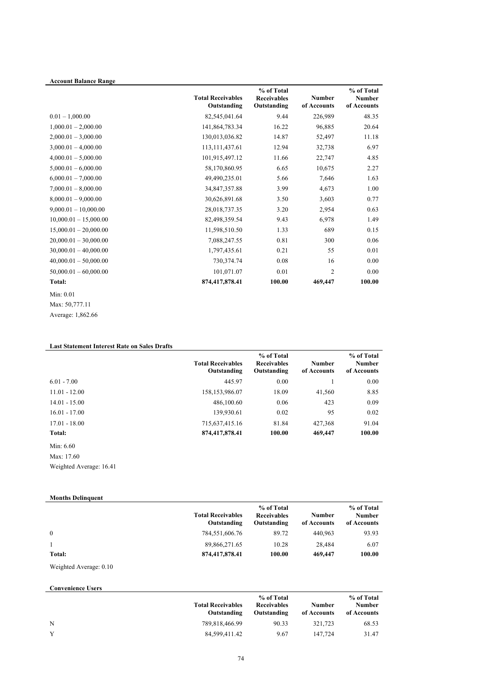| <b>Account Balance Range</b> |                                         | % of Total                        |                              | % of Total                   |
|------------------------------|-----------------------------------------|-----------------------------------|------------------------------|------------------------------|
|                              | <b>Total Receivables</b><br>Outstanding | <b>Receivables</b><br>Outstanding | <b>Number</b><br>of Accounts | <b>Number</b><br>of Accounts |
| $0.01 - 1,000.00$            | 82,545,041.64                           | 9.44                              | 226,989                      | 48.35                        |
| $1,000.01 - 2,000.00$        | 141,864,783.34                          | 16.22                             | 96,885                       | 20.64                        |
| $2,000.01 - 3,000.00$        | 130,013,036.82                          | 14.87                             | 52,497                       | 11.18                        |
| $3,000.01 - 4,000.00$        | 113, 111, 437. 61                       | 12.94                             | 32,738                       | 6.97                         |
| $4,000.01 - 5,000.00$        | 101,915,497.12                          | 11.66                             | 22,747                       | 4.85                         |
| $5,000.01 - 6,000.00$        | 58,170,860.95                           | 6.65                              | 10,675                       | 2.27                         |
| $6,000.01 - 7,000.00$        | 49,490,235.01                           | 5.66                              | 7,646                        | 1.63                         |
| $7,000.01 - 8,000.00$        | 34,847,357.88                           | 3.99                              | 4,673                        | 1.00                         |
| $8,000.01 - 9,000.00$        | 30,626,891.68                           | 3.50                              | 3,603                        | 0.77                         |
| $9,000.01 - 10,000.00$       | 28,018,737.35                           | 3.20                              | 2,954                        | 0.63                         |
| $10,000.01 - 15,000.00$      | 82,498,359.54                           | 9.43                              | 6,978                        | 1.49                         |
| $15,000.01 - 20,000.00$      | 11,598,510.50                           | 1.33                              | 689                          | 0.15                         |
| $20,000.01 - 30,000.00$      | 7,088,247.55                            | 0.81                              | 300                          | 0.06                         |
| $30,000.01 - 40,000.00$      | 1,797,435.61                            | 0.21                              | 55                           | 0.01                         |
| $40,000.01 - 50,000.00$      | 730,374.74                              | 0.08                              | 16                           | 0.00                         |
| $50,000.01 - 60,000.00$      | 101,071.07                              | 0.01                              | $\overline{2}$               | 0.00                         |
| Total:                       | 874,417,878.41                          | 100.00                            | 469,447                      | 100.00                       |
| Min: 0.01                    |                                         |                                   |                              |                              |

Max: 50,777.11

Average: 1,862.66

# **Last Statement Interest Rate on Sales Drafts**

|                 | <b>Total Receivables</b><br>Outstanding | % of Total<br><b>Receivables</b><br>Outstanding | <b>Number</b><br>of Accounts | % of Total<br><b>Number</b><br>of Accounts |
|-----------------|-----------------------------------------|-------------------------------------------------|------------------------------|--------------------------------------------|
| $6.01 - 7.00$   | 445.97                                  | 0.00                                            |                              | 0.00                                       |
| $11.01 - 12.00$ | 158, 153, 986.07                        | 18.09                                           | 41,560                       | 8.85                                       |
| $14.01 - 15.00$ | 486,100.60                              | 0.06                                            | 423                          | 0.09                                       |
| $16.01 - 17.00$ | 139,930.61                              | 0.02                                            | 95                           | 0.02                                       |
| $17.01 - 18.00$ | 715,637,415.16                          | 81.84                                           | 427,368                      | 91.04                                      |
| Total:          | 874,417,878.41                          | 100.00                                          | 469,447                      | 100.00                                     |

# Min: 6.60

Max: 17.60 Weighted Average: 16.41

| <b>Months Delinguent</b> |                                         |                                                 |                              |                                            |
|--------------------------|-----------------------------------------|-------------------------------------------------|------------------------------|--------------------------------------------|
|                          | <b>Total Receivables</b><br>Outstanding | % of Total<br><b>Receivables</b><br>Outstanding | <b>Number</b><br>of Accounts | % of Total<br><b>Number</b><br>of Accounts |
| $\Omega$                 | 784,551,606.76                          | 89.72                                           | 440.963                      | 93.93                                      |
|                          | 89,866,271.65                           | 10.28                                           | 28,484                       | 6.07                                       |
| Total:                   | 874,417,878.41                          | 100.00                                          | 469,447                      | 100.00                                     |

Weighted Average: 0.10

**Convenience Users**

|   | <b>Total Receivables</b><br>Outstanding | % of Total<br><b>Receivables</b><br>Outstanding | Number<br>of Accounts | % of Total<br><b>Number</b><br>of Accounts |
|---|-----------------------------------------|-------------------------------------------------|-----------------------|--------------------------------------------|
| N | 789,818,466.99                          | 90.33                                           | 321.723               | 68.53                                      |
| Y | 84,599,411.42                           | 9.67                                            | 147.724               | 31.47                                      |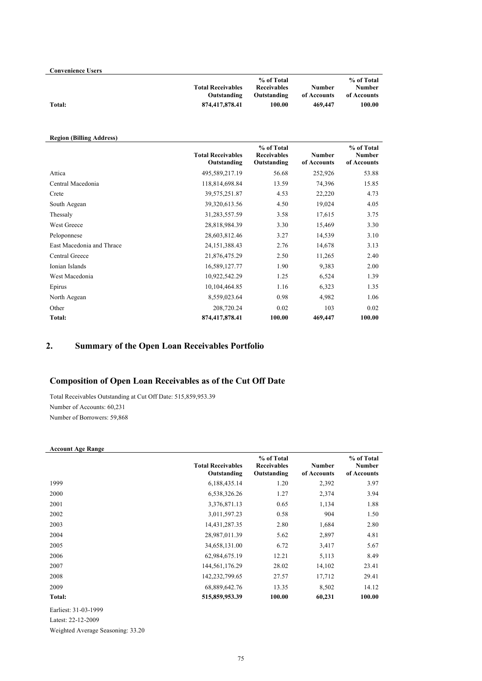| <b>Convenience Users</b> |                                         |                                                 |                              |                                     |
|--------------------------|-----------------------------------------|-------------------------------------------------|------------------------------|-------------------------------------|
|                          | <b>Total Receivables</b><br>Outstanding | % of Total<br><b>Receivables</b><br>Outstanding | <b>Number</b><br>of Accounts | % of Total<br>Number<br>of Accounts |
| <b>Total:</b>            | 874,417,878.41                          | 100.00                                          | 469,447                      | 100.00                              |

#### **Region (Billing Address)**

|                           | <b>Total Receivables</b><br>Outstanding | % of Total<br><b>Receivables</b><br>Outstanding | <b>Number</b><br>of Accounts | % of Total<br><b>Number</b><br>of Accounts |
|---------------------------|-----------------------------------------|-------------------------------------------------|------------------------------|--------------------------------------------|
| Attica                    | 495,589,217.19                          | 56.68                                           | 252,926                      | 53.88                                      |
| Central Macedonia         | 118,814,698.84                          | 13.59                                           | 74,396                       | 15.85                                      |
| Crete                     | 39,575,251.87                           | 4.53                                            | 22,220                       | 4.73                                       |
| South Aegean              | 39,320,613.56                           | 4.50                                            | 19,024                       | 4.05                                       |
| Thessaly                  | 31,283,557.59                           | 3.58                                            | 17,615                       | 3.75                                       |
| <b>West Greece</b>        | 28,818,984.39                           | 3.30                                            | 15,469                       | 3.30                                       |
| Peloponnese               | 28,603,812.46                           | 3.27                                            | 14,539                       | 3.10                                       |
| East Macedonia and Thrace | 24, 151, 388. 43                        | 2.76                                            | 14,678                       | 3.13                                       |
| Central Greece            | 21,876,475.29                           | 2.50                                            | 11,265                       | 2.40                                       |
| Ionian Islands            | 16,589,127.77                           | 1.90                                            | 9,383                        | 2.00                                       |
| West Macedonia            | 10,922,542.29                           | 1.25                                            | 6,524                        | 1.39                                       |
| Epirus                    | 10,104,464.85                           | 1.16                                            | 6,323                        | 1.35                                       |
| North Aegean              | 8,559,023.64                            | 0.98                                            | 4,982                        | 1.06                                       |
| Other                     | 208,720.24                              | 0.02                                            | 103                          | 0.02                                       |
| Total:                    | 874,417,878.41                          | 100.00                                          | 469,447                      | 100.00                                     |

# **2. Summary of the Open Loan Receivables Portfolio**

# **Composition of Open Loan Receivables as of the Cut Off Date**

Total Receivables Outstanding at Cut Off Date: 515,859,953.39 Number of Accounts: 60,231 Number of Borrowers: 59,868

#### **Account Age Range**

|        | <b>Total Receivables</b><br>Outstanding | % of Total<br><b>Receivables</b><br>Outstanding | <b>Number</b><br>of Accounts | % of Total<br><b>Number</b><br>of Accounts |
|--------|-----------------------------------------|-------------------------------------------------|------------------------------|--------------------------------------------|
| 1999   | 6,188,435.14                            | 1.20                                            | 2,392                        | 3.97                                       |
| 2000   | 6,538,326.26                            | 1.27                                            | 2,374                        | 3.94                                       |
| 2001   | 3,376,871.13                            | 0.65                                            | 1,134                        | 1.88                                       |
| 2002   | 3,011,597.23                            | 0.58                                            | 904                          | 1.50                                       |
| 2003   | 14,431,287.35                           | 2.80                                            | 1,684                        | 2.80                                       |
| 2004   | 28,987,011.39                           | 5.62                                            | 2,897                        | 4.81                                       |
| 2005   | 34,658,131.00                           | 6.72                                            | 3,417                        | 5.67                                       |
| 2006   | 62,984,675.19                           | 12.21                                           | 5,113                        | 8.49                                       |
| 2007   | 144,561,176.29                          | 28.02                                           | 14,102                       | 23.41                                      |
| 2008   | 142,232,799.65                          | 27.57                                           | 17,712                       | 29.41                                      |
| 2009   | 68,889,642.76                           | 13.35                                           | 8,502                        | 14.12                                      |
| Total: | 515,859,953.39                          | 100.00                                          | 60,231                       | 100.00                                     |

Earliest: 31-03-1999

Latest: 22-12-2009

Weighted Average Seasoning: 33.20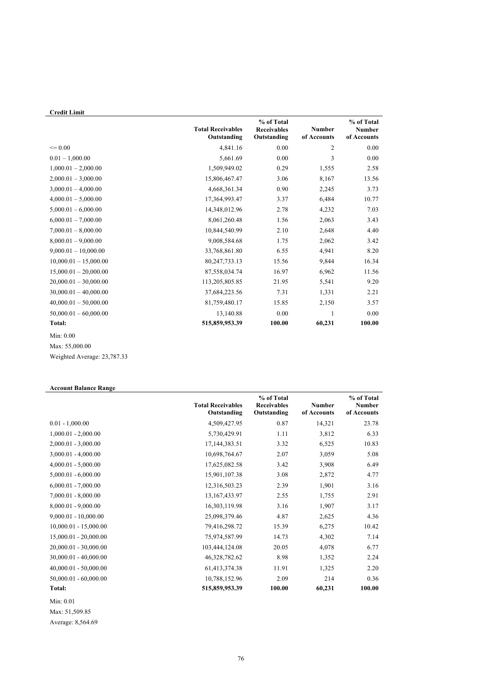# **Credit Limit**

|                         | <b>Total Receivables</b><br>Outstanding | % of Total<br><b>Receivables</b><br>Outstanding | <b>Number</b><br>of Accounts | % of Total<br><b>Number</b><br>of Accounts |
|-------------------------|-----------------------------------------|-------------------------------------------------|------------------------------|--------------------------------------------|
| $\leq 0.00$             | 4,841.16                                | 0.00                                            | $\overline{2}$               | 0.00                                       |
| $0.01 - 1,000.00$       | 5,661.69                                | 0.00                                            | 3                            | 0.00                                       |
| $1,000.01 - 2,000.00$   | 1,509,949.02                            | 0.29                                            | 1,555                        | 2.58                                       |
| $2,000.01 - 3,000.00$   | 15,806,467.47                           | 3.06                                            | 8,167                        | 13.56                                      |
| $3,000.01 - 4,000.00$   | 4,668,361.34                            | 0.90                                            | 2,245                        | 3.73                                       |
| $4,000.01 - 5,000.00$   | 17,364,993.47                           | 3.37                                            | 6,484                        | 10.77                                      |
| $5,000.01 - 6,000.00$   | 14,348,012.96                           | 2.78                                            | 4,232                        | 7.03                                       |
| $6,000.01 - 7,000.00$   | 8,061,260.48                            | 1.56                                            | 2,063                        | 3.43                                       |
| $7,000.01 - 8,000.00$   | 10,844,540.99                           | 2.10                                            | 2,648                        | 4.40                                       |
| $8,000.01 - 9,000.00$   | 9,008,584.68                            | 1.75                                            | 2,062                        | 3.42                                       |
| $9,000.01 - 10,000.00$  | 33,768,861.80                           | 6.55                                            | 4,941                        | 8.20                                       |
| $10,000.01 - 15,000.00$ | 80,247,733.13                           | 15.56                                           | 9,844                        | 16.34                                      |
| $15,000.01 - 20,000.00$ | 87,558,034.74                           | 16.97                                           | 6,962                        | 11.56                                      |
| $20,000.01 - 30,000.00$ | 113,205,805.85                          | 21.95                                           | 5,541                        | 9.20                                       |
| $30,000.01 - 40,000.00$ | 37,684,223.56                           | 7.31                                            | 1,331                        | 2.21                                       |
| $40,000.01 - 50,000.00$ | 81,759,480.17                           | 15.85                                           | 2,150                        | 3.57                                       |
| $50,000.01 - 60,000.00$ | 13,140.88                               | 0.00                                            | $\mathbf{1}$                 | 0.00                                       |
| <b>Total:</b>           | 515,859,953.39                          | 100.00                                          | 60,231                       | 100.00                                     |
| Min: 0.00               |                                         |                                                 |                              |                                            |
| Max: 55,000.00          |                                         |                                                 |                              |                                            |

Weighted Average: 23,787.33

#### **Account Balance Range**

|                         | <b>Total Receivables</b><br>Outstanding | % of Total<br><b>Receivables</b><br>Outstanding | <b>Number</b><br>of Accounts | % of Total<br><b>Number</b><br>of Accounts |
|-------------------------|-----------------------------------------|-------------------------------------------------|------------------------------|--------------------------------------------|
| $0.01 - 1,000.00$       | 4,509,427.95                            | 0.87                                            | 14,321                       | 23.78                                      |
| $1,000.01 - 2,000.00$   | 5,730,429.91                            | 1.11                                            | 3,812                        | 6.33                                       |
| $2,000.01 - 3,000.00$   | 17, 144, 383. 51                        | 3.32                                            | 6,525                        | 10.83                                      |
| $3,000.01 - 4,000.00$   | 10,698,764.67                           | 2.07                                            | 3,059                        | 5.08                                       |
| $4,000.01 - 5,000.00$   | 17,625,082.58                           | 3.42                                            | 3,908                        | 6.49                                       |
| $5,000.01 - 6,000.00$   | 15,901,107.38                           | 3.08                                            | 2,872                        | 4.77                                       |
| $6,000.01 - 7,000.00$   | 12,316,503.23                           | 2.39                                            | 1,901                        | 3.16                                       |
| $7,000.01 - 8,000.00$   | 13,167,433.97                           | 2.55                                            | 1,755                        | 2.91                                       |
| $8,000.01 - 9,000.00$   | 16,303,119.98                           | 3.16                                            | 1,907                        | 3.17                                       |
| $9,000.01 - 10,000.00$  | 25,098,379.46                           | 4.87                                            | 2,625                        | 4.36                                       |
| $10,000.01 - 15,000.00$ | 79,416,298.72                           | 15.39                                           | 6,275                        | 10.42                                      |
| $15,000.01 - 20,000.00$ | 75,974,587.99                           | 14.73                                           | 4,302                        | 7.14                                       |
| $20,000.01 - 30,000.00$ | 103,444,124.08                          | 20.05                                           | 4,078                        | 6.77                                       |
| $30,000.01 - 40,000.00$ | 46,328,782.62                           | 8.98                                            | 1,352                        | 2.24                                       |
| $40,000.01 - 50,000.00$ | 61,413,374.38                           | 11.91                                           | 1,325                        | 2.20                                       |
| $50,000.01 - 60,000.00$ | 10,788,152.96                           | 2.09                                            | 214                          | 0.36                                       |
| <b>Total:</b>           | 515,859,953.39                          | 100.00                                          | 60,231                       | 100.00                                     |

Min: 0.01

Max: 51,509.85

Average: 8,564.69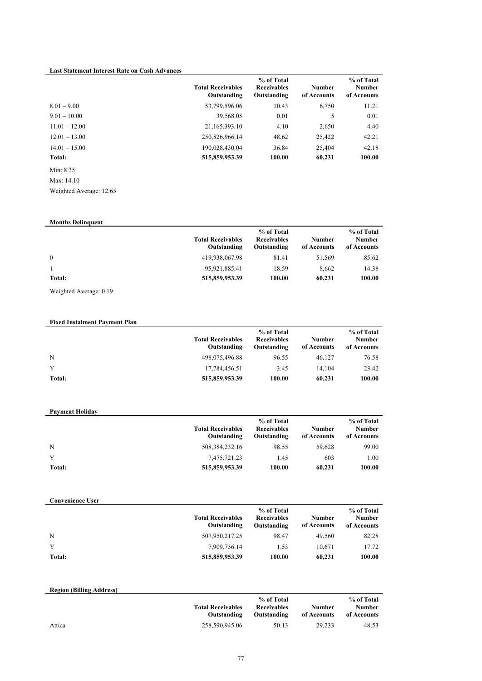#### **Last Statement Interest Rate on Cash Advances**

|                 | <b>Total Receivables</b><br>Outstanding | % of Total<br><b>Receivables</b><br>Outstanding | <b>Number</b><br>of Accounts | % of Total<br><b>Number</b><br>of Accounts |
|-----------------|-----------------------------------------|-------------------------------------------------|------------------------------|--------------------------------------------|
| $8.01 - 9.00$   | 53,799,596.06                           | 10.43                                           | 6,750                        | 11.21                                      |
| $9.01 - 10.00$  | 39,568.05                               | 0.01                                            | 5                            | 0.01                                       |
| $11.01 - 12.00$ | 21,165,393.10                           | 4.10                                            | 2,650                        | 4.40                                       |
| $12.01 - 13.00$ | 250,826,966.14                          | 48.62                                           | 25,422                       | 42.21                                      |
| $14.01 - 15.00$ | 190,028,430.04                          | 36.84                                           | 25,404                       | 42.18                                      |
| Total:          | 515,859,953.39                          | 100.00                                          | 60,231                       | 100.00                                     |

Min: 8.35 Max: 14.10 Weighted Average: 12.65

**Months Delinquent Total Receivables Outstanding % of Total Receivables Outstanding Number of Accounts % of Total Number of Accounts** 0 419,938,067.98 81.41 51,569 85.62 1 95,921,885.41 18.59 8,662 14.38 **Total: 515,859,953.39 100.00 60,231 100.00**

Weighted Average: 0.19

#### **Fixed Instalment Payment Plan Total Receivables Outstanding % of Total Receivables Outstanding Number of Accounts % of Total Number of Accounts** N 498,075,496.88 96.55 46,127 76.58 Y 17,784,456.51 3.45 14,104 23.42 **Total: 515,859,953.39 100.00 60,231 100.00**

| <b>Payment Holiday</b> |                                         |                                                 |                       |                                     |
|------------------------|-----------------------------------------|-------------------------------------------------|-----------------------|-------------------------------------|
|                        | <b>Total Receivables</b><br>Outstanding | % of Total<br><b>Receivables</b><br>Outstanding | Number<br>of Accounts | % of Total<br>Number<br>of Accounts |
| N                      | 508, 384, 232, 16                       | 98.55                                           | 59.628                | 99.00                               |
| Y                      | 7,475,721.23                            | 1.45                                            | 603                   | 1.00                                |
| Total:                 | 515,859,953.39                          | 100.00                                          | 60,231                | 100.00                              |

|        | <b>Total Receivables</b><br>Outstanding | % of Total<br><b>Receivables</b><br>Outstanding | Number<br>of Accounts | % of Total<br>Number<br>of Accounts |
|--------|-----------------------------------------|-------------------------------------------------|-----------------------|-------------------------------------|
| N      | 507,950,217.25                          | 98.47                                           | 49.560                | 82.28                               |
| Y      | 7.909.736.14                            | 1.53                                            | 10.671                | 17.72                               |
| Total: | 515,859,953.39                          | 100.00                                          | 60,231                | 100.00                              |

| <b>Region (Billing Address)</b> |                                         |                                                 |                       |                                            |
|---------------------------------|-----------------------------------------|-------------------------------------------------|-----------------------|--------------------------------------------|
|                                 | <b>Total Receivables</b><br>Outstanding | % of Total<br><b>Receivables</b><br>Outstanding | Number<br>of Accounts | % of Total<br><b>Number</b><br>of Accounts |
| Attica                          | 258,590,945.06                          | 50.13                                           | 29.233                | 48.53                                      |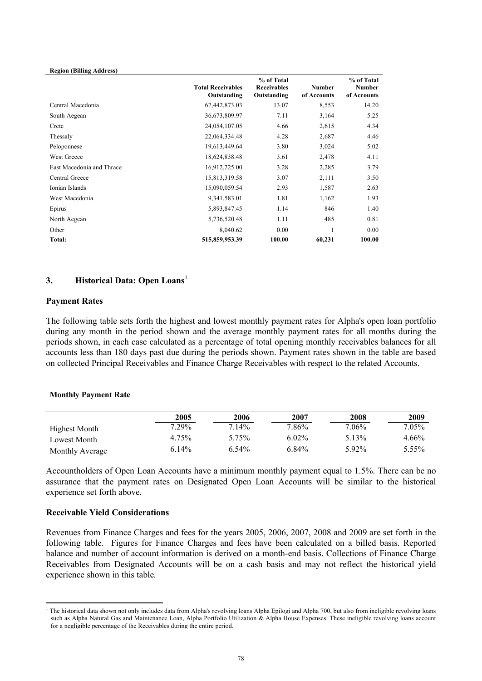| <b>Total Receivables</b><br>Outstanding | % of Total<br><b>Receivables</b><br>Outstanding | <b>Number</b><br>of Accounts | % of Total<br><b>Number</b><br>of Accounts |
|-----------------------------------------|-------------------------------------------------|------------------------------|--------------------------------------------|
| 67,442,873.03                           | 13.07                                           | 8,553                        | 14.20                                      |
| 36,673,809.97                           | 7.11                                            | 3,164                        | 5.25                                       |
| 24,054,107.05                           | 4.66                                            | 2,615                        | 4.34                                       |
| 22,064,334.48                           | 4.28                                            | 2,687                        | 4.46                                       |
| 19,613,449.64                           | 3.80                                            | 3,024                        | 5.02                                       |
| 18,624,838.48                           | 3.61                                            | 2,478                        | 4.11                                       |
| 16,912,225.00                           | 3.28                                            | 2,285                        | 3.79                                       |
| 15,813,319.58                           | 3.07                                            | 2,111                        | 3.50                                       |
| 15,090,059.54                           | 2.93                                            | 1,587                        | 2.63                                       |
| 9,341,583.01                            | 1.81                                            | 1,162                        | 1.93                                       |
| 5,893,847.45                            | 1.14                                            | 846                          | 1.40                                       |
| 5,736,520.48                            | 1.11                                            | 485                          | 0.81                                       |
| 8,040.62                                | 0.00                                            |                              | 0.00                                       |
| 515,859,953.39                          | 100.00                                          | 60,231                       | 100.00                                     |
|                                         |                                                 |                              |                                            |

# **3. Historical Data: Open Loans**<sup>1</sup>

#### **Payment Rates**

The following table sets forth the highest and lowest monthly payment rates for Alpha's open loan portfolio during any month in the period shown and the average monthly payment rates for all months during the periods shown, in each case calculated as a percentage of total opening monthly receivables balances for all accounts less than 180 days past due during the periods shown. Payment rates shown in the table are based on collected Principal Receivables and Finance Charge Receivables with respect to the related Accounts.

#### **Monthly Payment Rate**

|                      | 2005     | 2006     | 2007     | 2008     | 2009     |
|----------------------|----------|----------|----------|----------|----------|
| <b>Highest Month</b> | $7.29\%$ | $7.14\%$ | 7.86%    | $7.06\%$ | $7.05\%$ |
| Lowest Month         | 4.75%    | 5.75%    | $6.02\%$ | 5.13%    | 4.66%    |
| Monthly Average      | 6.14%    | $6.54\%$ | 6.84%    | $5.92\%$ | 5.55%    |

Accountholders of Open Loan Accounts have a minimum monthly payment equal to 1.5%. There can be no assurance that the payment rates on Designated Open Loan Accounts will be similar to the historical experience set forth above.

#### **Receivable Yield Considerations**

Revenues from Finance Charges and fees for the years 2005, 2006, 2007, 2008 and 2009 are set forth in the following table. Figures for Finance Charges and fees have been calculated on a billed basis. Reported balance and number of account information is derived on a month-end basis. Collections of Finance Charge Receivables from Designated Accounts will be on a cash basis and may not reflect the historical yield experience shown in this table.

 $1$  The historical data shown not only includes data from Alpha's revolving loans Alpha Epilogi and Alpha 700, but also from ineligible revolving loans such as Alpha Natural Gas and Maintenance Loan, Alpha Portfolio Utilization & Alpha House Expenses. These ineligible revolving loans account for a negligible percentage of the Receivables during the entire period.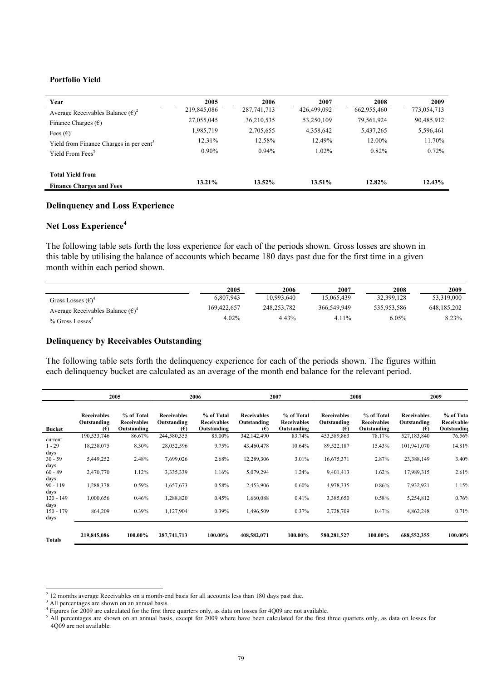#### **Portfolio Yield**

| Year                                                | 2005        | 2006          | 2007        | 2008        | 2009        |
|-----------------------------------------------------|-------------|---------------|-------------|-------------|-------------|
| Average Receivables Balance $(\epsilon)^2$          | 219,845,086 | 287, 741, 713 | 426,499,092 | 662,955,460 | 773,054,713 |
| Finance Charges $(\epsilon)$                        | 27,055,045  | 36,210,535    | 53,250,109  | 79,561,924  | 90,485,912  |
| Fees $(\epsilon)$                                   | 1,985,719   | 2,705,655     | 4,358,642   | 5,437,265   | 5,596,461   |
| Yield from Finance Charges in per cent <sup>3</sup> | 12.31%      | 12.58%        | 12.49%      | 12.00%      | 11.70%      |
| Yield From Fees <sup>3</sup>                        | $0.90\%$    | 0.94%         | $1.02\%$    | 0.82%       | 0.72%       |
| <b>Total Yield from</b>                             |             |               |             |             |             |
| <b>Finance Charges and Fees</b>                     | 13.21%      | 13.52%        | 13.51%      | 12.82%      | 12.43%      |

#### **Delinquency and Loss Experience**

# **Net Loss Experience<sup>4</sup>**

The following table sets forth the loss experience for each of the periods shown. Gross losses are shown in this table by utilising the balance of accounts which became 180 days past due for the first time in a given month within each period shown.

|                                            | 2005        | 2006        | 2007        | 2008        | 2009          |
|--------------------------------------------|-------------|-------------|-------------|-------------|---------------|
| Gross Losses $(\epsilon)^4$                | 6.807.943   | 10.993.640  | 15.065.439  | 32,399,128  | 53,319,000    |
| Average Receivables Balance $(\epsilon)^4$ | 169,422,657 | 248.253.782 | 366.549.949 | 535.953.586 | 648, 185, 202 |
| % Gross Losses                             | $4.02\%$    | 4.43%       | $4.11\%$    | 6.05%       | $8.23\%$      |

#### **Delinquency by Receivables Outstanding**

The following table sets forth the delinquency experience for each of the periods shown. The figures within each delinquency bucket are calculated as an average of the month end balance for the relevant period.

|                     |                                                   | 2005                                            |                                          | 2006                                            |                                          | 2007                                            |                                          | 2008                                            |                                          | 2009                                           |
|---------------------|---------------------------------------------------|-------------------------------------------------|------------------------------------------|-------------------------------------------------|------------------------------------------|-------------------------------------------------|------------------------------------------|-------------------------------------------------|------------------------------------------|------------------------------------------------|
| <b>Bucket</b>       | <b>Receivables</b><br>Outstanding<br>$(\epsilon)$ | % of Total<br><b>Receivables</b><br>Outstanding | <b>Receivables</b><br>Outstanding<br>(E) | % of Total<br><b>Receivables</b><br>Outstanding | <b>Receivables</b><br>Outstanding<br>(E) | % of Total<br><b>Receivables</b><br>Outstanding | <b>Receivables</b><br>Outstanding<br>(E) | % of Total<br><b>Receivables</b><br>Outstanding | <b>Receivables</b><br>Outstanding<br>(E) | % of Tota<br><b>Receivables</b><br>Outstanding |
| current             | 190,533,746                                       | 86.67%                                          | 244,580,355                              | 85.00%                                          | 342,142,490                              | 83.74%                                          | 453,589,863                              | 78.17%                                          | 527,183,840                              | 76.56%                                         |
| $1 - 29$<br>days    | 18,238,075                                        | 8.30%                                           | 28,052,596                               | 9.75%                                           | 43,460,478                               | 10.64%                                          | 89,522,187                               | 15.43%                                          | 101,941,070                              | 14.81%                                         |
| $30 - 59$<br>days   | 5,449,252                                         | 2.48%                                           | 7,699,026                                | 2.68%                                           | 12,289,306                               | 3.01%                                           | 16,675,371                               | 2.87%                                           | 23,388,149                               | 3.40%                                          |
| $60 - 89$<br>days   | 2,470,770                                         | 1.12%                                           | 3,335,339                                | 1.16%                                           | 5,079,294                                | 1.24%                                           | 9,401,413                                | 1.62%                                           | 17,989,315                               | 2.61%                                          |
| $90 - 119$<br>days  | 1,288,378                                         | 0.59%                                           | 1,657,673                                | 0.58%                                           | 2,453,906                                | $0.60\%$                                        | 4,978,335                                | 0.86%                                           | 7,932,921                                | 1.15%                                          |
| $120 - 149$<br>days | 1,000,656                                         | 0.46%                                           | 1,288,820                                | 0.45%                                           | 1,660,088                                | 0.41%                                           | 3,385,650                                | 0.58%                                           | 5,254,812                                | 0.76%                                          |
| $150 - 179$<br>days | 864,209                                           | 0.39%                                           | 1,127,904                                | 0.39%                                           | 1,496,509                                | 0.37%                                           | 2,728,709                                | 0.47%                                           | 4,862,248                                | 0.71%                                          |
| <b>Totals</b>       | 219,845,086                                       | 100.00%                                         | 287,741,713                              | 100.00%                                         | 408,582,071                              | 100.00%                                         | 580,281,527                              | 100.00%                                         | 688,552,355                              | 100.00%                                        |

 $2^{2}$  12 months average Receivables on a month-end basis for all accounts less than 180 days past due.

All percentages are shown on an annual basis.

<sup>4</sup> Figures for 2009 are calculated for the first three quarters only, as data on losses for 4Q09 are not available.

 $5$  All percentages are shown on an annual basis, except for  $2009$  where have been calculated for the first three quarters only, as data on losses for 4Q09 are not available.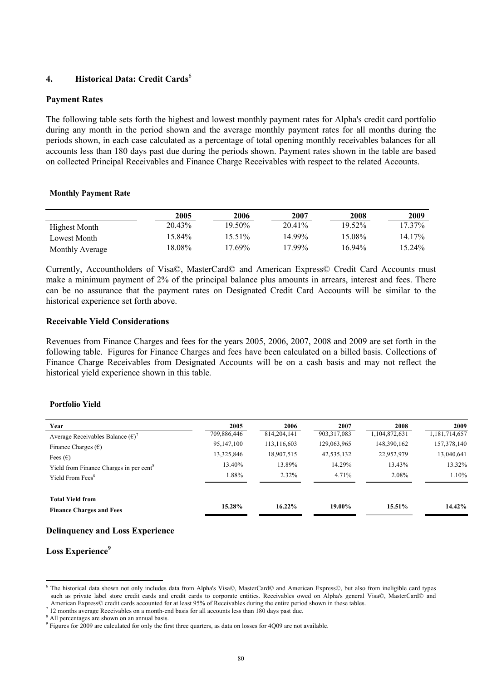# **4. Historical Data: Credit Cards**<sup>6</sup>

## **Payment Rates**

The following table sets forth the highest and lowest monthly payment rates for Alpha's credit card portfolio during any month in the period shown and the average monthly payment rates for all months during the periods shown, in each case calculated as a percentage of total opening monthly receivables balances for all accounts less than 180 days past due during the periods shown. Payment rates shown in the table are based on collected Principal Receivables and Finance Charge Receivables with respect to the related Accounts.

#### **Monthly Payment Rate**

|                        | 2005   | 2006      | 2007   | 2008      | 2009      |
|------------------------|--------|-----------|--------|-----------|-----------|
| Highest Month          | 20.43% | 19.50%    | 20.41% | 19.52%    | $17.37\%$ |
| Lowest Month           | 15.84% | 15.51%    | 14 99% | 15.08%    | 14 17%    |
| <b>Monthly Average</b> | 18.08% | $17.69\%$ | 17.99% | $16.94\%$ | $15.24\%$ |

Currently, Accountholders of Visa©, MasterCard© and American Express© Credit Card Accounts must make a minimum payment of 2% of the principal balance plus amounts in arrears, interest and fees. There can be no assurance that the payment rates on Designated Credit Card Accounts will be similar to the historical experience set forth above.

## **Receivable Yield Considerations**

Revenues from Finance Charges and fees for the years 2005, 2006, 2007, 2008 and 2009 are set forth in the following table. Figures for Finance Charges and fees have been calculated on a billed basis. Collections of Finance Charge Receivables from Designated Accounts will be on a cash basis and may not reflect the historical yield experience shown in this table.

#### **Portfolio Yield**

| Year                                                | 2005        | 2006          | 2007        | 2008          | 2009          |
|-----------------------------------------------------|-------------|---------------|-------------|---------------|---------------|
| Average Receivables Balance $(\epsilon)^{\gamma}$   | 709,886,446 | 814, 204, 141 | 903,317,083 | 1,104,872,631 | 1,181,714,657 |
| Finance Charges $(\epsilon)$                        | 95,147,100  | 113,116,603   | 129,063,965 | 148,390,162   | 157,378,140   |
| Fees $(\epsilon)$                                   | 13,325,846  | 18,907,515    | 42,535,132  | 22,952,979    | 13,040,641    |
| Yield from Finance Charges in per cent <sup>8</sup> | 13.40%      | 13.89%        | 14.29%      | 13.43%        | 13.32%        |
| Yield From Fees <sup>8</sup>                        | 1.88%       | $2.32\%$      | 4.71%       | 2.08%         | 1.10%         |
| <b>Total Yield from</b>                             | 15.28%      | $16.22\%$     | 19.00%      | 15.51%        | 14.42%        |
| <b>Finance Charges and Fees</b>                     |             |               |             |               |               |

# **Delinquency and Loss Experience**

# **Loss Experience<sup>9</sup>**

<sup>6</sup> The historical data shown not only includes data from Alpha's Visa©, MasterCard© and American Express©, but also from ineligible card types such as private label store credit cards and credit cards to corporate entities. Receivables owed on Alpha's general Visa©, MasterCard© and American Express© credit cards accounted for at least 95% of Receivables during the entire period shown in these tables.

<sup>&</sup>lt;sup>7</sup> 12 months average Receivables on a month-end basis for all accounts less than 180 days past due.

<sup>&</sup>lt;sup>8</sup> All percentages are shown on an annual basis.

<sup>&</sup>lt;sup>9</sup> Figures for 2009 are calculated for only the first three quarters, as data on losses for 4Q09 are not available.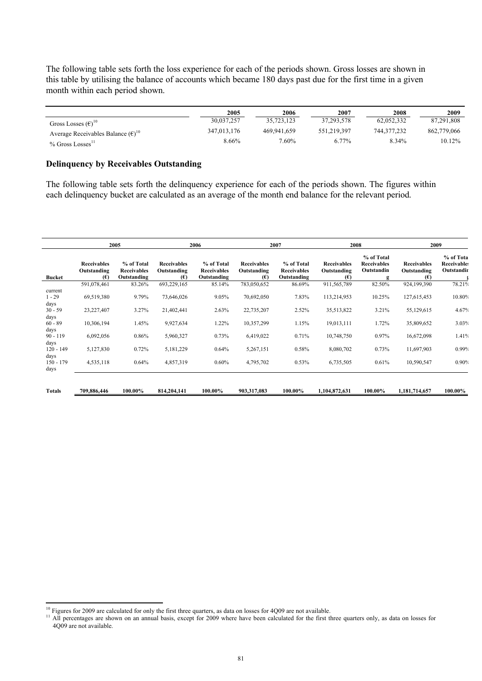The following table sets forth the loss experience for each of the periods shown. Gross losses are shown in this table by utilising the balance of accounts which became 180 days past due for the first time in a given month within each period shown.

|                                                    | 2005        | 2006        | 2007        | 2008        | 2009        |
|----------------------------------------------------|-------------|-------------|-------------|-------------|-------------|
| Gross Losses $(\epsilon)^{10}$                     | 30.037.257  | 35.723.123  | 37.293.578  | 62.052.332  | 87.291.808  |
| Average Receivables Balance $(\epsilon)^{10}$      | 347,013,176 | 469.941.659 | 551.219.397 | 744.377.232 | 862.779.066 |
| $%$ Gross Losses <sup><math>\text{II}</math></sup> | 8.66%       | 7.60%       | 6.77%       | 8.34%       | 10.12%      |

#### **Delinquency by Receivables Outstanding**

The following table sets forth the delinquency experience for each of the periods shown. The figures within each delinquency bucket are calculated as an average of the month end balance for the relevant period.

|                             | 2005                                     |                                                 | 2006                                     |                                                 | 2007                                     |                                                 | 2008                                     |                                                     | 2009                                     |                                               |
|-----------------------------|------------------------------------------|-------------------------------------------------|------------------------------------------|-------------------------------------------------|------------------------------------------|-------------------------------------------------|------------------------------------------|-----------------------------------------------------|------------------------------------------|-----------------------------------------------|
| <b>Bucket</b>               | <b>Receivables</b><br>Outstanding<br>(€) | % of Total<br><b>Receivables</b><br>Outstanding | <b>Receivables</b><br>Outstanding<br>(E) | % of Total<br><b>Receivables</b><br>Outstanding | <b>Receivables</b><br>Outstanding<br>(E) | % of Total<br><b>Receivables</b><br>Outstanding | <b>Receivables</b><br>Outstanding<br>(E) | % of Total<br><b>Receivables</b><br>Outstandin<br>g | <b>Receivables</b><br>Outstanding<br>(E) | % of Tota<br><b>Receivable:</b><br>Outstandir |
|                             | 591,078,461                              | 83.26%                                          | 693,229,165                              | 85.14%                                          | 783,050,652                              | 86.69%                                          | 911,565,789                              | 82.50%                                              | 924,199,390                              | 78.21%                                        |
| current<br>$1 - 29$         | 69,519,380                               | 9.79%                                           | 73,646,026                               | 9.05%                                           | 70,692,050                               | 7.83%                                           | 113,214,953                              | 10.25%                                              | 127,615,453                              | 10.80%                                        |
| days<br>$30 - 59$<br>days   | 23,227,407                               | 3.27%                                           | 21,402,441                               | 2.63%                                           | 22,735,207                               | 2.52%                                           | 35,513,822                               | 3.21%                                               | 55,129,615                               | 4.67%                                         |
| $60 - 89$<br>days           | 10,306,194                               | 1.45%                                           | 9,927,634                                | 1.22%                                           | 10,357,299                               | 1.15%                                           | 19,013,111                               | 1.72%                                               | 35,809,652                               | 3.03%                                         |
| $90 - 119$<br>days          | 6,092,056                                | 0.86%                                           | 5,960,327                                | 0.73%                                           | 6,419,022                                | 0.71%                                           | 10,748,750                               | 0.97%                                               | 16,672,098                               | 1.41%                                         |
| $120 - 149$                 | 5,127,830                                | 0.72%                                           | 5,181,229                                | 0.64%                                           | 5,267,151                                | 0.58%                                           | 8,080,702                                | 0.73%                                               | 11,697,903                               | 0.99%                                         |
| days<br>$150 - 179$<br>days | 4,535,118                                | 0.64%                                           | 4,857,319                                | $0.60\%$                                        | 4,795,702                                | 0.53%                                           | 6,735,505                                | 0.61%                                               | 10,590,547                               | 0.90%                                         |
| <b>Totals</b>               | 709,886,446                              | 100.00%                                         | 814,204,141                              | 100.00%                                         | 903,317,083                              | 100.00%                                         | 1,104,872,631                            | 100.00%                                             | 1,181,714,657                            | 100.00%                                       |

 $10$  Figures for 2009 are calculated for only the first three quarters, as data on losses for 4Q09 are not available.

<sup>&</sup>lt;sup>11</sup> All percentages are shown on an annual basis, except for 2009 where have been calculated for the first three quarters only, as data on losses for 4Q09 are not available.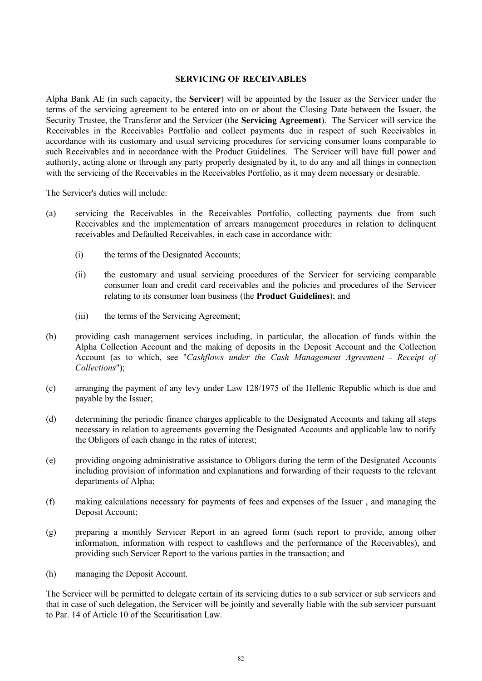# **SERVICING OF RECEIVABLES**

Alpha Bank AE (in such capacity, the **Servicer**) will be appointed by the Issuer as the Servicer under the terms of the servicing agreement to be entered into on or about the Closing Date between the Issuer, the Security Trustee, the Transferor and the Servicer (the **Servicing Agreement**). The Servicer will service the Receivables in the Receivables Portfolio and collect payments due in respect of such Receivables in accordance with its customary and usual servicing procedures for servicing consumer loans comparable to such Receivables and in accordance with the Product Guidelines. The Servicer will have full power and authority, acting alone or through any party properly designated by it, to do any and all things in connection with the servicing of the Receivables in the Receivables Portfolio, as it may deem necessary or desirable.

The Servicer's duties will include:

- (a) servicing the Receivables in the Receivables Portfolio, collecting payments due from such Receivables and the implementation of arrears management procedures in relation to delinquent receivables and Defaulted Receivables, in each case in accordance with:
	- (i) the terms of the Designated Accounts;
	- (ii) the customary and usual servicing procedures of the Servicer for servicing comparable consumer loan and credit card receivables and the policies and procedures of the Servicer relating to its consumer loan business (the **Product Guidelines**); and
	- (iii) the terms of the Servicing Agreement;
- (b) providing cash management services including, in particular, the allocation of funds within the Alpha Collection Account and the making of deposits in the Deposit Account and the Collection Account (as to which, see "*Cashflows under the Cash Management Agreement - Receipt of Collections*");
- (c) arranging the payment of any levy under Law 128/1975 of the Hellenic Republic which is due and payable by the Issuer;
- (d) determining the periodic finance charges applicable to the Designated Accounts and taking all steps necessary in relation to agreements governing the Designated Accounts and applicable law to notify the Obligors of each change in the rates of interest;
- (e) providing ongoing administrative assistance to Obligors during the term of the Designated Accounts including provision of information and explanations and forwarding of their requests to the relevant departments of Alpha;
- (f) making calculations necessary for payments of fees and expenses of the Issuer , and managing the Deposit Account;
- (g) preparing a monthly Servicer Report in an agreed form (such report to provide, among other information, information with respect to cashflows and the performance of the Receivables), and providing such Servicer Report to the various parties in the transaction; and
- (h) managing the Deposit Account.

The Servicer will be permitted to delegate certain of its servicing duties to a sub servicer or sub servicers and that in case of such delegation, the Servicer will be jointly and severally liable with the sub servicer pursuant to Par. 14 of Article 10 of the Securitisation Law.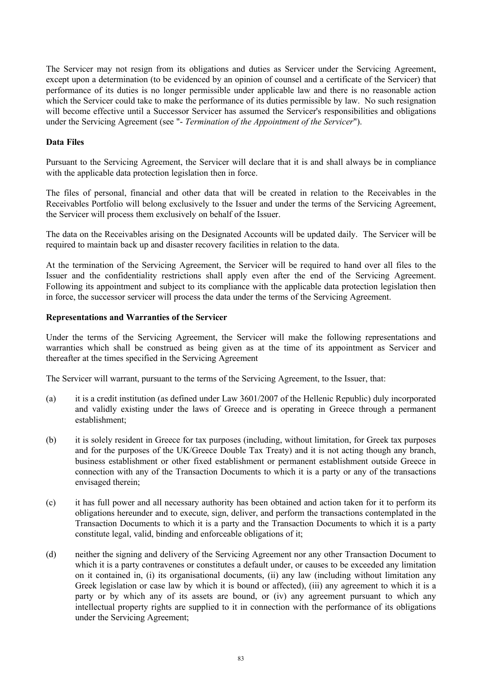The Servicer may not resign from its obligations and duties as Servicer under the Servicing Agreement, except upon a determination (to be evidenced by an opinion of counsel and a certificate of the Servicer) that performance of its duties is no longer permissible under applicable law and there is no reasonable action which the Servicer could take to make the performance of its duties permissible by law. No such resignation will become effective until a Successor Servicer has assumed the Servicer's responsibilities and obligations under the Servicing Agreement (see "- *Termination of the Appointment of the Servicer*").

# **Data Files**

Pursuant to the Servicing Agreement, the Servicer will declare that it is and shall always be in compliance with the applicable data protection legislation then in force.

The files of personal, financial and other data that will be created in relation to the Receivables in the Receivables Portfolio will belong exclusively to the Issuer and under the terms of the Servicing Agreement, the Servicer will process them exclusively on behalf of the Issuer.

The data on the Receivables arising on the Designated Accounts will be updated daily. The Servicer will be required to maintain back up and disaster recovery facilities in relation to the data.

At the termination of the Servicing Agreement, the Servicer will be required to hand over all files to the Issuer and the confidentiality restrictions shall apply even after the end of the Servicing Agreement. Following its appointment and subject to its compliance with the applicable data protection legislation then in force, the successor servicer will process the data under the terms of the Servicing Agreement.

# **Representations and Warranties of the Servicer**

Under the terms of the Servicing Agreement, the Servicer will make the following representations and warranties which shall be construed as being given as at the time of its appointment as Servicer and thereafter at the times specified in the Servicing Agreement

The Servicer will warrant, pursuant to the terms of the Servicing Agreement, to the Issuer, that:

- (a) it is a credit institution (as defined under Law 3601/2007 of the Hellenic Republic) duly incorporated and validly existing under the laws of Greece and is operating in Greece through a permanent establishment;
- (b) it is solely resident in Greece for tax purposes (including, without limitation, for Greek tax purposes and for the purposes of the UK/Greece Double Tax Treaty) and it is not acting though any branch, business establishment or other fixed establishment or permanent establishment outside Greece in connection with any of the Transaction Documents to which it is a party or any of the transactions envisaged therein;
- (c) it has full power and all necessary authority has been obtained and action taken for it to perform its obligations hereunder and to execute, sign, deliver, and perform the transactions contemplated in the Transaction Documents to which it is a party and the Transaction Documents to which it is a party constitute legal, valid, binding and enforceable obligations of it;
- (d) neither the signing and delivery of the Servicing Agreement nor any other Transaction Document to which it is a party contravenes or constitutes a default under, or causes to be exceeded any limitation on it contained in, (i) its organisational documents, (ii) any law (including without limitation any Greek legislation or case law by which it is bound or affected), (iii) any agreement to which it is a party or by which any of its assets are bound, or (iv) any agreement pursuant to which any intellectual property rights are supplied to it in connection with the performance of its obligations under the Servicing Agreement;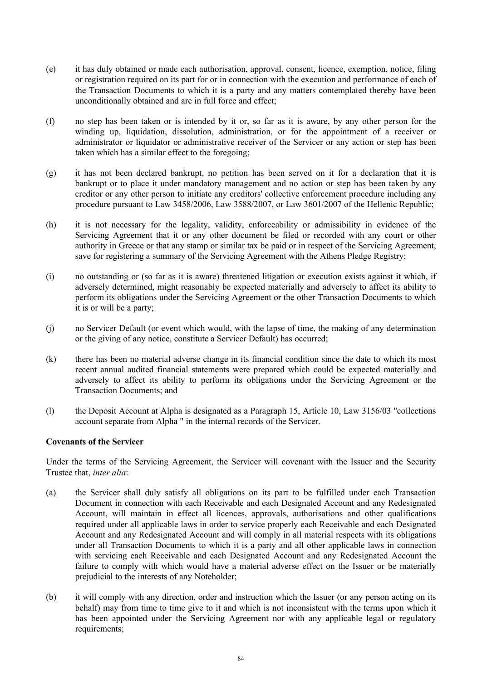- (e) it has duly obtained or made each authorisation, approval, consent, licence, exemption, notice, filing or registration required on its part for or in connection with the execution and performance of each of the Transaction Documents to which it is a party and any matters contemplated thereby have been unconditionally obtained and are in full force and effect;
- (f) no step has been taken or is intended by it or, so far as it is aware, by any other person for the winding up, liquidation, dissolution, administration, or for the appointment of a receiver or administrator or liquidator or administrative receiver of the Servicer or any action or step has been taken which has a similar effect to the foregoing;
- (g) it has not been declared bankrupt, no petition has been served on it for a declaration that it is bankrupt or to place it under mandatory management and no action or step has been taken by any creditor or any other person to initiate any creditors' collective enforcement procedure including any procedure pursuant to Law 3458/2006, Law 3588/2007, or Law 3601/2007 of the Hellenic Republic;
- (h) it is not necessary for the legality, validity, enforceability or admissibility in evidence of the Servicing Agreement that it or any other document be filed or recorded with any court or other authority in Greece or that any stamp or similar tax be paid or in respect of the Servicing Agreement, save for registering a summary of the Servicing Agreement with the Athens Pledge Registry;
- (i) no outstanding or (so far as it is aware) threatened litigation or execution exists against it which, if adversely determined, might reasonably be expected materially and adversely to affect its ability to perform its obligations under the Servicing Agreement or the other Transaction Documents to which it is or will be a party;
- (j) no Servicer Default (or event which would, with the lapse of time, the making of any determination or the giving of any notice, constitute a Servicer Default) has occurred;
- (k) there has been no material adverse change in its financial condition since the date to which its most recent annual audited financial statements were prepared which could be expected materially and adversely to affect its ability to perform its obligations under the Servicing Agreement or the Transaction Documents; and
- (l) the Deposit Account at Alpha is designated as a Paragraph 15, Article 10, Law 3156/03 "collections account separate from Alpha " in the internal records of the Servicer.

# **Covenants of the Servicer**

Under the terms of the Servicing Agreement, the Servicer will covenant with the Issuer and the Security Trustee that, *inter alia*:

- (a) the Servicer shall duly satisfy all obligations on its part to be fulfilled under each Transaction Document in connection with each Receivable and each Designated Account and any Redesignated Account, will maintain in effect all licences, approvals, authorisations and other qualifications required under all applicable laws in order to service properly each Receivable and each Designated Account and any Redesignated Account and will comply in all material respects with its obligations under all Transaction Documents to which it is a party and all other applicable laws in connection with servicing each Receivable and each Designated Account and any Redesignated Account the failure to comply with which would have a material adverse effect on the Issuer or be materially prejudicial to the interests of any Noteholder;
- (b) it will comply with any direction, order and instruction which the Issuer (or any person acting on its behalf) may from time to time give to it and which is not inconsistent with the terms upon which it has been appointed under the Servicing Agreement nor with any applicable legal or regulatory requirements;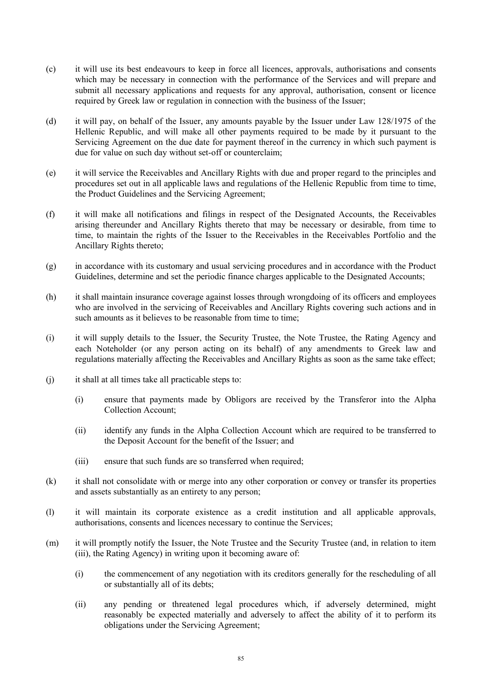- (c) it will use its best endeavours to keep in force all licences, approvals, authorisations and consents which may be necessary in connection with the performance of the Services and will prepare and submit all necessary applications and requests for any approval, authorisation, consent or licence required by Greek law or regulation in connection with the business of the Issuer;
- (d) it will pay, on behalf of the Issuer, any amounts payable by the Issuer under Law 128/1975 of the Hellenic Republic, and will make all other payments required to be made by it pursuant to the Servicing Agreement on the due date for payment thereof in the currency in which such payment is due for value on such day without set-off or counterclaim;
- (e) it will service the Receivables and Ancillary Rights with due and proper regard to the principles and procedures set out in all applicable laws and regulations of the Hellenic Republic from time to time, the Product Guidelines and the Servicing Agreement;
- (f) it will make all notifications and filings in respect of the Designated Accounts, the Receivables arising thereunder and Ancillary Rights thereto that may be necessary or desirable, from time to time, to maintain the rights of the Issuer to the Receivables in the Receivables Portfolio and the Ancillary Rights thereto;
- (g) in accordance with its customary and usual servicing procedures and in accordance with the Product Guidelines, determine and set the periodic finance charges applicable to the Designated Accounts;
- (h) it shall maintain insurance coverage against losses through wrongdoing of its officers and employees who are involved in the servicing of Receivables and Ancillary Rights covering such actions and in such amounts as it believes to be reasonable from time to time;
- (i) it will supply details to the Issuer, the Security Trustee, the Note Trustee, the Rating Agency and each Noteholder (or any person acting on its behalf) of any amendments to Greek law and regulations materially affecting the Receivables and Ancillary Rights as soon as the same take effect;
- (j) it shall at all times take all practicable steps to:
	- (i) ensure that payments made by Obligors are received by the Transferor into the Alpha Collection Account;
	- (ii) identify any funds in the Alpha Collection Account which are required to be transferred to the Deposit Account for the benefit of the Issuer; and
	- (iii) ensure that such funds are so transferred when required;
- (k) it shall not consolidate with or merge into any other corporation or convey or transfer its properties and assets substantially as an entirety to any person;
- (l) it will maintain its corporate existence as a credit institution and all applicable approvals, authorisations, consents and licences necessary to continue the Services;
- (m) it will promptly notify the Issuer, the Note Trustee and the Security Trustee (and, in relation to item (iii), the Rating Agency) in writing upon it becoming aware of:
	- (i) the commencement of any negotiation with its creditors generally for the rescheduling of all or substantially all of its debts;
	- (ii) any pending or threatened legal procedures which, if adversely determined, might reasonably be expected materially and adversely to affect the ability of it to perform its obligations under the Servicing Agreement;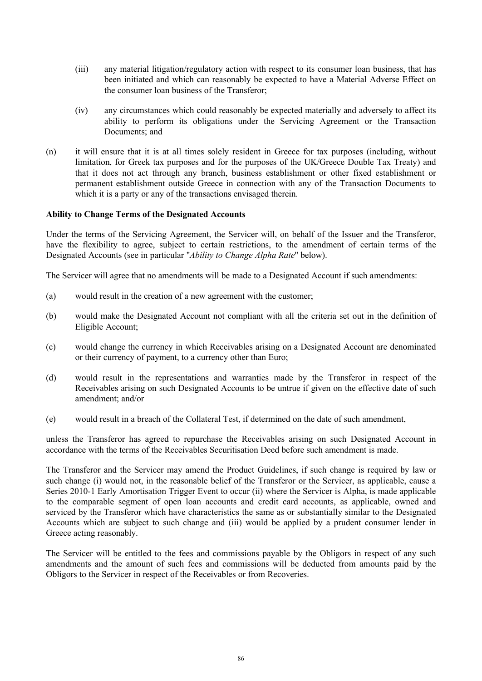- (iii) any material litigation/regulatory action with respect to its consumer loan business, that has been initiated and which can reasonably be expected to have a Material Adverse Effect on the consumer loan business of the Transferor;
- (iv) any circumstances which could reasonably be expected materially and adversely to affect its ability to perform its obligations under the Servicing Agreement or the Transaction Documents; and
- (n) it will ensure that it is at all times solely resident in Greece for tax purposes (including, without limitation, for Greek tax purposes and for the purposes of the UK/Greece Double Tax Treaty) and that it does not act through any branch, business establishment or other fixed establishment or permanent establishment outside Greece in connection with any of the Transaction Documents to which it is a party or any of the transactions envisaged therein.

### **Ability to Change Terms of the Designated Accounts**

Under the terms of the Servicing Agreement, the Servicer will, on behalf of the Issuer and the Transferor, have the flexibility to agree, subject to certain restrictions, to the amendment of certain terms of the Designated Accounts (see in particular "*Ability to Change Alpha Rate*" below).

The Servicer will agree that no amendments will be made to a Designated Account if such amendments:

- (a) would result in the creation of a new agreement with the customer;
- (b) would make the Designated Account not compliant with all the criteria set out in the definition of Eligible Account;
- (c) would change the currency in which Receivables arising on a Designated Account are denominated or their currency of payment, to a currency other than Euro;
- (d) would result in the representations and warranties made by the Transferor in respect of the Receivables arising on such Designated Accounts to be untrue if given on the effective date of such amendment; and/or
- (e) would result in a breach of the Collateral Test, if determined on the date of such amendment,

unless the Transferor has agreed to repurchase the Receivables arising on such Designated Account in accordance with the terms of the Receivables Securitisation Deed before such amendment is made.

The Transferor and the Servicer may amend the Product Guidelines, if such change is required by law or such change (i) would not, in the reasonable belief of the Transferor or the Servicer, as applicable, cause a Series 2010-1 Early Amortisation Trigger Event to occur (ii) where the Servicer is Alpha, is made applicable to the comparable segment of open loan accounts and credit card accounts, as applicable, owned and serviced by the Transferor which have characteristics the same as or substantially similar to the Designated Accounts which are subject to such change and (iii) would be applied by a prudent consumer lender in Greece acting reasonably.

The Servicer will be entitled to the fees and commissions payable by the Obligors in respect of any such amendments and the amount of such fees and commissions will be deducted from amounts paid by the Obligors to the Servicer in respect of the Receivables or from Recoveries.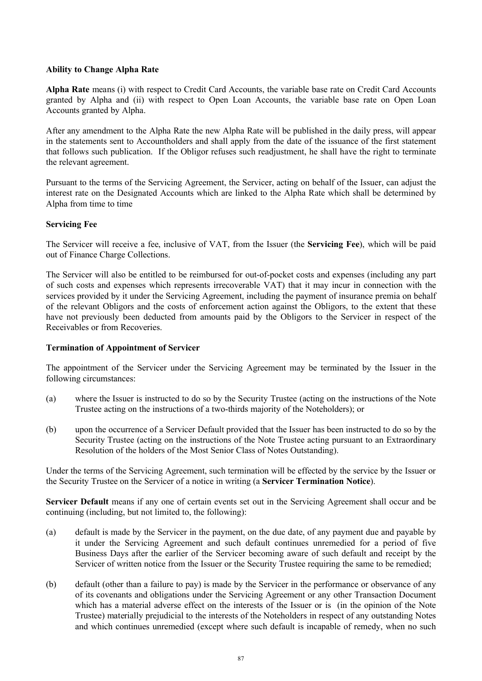# **Ability to Change Alpha Rate**

**Alpha Rate** means (i) with respect to Credit Card Accounts, the variable base rate on Credit Card Accounts granted by Alpha and (ii) with respect to Open Loan Accounts, the variable base rate on Open Loan Accounts granted by Alpha.

After any amendment to the Alpha Rate the new Alpha Rate will be published in the daily press, will appear in the statements sent to Accountholders and shall apply from the date of the issuance of the first statement that follows such publication. If the Obligor refuses such readjustment, he shall have the right to terminate the relevant agreement.

Pursuant to the terms of the Servicing Agreement, the Servicer, acting on behalf of the Issuer, can adjust the interest rate on the Designated Accounts which are linked to the Alpha Rate which shall be determined by Alpha from time to time

# **Servicing Fee**

The Servicer will receive a fee, inclusive of VAT, from the Issuer (the **Servicing Fee**), which will be paid out of Finance Charge Collections.

The Servicer will also be entitled to be reimbursed for out-of-pocket costs and expenses (including any part of such costs and expenses which represents irrecoverable VAT) that it may incur in connection with the services provided by it under the Servicing Agreement, including the payment of insurance premia on behalf of the relevant Obligors and the costs of enforcement action against the Obligors, to the extent that these have not previously been deducted from amounts paid by the Obligors to the Servicer in respect of the Receivables or from Recoveries.

# **Termination of Appointment of Servicer**

The appointment of the Servicer under the Servicing Agreement may be terminated by the Issuer in the following circumstances:

- (a) where the Issuer is instructed to do so by the Security Trustee (acting on the instructions of the Note Trustee acting on the instructions of a two-thirds majority of the Noteholders); or
- (b) upon the occurrence of a Servicer Default provided that the Issuer has been instructed to do so by the Security Trustee (acting on the instructions of the Note Trustee acting pursuant to an Extraordinary Resolution of the holders of the Most Senior Class of Notes Outstanding).

Under the terms of the Servicing Agreement, such termination will be effected by the service by the Issuer or the Security Trustee on the Servicer of a notice in writing (a **Servicer Termination Notice**).

**Servicer Default** means if any one of certain events set out in the Servicing Agreement shall occur and be continuing (including, but not limited to, the following):

- (a) default is made by the Servicer in the payment, on the due date, of any payment due and payable by it under the Servicing Agreement and such default continues unremedied for a period of five Business Days after the earlier of the Servicer becoming aware of such default and receipt by the Servicer of written notice from the Issuer or the Security Trustee requiring the same to be remedied;
- (b) default (other than a failure to pay) is made by the Servicer in the performance or observance of any of its covenants and obligations under the Servicing Agreement or any other Transaction Document which has a material adverse effect on the interests of the Issuer or is (in the opinion of the Note Trustee) materially prejudicial to the interests of the Noteholders in respect of any outstanding Notes and which continues unremedied (except where such default is incapable of remedy, when no such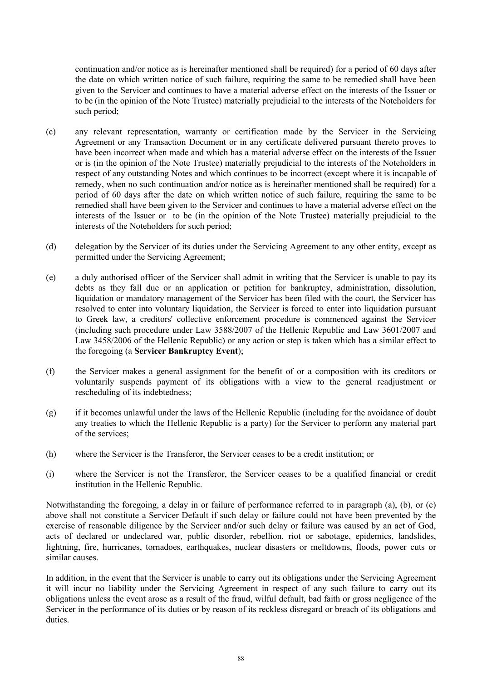continuation and/or notice as is hereinafter mentioned shall be required) for a period of 60 days after the date on which written notice of such failure, requiring the same to be remedied shall have been given to the Servicer and continues to have a material adverse effect on the interests of the Issuer or to be (in the opinion of the Note Trustee) materially prejudicial to the interests of the Noteholders for such period;

- (c) any relevant representation, warranty or certification made by the Servicer in the Servicing Agreement or any Transaction Document or in any certificate delivered pursuant thereto proves to have been incorrect when made and which has a material adverse effect on the interests of the Issuer or is (in the opinion of the Note Trustee) materially prejudicial to the interests of the Noteholders in respect of any outstanding Notes and which continues to be incorrect (except where it is incapable of remedy, when no such continuation and/or notice as is hereinafter mentioned shall be required) for a period of 60 days after the date on which written notice of such failure, requiring the same to be remedied shall have been given to the Servicer and continues to have a material adverse effect on the interests of the Issuer or to be (in the opinion of the Note Trustee) materially prejudicial to the interests of the Noteholders for such period;
- (d) delegation by the Servicer of its duties under the Servicing Agreement to any other entity, except as permitted under the Servicing Agreement;
- (e) a duly authorised officer of the Servicer shall admit in writing that the Servicer is unable to pay its debts as they fall due or an application or petition for bankruptcy, administration, dissolution, liquidation or mandatory management of the Servicer has been filed with the court, the Servicer has resolved to enter into voluntary liquidation, the Servicer is forced to enter into liquidation pursuant to Greek law, a creditors' collective enforcement procedure is commenced against the Servicer (including such procedure under Law 3588/2007 of the Hellenic Republic and Law 3601/2007 and Law 3458/2006 of the Hellenic Republic) or any action or step is taken which has a similar effect to the foregoing (a **Servicer Bankruptcy Event**);
- (f) the Servicer makes a general assignment for the benefit of or a composition with its creditors or voluntarily suspends payment of its obligations with a view to the general readjustment or rescheduling of its indebtedness;
- (g) if it becomes unlawful under the laws of the Hellenic Republic (including for the avoidance of doubt any treaties to which the Hellenic Republic is a party) for the Servicer to perform any material part of the services;
- (h) where the Servicer is the Transferor, the Servicer ceases to be a credit institution; or
- (i) where the Servicer is not the Transferor, the Servicer ceases to be a qualified financial or credit institution in the Hellenic Republic.

Notwithstanding the foregoing, a delay in or failure of performance referred to in paragraph (a), (b), or (c) above shall not constitute a Servicer Default if such delay or failure could not have been prevented by the exercise of reasonable diligence by the Servicer and/or such delay or failure was caused by an act of God, acts of declared or undeclared war, public disorder, rebellion, riot or sabotage, epidemics, landslides, lightning, fire, hurricanes, tornadoes, earthquakes, nuclear disasters or meltdowns, floods, power cuts or similar causes.

In addition, in the event that the Servicer is unable to carry out its obligations under the Servicing Agreement it will incur no liability under the Servicing Agreement in respect of any such failure to carry out its obligations unless the event arose as a result of the fraud, wilful default, bad faith or gross negligence of the Servicer in the performance of its duties or by reason of its reckless disregard or breach of its obligations and duties.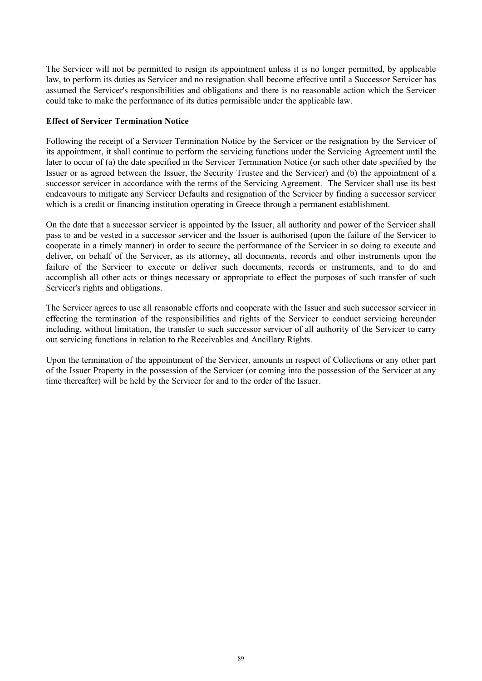The Servicer will not be permitted to resign its appointment unless it is no longer permitted, by applicable law, to perform its duties as Servicer and no resignation shall become effective until a Successor Servicer has assumed the Servicer's responsibilities and obligations and there is no reasonable action which the Servicer could take to make the performance of its duties permissible under the applicable law.

# **Effect of Servicer Termination Notice**

Following the receipt of a Servicer Termination Notice by the Servicer or the resignation by the Servicer of its appointment, it shall continue to perform the servicing functions under the Servicing Agreement until the later to occur of (a) the date specified in the Servicer Termination Notice (or such other date specified by the Issuer or as agreed between the Issuer, the Security Trustee and the Servicer) and (b) the appointment of a successor servicer in accordance with the terms of the Servicing Agreement. The Servicer shall use its best endeavours to mitigate any Servicer Defaults and resignation of the Servicer by finding a successor servicer which is a credit or financing institution operating in Greece through a permanent establishment.

On the date that a successor servicer is appointed by the Issuer, all authority and power of the Servicer shall pass to and be vested in a successor servicer and the Issuer is authorised (upon the failure of the Servicer to cooperate in a timely manner) in order to secure the performance of the Servicer in so doing to execute and deliver, on behalf of the Servicer, as its attorney, all documents, records and other instruments upon the failure of the Servicer to execute or deliver such documents, records or instruments, and to do and accomplish all other acts or things necessary or appropriate to effect the purposes of such transfer of such Servicer's rights and obligations.

The Servicer agrees to use all reasonable efforts and cooperate with the Issuer and such successor servicer in effecting the termination of the responsibilities and rights of the Servicer to conduct servicing hereunder including, without limitation, the transfer to such successor servicer of all authority of the Servicer to carry out servicing functions in relation to the Receivables and Ancillary Rights.

Upon the termination of the appointment of the Servicer, amounts in respect of Collections or any other part of the Issuer Property in the possession of the Servicer (or coming into the possession of the Servicer at any time thereafter) will be held by the Servicer for and to the order of the Issuer.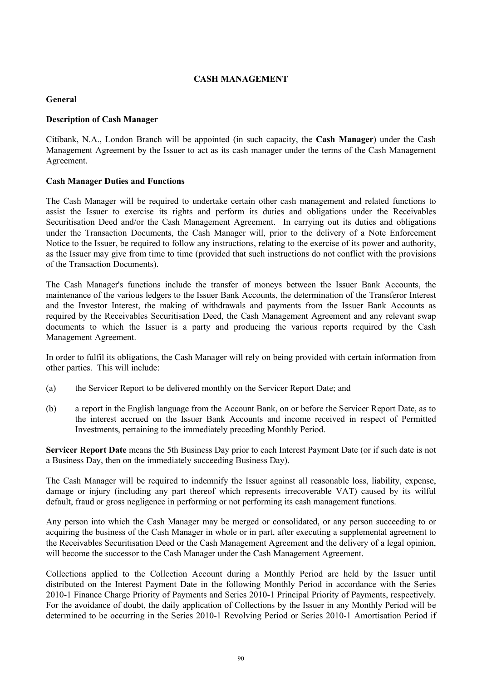# **CASH MANAGEMENT**

# **General**

# **Description of Cash Manager**

Citibank, N.A., London Branch will be appointed (in such capacity, the **Cash Manager**) under the Cash Management Agreement by the Issuer to act as its cash manager under the terms of the Cash Management Agreement.

# **Cash Manager Duties and Functions**

The Cash Manager will be required to undertake certain other cash management and related functions to assist the Issuer to exercise its rights and perform its duties and obligations under the Receivables Securitisation Deed and/or the Cash Management Agreement. In carrying out its duties and obligations under the Transaction Documents, the Cash Manager will, prior to the delivery of a Note Enforcement Notice to the Issuer, be required to follow any instructions, relating to the exercise of its power and authority, as the Issuer may give from time to time (provided that such instructions do not conflict with the provisions of the Transaction Documents).

The Cash Manager's functions include the transfer of moneys between the Issuer Bank Accounts, the maintenance of the various ledgers to the Issuer Bank Accounts, the determination of the Transferor Interest and the Investor Interest, the making of withdrawals and payments from the Issuer Bank Accounts as required by the Receivables Securitisation Deed, the Cash Management Agreement and any relevant swap documents to which the Issuer is a party and producing the various reports required by the Cash Management Agreement.

In order to fulfil its obligations, the Cash Manager will rely on being provided with certain information from other parties. This will include:

- (a) the Servicer Report to be delivered monthly on the Servicer Report Date; and
- (b) a report in the English language from the Account Bank, on or before the Servicer Report Date, as to the interest accrued on the Issuer Bank Accounts and income received in respect of Permitted Investments, pertaining to the immediately preceding Monthly Period.

**Servicer Report Date** means the 5th Business Day prior to each Interest Payment Date (or if such date is not a Business Day, then on the immediately succeeding Business Day).

The Cash Manager will be required to indemnify the Issuer against all reasonable loss, liability, expense, damage or injury (including any part thereof which represents irrecoverable VAT) caused by its wilful default, fraud or gross negligence in performing or not performing its cash management functions.

Any person into which the Cash Manager may be merged or consolidated, or any person succeeding to or acquiring the business of the Cash Manager in whole or in part, after executing a supplemental agreement to the Receivables Securitisation Deed or the Cash Management Agreement and the delivery of a legal opinion, will become the successor to the Cash Manager under the Cash Management Agreement.

Collections applied to the Collection Account during a Monthly Period are held by the Issuer until distributed on the Interest Payment Date in the following Monthly Period in accordance with the Series 2010-1 Finance Charge Priority of Payments and Series 2010-1 Principal Priority of Payments, respectively. For the avoidance of doubt, the daily application of Collections by the Issuer in any Monthly Period will be determined to be occurring in the Series 2010-1 Revolving Period or Series 2010-1 Amortisation Period if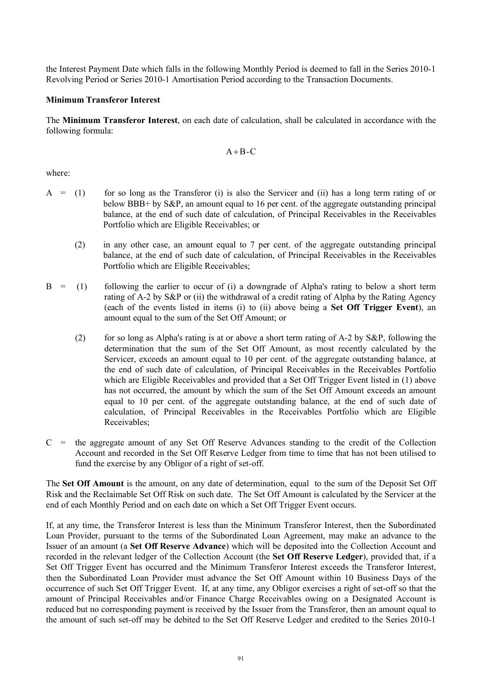the Interest Payment Date which falls in the following Monthly Period is deemed to fall in the Series 2010-1 Revolving Period or Series 2010-1 Amortisation Period according to the Transaction Documents.

## **Minimum Transferor Interest**

The **Minimum Transferor Interest**, on each date of calculation, shall be calculated in accordance with the following formula:

#### $A + B - C$

where:

- $A = (1)$  for so long as the Transferor (i) is also the Servicer and (ii) has a long term rating of or below BBB+ by S&P, an amount equal to 16 per cent. of the aggregate outstanding principal balance, at the end of such date of calculation, of Principal Receivables in the Receivables Portfolio which are Eligible Receivables; or
	- (2) in any other case, an amount equal to 7 per cent. of the aggregate outstanding principal balance, at the end of such date of calculation, of Principal Receivables in the Receivables Portfolio which are Eligible Receivables;
- $B = (1)$  following the earlier to occur of (i) a downgrade of Alpha's rating to below a short term rating of A-2 by S&P or (ii) the withdrawal of a credit rating of Alpha by the Rating Agency (each of the events listed in items (i) to (ii) above being a **Set Off Trigger Event**), an amount equal to the sum of the Set Off Amount; or
	- (2) for so long as Alpha's rating is at or above a short term rating of A-2 by S&P, following the determination that the sum of the Set Off Amount, as most recently calculated by the Servicer, exceeds an amount equal to 10 per cent. of the aggregate outstanding balance, at the end of such date of calculation, of Principal Receivables in the Receivables Portfolio which are Eligible Receivables and provided that a Set Off Trigger Event listed in (1) above has not occurred, the amount by which the sum of the Set Off Amount exceeds an amount equal to 10 per cent. of the aggregate outstanding balance, at the end of such date of calculation, of Principal Receivables in the Receivables Portfolio which are Eligible Receivables;
- $C =$  the aggregate amount of any Set Off Reserve Advances standing to the credit of the Collection Account and recorded in the Set Off Reserve Ledger from time to time that has not been utilised to fund the exercise by any Obligor of a right of set-off.

The **Set Off Amount** is the amount, on any date of determination, equal to the sum of the Deposit Set Off Risk and the Reclaimable Set Off Risk on such date. The Set Off Amount is calculated by the Servicer at the end of each Monthly Period and on each date on which a Set Off Trigger Event occurs.

If, at any time, the Transferor Interest is less than the Minimum Transferor Interest, then the Subordinated Loan Provider, pursuant to the terms of the Subordinated Loan Agreement, may make an advance to the Issuer of an amount (a **Set Off Reserve Advance**) which will be deposited into the Collection Account and recorded in the relevant ledger of the Collection Account (the **Set Off Reserve Ledger**), provided that, if a Set Off Trigger Event has occurred and the Minimum Transferor Interest exceeds the Transferor Interest, then the Subordinated Loan Provider must advance the Set Off Amount within 10 Business Days of the occurrence of such Set Off Trigger Event. If, at any time, any Obligor exercises a right of set-off so that the amount of Principal Receivables and/or Finance Charge Receivables owing on a Designated Account is reduced but no corresponding payment is received by the Issuer from the Transferor, then an amount equal to the amount of such set-off may be debited to the Set Off Reserve Ledger and credited to the Series 2010-1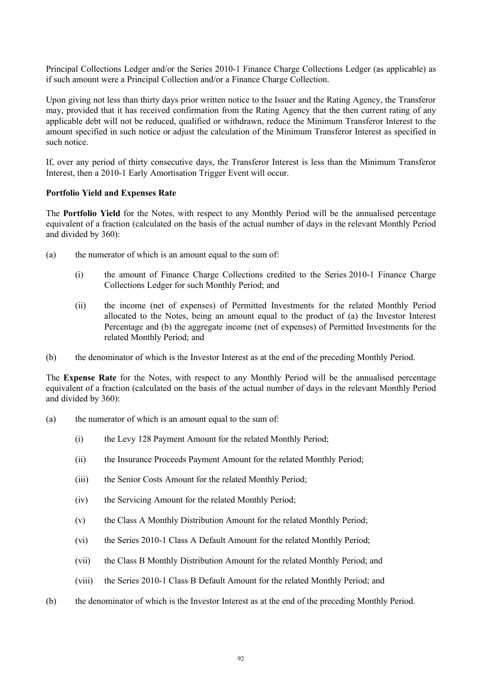Principal Collections Ledger and/or the Series 2010-1 Finance Charge Collections Ledger (as applicable) as if such amount were a Principal Collection and/or a Finance Charge Collection.

Upon giving not less than thirty days prior written notice to the Issuer and the Rating Agency, the Transferor may, provided that it has received confirmation from the Rating Agency that the then current rating of any applicable debt will not be reduced, qualified or withdrawn, reduce the Minimum Transferor Interest to the amount specified in such notice or adjust the calculation of the Minimum Transferor Interest as specified in such notice.

If, over any period of thirty consecutive days, the Transferor Interest is less than the Minimum Transferor Interest, then a 2010-1 Early Amortisation Trigger Event will occur.

#### **Portfolio Yield and Expenses Rate**

The **Portfolio Yield** for the Notes, with respect to any Monthly Period will be the annualised percentage equivalent of a fraction (calculated on the basis of the actual number of days in the relevant Monthly Period and divided by 360):

- (a) the numerator of which is an amount equal to the sum of:
	- (i) the amount of Finance Charge Collections credited to the Series 2010-1 Finance Charge Collections Ledger for such Monthly Period; and
	- (ii) the income (net of expenses) of Permitted Investments for the related Monthly Period allocated to the Notes, being an amount equal to the product of (a) the Investor Interest Percentage and (b) the aggregate income (net of expenses) of Permitted Investments for the related Monthly Period; and
- (b) the denominator of which is the Investor Interest as at the end of the preceding Monthly Period.

The **Expense Rate** for the Notes, with respect to any Monthly Period will be the annualised percentage equivalent of a fraction (calculated on the basis of the actual number of days in the relevant Monthly Period and divided by 360):

- (a) the numerator of which is an amount equal to the sum of:
	- (i) the Levy 128 Payment Amount for the related Monthly Period;
	- (ii) the Insurance Proceeds Payment Amount for the related Monthly Period;
	- (iii) the Senior Costs Amount for the related Monthly Period;
	- (iv) the Servicing Amount for the related Monthly Period;
	- (v) the Class A Monthly Distribution Amount for the related Monthly Period;
	- (vi) the Series 2010-1 Class A Default Amount for the related Monthly Period;
	- (vii) the Class B Monthly Distribution Amount for the related Monthly Period; and
	- (viii) the Series 2010-1 Class B Default Amount for the related Monthly Period; and
- (b) the denominator of which is the Investor Interest as at the end of the preceding Monthly Period.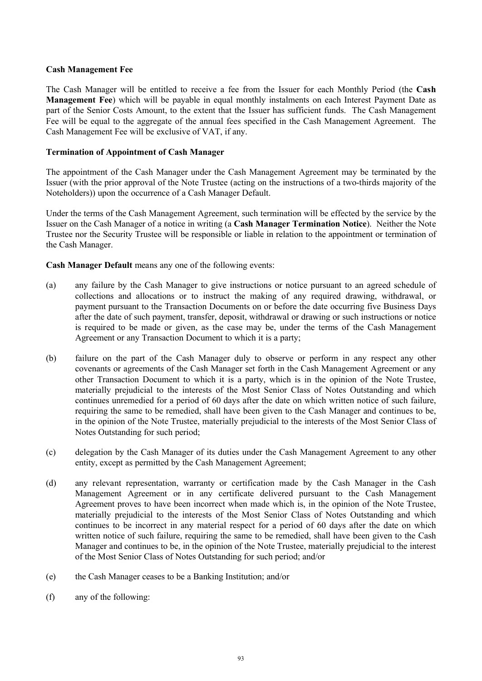# **Cash Management Fee**

The Cash Manager will be entitled to receive a fee from the Issuer for each Monthly Period (the **Cash Management Fee**) which will be payable in equal monthly instalments on each Interest Payment Date as part of the Senior Costs Amount, to the extent that the Issuer has sufficient funds. The Cash Management Fee will be equal to the aggregate of the annual fees specified in the Cash Management Agreement. The Cash Management Fee will be exclusive of VAT, if any.

# **Termination of Appointment of Cash Manager**

The appointment of the Cash Manager under the Cash Management Agreement may be terminated by the Issuer (with the prior approval of the Note Trustee (acting on the instructions of a two-thirds majority of the Noteholders)) upon the occurrence of a Cash Manager Default.

Under the terms of the Cash Management Agreement, such termination will be effected by the service by the Issuer on the Cash Manager of a notice in writing (a **Cash Manager Termination Notice**). Neither the Note Trustee nor the Security Trustee will be responsible or liable in relation to the appointment or termination of the Cash Manager.

**Cash Manager Default** means any one of the following events:

- (a) any failure by the Cash Manager to give instructions or notice pursuant to an agreed schedule of collections and allocations or to instruct the making of any required drawing, withdrawal, or payment pursuant to the Transaction Documents on or before the date occurring five Business Days after the date of such payment, transfer, deposit, withdrawal or drawing or such instructions or notice is required to be made or given, as the case may be, under the terms of the Cash Management Agreement or any Transaction Document to which it is a party;
- (b) failure on the part of the Cash Manager duly to observe or perform in any respect any other covenants or agreements of the Cash Manager set forth in the Cash Management Agreement or any other Transaction Document to which it is a party, which is in the opinion of the Note Trustee, materially prejudicial to the interests of the Most Senior Class of Notes Outstanding and which continues unremedied for a period of 60 days after the date on which written notice of such failure, requiring the same to be remedied, shall have been given to the Cash Manager and continues to be, in the opinion of the Note Trustee, materially prejudicial to the interests of the Most Senior Class of Notes Outstanding for such period;
- (c) delegation by the Cash Manager of its duties under the Cash Management Agreement to any other entity, except as permitted by the Cash Management Agreement;
- (d) any relevant representation, warranty or certification made by the Cash Manager in the Cash Management Agreement or in any certificate delivered pursuant to the Cash Management Agreement proves to have been incorrect when made which is, in the opinion of the Note Trustee, materially prejudicial to the interests of the Most Senior Class of Notes Outstanding and which continues to be incorrect in any material respect for a period of 60 days after the date on which written notice of such failure, requiring the same to be remedied, shall have been given to the Cash Manager and continues to be, in the opinion of the Note Trustee, materially prejudicial to the interest of the Most Senior Class of Notes Outstanding for such period; and/or
- (e) the Cash Manager ceases to be a Banking Institution; and/or
- (f) any of the following: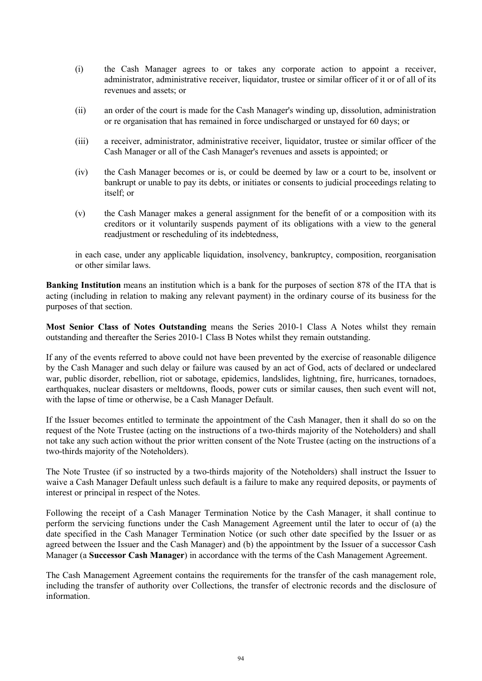- (i) the Cash Manager agrees to or takes any corporate action to appoint a receiver, administrator, administrative receiver, liquidator, trustee or similar officer of it or of all of its revenues and assets; or
- (ii) an order of the court is made for the Cash Manager's winding up, dissolution, administration or re organisation that has remained in force undischarged or unstayed for 60 days; or
- (iii) a receiver, administrator, administrative receiver, liquidator, trustee or similar officer of the Cash Manager or all of the Cash Manager's revenues and assets is appointed; or
- (iv) the Cash Manager becomes or is, or could be deemed by law or a court to be, insolvent or bankrupt or unable to pay its debts, or initiates or consents to judicial proceedings relating to itself; or
- (v) the Cash Manager makes a general assignment for the benefit of or a composition with its creditors or it voluntarily suspends payment of its obligations with a view to the general readjustment or rescheduling of its indebtedness,

in each case, under any applicable liquidation, insolvency, bankruptcy, composition, reorganisation or other similar laws.

**Banking Institution** means an institution which is a bank for the purposes of section 878 of the ITA that is acting (including in relation to making any relevant payment) in the ordinary course of its business for the purposes of that section.

**Most Senior Class of Notes Outstanding** means the Series 2010-1 Class A Notes whilst they remain outstanding and thereafter the Series 2010-1 Class B Notes whilst they remain outstanding.

If any of the events referred to above could not have been prevented by the exercise of reasonable diligence by the Cash Manager and such delay or failure was caused by an act of God, acts of declared or undeclared war, public disorder, rebellion, riot or sabotage, epidemics, landslides, lightning, fire, hurricanes, tornadoes, earthquakes, nuclear disasters or meltdowns, floods, power cuts or similar causes, then such event will not, with the lapse of time or otherwise, be a Cash Manager Default.

If the Issuer becomes entitled to terminate the appointment of the Cash Manager, then it shall do so on the request of the Note Trustee (acting on the instructions of a two-thirds majority of the Noteholders) and shall not take any such action without the prior written consent of the Note Trustee (acting on the instructions of a two-thirds majority of the Noteholders).

The Note Trustee (if so instructed by a two-thirds majority of the Noteholders) shall instruct the Issuer to waive a Cash Manager Default unless such default is a failure to make any required deposits, or payments of interest or principal in respect of the Notes.

Following the receipt of a Cash Manager Termination Notice by the Cash Manager, it shall continue to perform the servicing functions under the Cash Management Agreement until the later to occur of (a) the date specified in the Cash Manager Termination Notice (or such other date specified by the Issuer or as agreed between the Issuer and the Cash Manager) and (b) the appointment by the Issuer of a successor Cash Manager (a **Successor Cash Manager**) in accordance with the terms of the Cash Management Agreement.

The Cash Management Agreement contains the requirements for the transfer of the cash management role, including the transfer of authority over Collections, the transfer of electronic records and the disclosure of information.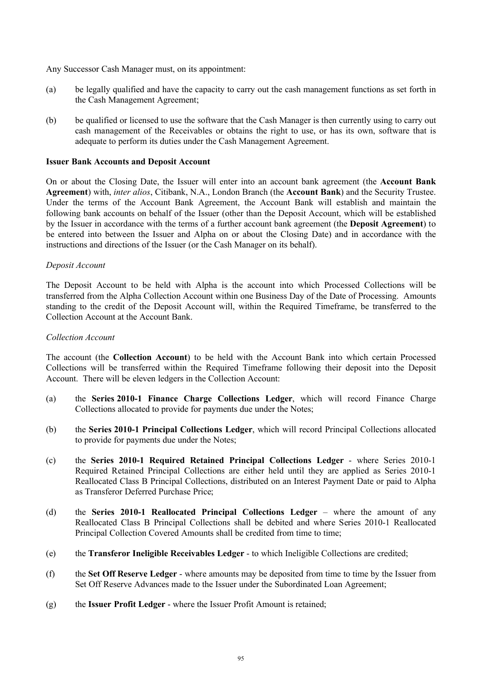Any Successor Cash Manager must, on its appointment:

- (a) be legally qualified and have the capacity to carry out the cash management functions as set forth in the Cash Management Agreement;
- (b) be qualified or licensed to use the software that the Cash Manager is then currently using to carry out cash management of the Receivables or obtains the right to use, or has its own, software that is adequate to perform its duties under the Cash Management Agreement.

# **Issuer Bank Accounts and Deposit Account**

On or about the Closing Date, the Issuer will enter into an account bank agreement (the **Account Bank Agreement**) with, *inter alios*, Citibank, N.A., London Branch (the **Account Bank**) and the Security Trustee. Under the terms of the Account Bank Agreement, the Account Bank will establish and maintain the following bank accounts on behalf of the Issuer (other than the Deposit Account, which will be established by the Issuer in accordance with the terms of a further account bank agreement (the **Deposit Agreement**) to be entered into between the Issuer and Alpha on or about the Closing Date) and in accordance with the instructions and directions of the Issuer (or the Cash Manager on its behalf).

# *Deposit Account*

The Deposit Account to be held with Alpha is the account into which Processed Collections will be transferred from the Alpha Collection Account within one Business Day of the Date of Processing. Amounts standing to the credit of the Deposit Account will, within the Required Timeframe, be transferred to the Collection Account at the Account Bank.

# *Collection Account*

The account (the **Collection Account**) to be held with the Account Bank into which certain Processed Collections will be transferred within the Required Timeframe following their deposit into the Deposit Account. There will be eleven ledgers in the Collection Account:

- (a) the **Series 2010-1 Finance Charge Collections Ledger**, which will record Finance Charge Collections allocated to provide for payments due under the Notes;
- (b) the **Series 2010-1 Principal Collections Ledger**, which will record Principal Collections allocated to provide for payments due under the Notes;
- (c) the **Series 2010-1 Required Retained Principal Collections Ledger** where Series 2010-1 Required Retained Principal Collections are either held until they are applied as Series 2010-1 Reallocated Class B Principal Collections, distributed on an Interest Payment Date or paid to Alpha as Transferor Deferred Purchase Price;
- (d) the **Series 2010-1 Reallocated Principal Collections Ledger** where the amount of any Reallocated Class B Principal Collections shall be debited and where Series 2010-1 Reallocated Principal Collection Covered Amounts shall be credited from time to time;
- (e) the **Transferor Ineligible Receivables Ledger** to which Ineligible Collections are credited;
- (f) the **Set Off Reserve Ledger** where amounts may be deposited from time to time by the Issuer from Set Off Reserve Advances made to the Issuer under the Subordinated Loan Agreement;
- (g) the **Issuer Profit Ledger** where the Issuer Profit Amount is retained;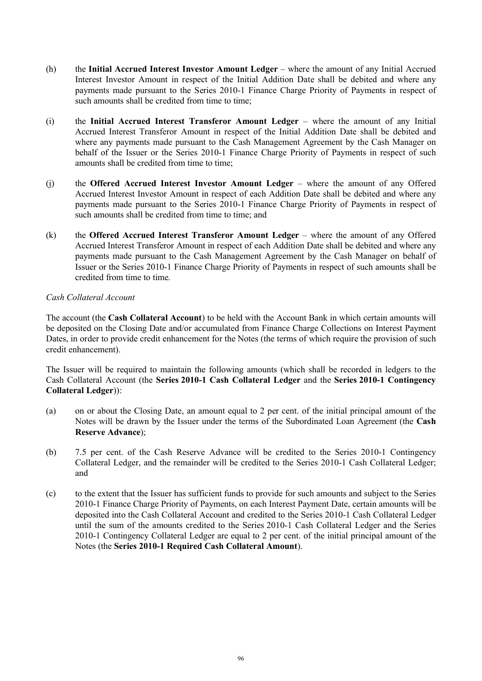- (h) the **Initial Accrued Interest Investor Amount Ledger** where the amount of any Initial Accrued Interest Investor Amount in respect of the Initial Addition Date shall be debited and where any payments made pursuant to the Series 2010-1 Finance Charge Priority of Payments in respect of such amounts shall be credited from time to time;
- (i) the **Initial Accrued Interest Transferor Amount Ledger** where the amount of any Initial Accrued Interest Transferor Amount in respect of the Initial Addition Date shall be debited and where any payments made pursuant to the Cash Management Agreement by the Cash Manager on behalf of the Issuer or the Series 2010-1 Finance Charge Priority of Payments in respect of such amounts shall be credited from time to time;
- (j) the **Offered Accrued Interest Investor Amount Ledger** where the amount of any Offered Accrued Interest Investor Amount in respect of each Addition Date shall be debited and where any payments made pursuant to the Series 2010-1 Finance Charge Priority of Payments in respect of such amounts shall be credited from time to time; and
- (k) the **Offered Accrued Interest Transferor Amount Ledger** where the amount of any Offered Accrued Interest Transferor Amount in respect of each Addition Date shall be debited and where any payments made pursuant to the Cash Management Agreement by the Cash Manager on behalf of Issuer or the Series 2010-1 Finance Charge Priority of Payments in respect of such amounts shall be credited from time to time.

# *Cash Collateral Account*

The account (the **Cash Collateral Account**) to be held with the Account Bank in which certain amounts will be deposited on the Closing Date and/or accumulated from Finance Charge Collections on Interest Payment Dates, in order to provide credit enhancement for the Notes (the terms of which require the provision of such credit enhancement).

The Issuer will be required to maintain the following amounts (which shall be recorded in ledgers to the Cash Collateral Account (the **Series 2010-1 Cash Collateral Ledger** and the **Series 2010-1 Contingency Collateral Ledger**)):

- (a) on or about the Closing Date, an amount equal to 2 per cent. of the initial principal amount of the Notes will be drawn by the Issuer under the terms of the Subordinated Loan Agreement (the **Cash Reserve Advance**);
- (b) 7.5 per cent. of the Cash Reserve Advance will be credited to the Series 2010-1 Contingency Collateral Ledger, and the remainder will be credited to the Series 2010-1 Cash Collateral Ledger; and
- (c) to the extent that the Issuer has sufficient funds to provide for such amounts and subject to the Series 2010-1 Finance Charge Priority of Payments, on each Interest Payment Date, certain amounts will be deposited into the Cash Collateral Account and credited to the Series 2010-1 Cash Collateral Ledger until the sum of the amounts credited to the Series 2010-1 Cash Collateral Ledger and the Series 2010-1 Contingency Collateral Ledger are equal to 2 per cent. of the initial principal amount of the Notes (the **Series 2010-1 Required Cash Collateral Amount**).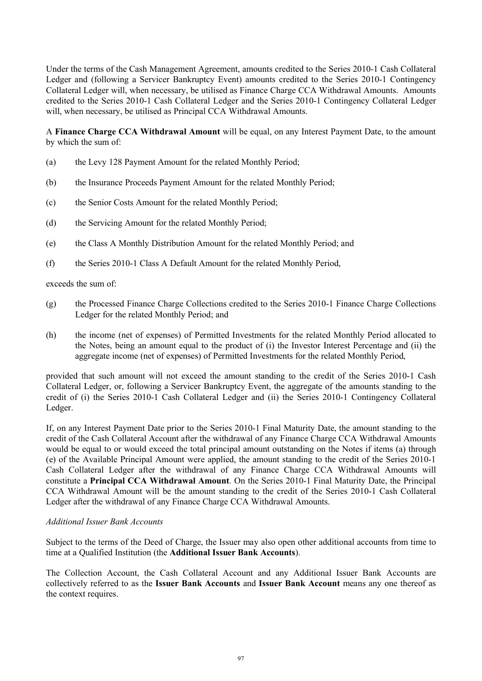Under the terms of the Cash Management Agreement, amounts credited to the Series 2010-1 Cash Collateral Ledger and (following a Servicer Bankruptcy Event) amounts credited to the Series 2010-1 Contingency Collateral Ledger will, when necessary, be utilised as Finance Charge CCA Withdrawal Amounts. Amounts credited to the Series 2010-1 Cash Collateral Ledger and the Series 2010-1 Contingency Collateral Ledger will, when necessary, be utilised as Principal CCA Withdrawal Amounts.

A **Finance Charge CCA Withdrawal Amount** will be equal, on any Interest Payment Date, to the amount by which the sum of:

- (a) the Levy 128 Payment Amount for the related Monthly Period;
- (b) the Insurance Proceeds Payment Amount for the related Monthly Period;
- (c) the Senior Costs Amount for the related Monthly Period;
- (d) the Servicing Amount for the related Monthly Period;
- (e) the Class A Monthly Distribution Amount for the related Monthly Period; and
- (f) the Series 2010-1 Class A Default Amount for the related Monthly Period,

exceeds the sum of:

- (g) the Processed Finance Charge Collections credited to the Series 2010-1 Finance Charge Collections Ledger for the related Monthly Period; and
- (h) the income (net of expenses) of Permitted Investments for the related Monthly Period allocated to the Notes, being an amount equal to the product of (i) the Investor Interest Percentage and (ii) the aggregate income (net of expenses) of Permitted Investments for the related Monthly Period,

provided that such amount will not exceed the amount standing to the credit of the Series 2010-1 Cash Collateral Ledger, or, following a Servicer Bankruptcy Event, the aggregate of the amounts standing to the credit of (i) the Series 2010-1 Cash Collateral Ledger and (ii) the Series 2010-1 Contingency Collateral Ledger.

If, on any Interest Payment Date prior to the Series 2010-1 Final Maturity Date, the amount standing to the credit of the Cash Collateral Account after the withdrawal of any Finance Charge CCA Withdrawal Amounts would be equal to or would exceed the total principal amount outstanding on the Notes if items (a) through (e) of the Available Principal Amount were applied, the amount standing to the credit of the Series 2010-1 Cash Collateral Ledger after the withdrawal of any Finance Charge CCA Withdrawal Amounts will constitute a **Principal CCA Withdrawal Amount**. On the Series 2010-1 Final Maturity Date, the Principal CCA Withdrawal Amount will be the amount standing to the credit of the Series 2010-1 Cash Collateral Ledger after the withdrawal of any Finance Charge CCA Withdrawal Amounts.

#### *Additional Issuer Bank Accounts*

Subject to the terms of the Deed of Charge, the Issuer may also open other additional accounts from time to time at a Qualified Institution (the **Additional Issuer Bank Accounts**).

The Collection Account, the Cash Collateral Account and any Additional Issuer Bank Accounts are collectively referred to as the **Issuer Bank Accounts** and **Issuer Bank Account** means any one thereof as the context requires.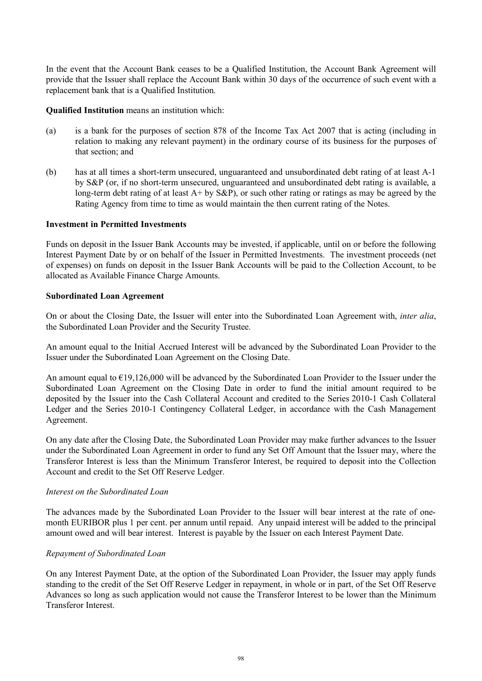In the event that the Account Bank ceases to be a Qualified Institution, the Account Bank Agreement will provide that the Issuer shall replace the Account Bank within 30 days of the occurrence of such event with a replacement bank that is a Qualified Institution.

**Qualified Institution** means an institution which:

- (a) is a bank for the purposes of section 878 of the Income Tax Act 2007 that is acting (including in relation to making any relevant payment) in the ordinary course of its business for the purposes of that section; and
- (b) has at all times a short-term unsecured, unguaranteed and unsubordinated debt rating of at least A-1 by S&P (or, if no short-term unsecured, unguaranteed and unsubordinated debt rating is available, a long-term debt rating of at least  $A+$  by  $S\&P$ ), or such other rating or ratings as may be agreed by the Rating Agency from time to time as would maintain the then current rating of the Notes.

# **Investment in Permitted Investments**

Funds on deposit in the Issuer Bank Accounts may be invested, if applicable, until on or before the following Interest Payment Date by or on behalf of the Issuer in Permitted Investments. The investment proceeds (net of expenses) on funds on deposit in the Issuer Bank Accounts will be paid to the Collection Account, to be allocated as Available Finance Charge Amounts.

#### **Subordinated Loan Agreement**

On or about the Closing Date, the Issuer will enter into the Subordinated Loan Agreement with, *inter alia*, the Subordinated Loan Provider and the Security Trustee.

An amount equal to the Initial Accrued Interest will be advanced by the Subordinated Loan Provider to the Issuer under the Subordinated Loan Agreement on the Closing Date.

An amount equal to €19,126,000 will be advanced by the Subordinated Loan Provider to the Issuer under the Subordinated Loan Agreement on the Closing Date in order to fund the initial amount required to be deposited by the Issuer into the Cash Collateral Account and credited to the Series 2010-1 Cash Collateral Ledger and the Series 2010-1 Contingency Collateral Ledger, in accordance with the Cash Management Agreement.

On any date after the Closing Date, the Subordinated Loan Provider may make further advances to the Issuer under the Subordinated Loan Agreement in order to fund any Set Off Amount that the Issuer may, where the Transferor Interest is less than the Minimum Transferor Interest, be required to deposit into the Collection Account and credit to the Set Off Reserve Ledger.

#### *Interest on the Subordinated Loan*

The advances made by the Subordinated Loan Provider to the Issuer will bear interest at the rate of onemonth EURIBOR plus 1 per cent. per annum until repaid. Any unpaid interest will be added to the principal amount owed and will bear interest. Interest is payable by the Issuer on each Interest Payment Date.

# *Repayment of Subordinated Loan*

On any Interest Payment Date, at the option of the Subordinated Loan Provider, the Issuer may apply funds standing to the credit of the Set Off Reserve Ledger in repayment, in whole or in part, of the Set Off Reserve Advances so long as such application would not cause the Transferor Interest to be lower than the Minimum Transferor Interest.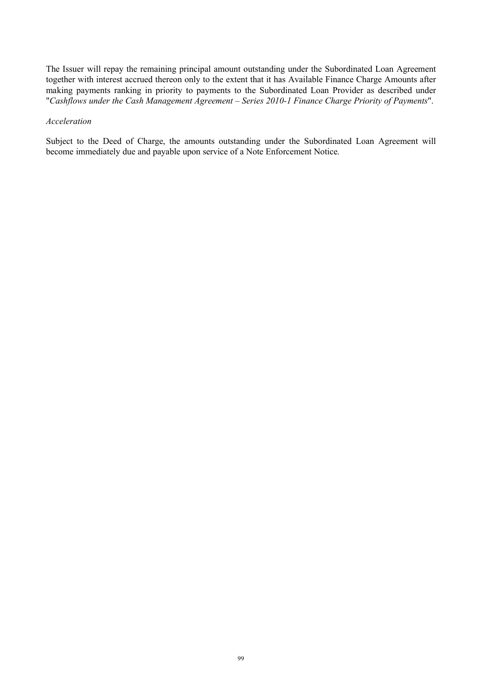The Issuer will repay the remaining principal amount outstanding under the Subordinated Loan Agreement together with interest accrued thereon only to the extent that it has Available Finance Charge Amounts after making payments ranking in priority to payments to the Subordinated Loan Provider as described under "*Cashflows under the Cash Management Agreement – Series 2010-1 Finance Charge Priority of Payments*".

#### *Acceleration*

Subject to the Deed of Charge, the amounts outstanding under the Subordinated Loan Agreement will become immediately due and payable upon service of a Note Enforcement Notice.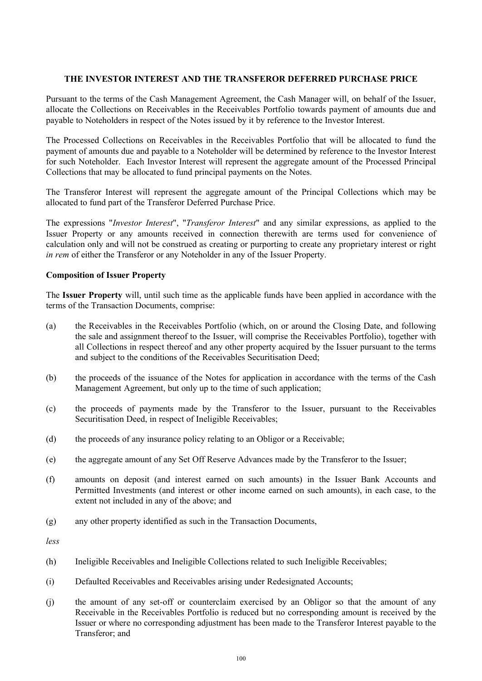# **THE INVESTOR INTEREST AND THE TRANSFEROR DEFERRED PURCHASE PRICE**

Pursuant to the terms of the Cash Management Agreement, the Cash Manager will, on behalf of the Issuer, allocate the Collections on Receivables in the Receivables Portfolio towards payment of amounts due and payable to Noteholders in respect of the Notes issued by it by reference to the Investor Interest.

The Processed Collections on Receivables in the Receivables Portfolio that will be allocated to fund the payment of amounts due and payable to a Noteholder will be determined by reference to the Investor Interest for such Noteholder. Each Investor Interest will represent the aggregate amount of the Processed Principal Collections that may be allocated to fund principal payments on the Notes.

The Transferor Interest will represent the aggregate amount of the Principal Collections which may be allocated to fund part of the Transferor Deferred Purchase Price.

The expressions "*Investor Interest*", "*Transferor Interest*" and any similar expressions, as applied to the Issuer Property or any amounts received in connection therewith are terms used for convenience of calculation only and will not be construed as creating or purporting to create any proprietary interest or right *in rem* of either the Transferor or any Noteholder in any of the Issuer Property.

# **Composition of Issuer Property**

The **Issuer Property** will, until such time as the applicable funds have been applied in accordance with the terms of the Transaction Documents, comprise:

- (a) the Receivables in the Receivables Portfolio (which, on or around the Closing Date, and following the sale and assignment thereof to the Issuer, will comprise the Receivables Portfolio), together with all Collections in respect thereof and any other property acquired by the Issuer pursuant to the terms and subject to the conditions of the Receivables Securitisation Deed;
- (b) the proceeds of the issuance of the Notes for application in accordance with the terms of the Cash Management Agreement, but only up to the time of such application;
- (c) the proceeds of payments made by the Transferor to the Issuer, pursuant to the Receivables Securitisation Deed, in respect of Ineligible Receivables;
- (d) the proceeds of any insurance policy relating to an Obligor or a Receivable;
- (e) the aggregate amount of any Set Off Reserve Advances made by the Transferor to the Issuer;
- (f) amounts on deposit (and interest earned on such amounts) in the Issuer Bank Accounts and Permitted Investments (and interest or other income earned on such amounts), in each case, to the extent not included in any of the above; and
- (g) any other property identified as such in the Transaction Documents,

*less*

- (h) Ineligible Receivables and Ineligible Collections related to such Ineligible Receivables;
- (i) Defaulted Receivables and Receivables arising under Redesignated Accounts;
- (j) the amount of any set-off or counterclaim exercised by an Obligor so that the amount of any Receivable in the Receivables Portfolio is reduced but no corresponding amount is received by the Issuer or where no corresponding adjustment has been made to the Transferor Interest payable to the Transferor; and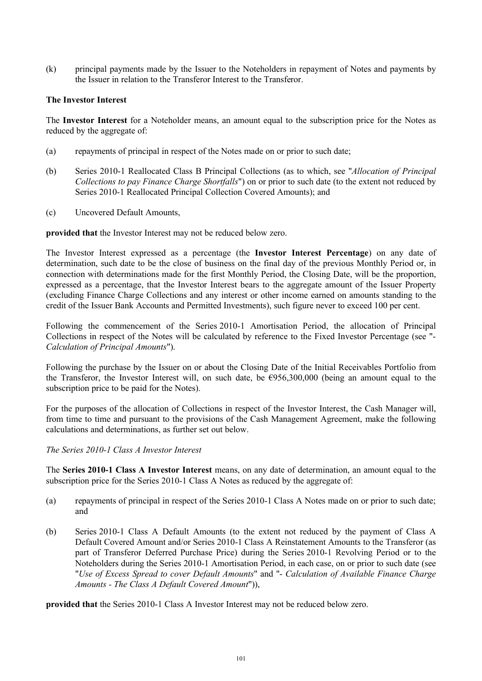(k) principal payments made by the Issuer to the Noteholders in repayment of Notes and payments by the Issuer in relation to the Transferor Interest to the Transferor.

# **The Investor Interest**

The **Investor Interest** for a Noteholder means, an amount equal to the subscription price for the Notes as reduced by the aggregate of:

- (a) repayments of principal in respect of the Notes made on or prior to such date;
- (b) Series 2010-1 Reallocated Class B Principal Collections (as to which, see "*Allocation of Principal Collections to pay Finance Charge Shortfalls*") on or prior to such date (to the extent not reduced by Series 2010-1 Reallocated Principal Collection Covered Amounts); and
- (c) Uncovered Default Amounts,

**provided that** the Investor Interest may not be reduced below zero.

The Investor Interest expressed as a percentage (the **Investor Interest Percentage**) on any date of determination, such date to be the close of business on the final day of the previous Monthly Period or, in connection with determinations made for the first Monthly Period, the Closing Date, will be the proportion, expressed as a percentage, that the Investor Interest bears to the aggregate amount of the Issuer Property (excluding Finance Charge Collections and any interest or other income earned on amounts standing to the credit of the Issuer Bank Accounts and Permitted Investments), such figure never to exceed 100 per cent.

Following the commencement of the Series 2010-1 Amortisation Period, the allocation of Principal Collections in respect of the Notes will be calculated by reference to the Fixed Investor Percentage (see "- *Calculation of Principal Amounts*").

Following the purchase by the Issuer on or about the Closing Date of the Initial Receivables Portfolio from the Transferor, the Investor Interest will, on such date, be  $\epsilon$ 956,300,000 (being an amount equal to the subscription price to be paid for the Notes).

For the purposes of the allocation of Collections in respect of the Investor Interest, the Cash Manager will, from time to time and pursuant to the provisions of the Cash Management Agreement, make the following calculations and determinations, as further set out below.

*The Series 2010-1 Class A Investor Interest*

The **Series 2010-1 Class A Investor Interest** means, on any date of determination, an amount equal to the subscription price for the Series 2010-1 Class A Notes as reduced by the aggregate of:

- (a) repayments of principal in respect of the Series 2010-1 Class A Notes made on or prior to such date; and
- (b) Series 2010-1 Class A Default Amounts (to the extent not reduced by the payment of Class A Default Covered Amount and/or Series 2010-1 Class A Reinstatement Amounts to the Transferor (as part of Transferor Deferred Purchase Price) during the Series 2010-1 Revolving Period or to the Noteholders during the Series 2010-1 Amortisation Period, in each case, on or prior to such date (see "*Use of Excess Spread to cover Default Amounts*" and "- *Calculation of Available Finance Charge Amounts - The Class A Default Covered Amount*")),

**provided that** the Series 2010-1 Class A Investor Interest may not be reduced below zero.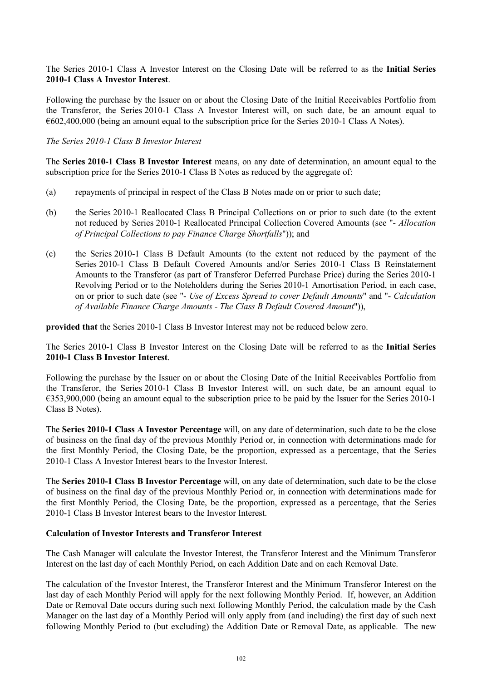The Series 2010-1 Class A Investor Interest on the Closing Date will be referred to as the **Initial Series 2010-1 Class A Investor Interest**.

Following the purchase by the Issuer on or about the Closing Date of the Initial Receivables Portfolio from the Transferor, the Series 2010-1 Class A Investor Interest will, on such date, be an amount equal to €602,400,000 (being an amount equal to the subscription price for the Series 2010-1 Class A Notes).

## *The Series 2010-1 Class B Investor Interest*

The **Series 2010-1 Class B Investor Interest** means, on any date of determination, an amount equal to the subscription price for the Series 2010-1 Class B Notes as reduced by the aggregate of:

- (a) repayments of principal in respect of the Class B Notes made on or prior to such date;
- (b) the Series 2010-1 Reallocated Class B Principal Collections on or prior to such date (to the extent not reduced by Series 2010-1 Reallocated Principal Collection Covered Amounts (see "- *Allocation of Principal Collections to pay Finance Charge Shortfalls*")); and
- (c) the Series 2010-1 Class B Default Amounts (to the extent not reduced by the payment of the Series 2010-1 Class B Default Covered Amounts and/or Series 2010-1 Class B Reinstatement Amounts to the Transferor (as part of Transferor Deferred Purchase Price) during the Series 2010-1 Revolving Period or to the Noteholders during the Series 2010-1 Amortisation Period, in each case, on or prior to such date (see "- *Use of Excess Spread to cover Default Amounts*" and "- *Calculation of Available Finance Charge Amounts - The Class B Default Covered Amount*")),

**provided that** the Series 2010-1 Class B Investor Interest may not be reduced below zero.

The Series 2010-1 Class B Investor Interest on the Closing Date will be referred to as the **Initial Series 2010-1 Class B Investor Interest**.

Following the purchase by the Issuer on or about the Closing Date of the Initial Receivables Portfolio from the Transferor, the Series 2010-1 Class B Investor Interest will, on such date, be an amount equal to €353,900,000 (being an amount equal to the subscription price to be paid by the Issuer for the Series 2010-1 Class B Notes).

The **Series 2010-1 Class A Investor Percentage** will, on any date of determination, such date to be the close of business on the final day of the previous Monthly Period or, in connection with determinations made for the first Monthly Period, the Closing Date, be the proportion, expressed as a percentage, that the Series 2010-1 Class A Investor Interest bears to the Investor Interest.

The **Series 2010-1 Class B Investor Percentage** will, on any date of determination, such date to be the close of business on the final day of the previous Monthly Period or, in connection with determinations made for the first Monthly Period, the Closing Date, be the proportion, expressed as a percentage, that the Series 2010-1 Class B Investor Interest bears to the Investor Interest.

# **Calculation of Investor Interests and Transferor Interest**

The Cash Manager will calculate the Investor Interest, the Transferor Interest and the Minimum Transferor Interest on the last day of each Monthly Period, on each Addition Date and on each Removal Date.

The calculation of the Investor Interest, the Transferor Interest and the Minimum Transferor Interest on the last day of each Monthly Period will apply for the next following Monthly Period. If, however, an Addition Date or Removal Date occurs during such next following Monthly Period, the calculation made by the Cash Manager on the last day of a Monthly Period will only apply from (and including) the first day of such next following Monthly Period to (but excluding) the Addition Date or Removal Date, as applicable. The new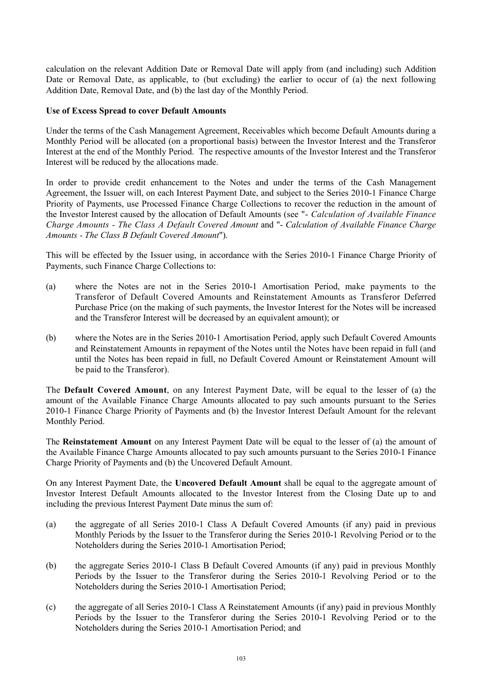calculation on the relevant Addition Date or Removal Date will apply from (and including) such Addition Date or Removal Date, as applicable, to (but excluding) the earlier to occur of (a) the next following Addition Date, Removal Date, and (b) the last day of the Monthly Period.

# **Use of Excess Spread to cover Default Amounts**

Under the terms of the Cash Management Agreement, Receivables which become Default Amounts during a Monthly Period will be allocated (on a proportional basis) between the Investor Interest and the Transferor Interest at the end of the Monthly Period. The respective amounts of the Investor Interest and the Transferor Interest will be reduced by the allocations made.

In order to provide credit enhancement to the Notes and under the terms of the Cash Management Agreement, the Issuer will, on each Interest Payment Date, and subject to the Series 2010-1 Finance Charge Priority of Payments, use Processed Finance Charge Collections to recover the reduction in the amount of the Investor Interest caused by the allocation of Default Amounts (see "- *Calculation of Available Finance Charge Amounts - The Class A Default Covered Amount* and "- *Calculation of Available Finance Charge Amounts - The Class B Default Covered Amount*").

This will be effected by the Issuer using, in accordance with the Series 2010-1 Finance Charge Priority of Payments, such Finance Charge Collections to:

- (a) where the Notes are not in the Series 2010-1 Amortisation Period, make payments to the Transferor of Default Covered Amounts and Reinstatement Amounts as Transferor Deferred Purchase Price (on the making of such payments, the Investor Interest for the Notes will be increased and the Transferor Interest will be decreased by an equivalent amount); or
- (b) where the Notes are in the Series 2010-1 Amortisation Period, apply such Default Covered Amounts and Reinstatement Amounts in repayment of the Notes until the Notes have been repaid in full (and until the Notes has been repaid in full, no Default Covered Amount or Reinstatement Amount will be paid to the Transferor).

The **Default Covered Amount**, on any Interest Payment Date, will be equal to the lesser of (a) the amount of the Available Finance Charge Amounts allocated to pay such amounts pursuant to the Series 2010-1 Finance Charge Priority of Payments and (b) the Investor Interest Default Amount for the relevant Monthly Period.

The **Reinstatement Amount** on any Interest Payment Date will be equal to the lesser of (a) the amount of the Available Finance Charge Amounts allocated to pay such amounts pursuant to the Series 2010-1 Finance Charge Priority of Payments and (b) the Uncovered Default Amount.

On any Interest Payment Date, the **Uncovered Default Amount** shall be equal to the aggregate amount of Investor Interest Default Amounts allocated to the Investor Interest from the Closing Date up to and including the previous Interest Payment Date minus the sum of:

- (a) the aggregate of all Series 2010-1 Class A Default Covered Amounts (if any) paid in previous Monthly Periods by the Issuer to the Transferor during the Series 2010-1 Revolving Period or to the Noteholders during the Series 2010-1 Amortisation Period;
- (b) the aggregate Series 2010-1 Class B Default Covered Amounts (if any) paid in previous Monthly Periods by the Issuer to the Transferor during the Series 2010-1 Revolving Period or to the Noteholders during the Series 2010-1 Amortisation Period;
- (c) the aggregate of all Series 2010-1 Class A Reinstatement Amounts (if any) paid in previous Monthly Periods by the Issuer to the Transferor during the Series 2010-1 Revolving Period or to the Noteholders during the Series 2010-1 Amortisation Period; and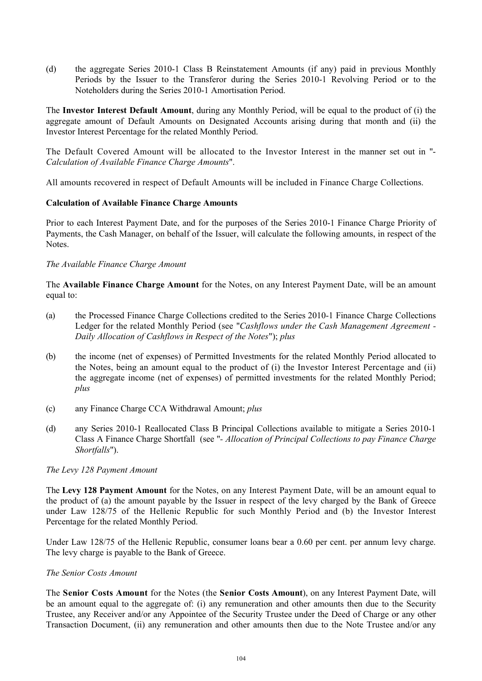(d) the aggregate Series 2010-1 Class B Reinstatement Amounts (if any) paid in previous Monthly Periods by the Issuer to the Transferor during the Series 2010-1 Revolving Period or to the Noteholders during the Series 2010-1 Amortisation Period.

The **Investor Interest Default Amount**, during any Monthly Period, will be equal to the product of (i) the aggregate amount of Default Amounts on Designated Accounts arising during that month and (ii) the Investor Interest Percentage for the related Monthly Period.

The Default Covered Amount will be allocated to the Investor Interest in the manner set out in "- *Calculation of Available Finance Charge Amounts*".

All amounts recovered in respect of Default Amounts will be included in Finance Charge Collections.

# **Calculation of Available Finance Charge Amounts**

Prior to each Interest Payment Date, and for the purposes of the Series 2010-1 Finance Charge Priority of Payments, the Cash Manager, on behalf of the Issuer, will calculate the following amounts, in respect of the Notes.

# *The Available Finance Charge Amount*

The **Available Finance Charge Amount** for the Notes, on any Interest Payment Date, will be an amount equal to:

- (a) the Processed Finance Charge Collections credited to the Series 2010-1 Finance Charge Collections Ledger for the related Monthly Period (see "*Cashflows under the Cash Management Agreement - Daily Allocation of Cashflows in Respect of the Notes*"); *plus*
- (b) the income (net of expenses) of Permitted Investments for the related Monthly Period allocated to the Notes, being an amount equal to the product of (i) the Investor Interest Percentage and (ii) the aggregate income (net of expenses) of permitted investments for the related Monthly Period; *plus*
- (c) any Finance Charge CCA Withdrawal Amount; *plus*
- (d) any Series 2010-1 Reallocated Class B Principal Collections available to mitigate a Series 2010-1 Class A Finance Charge Shortfall (see "*- Allocation of Principal Collections to pay Finance Charge Shortfalls*").

# *The Levy 128 Payment Amount*

The **Levy 128 Payment Amount** for the Notes, on any Interest Payment Date, will be an amount equal to the product of (a) the amount payable by the Issuer in respect of the levy charged by the Bank of Greece under Law 128/75 of the Hellenic Republic for such Monthly Period and (b) the Investor Interest Percentage for the related Monthly Period.

Under Law 128/75 of the Hellenic Republic, consumer loans bear a 0.60 per cent. per annum levy charge. The levy charge is payable to the Bank of Greece.

# *The Senior Costs Amount*

The **Senior Costs Amount** for the Notes (the **Senior Costs Amount**), on any Interest Payment Date, will be an amount equal to the aggregate of: (i) any remuneration and other amounts then due to the Security Trustee, any Receiver and/or any Appointee of the Security Trustee under the Deed of Charge or any other Transaction Document, (ii) any remuneration and other amounts then due to the Note Trustee and/or any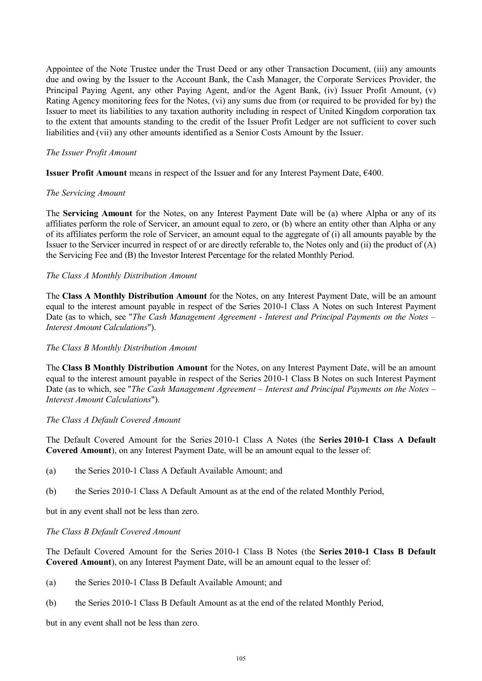Appointee of the Note Trustee under the Trust Deed or any other Transaction Document, (iii) any amounts due and owing by the Issuer to the Account Bank, the Cash Manager, the Corporate Services Provider, the Principal Paying Agent, any other Paying Agent, and/or the Agent Bank, (iv) Issuer Profit Amount, (v) Rating Agency monitoring fees for the Notes, (vi) any sums due from (or required to be provided for by) the Issuer to meet its liabilities to any taxation authority including in respect of United Kingdom corporation tax to the extent that amounts standing to the credit of the Issuer Profit Ledger are not sufficient to cover such liabilities and (vii) any other amounts identified as a Senior Costs Amount by the Issuer.

# *The Issuer Profit Amount*

**Issuer Profit Amount** means in respect of the Issuer and for any Interest Payment Date, €400.

# *The Servicing Amount*

The **Servicing Amount** for the Notes, on any Interest Payment Date will be (a) where Alpha or any of its affiliates perform the role of Servicer, an amount equal to zero, or (b) where an entity other than Alpha or any of its affiliates perform the role of Servicer, an amount equal to the aggregate of (i) all amounts payable by the Issuer to the Servicer incurred in respect of or are directly referable to, the Notes only and (ii) the product of (A) the Servicing Fee and (B) the Investor Interest Percentage for the related Monthly Period.

# *The Class A Monthly Distribution Amount*

The **Class A Monthly Distribution Amount** for the Notes, on any Interest Payment Date, will be an amount equal to the interest amount payable in respect of the Series 2010-1 Class A Notes on such Interest Payment Date (as to which, see "*The Cash Management Agreement - Interest and Principal Payments on the Notes – Interest Amount Calculations*").

# *The Class B Monthly Distribution Amount*

The **Class B Monthly Distribution Amount** for the Notes, on any Interest Payment Date, will be an amount equal to the interest amount payable in respect of the Series 2010-1 Class B Notes on such Interest Payment Date (as to which, see "*The Cash Management Agreement – Interest and Principal Payments on the Notes – Interest Amount Calculations*").

# *The Class A Default Covered Amount*

The Default Covered Amount for the Series 2010-1 Class A Notes (the **Series 2010-1 Class A Default Covered Amount**), on any Interest Payment Date, will be an amount equal to the lesser of:

- (a) the Series 2010-1 Class A Default Available Amount; and
- (b) the Series 2010-1 Class A Default Amount as at the end of the related Monthly Period,

but in any event shall not be less than zero.

# *The Class B Default Covered Amount*

The Default Covered Amount for the Series 2010-1 Class B Notes (the **Series 2010-1 Class B Default Covered Amount**), on any Interest Payment Date, will be an amount equal to the lesser of:

- (a) the Series 2010-1 Class B Default Available Amount; and
- (b) the Series 2010-1 Class B Default Amount as at the end of the related Monthly Period,

but in any event shall not be less than zero.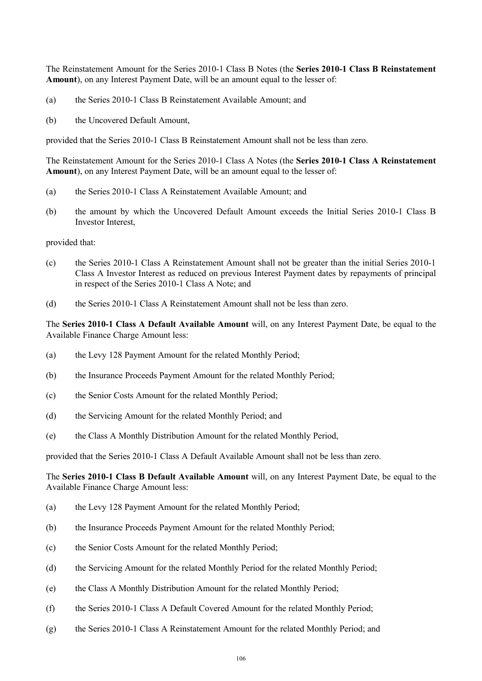The Reinstatement Amount for the Series 2010-1 Class B Notes (the **Series 2010-1 Class B Reinstatement Amount**), on any Interest Payment Date, will be an amount equal to the lesser of:

- (a) the Series 2010-1 Class B Reinstatement Available Amount; and
- (b) the Uncovered Default Amount,

provided that the Series 2010-1 Class B Reinstatement Amount shall not be less than zero.

The Reinstatement Amount for the Series 2010-1 Class A Notes (the **Series 2010-1 Class A Reinstatement Amount**), on any Interest Payment Date, will be an amount equal to the lesser of:

- (a) the Series 2010-1 Class A Reinstatement Available Amount; and
- (b) the amount by which the Uncovered Default Amount exceeds the Initial Series 2010-1 Class B Investor Interest,

provided that:

- (c) the Series 2010-1 Class A Reinstatement Amount shall not be greater than the initial Series 2010-1 Class A Investor Interest as reduced on previous Interest Payment dates by repayments of principal in respect of the Series 2010-1 Class A Note; and
- (d) the Series 2010-1 Class A Reinstatement Amount shall not be less than zero.

The **Series 2010-1 Class A Default Available Amount** will, on any Interest Payment Date, be equal to the Available Finance Charge Amount less:

- (a) the Levy 128 Payment Amount for the related Monthly Period;
- (b) the Insurance Proceeds Payment Amount for the related Monthly Period;
- (c) the Senior Costs Amount for the related Monthly Period;
- (d) the Servicing Amount for the related Monthly Period; and
- (e) the Class A Monthly Distribution Amount for the related Monthly Period,

provided that the Series 2010-1 Class A Default Available Amount shall not be less than zero.

The **Series 2010-1 Class B Default Available Amount** will, on any Interest Payment Date, be equal to the Available Finance Charge Amount less:

- (a) the Levy 128 Payment Amount for the related Monthly Period;
- (b) the Insurance Proceeds Payment Amount for the related Monthly Period;
- (c) the Senior Costs Amount for the related Monthly Period;
- (d) the Servicing Amount for the related Monthly Period for the related Monthly Period;
- (e) the Class A Monthly Distribution Amount for the related Monthly Period;
- (f) the Series 2010-1 Class A Default Covered Amount for the related Monthly Period;
- (g) the Series 2010-1 Class A Reinstatement Amount for the related Monthly Period; and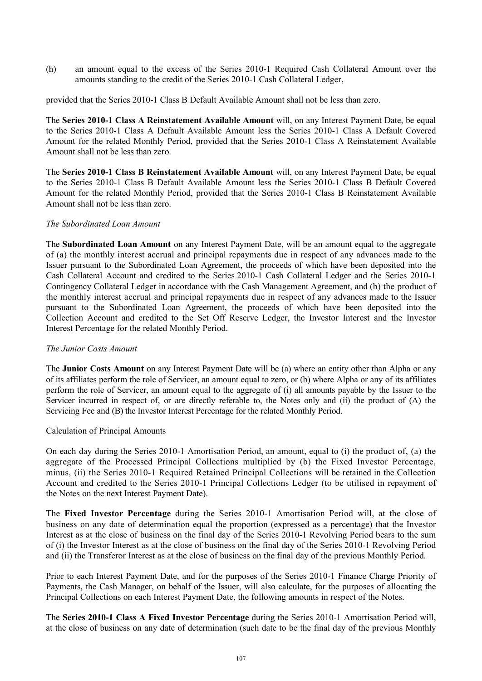(h) an amount equal to the excess of the Series 2010-1 Required Cash Collateral Amount over the amounts standing to the credit of the Series 2010-1 Cash Collateral Ledger,

provided that the Series 2010-1 Class B Default Available Amount shall not be less than zero.

The **Series 2010-1 Class A Reinstatement Available Amount** will, on any Interest Payment Date, be equal to the Series 2010-1 Class A Default Available Amount less the Series 2010-1 Class A Default Covered Amount for the related Monthly Period, provided that the Series 2010-1 Class A Reinstatement Available Amount shall not be less than zero.

The **Series 2010-1 Class B Reinstatement Available Amount** will, on any Interest Payment Date, be equal to the Series 2010-1 Class B Default Available Amount less the Series 2010-1 Class B Default Covered Amount for the related Monthly Period, provided that the Series 2010-1 Class B Reinstatement Available Amount shall not be less than zero.

# *The Subordinated Loan Amount*

The **Subordinated Loan Amount** on any Interest Payment Date, will be an amount equal to the aggregate of (a) the monthly interest accrual and principal repayments due in respect of any advances made to the Issuer pursuant to the Subordinated Loan Agreement, the proceeds of which have been deposited into the Cash Collateral Account and credited to the Series 2010-1 Cash Collateral Ledger and the Series 2010-1 Contingency Collateral Ledger in accordance with the Cash Management Agreement, and (b) the product of the monthly interest accrual and principal repayments due in respect of any advances made to the Issuer pursuant to the Subordinated Loan Agreement, the proceeds of which have been deposited into the Collection Account and credited to the Set Off Reserve Ledger, the Investor Interest and the Investor Interest Percentage for the related Monthly Period.

# *The Junior Costs Amount*

The **Junior Costs Amount** on any Interest Payment Date will be (a) where an entity other than Alpha or any of its affiliates perform the role of Servicer, an amount equal to zero, or (b) where Alpha or any of its affiliates perform the role of Servicer, an amount equal to the aggregate of (i) all amounts payable by the Issuer to the Servicer incurred in respect of, or are directly referable to, the Notes only and (ii) the product of (A) the Servicing Fee and (B) the Investor Interest Percentage for the related Monthly Period.

# Calculation of Principal Amounts

On each day during the Series 2010-1 Amortisation Period, an amount, equal to (i) the product of, (a) the aggregate of the Processed Principal Collections multiplied by (b) the Fixed Investor Percentage, minus, (ii) the Series 2010-1 Required Retained Principal Collections will be retained in the Collection Account and credited to the Series 2010-1 Principal Collections Ledger (to be utilised in repayment of the Notes on the next Interest Payment Date).

The **Fixed Investor Percentage** during the Series 2010-1 Amortisation Period will, at the close of business on any date of determination equal the proportion (expressed as a percentage) that the Investor Interest as at the close of business on the final day of the Series 2010-1 Revolving Period bears to the sum of (i) the Investor Interest as at the close of business on the final day of the Series 2010-1 Revolving Period and (ii) the Transferor Interest as at the close of business on the final day of the previous Monthly Period.

Prior to each Interest Payment Date, and for the purposes of the Series 2010-1 Finance Charge Priority of Payments, the Cash Manager, on behalf of the Issuer, will also calculate, for the purposes of allocating the Principal Collections on each Interest Payment Date, the following amounts in respect of the Notes.

The **Series 2010-1 Class A Fixed Investor Percentage** during the Series 2010-1 Amortisation Period will, at the close of business on any date of determination (such date to be the final day of the previous Monthly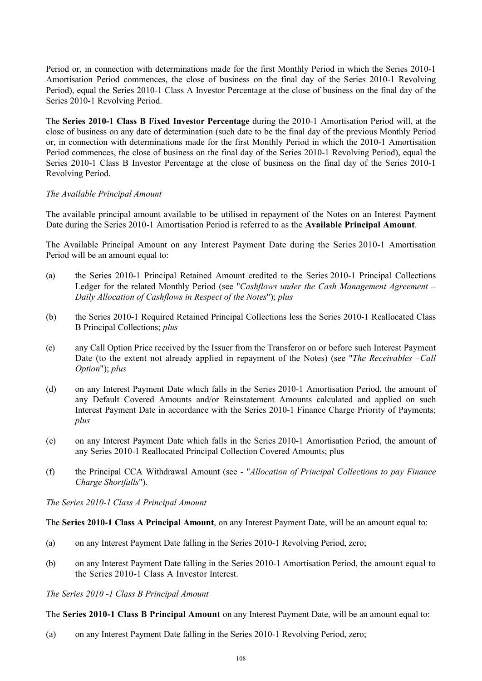Period or, in connection with determinations made for the first Monthly Period in which the Series 2010-1 Amortisation Period commences, the close of business on the final day of the Series 2010-1 Revolving Period), equal the Series 2010-1 Class A Investor Percentage at the close of business on the final day of the Series 2010-1 Revolving Period.

The **Series 2010-1 Class B Fixed Investor Percentage** during the 2010-1 Amortisation Period will, at the close of business on any date of determination (such date to be the final day of the previous Monthly Period or, in connection with determinations made for the first Monthly Period in which the 2010-1 Amortisation Period commences, the close of business on the final day of the Series 2010-1 Revolving Period), equal the Series 2010-1 Class B Investor Percentage at the close of business on the final day of the Series 2010-1 Revolving Period.

# *The Available Principal Amount*

The available principal amount available to be utilised in repayment of the Notes on an Interest Payment Date during the Series 2010-1 Amortisation Period is referred to as the **Available Principal Amount**.

The Available Principal Amount on any Interest Payment Date during the Series 2010-1 Amortisation Period will be an amount equal to:

- (a) the Series 2010-1 Principal Retained Amount credited to the Series 2010-1 Principal Collections Ledger for the related Monthly Period (see "*Cashflows under the Cash Management Agreement – Daily Allocation of Cashflows in Respect of the Notes*"); *plus*
- (b) the Series 2010-1 Required Retained Principal Collections less the Series 2010-1 Reallocated Class B Principal Collections; *plus*
- (c) any Call Option Price received by the Issuer from the Transferor on or before such Interest Payment Date (to the extent not already applied in repayment of the Notes) (see "*The Receivables –Call Option*"); *plus*
- (d) on any Interest Payment Date which falls in the Series 2010-1 Amortisation Period, the amount of any Default Covered Amounts and/or Reinstatement Amounts calculated and applied on such Interest Payment Date in accordance with the Series 2010-1 Finance Charge Priority of Payments; *plus*
- (e) on any Interest Payment Date which falls in the Series 2010-1 Amortisation Period, the amount of any Series 2010-1 Reallocated Principal Collection Covered Amounts; plus
- (f) the Principal CCA Withdrawal Amount (see "*Allocation of Principal Collections to pay Finance Charge Shortfalls*").

*The Series 2010-1 Class A Principal Amount*

# The **Series 2010-1 Class A Principal Amount**, on any Interest Payment Date, will be an amount equal to:

- (a) on any Interest Payment Date falling in the Series 2010-1 Revolving Period, zero;
- (b) on any Interest Payment Date falling in the Series 2010-1 Amortisation Period, the amount equal to the Series 2010-1 Class A Investor Interest.

# *The Series 2010 -1 Class B Principal Amount*

The **Series 2010-1 Class B Principal Amount** on any Interest Payment Date, will be an amount equal to:

(a) on any Interest Payment Date falling in the Series 2010-1 Revolving Period, zero;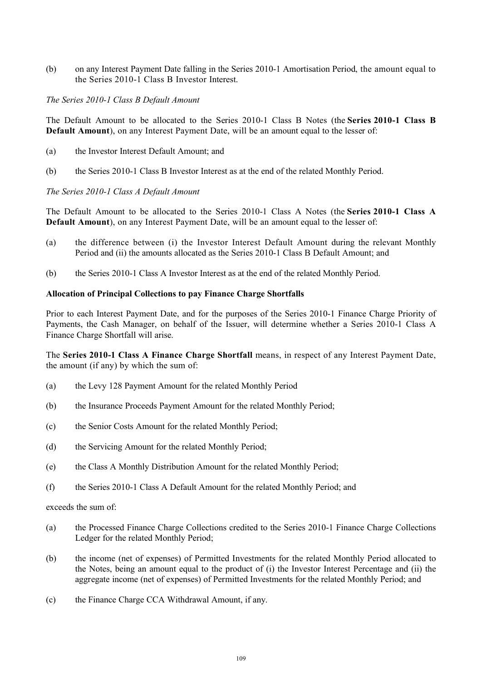(b) on any Interest Payment Date falling in the Series 2010-1 Amortisation Period, the amount equal to the Series 2010-1 Class B Investor Interest.

### *The Series 2010-1 Class B Default Amount*

The Default Amount to be allocated to the Series 2010-1 Class B Notes (the **Series 2010-1 Class B Default Amount**), on any Interest Payment Date, will be an amount equal to the lesser of:

- (a) the Investor Interest Default Amount; and
- (b) the Series 2010-1 Class B Investor Interest as at the end of the related Monthly Period.

### *The Series 2010-1 Class A Default Amount*

The Default Amount to be allocated to the Series 2010-1 Class A Notes (the **Series 2010-1 Class A Default Amount**), on any Interest Payment Date, will be an amount equal to the lesser of:

- (a) the difference between (i) the Investor Interest Default Amount during the relevant Monthly Period and (ii) the amounts allocated as the Series 2010-1 Class B Default Amount; and
- (b) the Series 2010-1 Class A Investor Interest as at the end of the related Monthly Period.

### **Allocation of Principal Collections to pay Finance Charge Shortfalls**

Prior to each Interest Payment Date, and for the purposes of the Series 2010-1 Finance Charge Priority of Payments, the Cash Manager, on behalf of the Issuer, will determine whether a Series 2010-1 Class A Finance Charge Shortfall will arise.

The **Series 2010-1 Class A Finance Charge Shortfall** means, in respect of any Interest Payment Date, the amount (if any) by which the sum of:

- (a) the Levy 128 Payment Amount for the related Monthly Period
- (b) the Insurance Proceeds Payment Amount for the related Monthly Period;
- (c) the Senior Costs Amount for the related Monthly Period;
- (d) the Servicing Amount for the related Monthly Period;
- (e) the Class A Monthly Distribution Amount for the related Monthly Period;
- (f) the Series 2010-1 Class A Default Amount for the related Monthly Period; and

exceeds the sum of:

- (a) the Processed Finance Charge Collections credited to the Series 2010-1 Finance Charge Collections Ledger for the related Monthly Period;
- (b) the income (net of expenses) of Permitted Investments for the related Monthly Period allocated to the Notes, being an amount equal to the product of (i) the Investor Interest Percentage and (ii) the aggregate income (net of expenses) of Permitted Investments for the related Monthly Period; and
- (c) the Finance Charge CCA Withdrawal Amount, if any.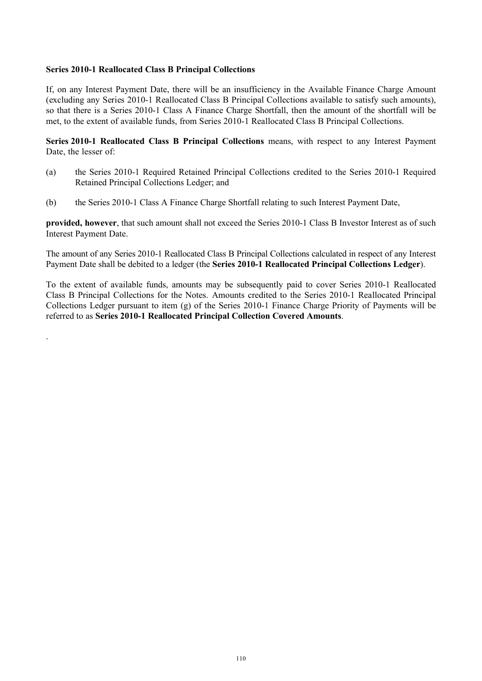## **Series 2010-1 Reallocated Class B Principal Collections**

.

If, on any Interest Payment Date, there will be an insufficiency in the Available Finance Charge Amount (excluding any Series 2010-1 Reallocated Class B Principal Collections available to satisfy such amounts), so that there is a Series 2010-1 Class A Finance Charge Shortfall, then the amount of the shortfall will be met, to the extent of available funds, from Series 2010-1 Reallocated Class B Principal Collections.

**Series 2010-1 Reallocated Class B Principal Collections** means, with respect to any Interest Payment Date, the lesser of:

- (a) the Series 2010-1 Required Retained Principal Collections credited to the Series 2010-1 Required Retained Principal Collections Ledger; and
- (b) the Series 2010-1 Class A Finance Charge Shortfall relating to such Interest Payment Date,

**provided, however**, that such amount shall not exceed the Series 2010-1 Class B Investor Interest as of such Interest Payment Date.

The amount of any Series 2010-1 Reallocated Class B Principal Collections calculated in respect of any Interest Payment Date shall be debited to a ledger (the **Series 2010-1 Reallocated Principal Collections Ledger**).

To the extent of available funds, amounts may be subsequently paid to cover Series 2010-1 Reallocated Class B Principal Collections for the Notes. Amounts credited to the Series 2010-1 Reallocated Principal Collections Ledger pursuant to item (g) of the Series 2010-1 Finance Charge Priority of Payments will be referred to as **Series 2010-1 Reallocated Principal Collection Covered Amounts**.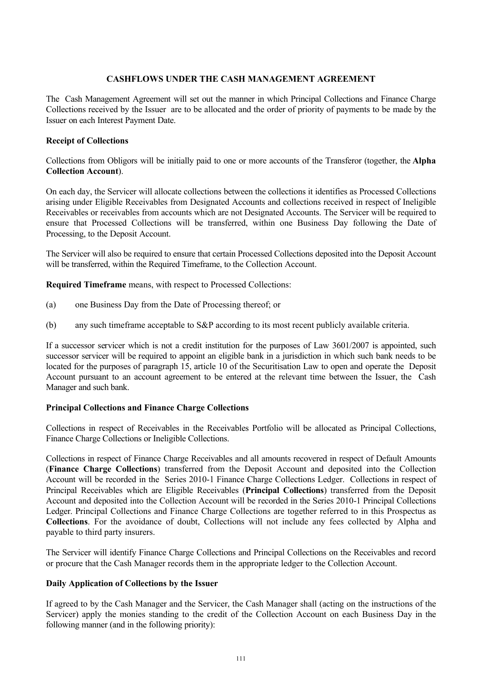# **CASHFLOWS UNDER THE CASH MANAGEMENT AGREEMENT**

The Cash Management Agreement will set out the manner in which Principal Collections and Finance Charge Collections received by the Issuer are to be allocated and the order of priority of payments to be made by the Issuer on each Interest Payment Date.

# **Receipt of Collections**

Collections from Obligors will be initially paid to one or more accounts of the Transferor (together, the **Alpha Collection Account**).

On each day, the Servicer will allocate collections between the collections it identifies as Processed Collections arising under Eligible Receivables from Designated Accounts and collections received in respect of Ineligible Receivables or receivables from accounts which are not Designated Accounts. The Servicer will be required to ensure that Processed Collections will be transferred, within one Business Day following the Date of Processing, to the Deposit Account.

The Servicer will also be required to ensure that certain Processed Collections deposited into the Deposit Account will be transferred, within the Required Timeframe, to the Collection Account.

**Required Timeframe** means, with respect to Processed Collections:

- (a) one Business Day from the Date of Processing thereof; or
- (b) any such timeframe acceptable to S&P according to its most recent publicly available criteria.

If a successor servicer which is not a credit institution for the purposes of Law 3601/2007 is appointed, such successor servicer will be required to appoint an eligible bank in a jurisdiction in which such bank needs to be located for the purposes of paragraph 15, article 10 of the Securitisation Law to open and operate the Deposit Account pursuant to an account agreement to be entered at the relevant time between the Issuer, the Cash Manager and such bank.

## **Principal Collections and Finance Charge Collections**

Collections in respect of Receivables in the Receivables Portfolio will be allocated as Principal Collections, Finance Charge Collections or Ineligible Collections.

Collections in respect of Finance Charge Receivables and all amounts recovered in respect of Default Amounts (**Finance Charge Collections**) transferred from the Deposit Account and deposited into the Collection Account will be recorded in the Series 2010-1 Finance Charge Collections Ledger. Collections in respect of Principal Receivables which are Eligible Receivables (**Principal Collections**) transferred from the Deposit Account and deposited into the Collection Account will be recorded in the Series 2010-1 Principal Collections Ledger. Principal Collections and Finance Charge Collections are together referred to in this Prospectus as **Collections**. For the avoidance of doubt, Collections will not include any fees collected by Alpha and payable to third party insurers.

The Servicer will identify Finance Charge Collections and Principal Collections on the Receivables and record or procure that the Cash Manager records them in the appropriate ledger to the Collection Account.

## **Daily Application of Collections by the Issuer**

If agreed to by the Cash Manager and the Servicer, the Cash Manager shall (acting on the instructions of the Servicer) apply the monies standing to the credit of the Collection Account on each Business Day in the following manner (and in the following priority):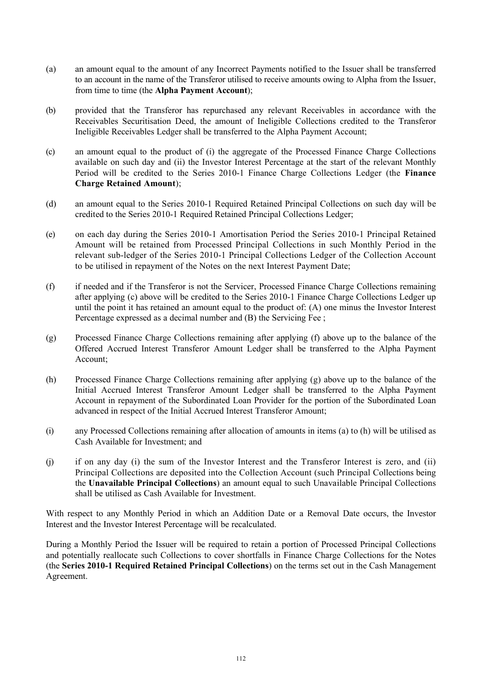- (a) an amount equal to the amount of any Incorrect Payments notified to the Issuer shall be transferred to an account in the name of the Transferor utilised to receive amounts owing to Alpha from the Issuer, from time to time (the **Alpha Payment Account**);
- (b) provided that the Transferor has repurchased any relevant Receivables in accordance with the Receivables Securitisation Deed, the amount of Ineligible Collections credited to the Transferor Ineligible Receivables Ledger shall be transferred to the Alpha Payment Account;
- (c) an amount equal to the product of (i) the aggregate of the Processed Finance Charge Collections available on such day and (ii) the Investor Interest Percentage at the start of the relevant Monthly Period will be credited to the Series 2010-1 Finance Charge Collections Ledger (the **Finance Charge Retained Amount**);
- (d) an amount equal to the Series 2010-1 Required Retained Principal Collections on such day will be credited to the Series 2010-1 Required Retained Principal Collections Ledger;
- (e) on each day during the Series 2010-1 Amortisation Period the Series 2010-1 Principal Retained Amount will be retained from Processed Principal Collections in such Monthly Period in the relevant sub-ledger of the Series 2010-1 Principal Collections Ledger of the Collection Account to be utilised in repayment of the Notes on the next Interest Payment Date;
- (f) if needed and if the Transferor is not the Servicer, Processed Finance Charge Collections remaining after applying (c) above will be credited to the Series 2010-1 Finance Charge Collections Ledger up until the point it has retained an amount equal to the product of: (A) one minus the Investor Interest Percentage expressed as a decimal number and (B) the Servicing Fee ;
- (g) Processed Finance Charge Collections remaining after applying (f) above up to the balance of the Offered Accrued Interest Transferor Amount Ledger shall be transferred to the Alpha Payment Account;
- (h) Processed Finance Charge Collections remaining after applying (g) above up to the balance of the Initial Accrued Interest Transferor Amount Ledger shall be transferred to the Alpha Payment Account in repayment of the Subordinated Loan Provider for the portion of the Subordinated Loan advanced in respect of the Initial Accrued Interest Transferor Amount;
- (i) any Processed Collections remaining after allocation of amounts in items (a) to (h) will be utilised as Cash Available for Investment; and
- (j) if on any day (i) the sum of the Investor Interest and the Transferor Interest is zero, and (ii) Principal Collections are deposited into the Collection Account (such Principal Collections being the **Unavailable Principal Collections**) an amount equal to such Unavailable Principal Collections shall be utilised as Cash Available for Investment.

With respect to any Monthly Period in which an Addition Date or a Removal Date occurs, the Investor Interest and the Investor Interest Percentage will be recalculated.

During a Monthly Period the Issuer will be required to retain a portion of Processed Principal Collections and potentially reallocate such Collections to cover shortfalls in Finance Charge Collections for the Notes (the **Series 2010-1 Required Retained Principal Collections**) on the terms set out in the Cash Management Agreement.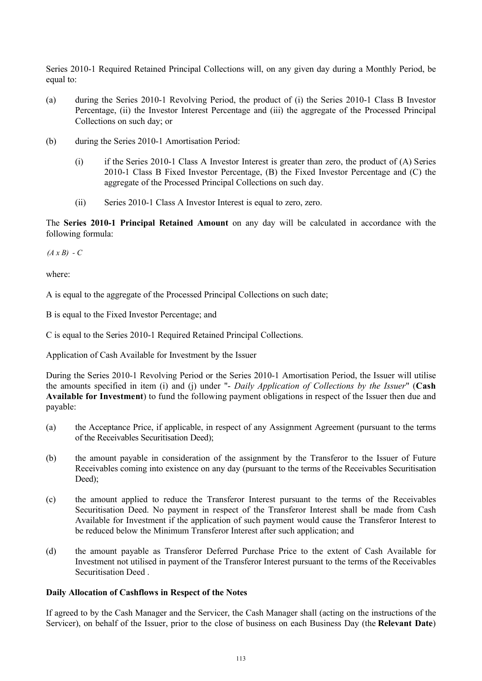Series 2010-1 Required Retained Principal Collections will, on any given day during a Monthly Period, be equal to:

- (a) during the Series 2010-1 Revolving Period, the product of (i) the Series 2010-1 Class B Investor Percentage, (ii) the Investor Interest Percentage and (iii) the aggregate of the Processed Principal Collections on such day; or
- (b) during the Series 2010-1 Amortisation Period:
	- (i) if the Series 2010-1 Class A Investor Interest is greater than zero, the product of (A) Series 2010-1 Class B Fixed Investor Percentage, (B) the Fixed Investor Percentage and (C) the aggregate of the Processed Principal Collections on such day.
	- (ii) Series 2010-1 Class A Investor Interest is equal to zero, zero.

The **Series 2010-1 Principal Retained Amount** on any day will be calculated in accordance with the following formula:

*(A x B) - C*

where:

A is equal to the aggregate of the Processed Principal Collections on such date;

B is equal to the Fixed Investor Percentage; and

C is equal to the Series 2010-1 Required Retained Principal Collections.

Application of Cash Available for Investment by the Issuer

During the Series 2010-1 Revolving Period or the Series 2010-1 Amortisation Period, the Issuer will utilise the amounts specified in item (i) and (j) under "- *Daily Application of Collections by the Issuer*" (**Cash Available for Investment**) to fund the following payment obligations in respect of the Issuer then due and payable:

- (a) the Acceptance Price, if applicable, in respect of any Assignment Agreement (pursuant to the terms of the Receivables Securitisation Deed);
- (b) the amount payable in consideration of the assignment by the Transferor to the Issuer of Future Receivables coming into existence on any day (pursuant to the terms of the Receivables Securitisation Deed):
- (c) the amount applied to reduce the Transferor Interest pursuant to the terms of the Receivables Securitisation Deed. No payment in respect of the Transferor Interest shall be made from Cash Available for Investment if the application of such payment would cause the Transferor Interest to be reduced below the Minimum Transferor Interest after such application; and
- (d) the amount payable as Transferor Deferred Purchase Price to the extent of Cash Available for Investment not utilised in payment of the Transferor Interest pursuant to the terms of the Receivables Securitisation Deed .

## **Daily Allocation of Cashflows in Respect of the Notes**

If agreed to by the Cash Manager and the Servicer, the Cash Manager shall (acting on the instructions of the Servicer), on behalf of the Issuer, prior to the close of business on each Business Day (the **Relevant Date**)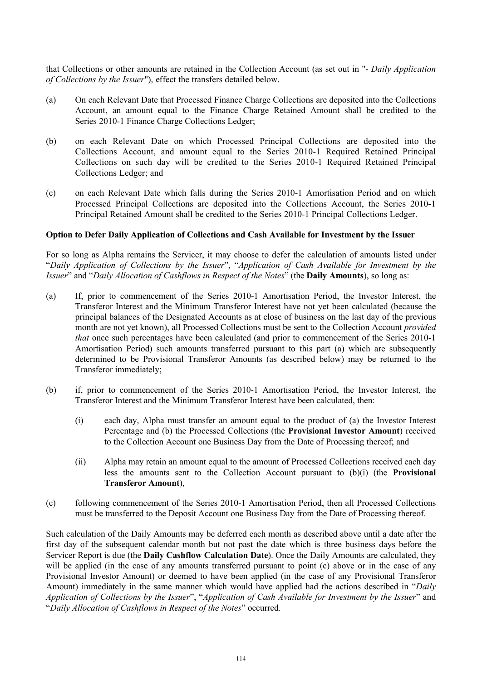that Collections or other amounts are retained in the Collection Account (as set out in "- *Daily Application of Collections by the Issuer*"), effect the transfers detailed below.

- (a) On each Relevant Date that Processed Finance Charge Collections are deposited into the Collections Account, an amount equal to the Finance Charge Retained Amount shall be credited to the Series 2010-1 Finance Charge Collections Ledger;
- (b) on each Relevant Date on which Processed Principal Collections are deposited into the Collections Account, and amount equal to the Series 2010-1 Required Retained Principal Collections on such day will be credited to the Series 2010-1 Required Retained Principal Collections Ledger; and
- (c) on each Relevant Date which falls during the Series 2010-1 Amortisation Period and on which Processed Principal Collections are deposited into the Collections Account, the Series 2010-1 Principal Retained Amount shall be credited to the Series 2010-1 Principal Collections Ledger.

## **Option to Defer Daily Application of Collections and Cash Available for Investment by the Issuer**

For so long as Alpha remains the Servicer, it may choose to defer the calculation of amounts listed under "*Daily Application of Collections by the Issuer*", "*Application of Cash Available for Investment by the Issuer*" and "*Daily Allocation of Cashflows in Respect of the Notes*" (the **Daily Amounts**), so long as:

- (a) If, prior to commencement of the Series 2010-1 Amortisation Period, the Investor Interest, the Transferor Interest and the Minimum Transferor Interest have not yet been calculated (because the principal balances of the Designated Accounts as at close of business on the last day of the previous month are not yet known), all Processed Collections must be sent to the Collection Account *provided that* once such percentages have been calculated (and prior to commencement of the Series 2010-1 Amortisation Period) such amounts transferred pursuant to this part (a) which are subsequently determined to be Provisional Transferor Amounts (as described below) may be returned to the Transferor immediately;
- (b) if, prior to commencement of the Series 2010-1 Amortisation Period, the Investor Interest, the Transferor Interest and the Minimum Transferor Interest have been calculated, then:
	- (i) each day, Alpha must transfer an amount equal to the product of (a) the Investor Interest Percentage and (b) the Processed Collections (the **Provisional Investor Amount**) received to the Collection Account one Business Day from the Date of Processing thereof; and
	- (ii) Alpha may retain an amount equal to the amount of Processed Collections received each day less the amounts sent to the Collection Account pursuant to (b)(i) (the **Provisional Transferor Amount**),
- (c) following commencement of the Series 2010-1 Amortisation Period, then all Processed Collections must be transferred to the Deposit Account one Business Day from the Date of Processing thereof.

Such calculation of the Daily Amounts may be deferred each month as described above until a date after the first day of the subsequent calendar month but not past the date which is three business days before the Servicer Report is due (the **Daily Cashflow Calculation Date**). Once the Daily Amounts are calculated, they will be applied (in the case of any amounts transferred pursuant to point (c) above or in the case of any Provisional Investor Amount) or deemed to have been applied (in the case of any Provisional Transferor Amount) immediately in the same manner which would have applied had the actions described in "*Daily Application of Collections by the Issuer*", "*Application of Cash Available for Investment by the Issuer*" and "*Daily Allocation of Cashflows in Respect of the Notes*" occurred.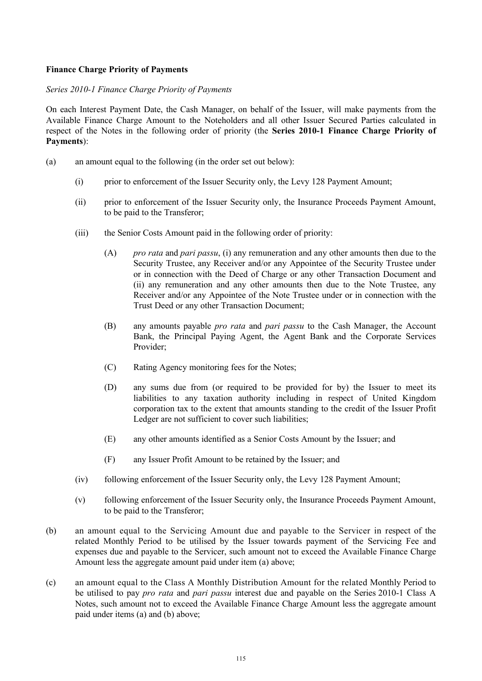## **Finance Charge Priority of Payments**

## *Series 2010-1 Finance Charge Priority of Payments*

On each Interest Payment Date, the Cash Manager, on behalf of the Issuer, will make payments from the Available Finance Charge Amount to the Noteholders and all other Issuer Secured Parties calculated in respect of the Notes in the following order of priority (the **Series 2010-1 Finance Charge Priority of Payments**):

- (a) an amount equal to the following (in the order set out below):
	- (i) prior to enforcement of the Issuer Security only, the Levy 128 Payment Amount;
	- (ii) prior to enforcement of the Issuer Security only, the Insurance Proceeds Payment Amount, to be paid to the Transferor;
	- (iii) the Senior Costs Amount paid in the following order of priority:
		- (A) *pro rata* and *pari passu*, (i) any remuneration and any other amounts then due to the Security Trustee, any Receiver and/or any Appointee of the Security Trustee under or in connection with the Deed of Charge or any other Transaction Document and (ii) any remuneration and any other amounts then due to the Note Trustee, any Receiver and/or any Appointee of the Note Trustee under or in connection with the Trust Deed or any other Transaction Document;
		- (B) any amounts payable *pro rata* and *pari passu* to the Cash Manager, the Account Bank, the Principal Paying Agent, the Agent Bank and the Corporate Services Provider;
		- (C) Rating Agency monitoring fees for the Notes;
		- (D) any sums due from (or required to be provided for by) the Issuer to meet its liabilities to any taxation authority including in respect of United Kingdom corporation tax to the extent that amounts standing to the credit of the Issuer Profit Ledger are not sufficient to cover such liabilities;
		- (E) any other amounts identified as a Senior Costs Amount by the Issuer; and
		- (F) any Issuer Profit Amount to be retained by the Issuer; and
	- (iv) following enforcement of the Issuer Security only, the Levy 128 Payment Amount;
	- (v) following enforcement of the Issuer Security only, the Insurance Proceeds Payment Amount, to be paid to the Transferor;
- (b) an amount equal to the Servicing Amount due and payable to the Servicer in respect of the related Monthly Period to be utilised by the Issuer towards payment of the Servicing Fee and expenses due and payable to the Servicer, such amount not to exceed the Available Finance Charge Amount less the aggregate amount paid under item (a) above;
- (c) an amount equal to the Class A Monthly Distribution Amount for the related Monthly Period to be utilised to pay *pro rata* and *pari passu* interest due and payable on the Series 2010-1 Class A Notes, such amount not to exceed the Available Finance Charge Amount less the aggregate amount paid under items (a) and (b) above;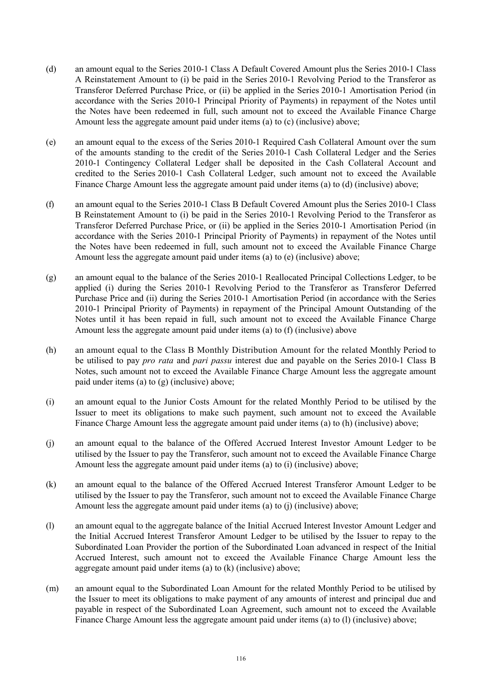- (d) an amount equal to the Series 2010-1 Class A Default Covered Amount plus the Series 2010-1 Class A Reinstatement Amount to (i) be paid in the Series 2010-1 Revolving Period to the Transferor as Transferor Deferred Purchase Price, or (ii) be applied in the Series 2010-1 Amortisation Period (in accordance with the Series 2010-1 Principal Priority of Payments) in repayment of the Notes until the Notes have been redeemed in full, such amount not to exceed the Available Finance Charge Amount less the aggregate amount paid under items (a) to (c) (inclusive) above;
- (e) an amount equal to the excess of the Series 2010-1 Required Cash Collateral Amount over the sum of the amounts standing to the credit of the Series 2010-1 Cash Collateral Ledger and the Series 2010-1 Contingency Collateral Ledger shall be deposited in the Cash Collateral Account and credited to the Series 2010-1 Cash Collateral Ledger, such amount not to exceed the Available Finance Charge Amount less the aggregate amount paid under items (a) to (d) (inclusive) above;
- (f) an amount equal to the Series 2010-1 Class B Default Covered Amount plus the Series 2010-1 Class B Reinstatement Amount to (i) be paid in the Series 2010-1 Revolving Period to the Transferor as Transferor Deferred Purchase Price, or (ii) be applied in the Series 2010-1 Amortisation Period (in accordance with the Series 2010-1 Principal Priority of Payments) in repayment of the Notes until the Notes have been redeemed in full, such amount not to exceed the Available Finance Charge Amount less the aggregate amount paid under items (a) to (e) (inclusive) above;
- (g) an amount equal to the balance of the Series 2010-1 Reallocated Principal Collections Ledger, to be applied (i) during the Series 2010-1 Revolving Period to the Transferor as Transferor Deferred Purchase Price and (ii) during the Series 2010-1 Amortisation Period (in accordance with the Series 2010-1 Principal Priority of Payments) in repayment of the Principal Amount Outstanding of the Notes until it has been repaid in full, such amount not to exceed the Available Finance Charge Amount less the aggregate amount paid under items (a) to (f) (inclusive) above
- (h) an amount equal to the Class B Monthly Distribution Amount for the related Monthly Period to be utilised to pay *pro rata* and *pari passu* interest due and payable on the Series 2010-1 Class B Notes, such amount not to exceed the Available Finance Charge Amount less the aggregate amount paid under items (a) to (g) (inclusive) above;
- (i) an amount equal to the Junior Costs Amount for the related Monthly Period to be utilised by the Issuer to meet its obligations to make such payment, such amount not to exceed the Available Finance Charge Amount less the aggregate amount paid under items (a) to (h) (inclusive) above;
- (j) an amount equal to the balance of the Offered Accrued Interest Investor Amount Ledger to be utilised by the Issuer to pay the Transferor, such amount not to exceed the Available Finance Charge Amount less the aggregate amount paid under items (a) to (i) (inclusive) above;
- (k) an amount equal to the balance of the Offered Accrued Interest Transferor Amount Ledger to be utilised by the Issuer to pay the Transferor, such amount not to exceed the Available Finance Charge Amount less the aggregate amount paid under items (a) to (j) (inclusive) above;
- (l) an amount equal to the aggregate balance of the Initial Accrued Interest Investor Amount Ledger and the Initial Accrued Interest Transferor Amount Ledger to be utilised by the Issuer to repay to the Subordinated Loan Provider the portion of the Subordinated Loan advanced in respect of the Initial Accrued Interest, such amount not to exceed the Available Finance Charge Amount less the aggregate amount paid under items (a) to (k) (inclusive) above;
- (m) an amount equal to the Subordinated Loan Amount for the related Monthly Period to be utilised by the Issuer to meet its obligations to make payment of any amounts of interest and principal due and payable in respect of the Subordinated Loan Agreement, such amount not to exceed the Available Finance Charge Amount less the aggregate amount paid under items (a) to (l) (inclusive) above;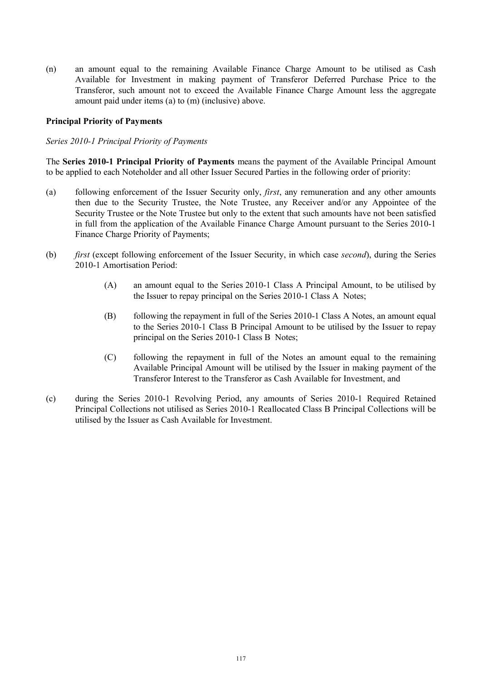(n) an amount equal to the remaining Available Finance Charge Amount to be utilised as Cash Available for Investment in making payment of Transferor Deferred Purchase Price to the Transferor, such amount not to exceed the Available Finance Charge Amount less the aggregate amount paid under items (a) to (m) (inclusive) above.

## **Principal Priority of Payments**

## *Series 2010-1 Principal Priority of Payments*

The **Series 2010-1 Principal Priority of Payments** means the payment of the Available Principal Amount to be applied to each Noteholder and all other Issuer Secured Parties in the following order of priority:

- (a) following enforcement of the Issuer Security only, *first*, any remuneration and any other amounts then due to the Security Trustee, the Note Trustee, any Receiver and/or any Appointee of the Security Trustee or the Note Trustee but only to the extent that such amounts have not been satisfied in full from the application of the Available Finance Charge Amount pursuant to the Series 2010-1 Finance Charge Priority of Payments;
- (b) *first* (except following enforcement of the Issuer Security, in which case *second*), during the Series 2010-1 Amortisation Period:
	- (A) an amount equal to the Series 2010-1 Class A Principal Amount, to be utilised by the Issuer to repay principal on the Series 2010-1 Class A Notes;
	- (B) following the repayment in full of the Series 2010-1 Class A Notes, an amount equal to the Series 2010-1 Class B Principal Amount to be utilised by the Issuer to repay principal on the Series 2010-1 Class B Notes;
	- (C) following the repayment in full of the Notes an amount equal to the remaining Available Principal Amount will be utilised by the Issuer in making payment of the Transferor Interest to the Transferor as Cash Available for Investment, and
- (c) during the Series 2010-1 Revolving Period, any amounts of Series 2010-1 Required Retained Principal Collections not utilised as Series 2010-1 Reallocated Class B Principal Collections will be utilised by the Issuer as Cash Available for Investment.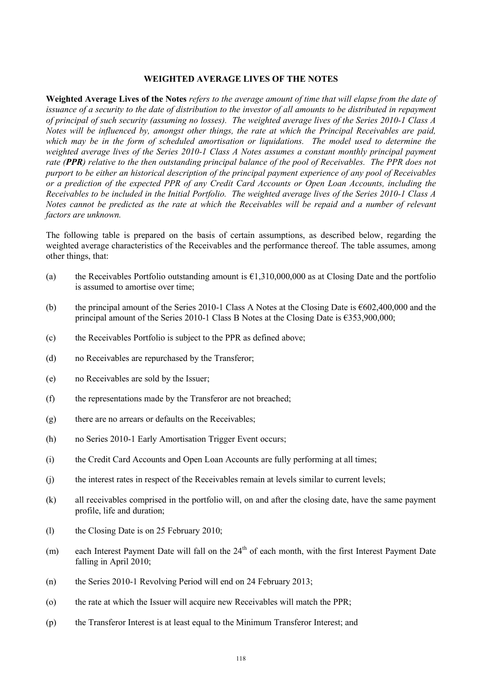#### **WEIGHTED AVERAGE LIVES OF THE NOTES**

**Weighted Average Lives of the Notes** *refers to the average amount of time that will elapse from the date of issuance of a security to the date of distribution to the investor of all amounts to be distributed in repayment of principal of such security (assuming no losses). The weighted average lives of the Series 2010-1 Class A Notes will be influenced by, amongst other things, the rate at which the Principal Receivables are paid, which may be in the form of scheduled amortisation or liquidations. The model used to determine the weighted average lives of the Series 2010-1 Class A Notes assumes a constant monthly principal payment rate (PPR) relative to the then outstanding principal balance of the pool of Receivables. The PPR does not purport to be either an historical description of the principal payment experience of any pool of Receivables or a prediction of the expected PPR of any Credit Card Accounts or Open Loan Accounts, including the Receivables to be included in the Initial Portfolio. The weighted average lives of the Series 2010-1 Class A Notes cannot be predicted as the rate at which the Receivables will be repaid and a number of relevant factors are unknown.*

The following table is prepared on the basis of certain assumptions, as described below, regarding the weighted average characteristics of the Receivables and the performance thereof. The table assumes, among other things, that:

- (a) the Receivables Portfolio outstanding amount is  $\epsilon$ 1,310,000,000 as at Closing Date and the portfolio is assumed to amortise over time;
- (b) the principal amount of the Series 2010-1 Class A Notes at the Closing Date is  $\epsilon$ 602,400,000 and the principal amount of the Series 2010-1 Class B Notes at the Closing Date is  $\epsilon$ 353,900,000;
- (c) the Receivables Portfolio is subject to the PPR as defined above;
- (d) no Receivables are repurchased by the Transferor;
- (e) no Receivables are sold by the Issuer;
- (f) the representations made by the Transferor are not breached;
- (g) there are no arrears or defaults on the Receivables;
- (h) no Series 2010-1 Early Amortisation Trigger Event occurs;
- (i) the Credit Card Accounts and Open Loan Accounts are fully performing at all times;
- (j) the interest rates in respect of the Receivables remain at levels similar to current levels;
- (k) all receivables comprised in the portfolio will, on and after the closing date, have the same payment profile, life and duration;
- (l) the Closing Date is on 25 February 2010;
- $(m)$  each Interest Payment Date will fall on the  $24<sup>th</sup>$  of each month, with the first Interest Payment Date falling in April 2010;
- (n) the Series 2010-1 Revolving Period will end on 24 February 2013;
- (o) the rate at which the Issuer will acquire new Receivables will match the PPR;
- (p) the Transferor Interest is at least equal to the Minimum Transferor Interest; and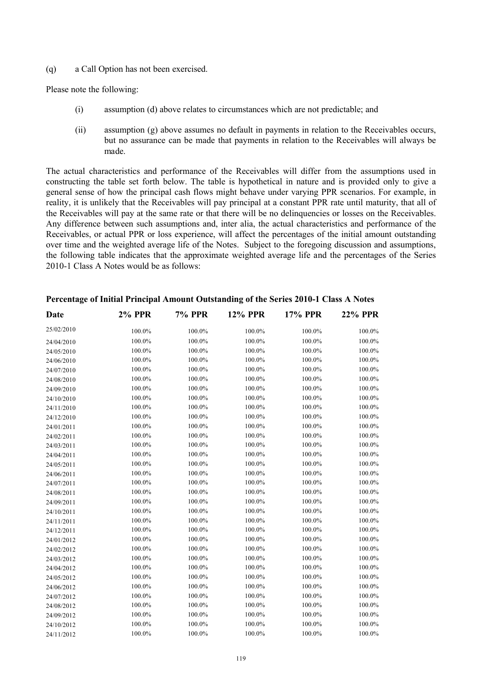(q) a Call Option has not been exercised.

Please note the following:

- (i) assumption (d) above relates to circumstances which are not predictable; and
- (ii) assumption (g) above assumes no default in payments in relation to the Receivables occurs, but no assurance can be made that payments in relation to the Receivables will always be made.

The actual characteristics and performance of the Receivables will differ from the assumptions used in constructing the table set forth below. The table is hypothetical in nature and is provided only to give a general sense of how the principal cash flows might behave under varying PPR scenarios. For example, in reality, it is unlikely that the Receivables will pay principal at a constant PPR rate until maturity, that all of the Receivables will pay at the same rate or that there will be no delinquencies or losses on the Receivables. Any difference between such assumptions and, inter alia, the actual characteristics and performance of the Receivables, or actual PPR or loss experience, will affect the percentages of the initial amount outstanding over time and the weighted average life of the Notes. Subject to the foregoing discussion and assumptions, the following table indicates that the approximate weighted average life and the percentages of the Series 2010-1 Class A Notes would be as follows:

| Date       | <b>2% PPR</b> | <b>7% PPR</b> | <b>12% PPR</b> | <b>17% PPR</b> | <b>22% PPR</b> |
|------------|---------------|---------------|----------------|----------------|----------------|
| 25/02/2010 | 100.0%        | 100.0%        | 100.0%         | 100.0%         | 100.0%         |
| 24/04/2010 | 100.0%        | 100.0%        | 100.0%         | 100.0%         | 100.0%         |
| 24/05/2010 | 100.0%        | 100.0%        | 100.0%         | 100.0%         | 100.0%         |
| 24/06/2010 | 100.0%        | 100.0%        | 100.0%         | 100.0%         | 100.0%         |
| 24/07/2010 | 100.0%        | 100.0%        | 100.0%         | 100.0%         | 100.0%         |
| 24/08/2010 | 100.0%        | 100.0%        | 100.0%         | 100.0%         | 100.0%         |
| 24/09/2010 | 100.0%        | 100.0%        | 100.0%         | 100.0%         | 100.0%         |
| 24/10/2010 | 100.0%        | 100.0%        | 100.0%         | 100.0%         | 100.0%         |
| 24/11/2010 | 100.0%        | 100.0%        | 100.0%         | 100.0%         | 100.0%         |
| 24/12/2010 | 100.0%        | 100.0%        | 100.0%         | 100.0%         | 100.0%         |
| 24/01/2011 | 100.0%        | 100.0%        | 100.0%         | 100.0%         | 100.0%         |
| 24/02/2011 | 100.0%        | 100.0%        | 100.0%         | 100.0%         | 100.0%         |
| 24/03/2011 | 100.0%        | 100.0%        | 100.0%         | 100.0%         | 100.0%         |
| 24/04/2011 | 100.0%        | 100.0%        | 100.0%         | 100.0%         | 100.0%         |
| 24/05/2011 | 100.0%        | 100.0%        | 100.0%         | 100.0%         | 100.0%         |
| 24/06/2011 | 100.0%        | 100.0%        | 100.0%         | 100.0%         | 100.0%         |
| 24/07/2011 | 100.0%        | 100.0%        | 100.0%         | 100.0%         | 100.0%         |
| 24/08/2011 | 100.0%        | 100.0%        | 100.0%         | 100.0%         | 100.0%         |
| 24/09/2011 | 100.0%        | 100.0%        | 100.0%         | 100.0%         | 100.0%         |
| 24/10/2011 | 100.0%        | 100.0%        | 100.0%         | 100.0%         | 100.0%         |
| 24/11/2011 | 100.0%        | 100.0%        | 100.0%         | 100.0%         | 100.0%         |
| 24/12/2011 | 100.0%        | 100.0%        | 100.0%         | 100.0%         | 100.0%         |
| 24/01/2012 | 100.0%        | 100.0%        | 100.0%         | 100.0%         | 100.0%         |
| 24/02/2012 | 100.0%        | 100.0%        | 100.0%         | 100.0%         | 100.0%         |
| 24/03/2012 | 100.0%        | 100.0%        | 100.0%         | 100.0%         | 100.0%         |
| 24/04/2012 | 100.0%        | 100.0%        | 100.0%         | 100.0%         | 100.0%         |
| 24/05/2012 | 100.0%        | 100.0%        | 100.0%         | 100.0%         | 100.0%         |
| 24/06/2012 | 100.0%        | 100.0%        | 100.0%         | 100.0%         | 100.0%         |
| 24/07/2012 | 100.0%        | 100.0%        | 100.0%         | 100.0%         | 100.0%         |
| 24/08/2012 | 100.0%        | 100.0%        | 100.0%         | 100.0%         | 100.0%         |
| 24/09/2012 | 100.0%        | 100.0%        | 100.0%         | 100.0%         | 100.0%         |
| 24/10/2012 | 100.0%        | 100.0%        | 100.0%         | 100.0%         | 100.0%         |
| 24/11/2012 | 100.0%        | 100.0%        | 100.0%         | 100.0%         | 100.0%         |

# **Percentage of Initial Principal Amount Outstanding of the Series 2010-1 Class A Notes**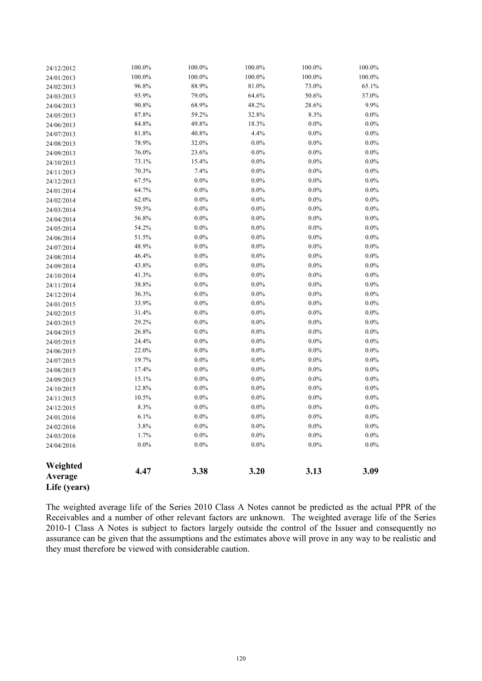| 24/12/2012          | 100.0%  | 100.0%   | 100.0%  | 100.0%  | 100.0%  |
|---------------------|---------|----------|---------|---------|---------|
| 24/01/2013          | 100.0%  | 100.0%   | 100.0%  | 100.0%  | 100.0%  |
| 24/02/2013          | 96.8%   | 88.9%    | 81.0%   | 73.0%   | 65.1%   |
| 24/03/2013          | 93.9%   | 79.0%    | 64.6%   | 50.6%   | 37.0%   |
| 24/04/2013          | 90.8%   | 68.9%    | 48.2%   | 28.6%   | 9.9%    |
| 24/05/2013          | 87.8%   | 59.2%    | 32.8%   | 8.3%    | 0.0%    |
| 24/06/2013          | 84.8%   | 49.8%    | 18.3%   | $0.0\%$ | 0.0%    |
| 24/07/2013          | 81.8%   | $40.8\%$ | 4.4%    | $0.0\%$ | 0.0%    |
| 24/08/2013          | 78.9%   | 32.0%    | $0.0\%$ | $0.0\%$ | 0.0%    |
| 24/09/2013          | 76.0%   | 23.6%    | $0.0\%$ | $0.0\%$ | 0.0%    |
| 24/10/2013          | 73.1%   | 15.4%    | $0.0\%$ | $0.0\%$ | 0.0%    |
| 24/11/2013          | 70.3%   | 7.4%     | $0.0\%$ | $0.0\%$ | 0.0%    |
| 24/12/2013          | 67.5%   | $0.0\%$  | $0.0\%$ | $0.0\%$ | 0.0%    |
| 24/01/2014          | 64.7%   | $0.0\%$  | $0.0\%$ | $0.0\%$ | 0.0%    |
| 24/02/2014          | 62.0%   | $0.0\%$  | $0.0\%$ | $0.0\%$ | 0.0%    |
| 24/03/2014          | 59.5%   | $0.0\%$  | $0.0\%$ | $0.0\%$ | $0.0\%$ |
| 24/04/2014          | 56.8%   | $0.0\%$  | $0.0\%$ | $0.0\%$ | $0.0\%$ |
| 24/05/2014          | 54.2%   | $0.0\%$  | $0.0\%$ | 0.0%    | 0.0%    |
| 24/06/2014          | 51.5%   | $0.0\%$  | $0.0\%$ | $0.0\%$ | 0.0%    |
| 24/07/2014          | 48.9%   | $0.0\%$  | $0.0\%$ | $0.0\%$ | $0.0\%$ |
| 24/08/2014          | 46.4%   | $0.0\%$  | $0.0\%$ | $0.0\%$ | 0.0%    |
| 24/09/2014          | 43.8%   | $0.0\%$  | $0.0\%$ | $0.0\%$ | 0.0%    |
| 24/10/2014          | 41.3%   | $0.0\%$  | $0.0\%$ | $0.0\%$ | 0.0%    |
| 24/11/2014          | 38.8%   | $0.0\%$  | $0.0\%$ | $0.0\%$ | $0.0\%$ |
| 24/12/2014          | 36.3%   | $0.0\%$  | $0.0\%$ | $0.0\%$ | 0.0%    |
| 24/01/2015          | 33.9%   | $0.0\%$  | $0.0\%$ | $0.0\%$ | 0.0%    |
| 24/02/2015          | 31.4%   | $0.0\%$  | $0.0\%$ | $0.0\%$ | 0.0%    |
| 24/03/2015          | 29.2%   | $0.0\%$  | $0.0\%$ | $0.0\%$ | 0.0%    |
| 24/04/2015          | 26.8%   | $0.0\%$  | $0.0\%$ | $0.0\%$ | 0.0%    |
| 24/05/2015          | 24.4%   | 0.0%     | $0.0\%$ | $0.0\%$ | 0.0%    |
| 24/06/2015          | 22.0%   | $0.0\%$  | $0.0\%$ | $0.0\%$ | 0.0%    |
| 24/07/2015          | 19.7%   | $0.0\%$  | $0.0\%$ | $0.0\%$ | 0.0%    |
| 24/08/2015          | 17.4%   | $0.0\%$  | $0.0\%$ | $0.0\%$ | $0.0\%$ |
| 24/09/2015          | 15.1%   | $0.0\%$  | $0.0\%$ | $0.0\%$ | $0.0\%$ |
| 24/10/2015          | 12.8%   | $0.0\%$  | $0.0\%$ | 0.0%    | 0.0%    |
| 24/11/2015          | 10.5%   | $0.0\%$  | $0.0\%$ | $0.0\%$ | 0.0%    |
| 24/12/2015          | 8.3%    | $0.0\%$  | $0.0\%$ | $0.0\%$ | 0.0%    |
| 24/01/2016          | 6.1%    | $0.0\%$  | $0.0\%$ | 0.0%    | $0.0\%$ |
| 24/02/2016          | 3.8%    | $0.0\%$  | $0.0\%$ | $0.0\%$ | $0.0\%$ |
| 24/03/2016          | 1.7%    | $0.0\%$  | $0.0\%$ | 0.0%    | $0.0\%$ |
| 24/04/2016          | $0.0\%$ | $0.0\%$  | $0.0\%$ | $0.0\%$ | $0.0\%$ |
| Weighted<br>Average | 4.47    | 3.38     | 3.20    | 3.13    | 3.09    |
| Life (years)        |         |          |         |         |         |

The weighted average life of the Series 2010 Class A Notes cannot be predicted as the actual PPR of the Receivables and a number of other relevant factors are unknown. The weighted average life of the Series 2010-1 Class A Notes is subject to factors largely outside the control of the Issuer and consequently no assurance can be given that the assumptions and the estimates above will prove in any way to be realistic and they must therefore be viewed with considerable caution.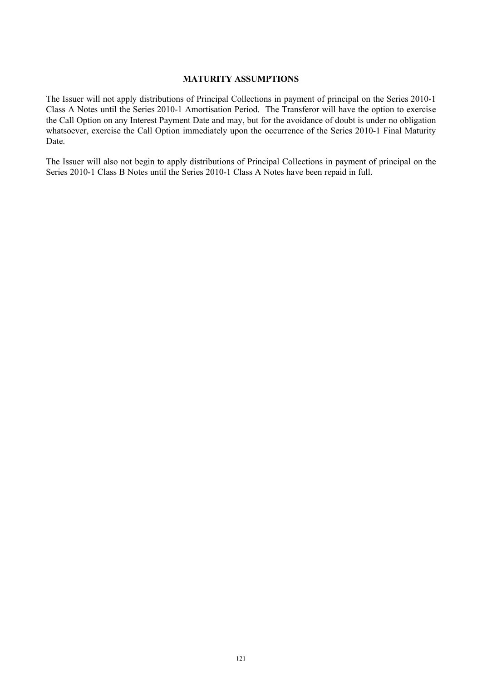# **MATURITY ASSUMPTIONS**

The Issuer will not apply distributions of Principal Collections in payment of principal on the Series 2010-1 Class A Notes until the Series 2010-1 Amortisation Period. The Transferor will have the option to exercise the Call Option on any Interest Payment Date and may, but for the avoidance of doubt is under no obligation whatsoever, exercise the Call Option immediately upon the occurrence of the Series 2010-1 Final Maturity Date.

The Issuer will also not begin to apply distributions of Principal Collections in payment of principal on the Series 2010-1 Class B Notes until the Series 2010-1 Class A Notes have been repaid in full.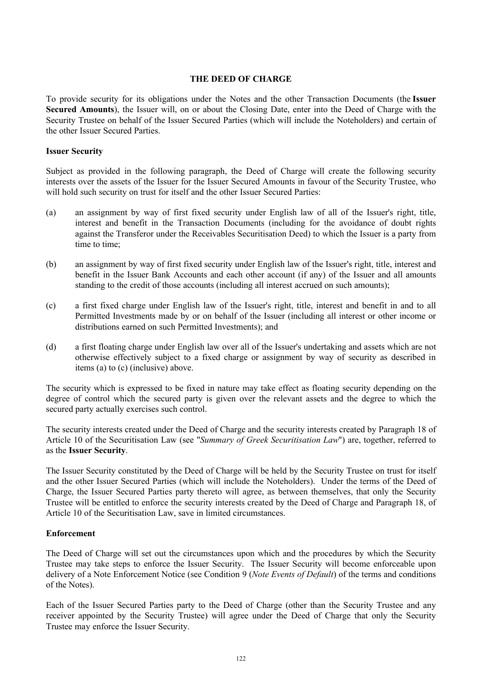### **THE DEED OF CHARGE**

To provide security for its obligations under the Notes and the other Transaction Documents (the **Issuer Secured Amounts**), the Issuer will, on or about the Closing Date, enter into the Deed of Charge with the Security Trustee on behalf of the Issuer Secured Parties (which will include the Noteholders) and certain of the other Issuer Secured Parties.

## **Issuer Security**

Subject as provided in the following paragraph, the Deed of Charge will create the following security interests over the assets of the Issuer for the Issuer Secured Amounts in favour of the Security Trustee, who will hold such security on trust for itself and the other Issuer Secured Parties:

- (a) an assignment by way of first fixed security under English law of all of the Issuer's right, title, interest and benefit in the Transaction Documents (including for the avoidance of doubt rights against the Transferor under the Receivables Securitisation Deed) to which the Issuer is a party from time to time;
- (b) an assignment by way of first fixed security under English law of the Issuer's right, title, interest and benefit in the Issuer Bank Accounts and each other account (if any) of the Issuer and all amounts standing to the credit of those accounts (including all interest accrued on such amounts);
- (c) a first fixed charge under English law of the Issuer's right, title, interest and benefit in and to all Permitted Investments made by or on behalf of the Issuer (including all interest or other income or distributions earned on such Permitted Investments); and
- (d) a first floating charge under English law over all of the Issuer's undertaking and assets which are not otherwise effectively subject to a fixed charge or assignment by way of security as described in items (a) to (c) (inclusive) above.

The security which is expressed to be fixed in nature may take effect as floating security depending on the degree of control which the secured party is given over the relevant assets and the degree to which the secured party actually exercises such control.

The security interests created under the Deed of Charge and the security interests created by Paragraph 18 of Article 10 of the Securitisation Law (see "*Summary of Greek Securitisation Law*") are, together, referred to as the **Issuer Security**.

The Issuer Security constituted by the Deed of Charge will be held by the Security Trustee on trust for itself and the other Issuer Secured Parties (which will include the Noteholders). Under the terms of the Deed of Charge, the Issuer Secured Parties party thereto will agree, as between themselves, that only the Security Trustee will be entitled to enforce the security interests created by the Deed of Charge and Paragraph 18, of Article 10 of the Securitisation Law, save in limited circumstances.

## **Enforcement**

The Deed of Charge will set out the circumstances upon which and the procedures by which the Security Trustee may take steps to enforce the Issuer Security. The Issuer Security will become enforceable upon delivery of a Note Enforcement Notice (see Condition 9 (*Note Events of Default*) of the terms and conditions of the Notes).

Each of the Issuer Secured Parties party to the Deed of Charge (other than the Security Trustee and any receiver appointed by the Security Trustee) will agree under the Deed of Charge that only the Security Trustee may enforce the Issuer Security.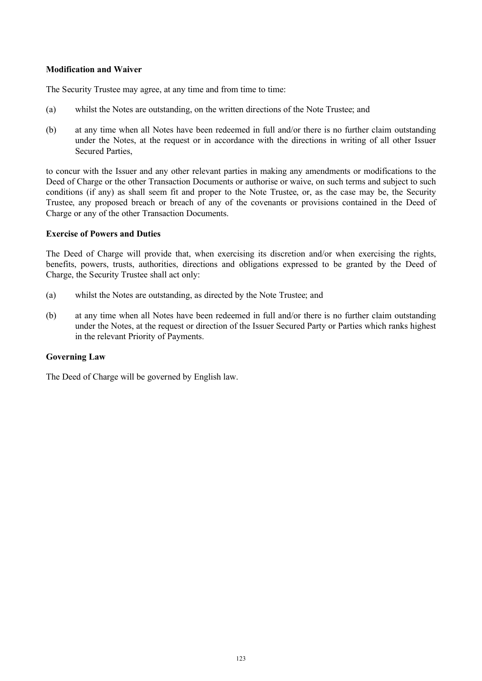# **Modification and Waiver**

The Security Trustee may agree, at any time and from time to time:

- (a) whilst the Notes are outstanding, on the written directions of the Note Trustee; and
- (b) at any time when all Notes have been redeemed in full and/or there is no further claim outstanding under the Notes, at the request or in accordance with the directions in writing of all other Issuer Secured Parties,

to concur with the Issuer and any other relevant parties in making any amendments or modifications to the Deed of Charge or the other Transaction Documents or authorise or waive, on such terms and subject to such conditions (if any) as shall seem fit and proper to the Note Trustee, or, as the case may be, the Security Trustee, any proposed breach or breach of any of the covenants or provisions contained in the Deed of Charge or any of the other Transaction Documents.

# **Exercise of Powers and Duties**

The Deed of Charge will provide that, when exercising its discretion and/or when exercising the rights, benefits, powers, trusts, authorities, directions and obligations expressed to be granted by the Deed of Charge, the Security Trustee shall act only:

- (a) whilst the Notes are outstanding, as directed by the Note Trustee; and
- (b) at any time when all Notes have been redeemed in full and/or there is no further claim outstanding under the Notes, at the request or direction of the Issuer Secured Party or Parties which ranks highest in the relevant Priority of Payments.

## **Governing Law**

The Deed of Charge will be governed by English law.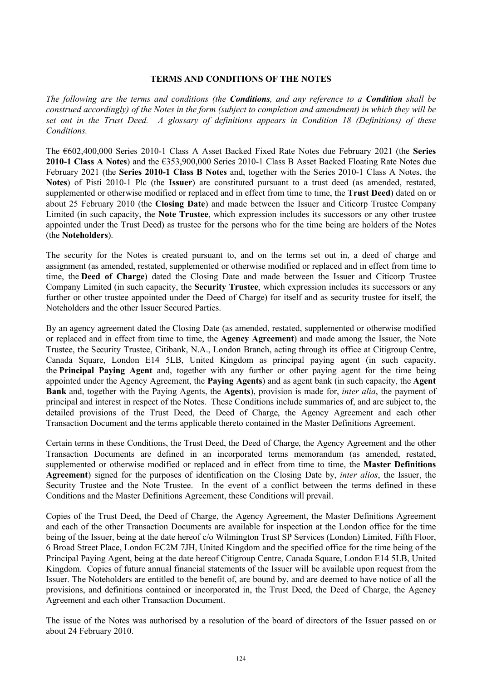## **TERMS AND CONDITIONS OF THE NOTES**

*The following are the terms and conditions (the Conditions, and any reference to a Condition shall be construed accordingly) of the Notes in the form (subject to completion and amendment) in which they will be set out in the Trust Deed. A glossary of definitions appears in Condition 18 (Definitions) of these Conditions.*

The €602,400,000 Series 2010-1 Class A Asset Backed Fixed Rate Notes due February 2021 (the **Series 2010-1 Class A Notes**) and the €353,900,000 Series 2010-1 Class B Asset Backed Floating Rate Notes due February 2021 (the **Series 2010-1 Class B Notes** and, together with the Series 2010-1 Class A Notes, the **Notes**) of Pisti 2010-1 Plc (the **Issuer**) are constituted pursuant to a trust deed (as amended, restated, supplemented or otherwise modified or replaced and in effect from time to time, the **Trust Deed**) dated on or about 25 February 2010 (the **Closing Date**) and made between the Issuer and Citicorp Trustee Company Limited (in such capacity, the **Note Trustee**, which expression includes its successors or any other trustee appointed under the Trust Deed) as trustee for the persons who for the time being are holders of the Notes (the **Noteholders**).

The security for the Notes is created pursuant to, and on the terms set out in, a deed of charge and assignment (as amended, restated, supplemented or otherwise modified or replaced and in effect from time to time, the **Deed of Charge**) dated the Closing Date and made between the Issuer and Citicorp Trustee Company Limited (in such capacity, the **Security Trustee**, which expression includes its successors or any further or other trustee appointed under the Deed of Charge) for itself and as security trustee for itself, the Noteholders and the other Issuer Secured Parties.

By an agency agreement dated the Closing Date (as amended, restated, supplemented or otherwise modified or replaced and in effect from time to time, the **Agency Agreement**) and made among the Issuer, the Note Trustee, the Security Trustee, Citibank, N.A., London Branch, acting through its office at Citigroup Centre, Canada Square, London E14 5LB, United Kingdom as principal paying agent (in such capacity, the **Principal Paying Agent** and, together with any further or other paying agent for the time being appointed under the Agency Agreement, the **Paying Agents**) and as agent bank (in such capacity, the **Agent Bank** and, together with the Paying Agents, the **Agents**), provision is made for, *inter alia*, the payment of principal and interest in respect of the Notes. These Conditions include summaries of, and are subject to, the detailed provisions of the Trust Deed, the Deed of Charge, the Agency Agreement and each other Transaction Document and the terms applicable thereto contained in the Master Definitions Agreement.

Certain terms in these Conditions, the Trust Deed, the Deed of Charge, the Agency Agreement and the other Transaction Documents are defined in an incorporated terms memorandum (as amended, restated, supplemented or otherwise modified or replaced and in effect from time to time, the **Master Definitions Agreement**) signed for the purposes of identification on the Closing Date by, *inter alios*, the Issuer, the Security Trustee and the Note Trustee. In the event of a conflict between the terms defined in these Conditions and the Master Definitions Agreement, these Conditions will prevail.

Copies of the Trust Deed, the Deed of Charge, the Agency Agreement, the Master Definitions Agreement and each of the other Transaction Documents are available for inspection at the London office for the time being of the Issuer, being at the date hereof c/o Wilmington Trust SP Services (London) Limited, Fifth Floor, 6 Broad Street Place, London EC2M 7JH, United Kingdom and the specified office for the time being of the Principal Paying Agent, being at the date hereof Citigroup Centre, Canada Square, London E14 5LB, United Kingdom. Copies of future annual financial statements of the Issuer will be available upon request from the Issuer. The Noteholders are entitled to the benefit of, are bound by, and are deemed to have notice of all the provisions, and definitions contained or incorporated in, the Trust Deed, the Deed of Charge, the Agency Agreement and each other Transaction Document.

The issue of the Notes was authorised by a resolution of the board of directors of the Issuer passed on or about 24 February 2010.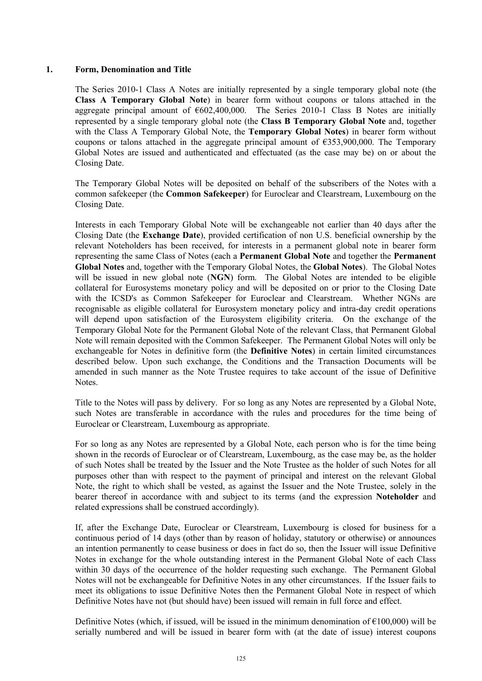## **1. Form, Denomination and Title**

The Series 2010-1 Class A Notes are initially represented by a single temporary global note (the **Class A Temporary Global Note**) in bearer form without coupons or talons attached in the aggregate principal amount of  $\epsilon$ 602,400,000. The Series 2010-1 Class B Notes are initially represented by a single temporary global note (the **Class B Temporary Global Note** and, together with the Class A Temporary Global Note, the **Temporary Global Notes**) in bearer form without coupons or talons attached in the aggregate principal amount of  $\epsilon$ 353,900,000. The Temporary Global Notes are issued and authenticated and effectuated (as the case may be) on or about the Closing Date.

The Temporary Global Notes will be deposited on behalf of the subscribers of the Notes with a common safekeeper (the **Common Safekeeper**) for Euroclear and Clearstream, Luxembourg on the Closing Date.

Interests in each Temporary Global Note will be exchangeable not earlier than 40 days after the Closing Date (the **Exchange Date**), provided certification of non U.S. beneficial ownership by the relevant Noteholders has been received, for interests in a permanent global note in bearer form representing the same Class of Notes (each a **Permanent Global Note** and together the **Permanent Global Notes** and, together with the Temporary Global Notes, the **Global Notes**). The Global Notes will be issued in new global note (**NGN**) form. The Global Notes are intended to be eligible collateral for Eurosystems monetary policy and will be deposited on or prior to the Closing Date with the ICSD's as Common Safekeeper for Euroclear and Clearstream. Whether NGNs are recognisable as eligible collateral for Eurosystem monetary policy and intra-day credit operations will depend upon satisfaction of the Eurosystem eligibility criteria. On the exchange of the Temporary Global Note for the Permanent Global Note of the relevant Class, that Permanent Global Note will remain deposited with the Common Safekeeper. The Permanent Global Notes will only be exchangeable for Notes in definitive form (the **Definitive Notes**) in certain limited circumstances described below. Upon such exchange, the Conditions and the Transaction Documents will be amended in such manner as the Note Trustee requires to take account of the issue of Definitive **Notes**.

Title to the Notes will pass by delivery. For so long as any Notes are represented by a Global Note, such Notes are transferable in accordance with the rules and procedures for the time being of Euroclear or Clearstream, Luxembourg as appropriate.

For so long as any Notes are represented by a Global Note, each person who is for the time being shown in the records of Euroclear or of Clearstream, Luxembourg, as the case may be, as the holder of such Notes shall be treated by the Issuer and the Note Trustee as the holder of such Notes for all purposes other than with respect to the payment of principal and interest on the relevant Global Note, the right to which shall be vested, as against the Issuer and the Note Trustee, solely in the bearer thereof in accordance with and subject to its terms (and the expression **Noteholder** and related expressions shall be construed accordingly).

If, after the Exchange Date, Euroclear or Clearstream, Luxembourg is closed for business for a continuous period of 14 days (other than by reason of holiday, statutory or otherwise) or announces an intention permanently to cease business or does in fact do so, then the Issuer will issue Definitive Notes in exchange for the whole outstanding interest in the Permanent Global Note of each Class within 30 days of the occurrence of the holder requesting such exchange. The Permanent Global Notes will not be exchangeable for Definitive Notes in any other circumstances. If the Issuer fails to meet its obligations to issue Definitive Notes then the Permanent Global Note in respect of which Definitive Notes have not (but should have) been issued will remain in full force and effect.

Definitive Notes (which, if issued, will be issued in the minimum denomination of  $\epsilon$ 100,000) will be serially numbered and will be issued in bearer form with (at the date of issue) interest coupons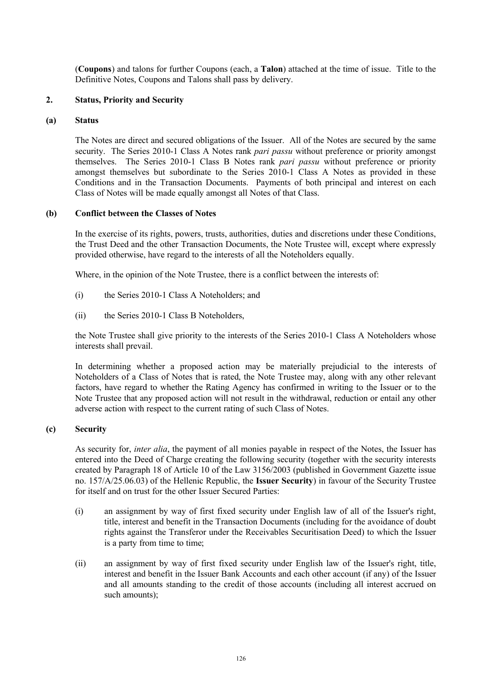(**Coupons**) and talons for further Coupons (each, a **Talon**) attached at the time of issue. Title to the Definitive Notes, Coupons and Talons shall pass by delivery.

## **2. Status, Priority and Security**

#### **(a) Status**

The Notes are direct and secured obligations of the Issuer. All of the Notes are secured by the same security. The Series 2010-1 Class A Notes rank *pari passu* without preference or priority amongst themselves. The Series 2010-1 Class B Notes rank *pari passu* without preference or priority amongst themselves but subordinate to the Series 2010-1 Class A Notes as provided in these Conditions and in the Transaction Documents. Payments of both principal and interest on each Class of Notes will be made equally amongst all Notes of that Class.

### **(b) Conflict between the Classes of Notes**

In the exercise of its rights, powers, trusts, authorities, duties and discretions under these Conditions, the Trust Deed and the other Transaction Documents, the Note Trustee will, except where expressly provided otherwise, have regard to the interests of all the Noteholders equally.

Where, in the opinion of the Note Trustee, there is a conflict between the interests of:

- (i) the Series 2010-1 Class A Noteholders; and
- (ii) the Series 2010-1 Class B Noteholders,

the Note Trustee shall give priority to the interests of the Series 2010-1 Class A Noteholders whose interests shall prevail.

In determining whether a proposed action may be materially prejudicial to the interests of Noteholders of a Class of Notes that is rated, the Note Trustee may, along with any other relevant factors, have regard to whether the Rating Agency has confirmed in writing to the Issuer or to the Note Trustee that any proposed action will not result in the withdrawal, reduction or entail any other adverse action with respect to the current rating of such Class of Notes.

## **(c) Security**

As security for, *inter alia*, the payment of all monies payable in respect of the Notes, the Issuer has entered into the Deed of Charge creating the following security (together with the security interests created by Paragraph 18 of Article 10 of the Law 3156/2003 (published in Government Gazette issue no. 157/A/25.06.03) of the Hellenic Republic, the **Issuer Security**) in favour of the Security Trustee for itself and on trust for the other Issuer Secured Parties:

- (i) an assignment by way of first fixed security under English law of all of the Issuer's right, title, interest and benefit in the Transaction Documents (including for the avoidance of doubt rights against the Transferor under the Receivables Securitisation Deed) to which the Issuer is a party from time to time;
- (ii) an assignment by way of first fixed security under English law of the Issuer's right, title, interest and benefit in the Issuer Bank Accounts and each other account (if any) of the Issuer and all amounts standing to the credit of those accounts (including all interest accrued on such amounts);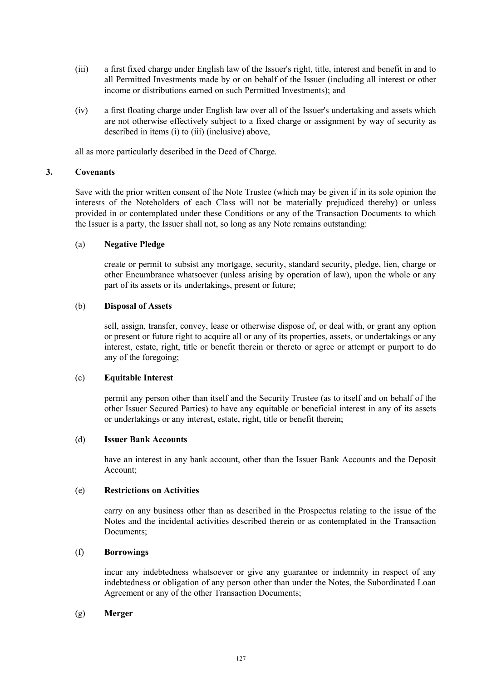- (iii) a first fixed charge under English law of the Issuer's right, title, interest and benefit in and to all Permitted Investments made by or on behalf of the Issuer (including all interest or other income or distributions earned on such Permitted Investments); and
- (iv) a first floating charge under English law over all of the Issuer's undertaking and assets which are not otherwise effectively subject to a fixed charge or assignment by way of security as described in items (i) to (iii) (inclusive) above,

all as more particularly described in the Deed of Charge.

# **3. Covenants**

Save with the prior written consent of the Note Trustee (which may be given if in its sole opinion the interests of the Noteholders of each Class will not be materially prejudiced thereby) or unless provided in or contemplated under these Conditions or any of the Transaction Documents to which the Issuer is a party, the Issuer shall not, so long as any Note remains outstanding:

# (a) **Negative Pledge**

create or permit to subsist any mortgage, security, standard security, pledge, lien, charge or other Encumbrance whatsoever (unless arising by operation of law), upon the whole or any part of its assets or its undertakings, present or future;

# (b) **Disposal of Assets**

sell, assign, transfer, convey, lease or otherwise dispose of, or deal with, or grant any option or present or future right to acquire all or any of its properties, assets, or undertakings or any interest, estate, right, title or benefit therein or thereto or agree or attempt or purport to do any of the foregoing;

## (c) **Equitable Interest**

permit any person other than itself and the Security Trustee (as to itself and on behalf of the other Issuer Secured Parties) to have any equitable or beneficial interest in any of its assets or undertakings or any interest, estate, right, title or benefit therein;

## (d) **Issuer Bank Accounts**

have an interest in any bank account, other than the Issuer Bank Accounts and the Deposit Account;

## (e) **Restrictions on Activities**

carry on any business other than as described in the Prospectus relating to the issue of the Notes and the incidental activities described therein or as contemplated in the Transaction Documents;

## (f) **Borrowings**

incur any indebtedness whatsoever or give any guarantee or indemnity in respect of any indebtedness or obligation of any person other than under the Notes, the Subordinated Loan Agreement or any of the other Transaction Documents;

## (g) **Merger**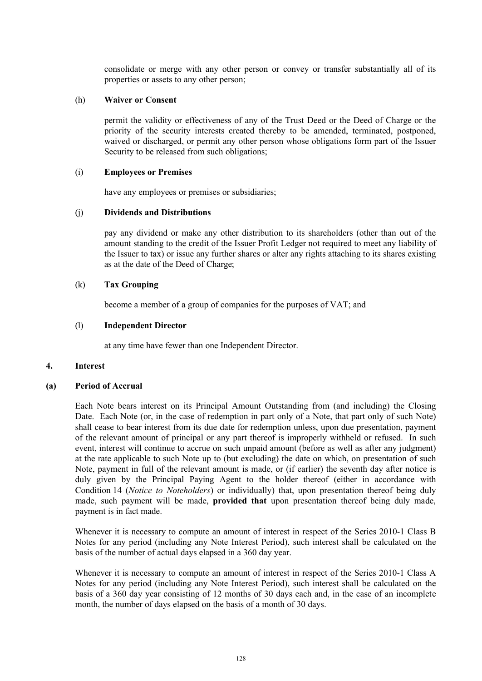consolidate or merge with any other person or convey or transfer substantially all of its properties or assets to any other person;

### (h) **Waiver or Consent**

permit the validity or effectiveness of any of the Trust Deed or the Deed of Charge or the priority of the security interests created thereby to be amended, terminated, postponed, waived or discharged, or permit any other person whose obligations form part of the Issuer Security to be released from such obligations;

### (i) **Employees or Premises**

have any employees or premises or subsidiaries;

### (j) **Dividends and Distributions**

pay any dividend or make any other distribution to its shareholders (other than out of the amount standing to the credit of the Issuer Profit Ledger not required to meet any liability of the Issuer to tax) or issue any further shares or alter any rights attaching to its shares existing as at the date of the Deed of Charge;

## (k) **Tax Grouping**

become a member of a group of companies for the purposes of VAT; and

### (l) **Independent Director**

at any time have fewer than one Independent Director.

## **4. Interest**

#### **(a) Period of Accrual**

Each Note bears interest on its Principal Amount Outstanding from (and including) the Closing Date. Each Note (or, in the case of redemption in part only of a Note, that part only of such Note) shall cease to bear interest from its due date for redemption unless, upon due presentation, payment of the relevant amount of principal or any part thereof is improperly withheld or refused. In such event, interest will continue to accrue on such unpaid amount (before as well as after any judgment) at the rate applicable to such Note up to (but excluding) the date on which, on presentation of such Note, payment in full of the relevant amount is made, or (if earlier) the seventh day after notice is duly given by the Principal Paying Agent to the holder thereof (either in accordance with Condition 14 (*Notice to Noteholders*) or individually) that, upon presentation thereof being duly made, such payment will be made, **provided that** upon presentation thereof being duly made, payment is in fact made.

Whenever it is necessary to compute an amount of interest in respect of the Series 2010-1 Class B Notes for any period (including any Note Interest Period), such interest shall be calculated on the basis of the number of actual days elapsed in a 360 day year.

Whenever it is necessary to compute an amount of interest in respect of the Series 2010-1 Class A Notes for any period (including any Note Interest Period), such interest shall be calculated on the basis of a 360 day year consisting of 12 months of 30 days each and, in the case of an incomplete month, the number of days elapsed on the basis of a month of 30 days.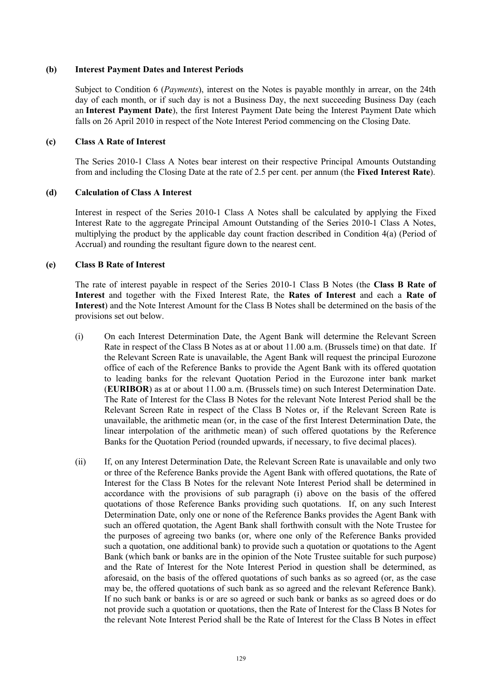## **(b) Interest Payment Dates and Interest Periods**

Subject to Condition 6 (*Payments*), interest on the Notes is payable monthly in arrear, on the 24th day of each month, or if such day is not a Business Day, the next succeeding Business Day (each an **Interest Payment Date**), the first Interest Payment Date being the Interest Payment Date which falls on 26 April 2010 in respect of the Note Interest Period commencing on the Closing Date.

### **(c) Class A Rate of Interest**

The Series 2010-1 Class A Notes bear interest on their respective Principal Amounts Outstanding from and including the Closing Date at the rate of 2.5 per cent. per annum (the **Fixed Interest Rate**).

### **(d) Calculation of Class A Interest**

Interest in respect of the Series 2010-1 Class A Notes shall be calculated by applying the Fixed Interest Rate to the aggregate Principal Amount Outstanding of the Series 2010-1 Class A Notes, multiplying the product by the applicable day count fraction described in Condition 4(a) (Period of Accrual) and rounding the resultant figure down to the nearest cent.

### **(e) Class B Rate of Interest**

The rate of interest payable in respect of the Series 2010-1 Class B Notes (the **Class B Rate of Interest** and together with the Fixed Interest Rate, the **Rates of Interest** and each a **Rate of Interest**) and the Note Interest Amount for the Class B Notes shall be determined on the basis of the provisions set out below.

- (i) On each Interest Determination Date, the Agent Bank will determine the Relevant Screen Rate in respect of the Class B Notes as at or about 11.00 a.m. (Brussels time) on that date. If the Relevant Screen Rate is unavailable, the Agent Bank will request the principal Eurozone office of each of the Reference Banks to provide the Agent Bank with its offered quotation to leading banks for the relevant Quotation Period in the Eurozone inter bank market (**EURIBOR**) as at or about 11.00 a.m. (Brussels time) on such Interest Determination Date. The Rate of Interest for the Class B Notes for the relevant Note Interest Period shall be the Relevant Screen Rate in respect of the Class B Notes or, if the Relevant Screen Rate is unavailable, the arithmetic mean (or, in the case of the first Interest Determination Date, the linear interpolation of the arithmetic mean) of such offered quotations by the Reference Banks for the Quotation Period (rounded upwards, if necessary, to five decimal places).
- (ii) If, on any Interest Determination Date, the Relevant Screen Rate is unavailable and only two or three of the Reference Banks provide the Agent Bank with offered quotations, the Rate of Interest for the Class B Notes for the relevant Note Interest Period shall be determined in accordance with the provisions of sub paragraph (i) above on the basis of the offered quotations of those Reference Banks providing such quotations. If, on any such Interest Determination Date, only one or none of the Reference Banks provides the Agent Bank with such an offered quotation, the Agent Bank shall forthwith consult with the Note Trustee for the purposes of agreeing two banks (or, where one only of the Reference Banks provided such a quotation, one additional bank) to provide such a quotation or quotations to the Agent Bank (which bank or banks are in the opinion of the Note Trustee suitable for such purpose) and the Rate of Interest for the Note Interest Period in question shall be determined, as aforesaid, on the basis of the offered quotations of such banks as so agreed (or, as the case may be, the offered quotations of such bank as so agreed and the relevant Reference Bank). If no such bank or banks is or are so agreed or such bank or banks as so agreed does or do not provide such a quotation or quotations, then the Rate of Interest for the Class B Notes for the relevant Note Interest Period shall be the Rate of Interest for the Class B Notes in effect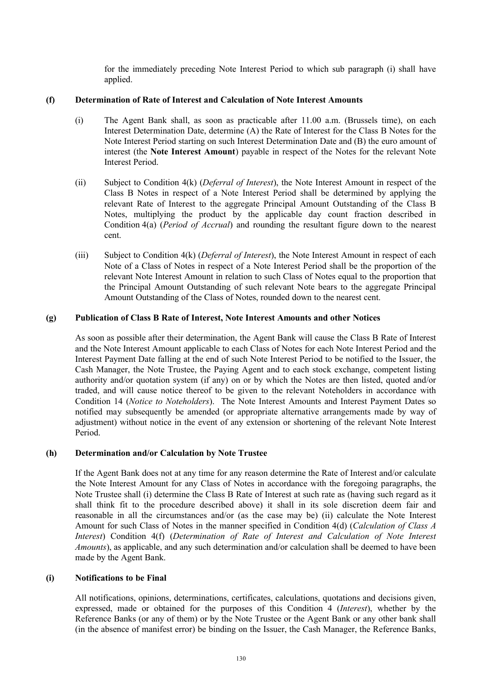for the immediately preceding Note Interest Period to which sub paragraph (i) shall have applied.

## **(f) Determination of Rate of Interest and Calculation of Note Interest Amounts**

- (i) The Agent Bank shall, as soon as practicable after 11.00 a.m. (Brussels time), on each Interest Determination Date, determine (A) the Rate of Interest for the Class B Notes for the Note Interest Period starting on such Interest Determination Date and (B) the euro amount of interest (the **Note Interest Amount**) payable in respect of the Notes for the relevant Note Interest Period.
- (ii) Subject to Condition 4(k) (*Deferral of Interest*), the Note Interest Amount in respect of the Class B Notes in respect of a Note Interest Period shall be determined by applying the relevant Rate of Interest to the aggregate Principal Amount Outstanding of the Class B Notes, multiplying the product by the applicable day count fraction described in Condition 4(a) (*Period of Accrual*) and rounding the resultant figure down to the nearest cent.
- (iii) Subject to Condition 4(k) (*Deferral of Interest*), the Note Interest Amount in respect of each Note of a Class of Notes in respect of a Note Interest Period shall be the proportion of the relevant Note Interest Amount in relation to such Class of Notes equal to the proportion that the Principal Amount Outstanding of such relevant Note bears to the aggregate Principal Amount Outstanding of the Class of Notes, rounded down to the nearest cent.

# **(g) Publication of Class B Rate of Interest, Note Interest Amounts and other Notices**

As soon as possible after their determination, the Agent Bank will cause the Class B Rate of Interest and the Note Interest Amount applicable to each Class of Notes for each Note Interest Period and the Interest Payment Date falling at the end of such Note Interest Period to be notified to the Issuer, the Cash Manager, the Note Trustee, the Paying Agent and to each stock exchange, competent listing authority and/or quotation system (if any) on or by which the Notes are then listed, quoted and/or traded, and will cause notice thereof to be given to the relevant Noteholders in accordance with Condition 14 (*Notice to Noteholders*). The Note Interest Amounts and Interest Payment Dates so notified may subsequently be amended (or appropriate alternative arrangements made by way of adjustment) without notice in the event of any extension or shortening of the relevant Note Interest Period.

# **(h) Determination and/or Calculation by Note Trustee**

If the Agent Bank does not at any time for any reason determine the Rate of Interest and/or calculate the Note Interest Amount for any Class of Notes in accordance with the foregoing paragraphs, the Note Trustee shall (i) determine the Class B Rate of Interest at such rate as (having such regard as it shall think fit to the procedure described above) it shall in its sole discretion deem fair and reasonable in all the circumstances and/or (as the case may be) (ii) calculate the Note Interest Amount for such Class of Notes in the manner specified in Condition 4(d) (*Calculation of Class A Interest*) Condition 4(f) (*Determination of Rate of Interest and Calculation of Note Interest Amounts*), as applicable, and any such determination and/or calculation shall be deemed to have been made by the Agent Bank.

## **(i) Notifications to be Final**

All notifications, opinions, determinations, certificates, calculations, quotations and decisions given, expressed, made or obtained for the purposes of this Condition 4 (*Interest*), whether by the Reference Banks (or any of them) or by the Note Trustee or the Agent Bank or any other bank shall (in the absence of manifest error) be binding on the Issuer, the Cash Manager, the Reference Banks,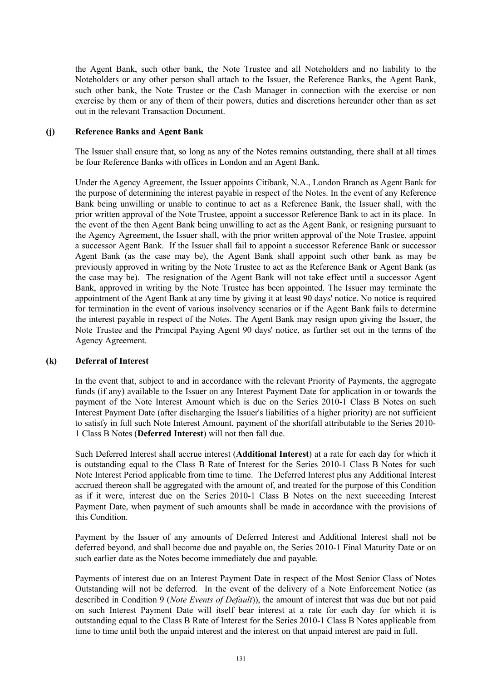the Agent Bank, such other bank, the Note Trustee and all Noteholders and no liability to the Noteholders or any other person shall attach to the Issuer, the Reference Banks, the Agent Bank, such other bank, the Note Trustee or the Cash Manager in connection with the exercise or non exercise by them or any of them of their powers, duties and discretions hereunder other than as set out in the relevant Transaction Document.

### **(j) Reference Banks and Agent Bank**

The Issuer shall ensure that, so long as any of the Notes remains outstanding, there shall at all times be four Reference Banks with offices in London and an Agent Bank.

Under the Agency Agreement, the Issuer appoints Citibank, N.A., London Branch as Agent Bank for the purpose of determining the interest payable in respect of the Notes. In the event of any Reference Bank being unwilling or unable to continue to act as a Reference Bank, the Issuer shall, with the prior written approval of the Note Trustee, appoint a successor Reference Bank to act in its place. In the event of the then Agent Bank being unwilling to act as the Agent Bank, or resigning pursuant to the Agency Agreement, the Issuer shall, with the prior written approval of the Note Trustee, appoint a successor Agent Bank. If the Issuer shall fail to appoint a successor Reference Bank or successor Agent Bank (as the case may be), the Agent Bank shall appoint such other bank as may be previously approved in writing by the Note Trustee to act as the Reference Bank or Agent Bank (as the case may be). The resignation of the Agent Bank will not take effect until a successor Agent Bank, approved in writing by the Note Trustee has been appointed. The Issuer may terminate the appointment of the Agent Bank at any time by giving it at least 90 days' notice. No notice is required for termination in the event of various insolvency scenarios or if the Agent Bank fails to determine the interest payable in respect of the Notes. The Agent Bank may resign upon giving the Issuer, the Note Trustee and the Principal Paying Agent 90 days' notice, as further set out in the terms of the Agency Agreement.

## **(k) Deferral of Interest**

In the event that, subject to and in accordance with the relevant Priority of Payments, the aggregate funds (if any) available to the Issuer on any Interest Payment Date for application in or towards the payment of the Note Interest Amount which is due on the Series 2010-1 Class B Notes on such Interest Payment Date (after discharging the Issuer's liabilities of a higher priority) are not sufficient to satisfy in full such Note Interest Amount, payment of the shortfall attributable to the Series 2010- 1 Class B Notes (**Deferred Interest**) will not then fall due.

Such Deferred Interest shall accrue interest (**Additional Interest**) at a rate for each day for which it is outstanding equal to the Class B Rate of Interest for the Series 2010-1 Class B Notes for such Note Interest Period applicable from time to time. The Deferred Interest plus any Additional Interest accrued thereon shall be aggregated with the amount of, and treated for the purpose of this Condition as if it were, interest due on the Series 2010-1 Class B Notes on the next succeeding Interest Payment Date, when payment of such amounts shall be made in accordance with the provisions of this Condition.

Payment by the Issuer of any amounts of Deferred Interest and Additional Interest shall not be deferred beyond, and shall become due and payable on, the Series 2010-1 Final Maturity Date or on such earlier date as the Notes become immediately due and payable.

Payments of interest due on an Interest Payment Date in respect of the Most Senior Class of Notes Outstanding will not be deferred. In the event of the delivery of a Note Enforcement Notice (as described in Condition 9 (*Note Events of Default*)), the amount of interest that was due but not paid on such Interest Payment Date will itself bear interest at a rate for each day for which it is outstanding equal to the Class B Rate of Interest for the Series 2010-1 Class B Notes applicable from time to time until both the unpaid interest and the interest on that unpaid interest are paid in full.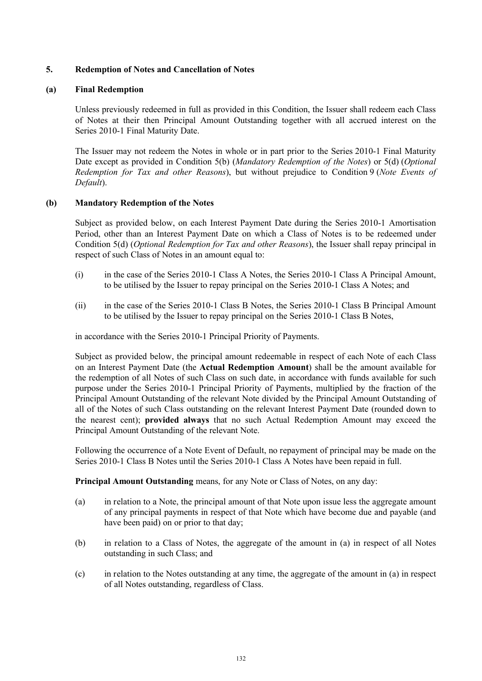# **5. Redemption of Notes and Cancellation of Notes**

## **(a) Final Redemption**

Unless previously redeemed in full as provided in this Condition, the Issuer shall redeem each Class of Notes at their then Principal Amount Outstanding together with all accrued interest on the Series 2010-1 Final Maturity Date.

The Issuer may not redeem the Notes in whole or in part prior to the Series 2010-1 Final Maturity Date except as provided in Condition 5(b) (*Mandatory Redemption of the Notes*) or 5(d) (*Optional Redemption for Tax and other Reasons*), but without prejudice to Condition 9 (*Note Events of Default*).

## **(b) Mandatory Redemption of the Notes**

Subject as provided below, on each Interest Payment Date during the Series 2010-1 Amortisation Period, other than an Interest Payment Date on which a Class of Notes is to be redeemed under Condition 5(d) (*Optional Redemption for Tax and other Reasons*), the Issuer shall repay principal in respect of such Class of Notes in an amount equal to:

- (i) in the case of the Series 2010-1 Class A Notes, the Series 2010-1 Class A Principal Amount, to be utilised by the Issuer to repay principal on the Series 2010-1 Class A Notes; and
- (ii) in the case of the Series 2010-1 Class B Notes, the Series 2010-1 Class B Principal Amount to be utilised by the Issuer to repay principal on the Series 2010-1 Class B Notes,

in accordance with the Series 2010-1 Principal Priority of Payments.

Subject as provided below, the principal amount redeemable in respect of each Note of each Class on an Interest Payment Date (the **Actual Redemption Amount**) shall be the amount available for the redemption of all Notes of such Class on such date, in accordance with funds available for such purpose under the Series 2010-1 Principal Priority of Payments, multiplied by the fraction of the Principal Amount Outstanding of the relevant Note divided by the Principal Amount Outstanding of all of the Notes of such Class outstanding on the relevant Interest Payment Date (rounded down to the nearest cent); **provided always** that no such Actual Redemption Amount may exceed the Principal Amount Outstanding of the relevant Note.

Following the occurrence of a Note Event of Default, no repayment of principal may be made on the Series 2010-1 Class B Notes until the Series 2010-1 Class A Notes have been repaid in full.

**Principal Amount Outstanding** means, for any Note or Class of Notes, on any day:

- (a) in relation to a Note, the principal amount of that Note upon issue less the aggregate amount of any principal payments in respect of that Note which have become due and payable (and have been paid) on or prior to that day;
- (b) in relation to a Class of Notes, the aggregate of the amount in (a) in respect of all Notes outstanding in such Class; and
- (c) in relation to the Notes outstanding at any time, the aggregate of the amount in (a) in respect of all Notes outstanding, regardless of Class.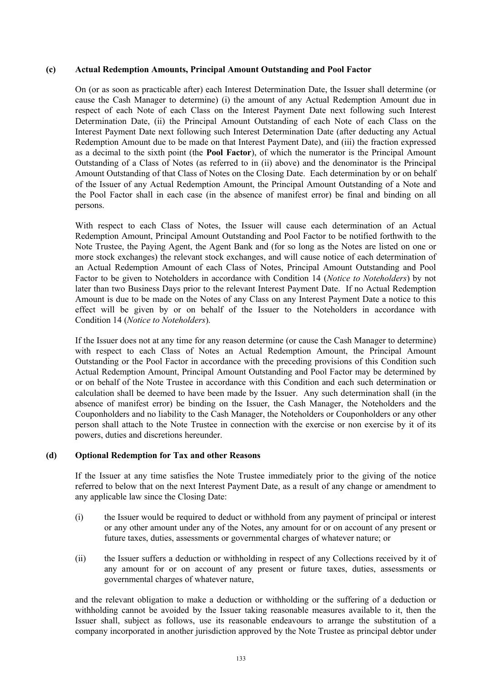### **(c) Actual Redemption Amounts, Principal Amount Outstanding and Pool Factor**

On (or as soon as practicable after) each Interest Determination Date, the Issuer shall determine (or cause the Cash Manager to determine) (i) the amount of any Actual Redemption Amount due in respect of each Note of each Class on the Interest Payment Date next following such Interest Determination Date, (ii) the Principal Amount Outstanding of each Note of each Class on the Interest Payment Date next following such Interest Determination Date (after deducting any Actual Redemption Amount due to be made on that Interest Payment Date), and (iii) the fraction expressed as a decimal to the sixth point (the **Pool Factor**), of which the numerator is the Principal Amount Outstanding of a Class of Notes (as referred to in (ii) above) and the denominator is the Principal Amount Outstanding of that Class of Notes on the Closing Date. Each determination by or on behalf of the Issuer of any Actual Redemption Amount, the Principal Amount Outstanding of a Note and the Pool Factor shall in each case (in the absence of manifest error) be final and binding on all persons.

With respect to each Class of Notes, the Issuer will cause each determination of an Actual Redemption Amount, Principal Amount Outstanding and Pool Factor to be notified forthwith to the Note Trustee, the Paying Agent, the Agent Bank and (for so long as the Notes are listed on one or more stock exchanges) the relevant stock exchanges, and will cause notice of each determination of an Actual Redemption Amount of each Class of Notes, Principal Amount Outstanding and Pool Factor to be given to Noteholders in accordance with Condition 14 (*Notice to Noteholders*) by not later than two Business Days prior to the relevant Interest Payment Date. If no Actual Redemption Amount is due to be made on the Notes of any Class on any Interest Payment Date a notice to this effect will be given by or on behalf of the Issuer to the Noteholders in accordance with Condition 14 (*Notice to Noteholders*).

If the Issuer does not at any time for any reason determine (or cause the Cash Manager to determine) with respect to each Class of Notes an Actual Redemption Amount, the Principal Amount Outstanding or the Pool Factor in accordance with the preceding provisions of this Condition such Actual Redemption Amount, Principal Amount Outstanding and Pool Factor may be determined by or on behalf of the Note Trustee in accordance with this Condition and each such determination or calculation shall be deemed to have been made by the Issuer. Any such determination shall (in the absence of manifest error) be binding on the Issuer, the Cash Manager, the Noteholders and the Couponholders and no liability to the Cash Manager, the Noteholders or Couponholders or any other person shall attach to the Note Trustee in connection with the exercise or non exercise by it of its powers, duties and discretions hereunder.

## **(d) Optional Redemption for Tax and other Reasons**

If the Issuer at any time satisfies the Note Trustee immediately prior to the giving of the notice referred to below that on the next Interest Payment Date, as a result of any change or amendment to any applicable law since the Closing Date:

- (i) the Issuer would be required to deduct or withhold from any payment of principal or interest or any other amount under any of the Notes, any amount for or on account of any present or future taxes, duties, assessments or governmental charges of whatever nature; or
- (ii) the Issuer suffers a deduction or withholding in respect of any Collections received by it of any amount for or on account of any present or future taxes, duties, assessments or governmental charges of whatever nature,

and the relevant obligation to make a deduction or withholding or the suffering of a deduction or withholding cannot be avoided by the Issuer taking reasonable measures available to it, then the Issuer shall, subject as follows, use its reasonable endeavours to arrange the substitution of a company incorporated in another jurisdiction approved by the Note Trustee as principal debtor under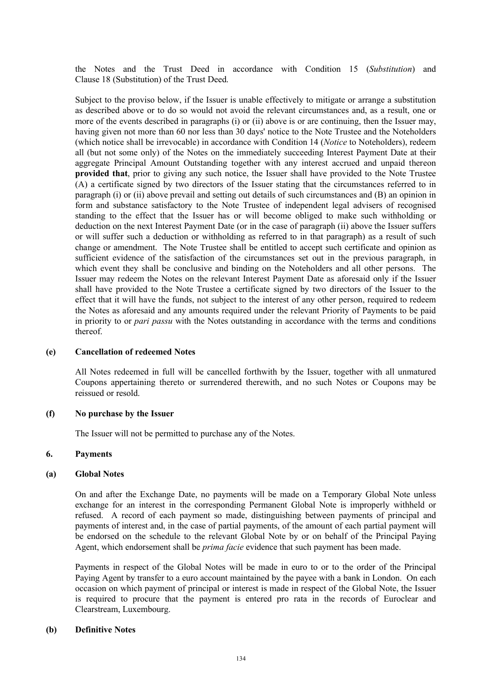the Notes and the Trust Deed in accordance with Condition 15 (*Substitution*) and Clause 18 (Substitution) of the Trust Deed.

Subject to the proviso below, if the Issuer is unable effectively to mitigate or arrange a substitution as described above or to do so would not avoid the relevant circumstances and, as a result, one or more of the events described in paragraphs (i) or (ii) above is or are continuing, then the Issuer may, having given not more than 60 nor less than 30 days' notice to the Note Trustee and the Noteholders (which notice shall be irrevocable) in accordance with Condition 14 (*Notice* to Noteholders), redeem all (but not some only) of the Notes on the immediately succeeding Interest Payment Date at their aggregate Principal Amount Outstanding together with any interest accrued and unpaid thereon **provided that**, prior to giving any such notice, the Issuer shall have provided to the Note Trustee (A) a certificate signed by two directors of the Issuer stating that the circumstances referred to in paragraph (i) or (ii) above prevail and setting out details of such circumstances and (B) an opinion in form and substance satisfactory to the Note Trustee of independent legal advisers of recognised standing to the effect that the Issuer has or will become obliged to make such withholding or deduction on the next Interest Payment Date (or in the case of paragraph (ii) above the Issuer suffers or will suffer such a deduction or withholding as referred to in that paragraph) as a result of such change or amendment. The Note Trustee shall be entitled to accept such certificate and opinion as sufficient evidence of the satisfaction of the circumstances set out in the previous paragraph, in which event they shall be conclusive and binding on the Noteholders and all other persons. The Issuer may redeem the Notes on the relevant Interest Payment Date as aforesaid only if the Issuer shall have provided to the Note Trustee a certificate signed by two directors of the Issuer to the effect that it will have the funds, not subject to the interest of any other person, required to redeem the Notes as aforesaid and any amounts required under the relevant Priority of Payments to be paid in priority to or *pari passu* with the Notes outstanding in accordance with the terms and conditions thereof.

#### **(e) Cancellation of redeemed Notes**

All Notes redeemed in full will be cancelled forthwith by the Issuer, together with all unmatured Coupons appertaining thereto or surrendered therewith, and no such Notes or Coupons may be reissued or resold.

#### **(f) No purchase by the Issuer**

The Issuer will not be permitted to purchase any of the Notes.

#### **6. Payments**

#### **(a) Global Notes**

On and after the Exchange Date, no payments will be made on a Temporary Global Note unless exchange for an interest in the corresponding Permanent Global Note is improperly withheld or refused. A record of each payment so made, distinguishing between payments of principal and payments of interest and, in the case of partial payments, of the amount of each partial payment will be endorsed on the schedule to the relevant Global Note by or on behalf of the Principal Paying Agent, which endorsement shall be *prima facie* evidence that such payment has been made.

Payments in respect of the Global Notes will be made in euro to or to the order of the Principal Paying Agent by transfer to a euro account maintained by the payee with a bank in London. On each occasion on which payment of principal or interest is made in respect of the Global Note, the Issuer is required to procure that the payment is entered pro rata in the records of Euroclear and Clearstream, Luxembourg.

#### **(b) Definitive Notes**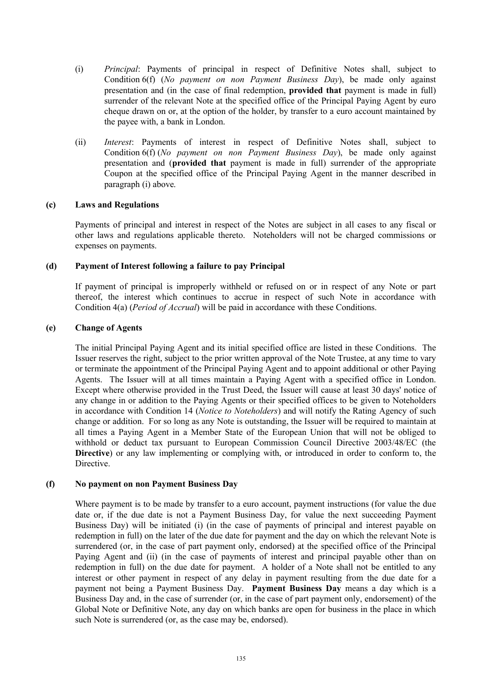- (i) *Principal*: Payments of principal in respect of Definitive Notes shall, subject to Condition 6(f) (*No payment on non Payment Business Day*), be made only against presentation and (in the case of final redemption, **provided that** payment is made in full) surrender of the relevant Note at the specified office of the Principal Paying Agent by euro cheque drawn on or, at the option of the holder, by transfer to a euro account maintained by the payee with, a bank in London.
- (ii) *Interest*: Payments of interest in respect of Definitive Notes shall, subject to Condition 6(f) (*No payment on non Payment Business Day*), be made only against presentation and (**provided that** payment is made in full) surrender of the appropriate Coupon at the specified office of the Principal Paying Agent in the manner described in paragraph (i) above.

## **(c) Laws and Regulations**

Payments of principal and interest in respect of the Notes are subject in all cases to any fiscal or other laws and regulations applicable thereto. Noteholders will not be charged commissions or expenses on payments.

### **(d) Payment of Interest following a failure to pay Principal**

If payment of principal is improperly withheld or refused on or in respect of any Note or part thereof, the interest which continues to accrue in respect of such Note in accordance with Condition 4(a) (*Period of Accrual*) will be paid in accordance with these Conditions.

### **(e) Change of Agents**

The initial Principal Paying Agent and its initial specified office are listed in these Conditions. The Issuer reserves the right, subject to the prior written approval of the Note Trustee, at any time to vary or terminate the appointment of the Principal Paying Agent and to appoint additional or other Paying Agents. The Issuer will at all times maintain a Paying Agent with a specified office in London. Except where otherwise provided in the Trust Deed, the Issuer will cause at least 30 days' notice of any change in or addition to the Paying Agents or their specified offices to be given to Noteholders in accordance with Condition 14 (*Notice to Noteholders*) and will notify the Rating Agency of such change or addition. For so long as any Note is outstanding, the Issuer will be required to maintain at all times a Paying Agent in a Member State of the European Union that will not be obliged to withhold or deduct tax pursuant to European Commission Council Directive 2003/48/EC (the **Directive**) or any law implementing or complying with, or introduced in order to conform to, the Directive.

#### **(f) No payment on non Payment Business Day**

Where payment is to be made by transfer to a euro account, payment instructions (for value the due date or, if the due date is not a Payment Business Day, for value the next succeeding Payment Business Day) will be initiated (i) (in the case of payments of principal and interest payable on redemption in full) on the later of the due date for payment and the day on which the relevant Note is surrendered (or, in the case of part payment only, endorsed) at the specified office of the Principal Paying Agent and (ii) (in the case of payments of interest and principal payable other than on redemption in full) on the due date for payment. A holder of a Note shall not be entitled to any interest or other payment in respect of any delay in payment resulting from the due date for a payment not being a Payment Business Day. **Payment Business Day** means a day which is a Business Day and, in the case of surrender (or, in the case of part payment only, endorsement) of the Global Note or Definitive Note, any day on which banks are open for business in the place in which such Note is surrendered (or, as the case may be, endorsed).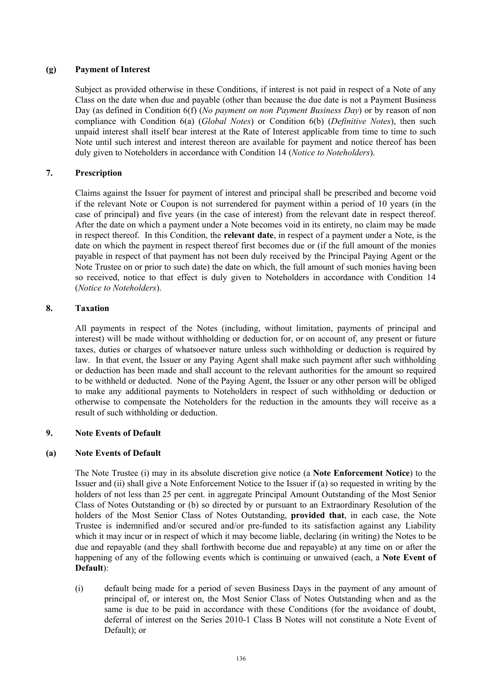# **(g) Payment of Interest**

Subject as provided otherwise in these Conditions, if interest is not paid in respect of a Note of any Class on the date when due and payable (other than because the due date is not a Payment Business Day (as defined in Condition 6(f) (*No payment on non Payment Business Day*) or by reason of non compliance with Condition 6(a) (*Global Notes*) or Condition 6(b) (*Definitive Notes*), then such unpaid interest shall itself bear interest at the Rate of Interest applicable from time to time to such Note until such interest and interest thereon are available for payment and notice thereof has been duly given to Noteholders in accordance with Condition 14 (*Notice to Noteholders*).

# **7. Prescription**

Claims against the Issuer for payment of interest and principal shall be prescribed and become void if the relevant Note or Coupon is not surrendered for payment within a period of 10 years (in the case of principal) and five years (in the case of interest) from the relevant date in respect thereof. After the date on which a payment under a Note becomes void in its entirety, no claim may be made in respect thereof. In this Condition, the **relevant date**, in respect of a payment under a Note, is the date on which the payment in respect thereof first becomes due or (if the full amount of the monies payable in respect of that payment has not been duly received by the Principal Paying Agent or the Note Trustee on or prior to such date) the date on which, the full amount of such monies having been so received, notice to that effect is duly given to Noteholders in accordance with Condition 14 (*Notice to Noteholders*).

# **8. Taxation**

All payments in respect of the Notes (including, without limitation, payments of principal and interest) will be made without withholding or deduction for, or on account of, any present or future taxes, duties or charges of whatsoever nature unless such withholding or deduction is required by law. In that event, the Issuer or any Paying Agent shall make such payment after such withholding or deduction has been made and shall account to the relevant authorities for the amount so required to be withheld or deducted. None of the Paying Agent, the Issuer or any other person will be obliged to make any additional payments to Noteholders in respect of such withholding or deduction or otherwise to compensate the Noteholders for the reduction in the amounts they will receive as a result of such withholding or deduction.

# **9. Note Events of Default**

# **(a) Note Events of Default**

The Note Trustee (i) may in its absolute discretion give notice (a **Note Enforcement Notice**) to the Issuer and (ii) shall give a Note Enforcement Notice to the Issuer if (a) so requested in writing by the holders of not less than 25 per cent. in aggregate Principal Amount Outstanding of the Most Senior Class of Notes Outstanding or (b) so directed by or pursuant to an Extraordinary Resolution of the holders of the Most Senior Class of Notes Outstanding, **provided that**, in each case, the Note Trustee is indemnified and/or secured and/or pre-funded to its satisfaction against any Liability which it may incur or in respect of which it may become liable, declaring (in writing) the Notes to be due and repayable (and they shall forthwith become due and repayable) at any time on or after the happening of any of the following events which is continuing or unwaived (each, a **Note Event of Default**):

(i) default being made for a period of seven Business Days in the payment of any amount of principal of, or interest on, the Most Senior Class of Notes Outstanding when and as the same is due to be paid in accordance with these Conditions (for the avoidance of doubt, deferral of interest on the Series 2010-1 Class B Notes will not constitute a Note Event of Default); or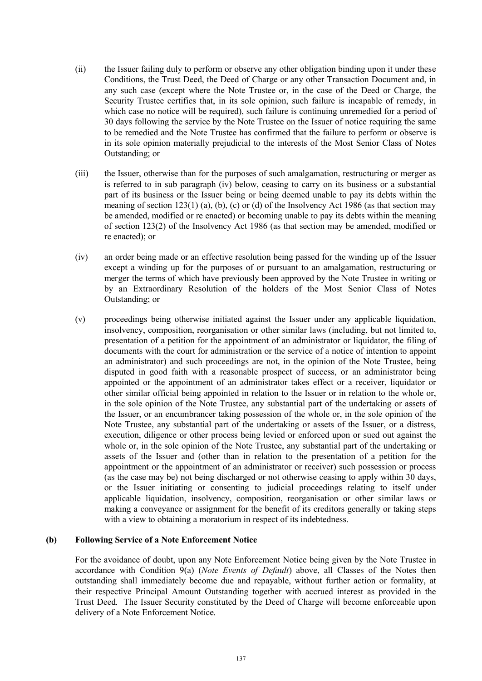- (ii) the Issuer failing duly to perform or observe any other obligation binding upon it under these Conditions, the Trust Deed, the Deed of Charge or any other Transaction Document and, in any such case (except where the Note Trustee or, in the case of the Deed or Charge, the Security Trustee certifies that, in its sole opinion, such failure is incapable of remedy, in which case no notice will be required), such failure is continuing unremedied for a period of 30 days following the service by the Note Trustee on the Issuer of notice requiring the same to be remedied and the Note Trustee has confirmed that the failure to perform or observe is in its sole opinion materially prejudicial to the interests of the Most Senior Class of Notes Outstanding; or
- (iii) the Issuer, otherwise than for the purposes of such amalgamation, restructuring or merger as is referred to in sub paragraph (iv) below, ceasing to carry on its business or a substantial part of its business or the Issuer being or being deemed unable to pay its debts within the meaning of section 123(1) (a), (b), (c) or (d) of the Insolvency Act 1986 (as that section may be amended, modified or re enacted) or becoming unable to pay its debts within the meaning of section 123(2) of the Insolvency Act 1986 (as that section may be amended, modified or re enacted); or
- (iv) an order being made or an effective resolution being passed for the winding up of the Issuer except a winding up for the purposes of or pursuant to an amalgamation, restructuring or merger the terms of which have previously been approved by the Note Trustee in writing or by an Extraordinary Resolution of the holders of the Most Senior Class of Notes Outstanding; or
- (v) proceedings being otherwise initiated against the Issuer under any applicable liquidation, insolvency, composition, reorganisation or other similar laws (including, but not limited to, presentation of a petition for the appointment of an administrator or liquidator, the filing of documents with the court for administration or the service of a notice of intention to appoint an administrator) and such proceedings are not, in the opinion of the Note Trustee, being disputed in good faith with a reasonable prospect of success, or an administrator being appointed or the appointment of an administrator takes effect or a receiver, liquidator or other similar official being appointed in relation to the Issuer or in relation to the whole or, in the sole opinion of the Note Trustee, any substantial part of the undertaking or assets of the Issuer, or an encumbrancer taking possession of the whole or, in the sole opinion of the Note Trustee, any substantial part of the undertaking or assets of the Issuer, or a distress, execution, diligence or other process being levied or enforced upon or sued out against the whole or, in the sole opinion of the Note Trustee, any substantial part of the undertaking or assets of the Issuer and (other than in relation to the presentation of a petition for the appointment or the appointment of an administrator or receiver) such possession or process (as the case may be) not being discharged or not otherwise ceasing to apply within 30 days, or the Issuer initiating or consenting to judicial proceedings relating to itself under applicable liquidation, insolvency, composition, reorganisation or other similar laws or making a conveyance or assignment for the benefit of its creditors generally or taking steps with a view to obtaining a moratorium in respect of its indebtedness.

## **(b) Following Service of a Note Enforcement Notice**

For the avoidance of doubt, upon any Note Enforcement Notice being given by the Note Trustee in accordance with Condition 9(a) (*Note Events of Default*) above, all Classes of the Notes then outstanding shall immediately become due and repayable, without further action or formality, at their respective Principal Amount Outstanding together with accrued interest as provided in the Trust Deed. The Issuer Security constituted by the Deed of Charge will become enforceable upon delivery of a Note Enforcement Notice.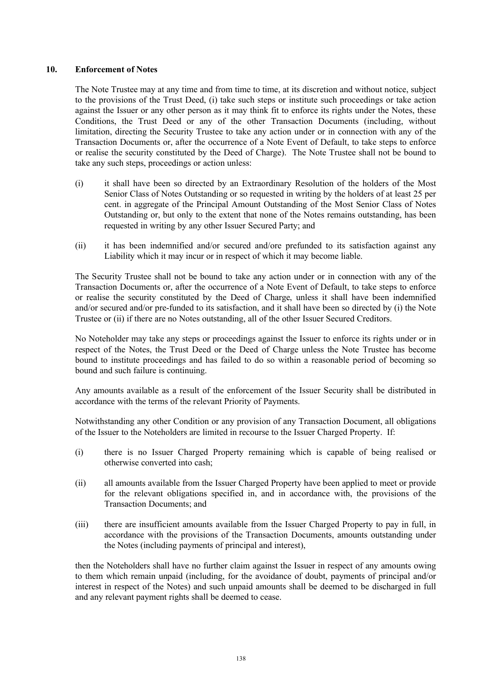## **10. Enforcement of Notes**

The Note Trustee may at any time and from time to time, at its discretion and without notice, subject to the provisions of the Trust Deed, (i) take such steps or institute such proceedings or take action against the Issuer or any other person as it may think fit to enforce its rights under the Notes, these Conditions, the Trust Deed or any of the other Transaction Documents (including, without limitation, directing the Security Trustee to take any action under or in connection with any of the Transaction Documents or, after the occurrence of a Note Event of Default, to take steps to enforce or realise the security constituted by the Deed of Charge). The Note Trustee shall not be bound to take any such steps, proceedings or action unless:

- (i) it shall have been so directed by an Extraordinary Resolution of the holders of the Most Senior Class of Notes Outstanding or so requested in writing by the holders of at least 25 per cent. in aggregate of the Principal Amount Outstanding of the Most Senior Class of Notes Outstanding or, but only to the extent that none of the Notes remains outstanding, has been requested in writing by any other Issuer Secured Party; and
- (ii) it has been indemnified and/or secured and/ore prefunded to its satisfaction against any Liability which it may incur or in respect of which it may become liable.

The Security Trustee shall not be bound to take any action under or in connection with any of the Transaction Documents or, after the occurrence of a Note Event of Default, to take steps to enforce or realise the security constituted by the Deed of Charge, unless it shall have been indemnified and/or secured and/or pre-funded to its satisfaction, and it shall have been so directed by (i) the Note Trustee or (ii) if there are no Notes outstanding, all of the other Issuer Secured Creditors.

No Noteholder may take any steps or proceedings against the Issuer to enforce its rights under or in respect of the Notes, the Trust Deed or the Deed of Charge unless the Note Trustee has become bound to institute proceedings and has failed to do so within a reasonable period of becoming so bound and such failure is continuing.

Any amounts available as a result of the enforcement of the Issuer Security shall be distributed in accordance with the terms of the relevant Priority of Payments.

Notwithstanding any other Condition or any provision of any Transaction Document, all obligations of the Issuer to the Noteholders are limited in recourse to the Issuer Charged Property. If:

- (i) there is no Issuer Charged Property remaining which is capable of being realised or otherwise converted into cash;
- (ii) all amounts available from the Issuer Charged Property have been applied to meet or provide for the relevant obligations specified in, and in accordance with, the provisions of the Transaction Documents; and
- (iii) there are insufficient amounts available from the Issuer Charged Property to pay in full, in accordance with the provisions of the Transaction Documents, amounts outstanding under the Notes (including payments of principal and interest),

then the Noteholders shall have no further claim against the Issuer in respect of any amounts owing to them which remain unpaid (including, for the avoidance of doubt, payments of principal and/or interest in respect of the Notes) and such unpaid amounts shall be deemed to be discharged in full and any relevant payment rights shall be deemed to cease.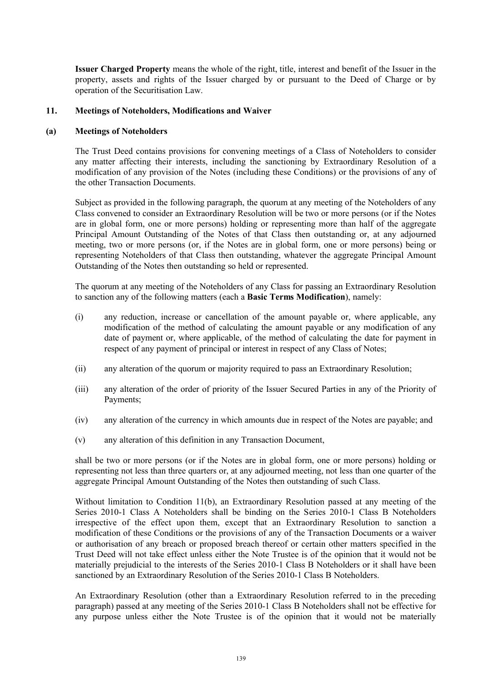**Issuer Charged Property** means the whole of the right, title, interest and benefit of the Issuer in the property, assets and rights of the Issuer charged by or pursuant to the Deed of Charge or by operation of the Securitisation Law.

## **11. Meetings of Noteholders, Modifications and Waiver**

#### **(a) Meetings of Noteholders**

The Trust Deed contains provisions for convening meetings of a Class of Noteholders to consider any matter affecting their interests, including the sanctioning by Extraordinary Resolution of a modification of any provision of the Notes (including these Conditions) or the provisions of any of the other Transaction Documents.

Subject as provided in the following paragraph, the quorum at any meeting of the Noteholders of any Class convened to consider an Extraordinary Resolution will be two or more persons (or if the Notes are in global form, one or more persons) holding or representing more than half of the aggregate Principal Amount Outstanding of the Notes of that Class then outstanding or, at any adjourned meeting, two or more persons (or, if the Notes are in global form, one or more persons) being or representing Noteholders of that Class then outstanding, whatever the aggregate Principal Amount Outstanding of the Notes then outstanding so held or represented.

The quorum at any meeting of the Noteholders of any Class for passing an Extraordinary Resolution to sanction any of the following matters (each a **Basic Terms Modification**), namely:

- (i) any reduction, increase or cancellation of the amount payable or, where applicable, any modification of the method of calculating the amount payable or any modification of any date of payment or, where applicable, of the method of calculating the date for payment in respect of any payment of principal or interest in respect of any Class of Notes;
- (ii) any alteration of the quorum or majority required to pass an Extraordinary Resolution;
- (iii) any alteration of the order of priority of the Issuer Secured Parties in any of the Priority of Payments;
- (iv) any alteration of the currency in which amounts due in respect of the Notes are payable; and
- (v) any alteration of this definition in any Transaction Document,

shall be two or more persons (or if the Notes are in global form, one or more persons) holding or representing not less than three quarters or, at any adjourned meeting, not less than one quarter of the aggregate Principal Amount Outstanding of the Notes then outstanding of such Class.

Without limitation to Condition 11(b), an Extraordinary Resolution passed at any meeting of the Series 2010-1 Class A Noteholders shall be binding on the Series 2010-1 Class B Noteholders irrespective of the effect upon them, except that an Extraordinary Resolution to sanction a modification of these Conditions or the provisions of any of the Transaction Documents or a waiver or authorisation of any breach or proposed breach thereof or certain other matters specified in the Trust Deed will not take effect unless either the Note Trustee is of the opinion that it would not be materially prejudicial to the interests of the Series 2010-1 Class B Noteholders or it shall have been sanctioned by an Extraordinary Resolution of the Series 2010-1 Class B Noteholders.

An Extraordinary Resolution (other than a Extraordinary Resolution referred to in the preceding paragraph) passed at any meeting of the Series 2010-1 Class B Noteholders shall not be effective for any purpose unless either the Note Trustee is of the opinion that it would not be materially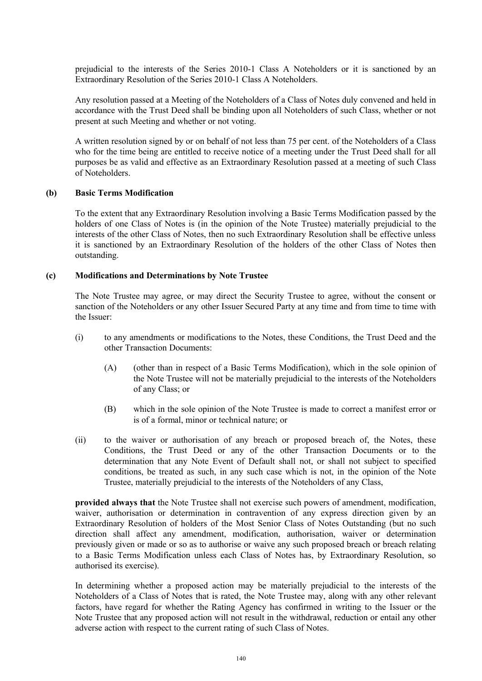prejudicial to the interests of the Series 2010-1 Class A Noteholders or it is sanctioned by an Extraordinary Resolution of the Series 2010-1 Class A Noteholders.

Any resolution passed at a Meeting of the Noteholders of a Class of Notes duly convened and held in accordance with the Trust Deed shall be binding upon all Noteholders of such Class, whether or not present at such Meeting and whether or not voting.

A written resolution signed by or on behalf of not less than 75 per cent. of the Noteholders of a Class who for the time being are entitled to receive notice of a meeting under the Trust Deed shall for all purposes be as valid and effective as an Extraordinary Resolution passed at a meeting of such Class of Noteholders.

### **(b) Basic Terms Modification**

To the extent that any Extraordinary Resolution involving a Basic Terms Modification passed by the holders of one Class of Notes is (in the opinion of the Note Trustee) materially prejudicial to the interests of the other Class of Notes, then no such Extraordinary Resolution shall be effective unless it is sanctioned by an Extraordinary Resolution of the holders of the other Class of Notes then outstanding.

### **(c) Modifications and Determinations by Note Trustee**

The Note Trustee may agree, or may direct the Security Trustee to agree, without the consent or sanction of the Noteholders or any other Issuer Secured Party at any time and from time to time with the Issuer:

- (i) to any amendments or modifications to the Notes, these Conditions, the Trust Deed and the other Transaction Documents:
	- (A) (other than in respect of a Basic Terms Modification), which in the sole opinion of the Note Trustee will not be materially prejudicial to the interests of the Noteholders of any Class; or
	- (B) which in the sole opinion of the Note Trustee is made to correct a manifest error or is of a formal, minor or technical nature; or
- (ii) to the waiver or authorisation of any breach or proposed breach of, the Notes, these Conditions, the Trust Deed or any of the other Transaction Documents or to the determination that any Note Event of Default shall not, or shall not subject to specified conditions, be treated as such, in any such case which is not, in the opinion of the Note Trustee, materially prejudicial to the interests of the Noteholders of any Class,

**provided always that** the Note Trustee shall not exercise such powers of amendment, modification, waiver, authorisation or determination in contravention of any express direction given by an Extraordinary Resolution of holders of the Most Senior Class of Notes Outstanding (but no such direction shall affect any amendment, modification, authorisation, waiver or determination previously given or made or so as to authorise or waive any such proposed breach or breach relating to a Basic Terms Modification unless each Class of Notes has, by Extraordinary Resolution, so authorised its exercise).

In determining whether a proposed action may be materially prejudicial to the interests of the Noteholders of a Class of Notes that is rated, the Note Trustee may, along with any other relevant factors, have regard for whether the Rating Agency has confirmed in writing to the Issuer or the Note Trustee that any proposed action will not result in the withdrawal, reduction or entail any other adverse action with respect to the current rating of such Class of Notes.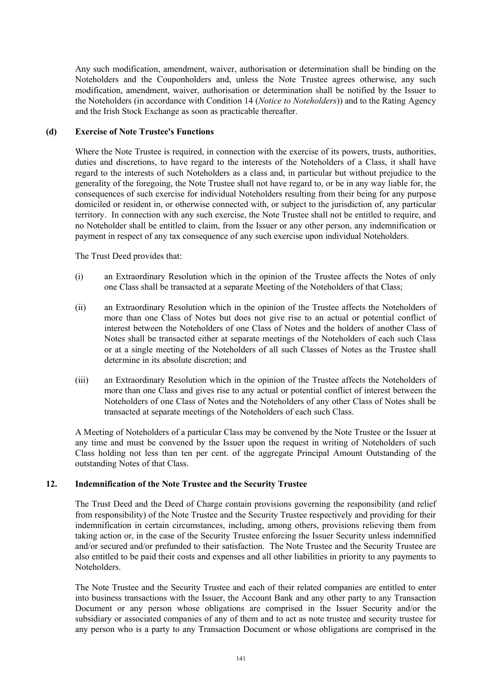Any such modification, amendment, waiver, authorisation or determination shall be binding on the Noteholders and the Couponholders and, unless the Note Trustee agrees otherwise, any such modification, amendment, waiver, authorisation or determination shall be notified by the Issuer to the Noteholders (in accordance with Condition 14 (*Notice to Noteholders*)) and to the Rating Agency and the Irish Stock Exchange as soon as practicable thereafter.

### **(d) Exercise of Note Trustee's Functions**

Where the Note Trustee is required, in connection with the exercise of its powers, trusts, authorities, duties and discretions, to have regard to the interests of the Noteholders of a Class, it shall have regard to the interests of such Noteholders as a class and, in particular but without prejudice to the generality of the foregoing, the Note Trustee shall not have regard to, or be in any way liable for, the consequences of such exercise for individual Noteholders resulting from their being for any purpose domiciled or resident in, or otherwise connected with, or subject to the jurisdiction of, any particular territory. In connection with any such exercise, the Note Trustee shall not be entitled to require, and no Noteholder shall be entitled to claim, from the Issuer or any other person, any indemnification or payment in respect of any tax consequence of any such exercise upon individual Noteholders.

The Trust Deed provides that:

- (i) an Extraordinary Resolution which in the opinion of the Trustee affects the Notes of only one Class shall be transacted at a separate Meeting of the Noteholders of that Class;
- (ii) an Extraordinary Resolution which in the opinion of the Trustee affects the Noteholders of more than one Class of Notes but does not give rise to an actual or potential conflict of interest between the Noteholders of one Class of Notes and the holders of another Class of Notes shall be transacted either at separate meetings of the Noteholders of each such Class or at a single meeting of the Noteholders of all such Classes of Notes as the Trustee shall determine in its absolute discretion; and
- (iii) an Extraordinary Resolution which in the opinion of the Trustee affects the Noteholders of more than one Class and gives rise to any actual or potential conflict of interest between the Noteholders of one Class of Notes and the Noteholders of any other Class of Notes shall be transacted at separate meetings of the Noteholders of each such Class.

A Meeting of Noteholders of a particular Class may be convened by the Note Trustee or the Issuer at any time and must be convened by the Issuer upon the request in writing of Noteholders of such Class holding not less than ten per cent. of the aggregate Principal Amount Outstanding of the outstanding Notes of that Class.

## **12. Indemnification of the Note Trustee and the Security Trustee**

The Trust Deed and the Deed of Charge contain provisions governing the responsibility (and relief from responsibility) of the Note Trustee and the Security Trustee respectively and providing for their indemnification in certain circumstances, including, among others, provisions relieving them from taking action or, in the case of the Security Trustee enforcing the Issuer Security unless indemnified and/or secured and/or prefunded to their satisfaction. The Note Trustee and the Security Trustee are also entitled to be paid their costs and expenses and all other liabilities in priority to any payments to Noteholders.

The Note Trustee and the Security Trustee and each of their related companies are entitled to enter into business transactions with the Issuer, the Account Bank and any other party to any Transaction Document or any person whose obligations are comprised in the Issuer Security and/or the subsidiary or associated companies of any of them and to act as note trustee and security trustee for any person who is a party to any Transaction Document or whose obligations are comprised in the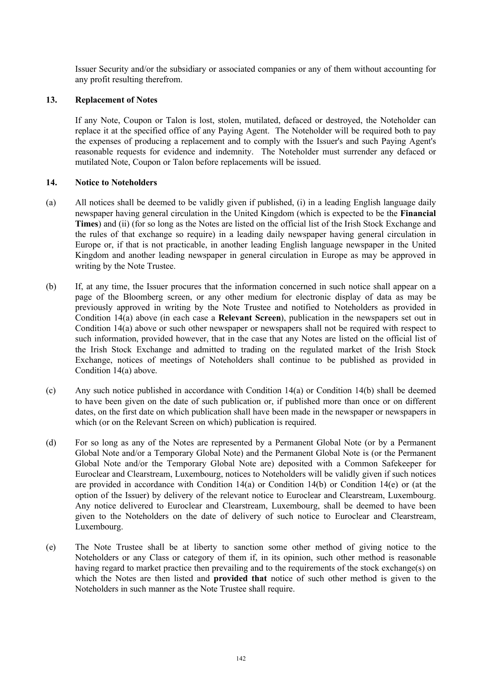Issuer Security and/or the subsidiary or associated companies or any of them without accounting for any profit resulting therefrom.

### **13. Replacement of Notes**

If any Note, Coupon or Talon is lost, stolen, mutilated, defaced or destroyed, the Noteholder can replace it at the specified office of any Paying Agent. The Noteholder will be required both to pay the expenses of producing a replacement and to comply with the Issuer's and such Paying Agent's reasonable requests for evidence and indemnity. The Noteholder must surrender any defaced or mutilated Note, Coupon or Talon before replacements will be issued.

### **14. Notice to Noteholders**

- (a) All notices shall be deemed to be validly given if published, (i) in a leading English language daily newspaper having general circulation in the United Kingdom (which is expected to be the **Financial Times**) and (ii) (for so long as the Notes are listed on the official list of the Irish Stock Exchange and the rules of that exchange so require) in a leading daily newspaper having general circulation in Europe or, if that is not practicable, in another leading English language newspaper in the United Kingdom and another leading newspaper in general circulation in Europe as may be approved in writing by the Note Trustee.
- (b) If, at any time, the Issuer procures that the information concerned in such notice shall appear on a page of the Bloomberg screen, or any other medium for electronic display of data as may be previously approved in writing by the Note Trustee and notified to Noteholders as provided in Condition 14(a) above (in each case a **Relevant Screen**), publication in the newspapers set out in Condition 14(a) above or such other newspaper or newspapers shall not be required with respect to such information, provided however, that in the case that any Notes are listed on the official list of the Irish Stock Exchange and admitted to trading on the regulated market of the Irish Stock Exchange, notices of meetings of Noteholders shall continue to be published as provided in Condition 14(a) above.
- (c) Any such notice published in accordance with Condition 14(a) or Condition 14(b) shall be deemed to have been given on the date of such publication or, if published more than once or on different dates, on the first date on which publication shall have been made in the newspaper or newspapers in which (or on the Relevant Screen on which) publication is required.
- (d) For so long as any of the Notes are represented by a Permanent Global Note (or by a Permanent Global Note and/or a Temporary Global Note) and the Permanent Global Note is (or the Permanent Global Note and/or the Temporary Global Note are) deposited with a Common Safekeeper for Euroclear and Clearstream, Luxembourg, notices to Noteholders will be validly given if such notices are provided in accordance with Condition 14(a) or Condition 14(b) or Condition 14(e) or (at the option of the Issuer) by delivery of the relevant notice to Euroclear and Clearstream, Luxembourg. Any notice delivered to Euroclear and Clearstream, Luxembourg, shall be deemed to have been given to the Noteholders on the date of delivery of such notice to Euroclear and Clearstream, Luxembourg.
- (e) The Note Trustee shall be at liberty to sanction some other method of giving notice to the Noteholders or any Class or category of them if, in its opinion, such other method is reasonable having regard to market practice then prevailing and to the requirements of the stock exchange(s) on which the Notes are then listed and **provided that** notice of such other method is given to the Noteholders in such manner as the Note Trustee shall require.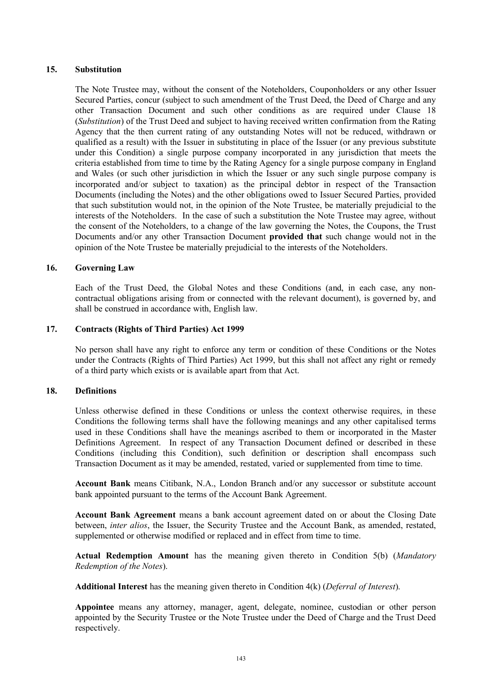## **15. Substitution**

The Note Trustee may, without the consent of the Noteholders, Couponholders or any other Issuer Secured Parties, concur (subject to such amendment of the Trust Deed, the Deed of Charge and any other Transaction Document and such other conditions as are required under Clause 18 (*Substitution*) of the Trust Deed and subject to having received written confirmation from the Rating Agency that the then current rating of any outstanding Notes will not be reduced, withdrawn or qualified as a result) with the Issuer in substituting in place of the Issuer (or any previous substitute under this Condition) a single purpose company incorporated in any jurisdiction that meets the criteria established from time to time by the Rating Agency for a single purpose company in England and Wales (or such other jurisdiction in which the Issuer or any such single purpose company is incorporated and/or subject to taxation) as the principal debtor in respect of the Transaction Documents (including the Notes) and the other obligations owed to Issuer Secured Parties, provided that such substitution would not, in the opinion of the Note Trustee, be materially prejudicial to the interests of the Noteholders. In the case of such a substitution the Note Trustee may agree, without the consent of the Noteholders, to a change of the law governing the Notes, the Coupons, the Trust Documents and/or any other Transaction Document **provided that** such change would not in the opinion of the Note Trustee be materially prejudicial to the interests of the Noteholders.

### **16. Governing Law**

Each of the Trust Deed, the Global Notes and these Conditions (and, in each case, any noncontractual obligations arising from or connected with the relevant document), is governed by, and shall be construed in accordance with, English law.

### **17. Contracts (Rights of Third Parties) Act 1999**

No person shall have any right to enforce any term or condition of these Conditions or the Notes under the Contracts (Rights of Third Parties) Act 1999, but this shall not affect any right or remedy of a third party which exists or is available apart from that Act.

### **18. Definitions**

Unless otherwise defined in these Conditions or unless the context otherwise requires, in these Conditions the following terms shall have the following meanings and any other capitalised terms used in these Conditions shall have the meanings ascribed to them or incorporated in the Master Definitions Agreement. In respect of any Transaction Document defined or described in these Conditions (including this Condition), such definition or description shall encompass such Transaction Document as it may be amended, restated, varied or supplemented from time to time.

**Account Bank** means Citibank, N.A., London Branch and/or any successor or substitute account bank appointed pursuant to the terms of the Account Bank Agreement.

**Account Bank Agreement** means a bank account agreement dated on or about the Closing Date between, *inter alios*, the Issuer, the Security Trustee and the Account Bank, as amended, restated, supplemented or otherwise modified or replaced and in effect from time to time.

**Actual Redemption Amount** has the meaning given thereto in Condition 5(b) (*Mandatory Redemption of the Notes*).

**Additional Interest** has the meaning given thereto in Condition 4(k) (*Deferral of Interest*).

**Appointee** means any attorney, manager, agent, delegate, nominee, custodian or other person appointed by the Security Trustee or the Note Trustee under the Deed of Charge and the Trust Deed respectively.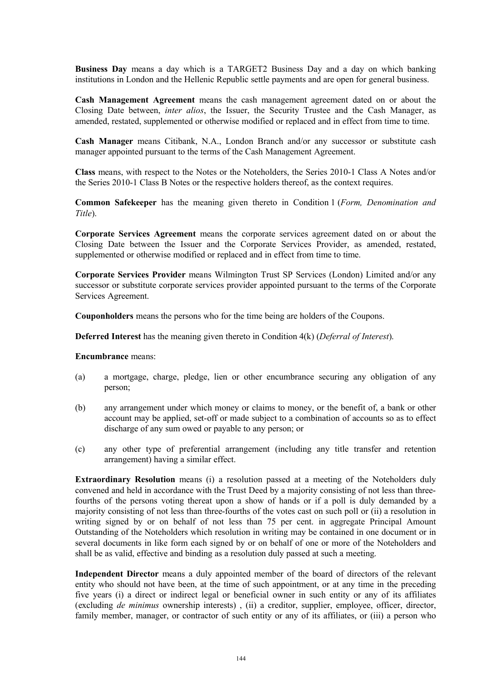**Business Day** means a day which is a TARGET2 Business Day and a day on which banking institutions in London and the Hellenic Republic settle payments and are open for general business.

**Cash Management Agreement** means the cash management agreement dated on or about the Closing Date between, *inter alios*, the Issuer, the Security Trustee and the Cash Manager, as amended, restated, supplemented or otherwise modified or replaced and in effect from time to time.

**Cash Manager** means Citibank, N.A., London Branch and/or any successor or substitute cash manager appointed pursuant to the terms of the Cash Management Agreement.

**Class** means, with respect to the Notes or the Noteholders, the Series 2010-1 Class A Notes and/or the Series 2010-1 Class B Notes or the respective holders thereof, as the context requires.

**Common Safekeeper** has the meaning given thereto in Condition 1 (*Form, Denomination and Title*).

**Corporate Services Agreement** means the corporate services agreement dated on or about the Closing Date between the Issuer and the Corporate Services Provider, as amended, restated, supplemented or otherwise modified or replaced and in effect from time to time.

**Corporate Services Provider** means Wilmington Trust SP Services (London) Limited and/or any successor or substitute corporate services provider appointed pursuant to the terms of the Corporate Services Agreement.

**Couponholders** means the persons who for the time being are holders of the Coupons.

**Deferred Interest** has the meaning given thereto in Condition 4(k) (*Deferral of Interest*).

**Encumbrance** means:

- (a) a mortgage, charge, pledge, lien or other encumbrance securing any obligation of any person;
- (b) any arrangement under which money or claims to money, or the benefit of, a bank or other account may be applied, set-off or made subject to a combination of accounts so as to effect discharge of any sum owed or payable to any person; or
- (c) any other type of preferential arrangement (including any title transfer and retention arrangement) having a similar effect.

**Extraordinary Resolution** means (i) a resolution passed at a meeting of the Noteholders duly convened and held in accordance with the Trust Deed by a majority consisting of not less than threefourths of the persons voting thereat upon a show of hands or if a poll is duly demanded by a majority consisting of not less than three-fourths of the votes cast on such poll or (ii) a resolution in writing signed by or on behalf of not less than 75 per cent. in aggregate Principal Amount Outstanding of the Noteholders which resolution in writing may be contained in one document or in several documents in like form each signed by or on behalf of one or more of the Noteholders and shall be as valid, effective and binding as a resolution duly passed at such a meeting.

**Independent Director** means a duly appointed member of the board of directors of the relevant entity who should not have been, at the time of such appointment, or at any time in the preceding five years (i) a direct or indirect legal or beneficial owner in such entity or any of its affiliates (excluding *de minimus* ownership interests) , (ii) a creditor, supplier, employee, officer, director, family member, manager, or contractor of such entity or any of its affiliates, or (iii) a person who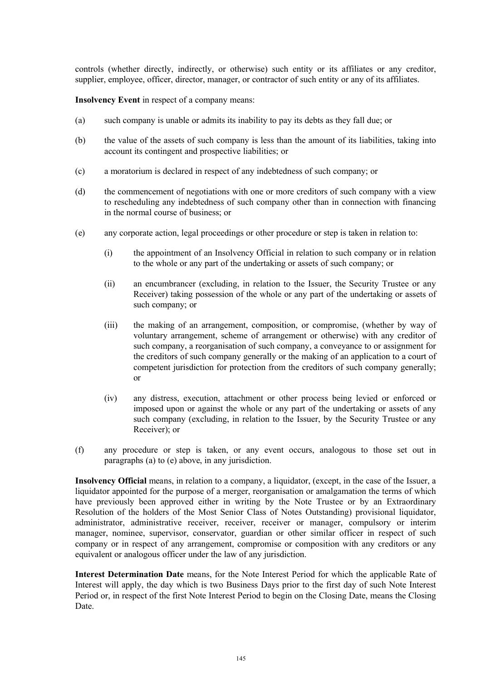controls (whether directly, indirectly, or otherwise) such entity or its affiliates or any creditor, supplier, employee, officer, director, manager, or contractor of such entity or any of its affiliates.

**Insolvency Event** in respect of a company means:

- (a) such company is unable or admits its inability to pay its debts as they fall due; or
- (b) the value of the assets of such company is less than the amount of its liabilities, taking into account its contingent and prospective liabilities; or
- (c) a moratorium is declared in respect of any indebtedness of such company; or
- (d) the commencement of negotiations with one or more creditors of such company with a view to rescheduling any indebtedness of such company other than in connection with financing in the normal course of business; or
- (e) any corporate action, legal proceedings or other procedure or step is taken in relation to:
	- (i) the appointment of an Insolvency Official in relation to such company or in relation to the whole or any part of the undertaking or assets of such company; or
	- (ii) an encumbrancer (excluding, in relation to the Issuer, the Security Trustee or any Receiver) taking possession of the whole or any part of the undertaking or assets of such company; or
	- (iii) the making of an arrangement, composition, or compromise, (whether by way of voluntary arrangement, scheme of arrangement or otherwise) with any creditor of such company, a reorganisation of such company, a conveyance to or assignment for the creditors of such company generally or the making of an application to a court of competent jurisdiction for protection from the creditors of such company generally; or
	- (iv) any distress, execution, attachment or other process being levied or enforced or imposed upon or against the whole or any part of the undertaking or assets of any such company (excluding, in relation to the Issuer, by the Security Trustee or any Receiver); or
- (f) any procedure or step is taken, or any event occurs, analogous to those set out in paragraphs (a) to (e) above, in any jurisdiction.

**Insolvency Official** means, in relation to a company, a liquidator, (except, in the case of the Issuer, a liquidator appointed for the purpose of a merger, reorganisation or amalgamation the terms of which have previously been approved either in writing by the Note Trustee or by an Extraordinary Resolution of the holders of the Most Senior Class of Notes Outstanding) provisional liquidator, administrator, administrative receiver, receiver, receiver or manager, compulsory or interim manager, nominee, supervisor, conservator, guardian or other similar officer in respect of such company or in respect of any arrangement, compromise or composition with any creditors or any equivalent or analogous officer under the law of any jurisdiction.

**Interest Determination Date** means, for the Note Interest Period for which the applicable Rate of Interest will apply, the day which is two Business Days prior to the first day of such Note Interest Period or, in respect of the first Note Interest Period to begin on the Closing Date, means the Closing Date.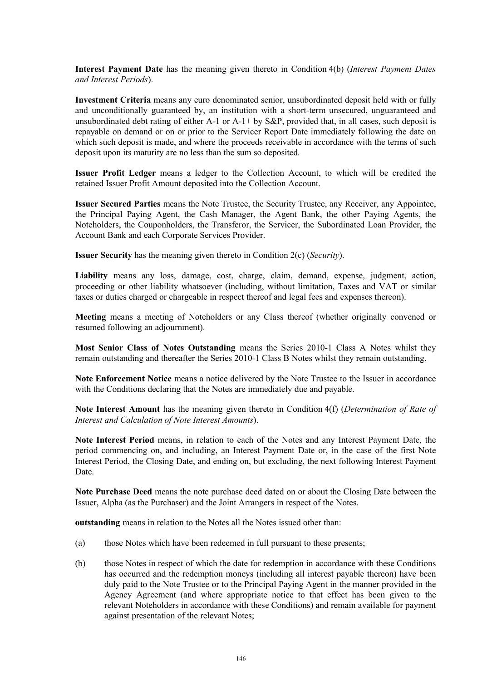**Interest Payment Date** has the meaning given thereto in Condition 4(b) (*Interest Payment Dates and Interest Periods*).

**Investment Criteria** means any euro denominated senior, unsubordinated deposit held with or fully and unconditionally guaranteed by, an institution with a short-term unsecured, unguaranteed and unsubordinated debt rating of either A-1 or A-1+ by S&P, provided that, in all cases, such deposit is repayable on demand or on or prior to the Servicer Report Date immediately following the date on which such deposit is made, and where the proceeds receivable in accordance with the terms of such deposit upon its maturity are no less than the sum so deposited.

**Issuer Profit Ledger** means a ledger to the Collection Account, to which will be credited the retained Issuer Profit Amount deposited into the Collection Account.

**Issuer Secured Parties** means the Note Trustee, the Security Trustee, any Receiver, any Appointee, the Principal Paying Agent, the Cash Manager, the Agent Bank, the other Paying Agents, the Noteholders, the Couponholders, the Transferor, the Servicer, the Subordinated Loan Provider, the Account Bank and each Corporate Services Provider.

**Issuer Security** has the meaning given thereto in Condition 2(c) (*Security*).

Liability means any loss, damage, cost, charge, claim, demand, expense, judgment, action, proceeding or other liability whatsoever (including, without limitation, Taxes and VAT or similar taxes or duties charged or chargeable in respect thereof and legal fees and expenses thereon).

**Meeting** means a meeting of Noteholders or any Class thereof (whether originally convened or resumed following an adjournment).

**Most Senior Class of Notes Outstanding** means the Series 2010-1 Class A Notes whilst they remain outstanding and thereafter the Series 2010-1 Class B Notes whilst they remain outstanding.

**Note Enforcement Notice** means a notice delivered by the Note Trustee to the Issuer in accordance with the Conditions declaring that the Notes are immediately due and payable.

**Note Interest Amount** has the meaning given thereto in Condition 4(f) (*Determination of Rate of Interest and Calculation of Note Interest Amounts*).

**Note Interest Period** means, in relation to each of the Notes and any Interest Payment Date, the period commencing on, and including, an Interest Payment Date or, in the case of the first Note Interest Period, the Closing Date, and ending on, but excluding, the next following Interest Payment Date.

**Note Purchase Deed** means the note purchase deed dated on or about the Closing Date between the Issuer, Alpha (as the Purchaser) and the Joint Arrangers in respect of the Notes.

**outstanding** means in relation to the Notes all the Notes issued other than:

- (a) those Notes which have been redeemed in full pursuant to these presents;
- (b) those Notes in respect of which the date for redemption in accordance with these Conditions has occurred and the redemption moneys (including all interest payable thereon) have been duly paid to the Note Trustee or to the Principal Paying Agent in the manner provided in the Agency Agreement (and where appropriate notice to that effect has been given to the relevant Noteholders in accordance with these Conditions) and remain available for payment against presentation of the relevant Notes;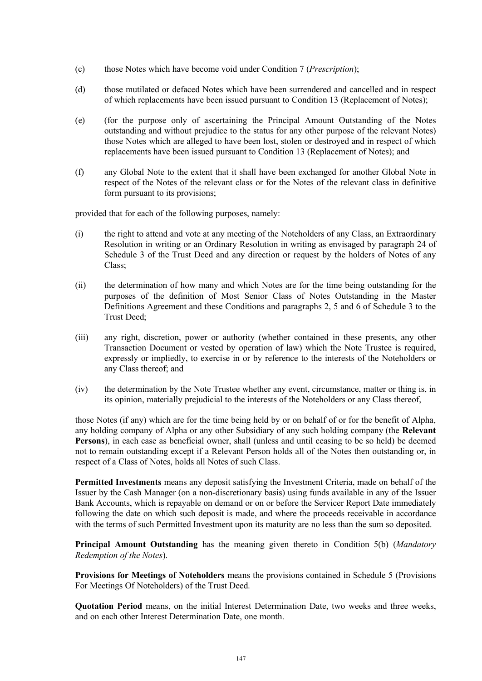- (c) those Notes which have become void under Condition 7 (*Prescription*);
- (d) those mutilated or defaced Notes which have been surrendered and cancelled and in respect of which replacements have been issued pursuant to Condition 13 (Replacement of Notes);
- (e) (for the purpose only of ascertaining the Principal Amount Outstanding of the Notes outstanding and without prejudice to the status for any other purpose of the relevant Notes) those Notes which are alleged to have been lost, stolen or destroyed and in respect of which replacements have been issued pursuant to Condition 13 (Replacement of Notes); and
- (f) any Global Note to the extent that it shall have been exchanged for another Global Note in respect of the Notes of the relevant class or for the Notes of the relevant class in definitive form pursuant to its provisions;

provided that for each of the following purposes, namely:

- (i) the right to attend and vote at any meeting of the Noteholders of any Class, an Extraordinary Resolution in writing or an Ordinary Resolution in writing as envisaged by paragraph 24 of Schedule 3 of the Trust Deed and any direction or request by the holders of Notes of any Class;
- (ii) the determination of how many and which Notes are for the time being outstanding for the purposes of the definition of Most Senior Class of Notes Outstanding in the Master Definitions Agreement and these Conditions and paragraphs 2, 5 and 6 of Schedule 3 to the Trust Deed;
- (iii) any right, discretion, power or authority (whether contained in these presents, any other Transaction Document or vested by operation of law) which the Note Trustee is required, expressly or impliedly, to exercise in or by reference to the interests of the Noteholders or any Class thereof; and
- (iv) the determination by the Note Trustee whether any event, circumstance, matter or thing is, in its opinion, materially prejudicial to the interests of the Noteholders or any Class thereof,

those Notes (if any) which are for the time being held by or on behalf of or for the benefit of Alpha, any holding company of Alpha or any other Subsidiary of any such holding company (the **Relevant Persons**), in each case as beneficial owner, shall (unless and until ceasing to be so held) be deemed not to remain outstanding except if a Relevant Person holds all of the Notes then outstanding or, in respect of a Class of Notes, holds all Notes of such Class.

**Permitted Investments** means any deposit satisfying the Investment Criteria, made on behalf of the Issuer by the Cash Manager (on a non-discretionary basis) using funds available in any of the Issuer Bank Accounts, which is repayable on demand or on or before the Servicer Report Date immediately following the date on which such deposit is made, and where the proceeds receivable in accordance with the terms of such Permitted Investment upon its maturity are no less than the sum so deposited.

**Principal Amount Outstanding** has the meaning given thereto in Condition 5(b) (*Mandatory Redemption of the Notes*).

**Provisions for Meetings of Noteholders** means the provisions contained in Schedule 5 (Provisions For Meetings Of Noteholders) of the Trust Deed.

**Quotation Period** means, on the initial Interest Determination Date, two weeks and three weeks, and on each other Interest Determination Date, one month.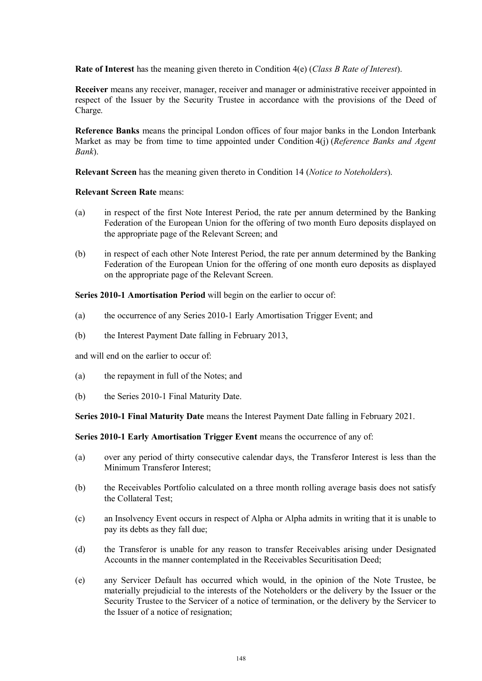**Rate of Interest** has the meaning given thereto in Condition 4(e) (*Class B Rate of Interest*).

**Receiver** means any receiver, manager, receiver and manager or administrative receiver appointed in respect of the Issuer by the Security Trustee in accordance with the provisions of the Deed of Charge.

**Reference Banks** means the principal London offices of four major banks in the London Interbank Market as may be from time to time appointed under Condition 4(j) (*Reference Banks and Agent Bank*).

**Relevant Screen** has the meaning given thereto in Condition 14 (*Notice to Noteholders*).

**Relevant Screen Rate** means:

- (a) in respect of the first Note Interest Period, the rate per annum determined by the Banking Federation of the European Union for the offering of two month Euro deposits displayed on the appropriate page of the Relevant Screen; and
- (b) in respect of each other Note Interest Period, the rate per annum determined by the Banking Federation of the European Union for the offering of one month euro deposits as displayed on the appropriate page of the Relevant Screen.

**Series 2010-1 Amortisation Period** will begin on the earlier to occur of:

- (a) the occurrence of any Series 2010-1 Early Amortisation Trigger Event; and
- (b) the Interest Payment Date falling in February 2013,

and will end on the earlier to occur of:

- (a) the repayment in full of the Notes; and
- (b) the Series 2010-1 Final Maturity Date.

**Series 2010-1 Final Maturity Date** means the Interest Payment Date falling in February 2021.

**Series 2010-1 Early Amortisation Trigger Event** means the occurrence of any of:

- (a) over any period of thirty consecutive calendar days, the Transferor Interest is less than the Minimum Transferor Interest;
- (b) the Receivables Portfolio calculated on a three month rolling average basis does not satisfy the Collateral Test;
- (c) an Insolvency Event occurs in respect of Alpha or Alpha admits in writing that it is unable to pay its debts as they fall due;
- (d) the Transferor is unable for any reason to transfer Receivables arising under Designated Accounts in the manner contemplated in the Receivables Securitisation Deed;
- (e) any Servicer Default has occurred which would, in the opinion of the Note Trustee, be materially prejudicial to the interests of the Noteholders or the delivery by the Issuer or the Security Trustee to the Servicer of a notice of termination, or the delivery by the Servicer to the Issuer of a notice of resignation;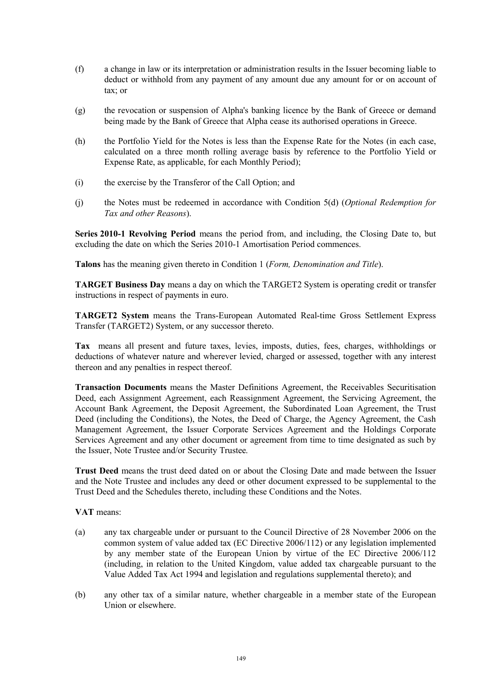- (f) a change in law or its interpretation or administration results in the Issuer becoming liable to deduct or withhold from any payment of any amount due any amount for or on account of tax; or
- (g) the revocation or suspension of Alpha's banking licence by the Bank of Greece or demand being made by the Bank of Greece that Alpha cease its authorised operations in Greece.
- (h) the Portfolio Yield for the Notes is less than the Expense Rate for the Notes (in each case, calculated on a three month rolling average basis by reference to the Portfolio Yield or Expense Rate, as applicable, for each Monthly Period);
- (i) the exercise by the Transferor of the Call Option; and
- (j) the Notes must be redeemed in accordance with Condition 5(d) (*Optional Redemption for Tax and other Reasons*).

**Series 2010-1 Revolving Period** means the period from, and including, the Closing Date to, but excluding the date on which the Series 2010-1 Amortisation Period commences.

**Talons** has the meaning given thereto in Condition 1 (*Form, Denomination and Title*).

**TARGET Business Day** means a day on which the TARGET2 System is operating credit or transfer instructions in respect of payments in euro.

**TARGET2 System** means the Trans-European Automated Real-time Gross Settlement Express Transfer (TARGET2) System, or any successor thereto.

**Tax** means all present and future taxes, levies, imposts, duties, fees, charges, withholdings or deductions of whatever nature and wherever levied, charged or assessed, together with any interest thereon and any penalties in respect thereof.

**Transaction Documents** means the Master Definitions Agreement, the Receivables Securitisation Deed, each Assignment Agreement, each Reassignment Agreement, the Servicing Agreement, the Account Bank Agreement, the Deposit Agreement, the Subordinated Loan Agreement, the Trust Deed (including the Conditions), the Notes, the Deed of Charge, the Agency Agreement, the Cash Management Agreement, the Issuer Corporate Services Agreement and the Holdings Corporate Services Agreement and any other document or agreement from time to time designated as such by the Issuer, Note Trustee and/or Security Trustee.

**Trust Deed** means the trust deed dated on or about the Closing Date and made between the Issuer and the Note Trustee and includes any deed or other document expressed to be supplemental to the Trust Deed and the Schedules thereto, including these Conditions and the Notes.

**VAT** means:

- (a) any tax chargeable under or pursuant to the Council Directive of 28 November 2006 on the common system of value added tax (EC Directive 2006/112) or any legislation implemented by any member state of the European Union by virtue of the EC Directive 2006/112 (including, in relation to the United Kingdom, value added tax chargeable pursuant to the Value Added Tax Act 1994 and legislation and regulations supplemental thereto); and
- (b) any other tax of a similar nature, whether chargeable in a member state of the European Union or elsewhere.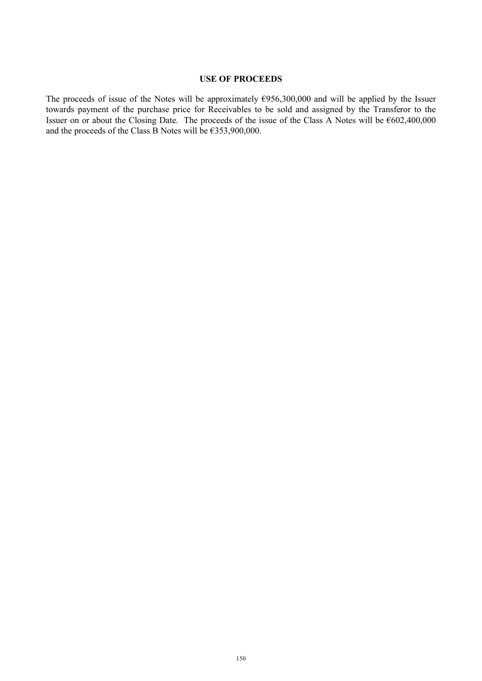## **USE OF PROCEEDS**

The proceeds of issue of the Notes will be approximately  $E$ 956,300,000 and will be applied by the Issuer towards payment of the purchase price for Receivables to be sold and assigned by the Transferor to the Issuer on or about the Closing Date. The proceeds of the issue of the Class A Notes will be  $6602,400,000$ and the proceeds of the Class B Notes will be  $\epsilon$ 353,900,000.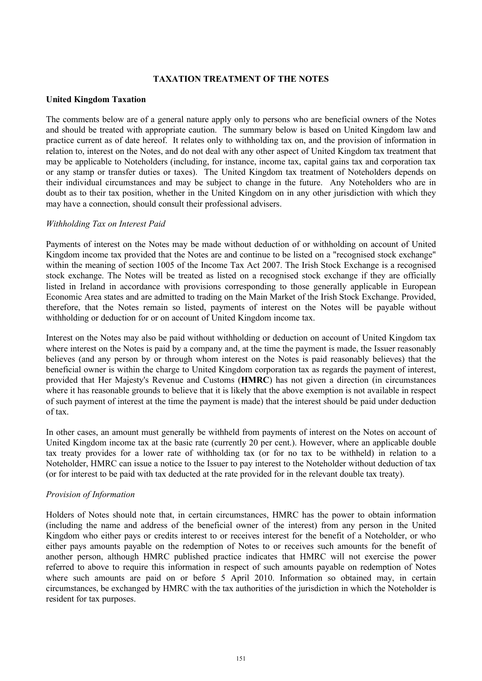#### **TAXATION TREATMENT OF THE NOTES**

#### **United Kingdom Taxation**

The comments below are of a general nature apply only to persons who are beneficial owners of the Notes and should be treated with appropriate caution. The summary below is based on United Kingdom law and practice current as of date hereof. It relates only to withholding tax on, and the provision of information in relation to, interest on the Notes, and do not deal with any other aspect of United Kingdom tax treatment that may be applicable to Noteholders (including, for instance, income tax, capital gains tax and corporation tax or any stamp or transfer duties or taxes). The United Kingdom tax treatment of Noteholders depends on their individual circumstances and may be subject to change in the future. Any Noteholders who are in doubt as to their tax position, whether in the United Kingdom on in any other jurisdiction with which they may have a connection, should consult their professional advisers.

#### *Withholding Tax on Interest Paid*

Payments of interest on the Notes may be made without deduction of or withholding on account of United Kingdom income tax provided that the Notes are and continue to be listed on a "recognised stock exchange" within the meaning of section 1005 of the Income Tax Act 2007. The Irish Stock Exchange is a recognised stock exchange. The Notes will be treated as listed on a recognised stock exchange if they are officially listed in Ireland in accordance with provisions corresponding to those generally applicable in European Economic Area states and are admitted to trading on the Main Market of the Irish Stock Exchange. Provided, therefore, that the Notes remain so listed, payments of interest on the Notes will be payable without withholding or deduction for or on account of United Kingdom income tax.

Interest on the Notes may also be paid without withholding or deduction on account of United Kingdom tax where interest on the Notes is paid by a company and, at the time the payment is made, the Issuer reasonably believes (and any person by or through whom interest on the Notes is paid reasonably believes) that the beneficial owner is within the charge to United Kingdom corporation tax as regards the payment of interest, provided that Her Majesty's Revenue and Customs (**HMRC**) has not given a direction (in circumstances where it has reasonable grounds to believe that it is likely that the above exemption is not available in respect of such payment of interest at the time the payment is made) that the interest should be paid under deduction of tax.

In other cases, an amount must generally be withheld from payments of interest on the Notes on account of United Kingdom income tax at the basic rate (currently 20 per cent.). However, where an applicable double tax treaty provides for a lower rate of withholding tax (or for no tax to be withheld) in relation to a Noteholder, HMRC can issue a notice to the Issuer to pay interest to the Noteholder without deduction of tax (or for interest to be paid with tax deducted at the rate provided for in the relevant double tax treaty).

#### *Provision of Information*

Holders of Notes should note that, in certain circumstances, HMRC has the power to obtain information (including the name and address of the beneficial owner of the interest) from any person in the United Kingdom who either pays or credits interest to or receives interest for the benefit of a Noteholder, or who either pays amounts payable on the redemption of Notes to or receives such amounts for the benefit of another person, although HMRC published practice indicates that HMRC will not exercise the power referred to above to require this information in respect of such amounts payable on redemption of Notes where such amounts are paid on or before 5 April 2010. Information so obtained may, in certain circumstances, be exchanged by HMRC with the tax authorities of the jurisdiction in which the Noteholder is resident for tax purposes.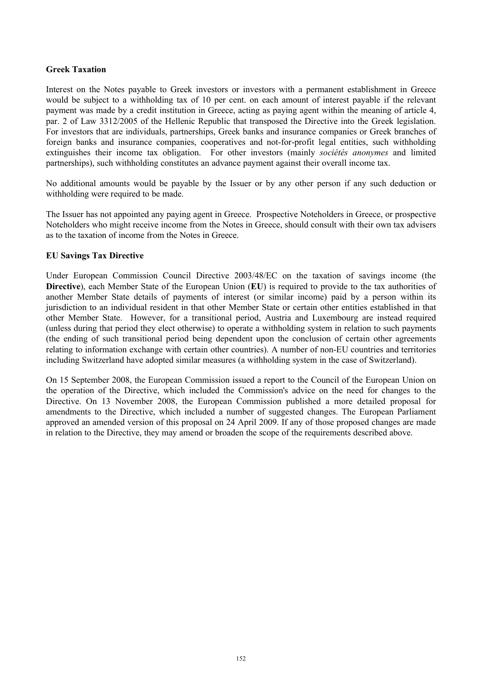### **Greek Taxation**

Interest on the Notes payable to Greek investors or investors with a permanent establishment in Greece would be subject to a withholding tax of 10 per cent. on each amount of interest payable if the relevant payment was made by a credit institution in Greece, acting as paying agent within the meaning of article 4, par. 2 of Law 3312/2005 of the Hellenic Republic that transposed the Directive into the Greek legislation. For investors that are individuals, partnerships, Greek banks and insurance companies or Greek branches of foreign banks and insurance companies, cooperatives and not-for-profit legal entities, such withholding extinguishes their income tax obligation. For other investors (mainly *sociétés anonymes* and limited partnerships), such withholding constitutes an advance payment against their overall income tax.

No additional amounts would be payable by the Issuer or by any other person if any such deduction or withholding were required to be made.

The Issuer has not appointed any paying agent in Greece. Prospective Noteholders in Greece, or prospective Noteholders who might receive income from the Notes in Greece, should consult with their own tax advisers as to the taxation of income from the Notes in Greece.

# **EU Savings Tax Directive**

Under European Commission Council Directive 2003/48/EC on the taxation of savings income (the **Directive**), each Member State of the European Union (**EU**) is required to provide to the tax authorities of another Member State details of payments of interest (or similar income) paid by a person within its jurisdiction to an individual resident in that other Member State or certain other entities established in that other Member State. However, for a transitional period, Austria and Luxembourg are instead required (unless during that period they elect otherwise) to operate a withholding system in relation to such payments (the ending of such transitional period being dependent upon the conclusion of certain other agreements relating to information exchange with certain other countries). A number of non-EU countries and territories including Switzerland have adopted similar measures (a withholding system in the case of Switzerland).

On 15 September 2008, the European Commission issued a report to the Council of the European Union on the operation of the Directive, which included the Commission's advice on the need for changes to the Directive. On 13 November 2008, the European Commission published a more detailed proposal for amendments to the Directive, which included a number of suggested changes. The European Parliament approved an amended version of this proposal on 24 April 2009. If any of those proposed changes are made in relation to the Directive, they may amend or broaden the scope of the requirements described above.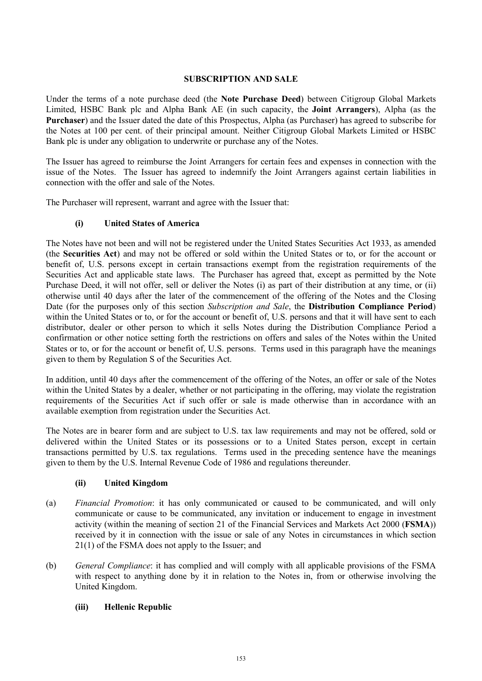### **SUBSCRIPTION AND SALE**

Under the terms of a note purchase deed (the **Note Purchase Deed**) between Citigroup Global Markets Limited, HSBC Bank plc and Alpha Bank AE (in such capacity, the **Joint Arrangers**), Alpha (as the **Purchaser**) and the Issuer dated the date of this Prospectus, Alpha (as Purchaser) has agreed to subscribe for the Notes at 100 per cent. of their principal amount. Neither Citigroup Global Markets Limited or HSBC Bank plc is under any obligation to underwrite or purchase any of the Notes.

The Issuer has agreed to reimburse the Joint Arrangers for certain fees and expenses in connection with the issue of the Notes. The Issuer has agreed to indemnify the Joint Arrangers against certain liabilities in connection with the offer and sale of the Notes.

The Purchaser will represent, warrant and agree with the Issuer that:

# **(i) United States of America**

The Notes have not been and will not be registered under the United States Securities Act 1933, as amended (the **Securities Act**) and may not be offered or sold within the United States or to, or for the account or benefit of, U.S. persons except in certain transactions exempt from the registration requirements of the Securities Act and applicable state laws. The Purchaser has agreed that, except as permitted by the Note Purchase Deed, it will not offer, sell or deliver the Notes (i) as part of their distribution at any time, or (ii) otherwise until 40 days after the later of the commencement of the offering of the Notes and the Closing Date (for the purposes only of this section *Subscription and Sale*, the **Distribution Compliance Period**) within the United States or to, or for the account or benefit of, U.S. persons and that it will have sent to each distributor, dealer or other person to which it sells Notes during the Distribution Compliance Period a confirmation or other notice setting forth the restrictions on offers and sales of the Notes within the United States or to, or for the account or benefit of, U.S. persons. Terms used in this paragraph have the meanings given to them by Regulation S of the Securities Act.

In addition, until 40 days after the commencement of the offering of the Notes, an offer or sale of the Notes within the United States by a dealer, whether or not participating in the offering, may violate the registration requirements of the Securities Act if such offer or sale is made otherwise than in accordance with an available exemption from registration under the Securities Act.

The Notes are in bearer form and are subject to U.S. tax law requirements and may not be offered, sold or delivered within the United States or its possessions or to a United States person, except in certain transactions permitted by U.S. tax regulations. Terms used in the preceding sentence have the meanings given to them by the U.S. Internal Revenue Code of 1986 and regulations thereunder.

#### **(ii) United Kingdom**

- (a) *Financial Promotion*: it has only communicated or caused to be communicated, and will only communicate or cause to be communicated, any invitation or inducement to engage in investment activity (within the meaning of section 21 of the Financial Services and Markets Act 2000 (**FSMA**)) received by it in connection with the issue or sale of any Notes in circumstances in which section 21(1) of the FSMA does not apply to the Issuer; and
- (b) *General Compliance*: it has complied and will comply with all applicable provisions of the FSMA with respect to anything done by it in relation to the Notes in, from or otherwise involving the United Kingdom.

# **(iii) Hellenic Republic**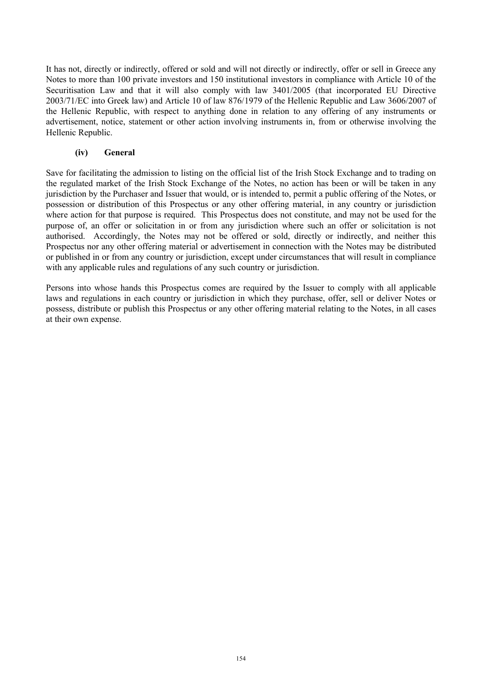It has not, directly or indirectly, offered or sold and will not directly or indirectly, offer or sell in Greece any Notes to more than 100 private investors and 150 institutional investors in compliance with Article 10 of the Securitisation Law and that it will also comply with law 3401/2005 (that incorporated EU Directive 2003/71/EC into Greek law) and Article 10 of law 876/1979 of the Hellenic Republic and Law 3606/2007 of the Hellenic Republic, with respect to anything done in relation to any offering of any instruments or advertisement, notice, statement or other action involving instruments in, from or otherwise involving the Hellenic Republic.

# **(iv) General**

Save for facilitating the admission to listing on the official list of the Irish Stock Exchange and to trading on the regulated market of the Irish Stock Exchange of the Notes, no action has been or will be taken in any jurisdiction by the Purchaser and Issuer that would, or is intended to, permit a public offering of the Notes, or possession or distribution of this Prospectus or any other offering material, in any country or jurisdiction where action for that purpose is required. This Prospectus does not constitute, and may not be used for the purpose of, an offer or solicitation in or from any jurisdiction where such an offer or solicitation is not authorised. Accordingly, the Notes may not be offered or sold, directly or indirectly, and neither this Prospectus nor any other offering material or advertisement in connection with the Notes may be distributed or published in or from any country or jurisdiction, except under circumstances that will result in compliance with any applicable rules and regulations of any such country or jurisdiction.

Persons into whose hands this Prospectus comes are required by the Issuer to comply with all applicable laws and regulations in each country or jurisdiction in which they purchase, offer, sell or deliver Notes or possess, distribute or publish this Prospectus or any other offering material relating to the Notes, in all cases at their own expense.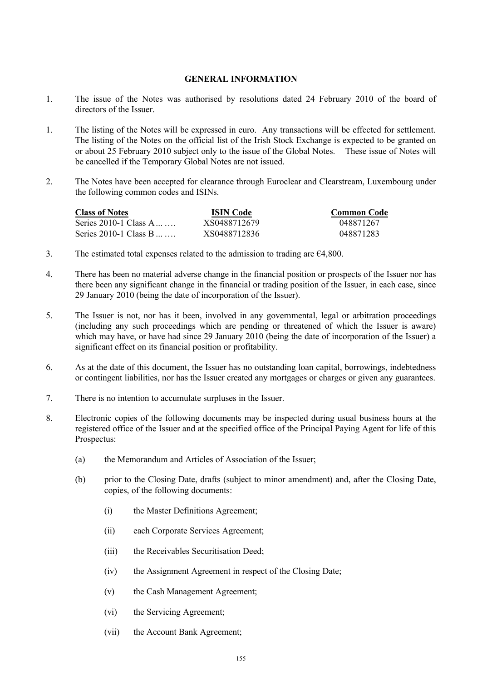#### **GENERAL INFORMATION**

- 1. The issue of the Notes was authorised by resolutions dated 24 February 2010 of the board of directors of the Issuer.
- 1. The listing of the Notes will be expressed in euro. Any transactions will be effected for settlement. The listing of the Notes on the official list of the Irish Stock Exchange is expected to be granted on or about 25 February 2010 subject only to the issue of the Global Notes. These issue of Notes will be cancelled if the Temporary Global Notes are not issued.
- 2. The Notes have been accepted for clearance through Euroclear and Clearstream, Luxembourg under the following common codes and ISINs.

| <b>Class of Notes</b>  | <b>ISIN</b> Code | <b>Common Code</b> |
|------------------------|------------------|--------------------|
| Series 2010-1 Class A. | XS0488712679     | 048871267          |
| Series 2010-1 Class B  | XS0488712836     | 048871283          |

- 3. The estimated total expenses related to the admission to trading are  $\epsilon$ 4,800.
- 4. There has been no material adverse change in the financial position or prospects of the Issuer nor has there been any significant change in the financial or trading position of the Issuer, in each case, since 29 January 2010 (being the date of incorporation of the Issuer).
- 5. The Issuer is not, nor has it been, involved in any governmental, legal or arbitration proceedings (including any such proceedings which are pending or threatened of which the Issuer is aware) which may have, or have had since 29 January 2010 (being the date of incorporation of the Issuer) a significant effect on its financial position or profitability.
- 6. As at the date of this document, the Issuer has no outstanding loan capital, borrowings, indebtedness or contingent liabilities, nor has the Issuer created any mortgages or charges or given any guarantees.
- 7. There is no intention to accumulate surpluses in the Issuer.
- 8. Electronic copies of the following documents may be inspected during usual business hours at the registered office of the Issuer and at the specified office of the Principal Paying Agent for life of this Prospectus:
	- (a) the Memorandum and Articles of Association of the Issuer;
	- (b) prior to the Closing Date, drafts (subject to minor amendment) and, after the Closing Date, copies, of the following documents:
		- (i) the Master Definitions Agreement;
		- (ii) each Corporate Services Agreement;
		- (iii) the Receivables Securitisation Deed;
		- (iv) the Assignment Agreement in respect of the Closing Date;
		- (v) the Cash Management Agreement;
		- (vi) the Servicing Agreement;
		- (vii) the Account Bank Agreement;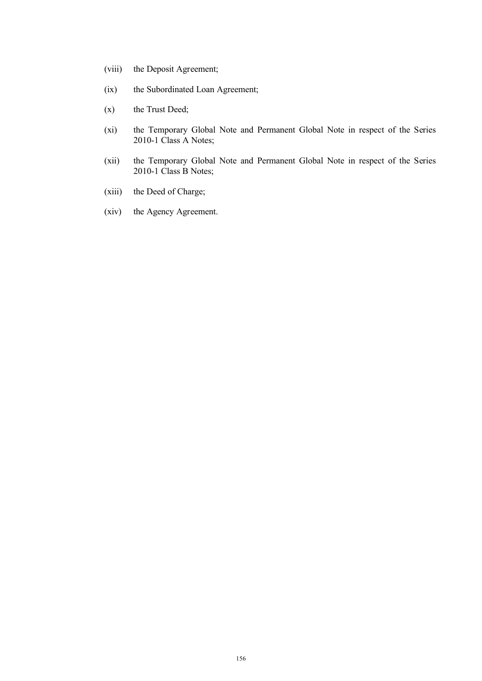- (viii) the Deposit Agreement;
- (ix) the Subordinated Loan Agreement;
- (x) the Trust Deed;
- (xi) the Temporary Global Note and Permanent Global Note in respect of the Series 2010-1 Class A Notes;
- (xii) the Temporary Global Note and Permanent Global Note in respect of the Series 2010-1 Class B Notes;
- (xiii) the Deed of Charge;
- (xiv) the Agency Agreement.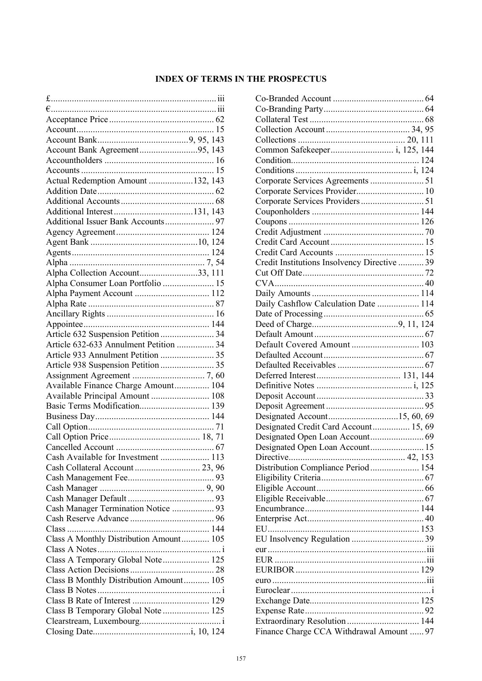# **INDEX OF TERMS IN THE PROSPECTUS**

| Account Bank Agreement95, 143           |  |
|-----------------------------------------|--|
|                                         |  |
|                                         |  |
| Actual Redemption Amount 132, 143       |  |
|                                         |  |
|                                         |  |
|                                         |  |
|                                         |  |
|                                         |  |
|                                         |  |
|                                         |  |
|                                         |  |
|                                         |  |
| Alpha Collection Account33, 111         |  |
| Alpha Consumer Loan Portfolio  15       |  |
|                                         |  |
|                                         |  |
|                                         |  |
|                                         |  |
| Article 632 Suspension Petition  34     |  |
| Article 632-633 Annulment Petition  34  |  |
|                                         |  |
|                                         |  |
|                                         |  |
| Available Finance Charge Amount 104     |  |
| Available Principal Amount  108         |  |
| Basic Terms Modification 139            |  |
|                                         |  |
|                                         |  |
|                                         |  |
|                                         |  |
| Cash Available for Investment  113      |  |
|                                         |  |
|                                         |  |
|                                         |  |
|                                         |  |
|                                         |  |
| Cash Manager Termination Notice  93     |  |
|                                         |  |
| $Class$                                 |  |
| Class A Monthly Distribution Amount 105 |  |
|                                         |  |
| Class A Temporary Global Note 125       |  |
|                                         |  |
| Class B Monthly Distribution Amount 105 |  |
|                                         |  |
|                                         |  |
| Class B Temporary Global Note  125      |  |
|                                         |  |
|                                         |  |

| Corporate Services Provider 10               |  |
|----------------------------------------------|--|
|                                              |  |
|                                              |  |
|                                              |  |
|                                              |  |
|                                              |  |
|                                              |  |
| Credit Institutions Insolvency Directive  39 |  |
|                                              |  |
|                                              |  |
|                                              |  |
| Daily Cashflow Calculation Date  114         |  |
|                                              |  |
|                                              |  |
|                                              |  |
| Default Covered Amount  103                  |  |
|                                              |  |
|                                              |  |
|                                              |  |
|                                              |  |
|                                              |  |
|                                              |  |
|                                              |  |
|                                              |  |
| Designated Credit Card Account 15, 69        |  |
|                                              |  |
|                                              |  |
|                                              |  |
| Distribution Compliance Period  154          |  |
|                                              |  |
|                                              |  |
|                                              |  |
|                                              |  |
|                                              |  |
|                                              |  |
|                                              |  |
|                                              |  |
|                                              |  |
|                                              |  |
|                                              |  |
|                                              |  |
|                                              |  |
|                                              |  |
| Extraordinary Resolution 144                 |  |
| Finance Charge CCA Withdrawal Amount  97     |  |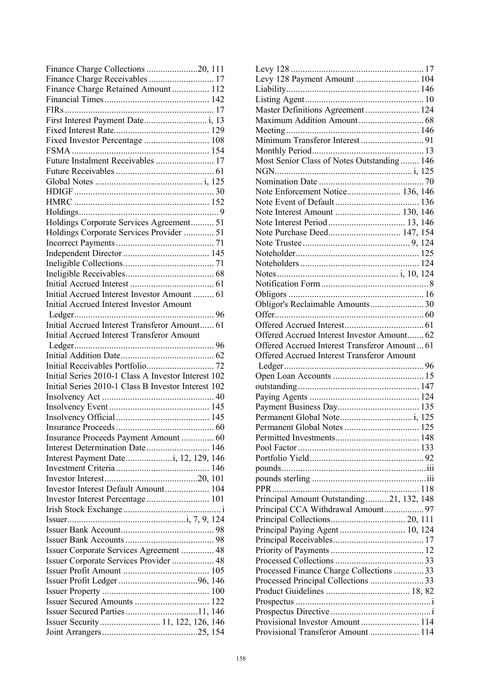| Finance Charge Collections 20, 111                                                                 |
|----------------------------------------------------------------------------------------------------|
| Finance Charge Receivables  17                                                                     |
| Finance Charge Retained Amount 112                                                                 |
|                                                                                                    |
|                                                                                                    |
|                                                                                                    |
|                                                                                                    |
| Fixed Investor Percentage  108                                                                     |
|                                                                                                    |
| Future Instalment Receivables  17                                                                  |
|                                                                                                    |
|                                                                                                    |
|                                                                                                    |
|                                                                                                    |
|                                                                                                    |
| Holdings Corporate Services Agreement 51                                                           |
| Holdings Corporate Services Provider  51                                                           |
|                                                                                                    |
|                                                                                                    |
|                                                                                                    |
|                                                                                                    |
|                                                                                                    |
|                                                                                                    |
| Initial Accrued Interest Investor Amount  61                                                       |
| <b>Initial Accrued Interest Investor Amount</b>                                                    |
|                                                                                                    |
| Initial Accrued Interest Transferor Amount 61<br><b>Initial Accrued Interest Transferor Amount</b> |
|                                                                                                    |
|                                                                                                    |
|                                                                                                    |
| Initial Series 2010-1 Class A Investor Interest 102                                                |
|                                                                                                    |
| Initial Series 2010-1 Class B Investor Interest 102                                                |
|                                                                                                    |
|                                                                                                    |
|                                                                                                    |
|                                                                                                    |
| Insurance Proceeds Payment Amount  60                                                              |
| Interest Determination Date 146                                                                    |
|                                                                                                    |
|                                                                                                    |
|                                                                                                    |
| Investor Interest Default Amount 104                                                               |
|                                                                                                    |
|                                                                                                    |
|                                                                                                    |
|                                                                                                    |
|                                                                                                    |
| Issuer Corporate Services Agreement  48                                                            |
| Issuer Corporate Services Provider  48                                                             |
|                                                                                                    |
|                                                                                                    |
|                                                                                                    |
|                                                                                                    |
|                                                                                                    |
|                                                                                                    |
|                                                                                                    |

| Levy 128 Payment Amount  104                                          |  |
|-----------------------------------------------------------------------|--|
|                                                                       |  |
|                                                                       |  |
| Master Definitions Agreement  124                                     |  |
|                                                                       |  |
|                                                                       |  |
|                                                                       |  |
|                                                                       |  |
| Most Senior Class of Notes Outstanding  146                           |  |
|                                                                       |  |
|                                                                       |  |
| Note Enforcement Notice 136, 146                                      |  |
|                                                                       |  |
|                                                                       |  |
|                                                                       |  |
| Note Purchase Deed 147, 154                                           |  |
|                                                                       |  |
|                                                                       |  |
|                                                                       |  |
|                                                                       |  |
|                                                                       |  |
|                                                                       |  |
| Obligor's Reclaimable Amounts30                                       |  |
|                                                                       |  |
|                                                                       |  |
| Offered Accrued Interest Investor Amount 62                           |  |
| Offered Accrued Interest Transferor Amount  61                        |  |
|                                                                       |  |
|                                                                       |  |
| Offered Accrued Interest Transferor Amount                            |  |
|                                                                       |  |
|                                                                       |  |
|                                                                       |  |
|                                                                       |  |
|                                                                       |  |
|                                                                       |  |
|                                                                       |  |
|                                                                       |  |
|                                                                       |  |
|                                                                       |  |
|                                                                       |  |
|                                                                       |  |
| PPR.                                                                  |  |
| Principal Amount Outstanding21, 132, 148                              |  |
|                                                                       |  |
|                                                                       |  |
|                                                                       |  |
|                                                                       |  |
|                                                                       |  |
|                                                                       |  |
| Processed Finance Charge Collections  33                              |  |
|                                                                       |  |
|                                                                       |  |
|                                                                       |  |
|                                                                       |  |
| Provisional Investor Amount 114<br>Provisional Transferor Amount  114 |  |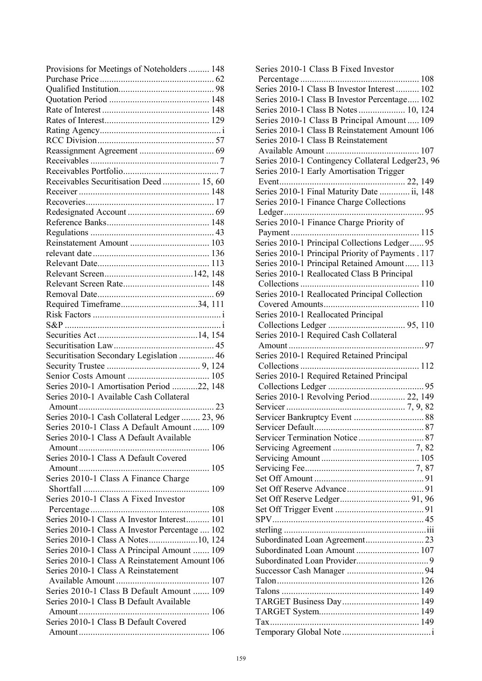| Provisions for Meetings of Noteholders  148    |  |
|------------------------------------------------|--|
|                                                |  |
|                                                |  |
|                                                |  |
|                                                |  |
|                                                |  |
|                                                |  |
|                                                |  |
|                                                |  |
|                                                |  |
|                                                |  |
| Receivables Securitisation Deed  15, 60        |  |
|                                                |  |
|                                                |  |
|                                                |  |
|                                                |  |
|                                                |  |
|                                                |  |
|                                                |  |
|                                                |  |
|                                                |  |
|                                                |  |
|                                                |  |
| Required Timeframe34, 111                      |  |
|                                                |  |
|                                                |  |
|                                                |  |
|                                                |  |
| Securitisation Secondary Legislation  46       |  |
|                                                |  |
|                                                |  |
| Series 2010-1 Amortisation Period 22, 148      |  |
| Series 2010-1 Available Cash Collateral        |  |
|                                                |  |
| Series 2010-1 Cash Collateral Ledger  23, 96   |  |
| Series 2010-1 Class A Default Amount  109      |  |
| Series 2010-1 Class A Default Available        |  |
|                                                |  |
| Series 2010-1 Class A Default Covered          |  |
|                                                |  |
| Series 2010-1 Class A Finance Charge           |  |
|                                                |  |
| Series 2010-1 Class A Fixed Investor           |  |
|                                                |  |
| Series 2010-1 Class A Investor Interest 101    |  |
| Series 2010-1 Class A Investor Percentage  102 |  |
| Series 2010-1 Class A Notes10, 124             |  |
| Series 2010-1 Class A Principal Amount  109    |  |
| Series 2010-1 Class A Reinstatement Amount 106 |  |
| Series 2010-1 Class A Reinstatement            |  |
|                                                |  |
| Series 2010-1 Class B Default Amount  109      |  |
| Series 2010-1 Class B Default Available        |  |
|                                                |  |
| Series 2010-1 Class B Default Covered          |  |
|                                                |  |
|                                                |  |

| Series 2010-1 Class B Fixed Investor                                                                          |
|---------------------------------------------------------------------------------------------------------------|
|                                                                                                               |
| Series 2010-1 Class B Investor Interest  102                                                                  |
| Series 2010-1 Class B Investor Percentage 102                                                                 |
| Series 2010-1 Class B Notes 10, 124                                                                           |
| Series 2010-1 Class B Principal Amount 109                                                                    |
| Series 2010-1 Class B Reinstatement Amount 106                                                                |
| Series 2010-1 Class B Reinstatement                                                                           |
|                                                                                                               |
| Series 2010-1 Contingency Collateral Ledger23, 96                                                             |
| Series 2010-1 Early Amortisation Trigger                                                                      |
|                                                                                                               |
| Series 2010-1 Final Maturity Date  ii, 148                                                                    |
| Series 2010-1 Finance Charge Collections                                                                      |
|                                                                                                               |
| Series 2010-1 Finance Charge Priority of                                                                      |
|                                                                                                               |
| Series 2010-1 Principal Collections Ledger 95                                                                 |
| Series 2010-1 Principal Priority of Payments . 117                                                            |
| Series 2010-1 Principal Retained Amount 113                                                                   |
| Series 2010-1 Reallocated Class B Principal                                                                   |
|                                                                                                               |
| Series 2010-1 Reallocated Principal Collection                                                                |
|                                                                                                               |
| Series 2010-1 Reallocated Principal                                                                           |
|                                                                                                               |
| Series 2010-1 Required Cash Collateral                                                                        |
|                                                                                                               |
|                                                                                                               |
| Series 2010-1 Required Retained Principal                                                                     |
|                                                                                                               |
| Series 2010-1 Required Retained Principal                                                                     |
|                                                                                                               |
|                                                                                                               |
| Series 2010-1 Revolving Period 22, 149                                                                        |
|                                                                                                               |
| Servicer Default 1996 - 1997 - 1998 - 1999 - 1999 - 1999 - 1999 - 1999 - 1999 - 1999 - 1999 - 1999 - 1999 - 1 |
|                                                                                                               |
|                                                                                                               |
|                                                                                                               |
|                                                                                                               |
|                                                                                                               |
|                                                                                                               |
|                                                                                                               |
|                                                                                                               |
|                                                                                                               |
|                                                                                                               |
|                                                                                                               |
| Subordinated Loan Amount  107                                                                                 |
|                                                                                                               |
|                                                                                                               |
|                                                                                                               |
|                                                                                                               |
| TARGET Business Day 149                                                                                       |
|                                                                                                               |
|                                                                                                               |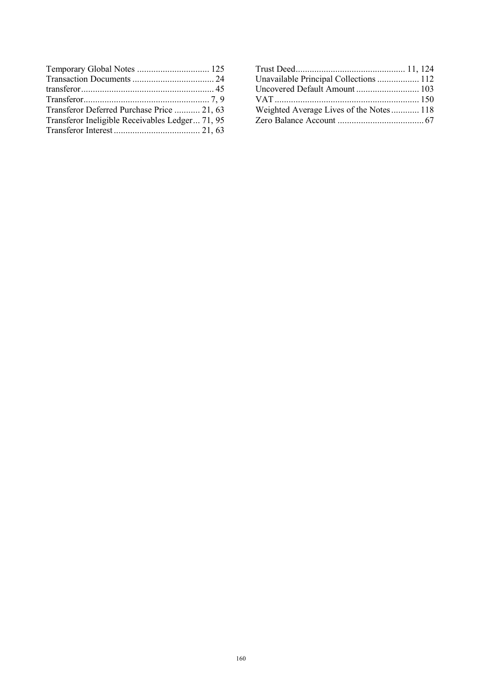| Transferor Deferred Purchase Price  21, 63      |  |
|-------------------------------------------------|--|
| Transferor Ineligible Receivables Ledger 71, 95 |  |
|                                                 |  |

| Unavailable Principal Collections  112  |  |
|-----------------------------------------|--|
|                                         |  |
|                                         |  |
| Weighted Average Lives of the Notes 118 |  |
|                                         |  |